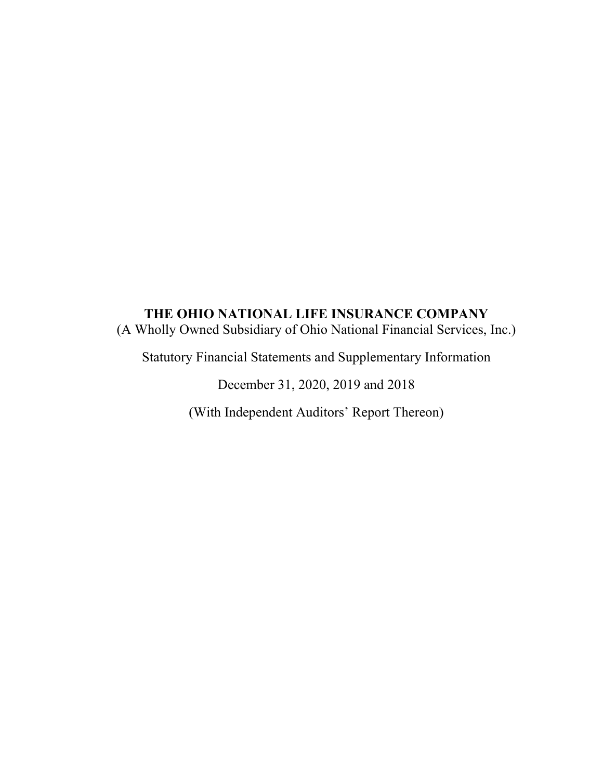# **THE OHIO NATIONAL LIFE INSURANCE COMPANY**  (A Wholly Owned Subsidiary of Ohio National Financial Services, Inc.)

Statutory Financial Statements and Supplementary Information

December 31, 2020, 2019 and 2018

(With Independent Auditors' Report Thereon)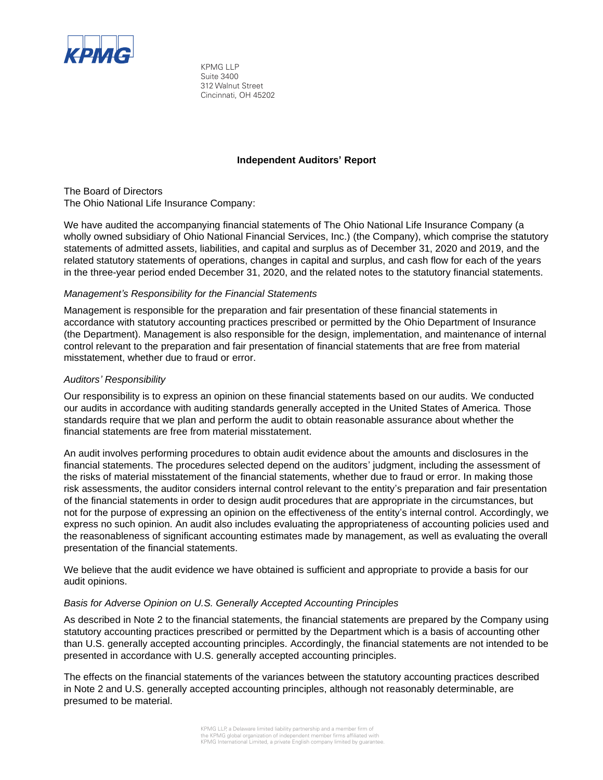

KPMG LLP Suite 3400 312 Walnut Street Cincinnati, OH 45202

#### **Independent Auditors' Report**

The Board of Directors The Ohio National Life Insurance Company:

We have audited the accompanying financial statements of The Ohio National Life Insurance Company (a wholly owned subsidiary of Ohio National Financial Services, Inc.) (the Company), which comprise the statutory statements of admitted assets, liabilities, and capital and surplus as of December 31, 2020 and 2019, and the related statutory statements of operations, changes in capital and surplus, and cash flow for each of the years in the three-year period ended December 31, 2020, and the related notes to the statutory financial statements.

#### *Management's Responsibility for the Financial Statements*

Management is responsible for the preparation and fair presentation of these financial statements in accordance with statutory accounting practices prescribed or permitted by the Ohio Department of Insurance (the Department). Management is also responsible for the design, implementation, and maintenance of internal control relevant to the preparation and fair presentation of financial statements that are free from material misstatement, whether due to fraud or error.

#### *Auditors' Responsibility*

Our responsibility is to express an opinion on these financial statements based on our audits. We conducted our audits in accordance with auditing standards generally accepted in the United States of America. Those standards require that we plan and perform the audit to obtain reasonable assurance about whether the financial statements are free from material misstatement.

An audit involves performing procedures to obtain audit evidence about the amounts and disclosures in the financial statements. The procedures selected depend on the auditors' judgment, including the assessment of the risks of material misstatement of the financial statements, whether due to fraud or error. In making those risk assessments, the auditor considers internal control relevant to the entity's preparation and fair presentation of the financial statements in order to design audit procedures that are appropriate in the circumstances, but not for the purpose of expressing an opinion on the effectiveness of the entity's internal control. Accordingly, we express no such opinion. An audit also includes evaluating the appropriateness of accounting policies used and the reasonableness of significant accounting estimates made by management, as well as evaluating the overall presentation of the financial statements.

We believe that the audit evidence we have obtained is sufficient and appropriate to provide a basis for our audit opinions.

#### *Basis for Adverse Opinion on U.S. Generally Accepted Accounting Principles*

As described in Note 2 to the financial statements, the financial statements are prepared by the Company using statutory accounting practices prescribed or permitted by the Department which is a basis of accounting other than U.S. generally accepted accounting principles. Accordingly, the financial statements are not intended to be presented in accordance with U.S. generally accepted accounting principles.

The effects on the financial statements of the variances between the statutory accounting practices described in Note 2 and U.S. generally accepted accounting principles, although not reasonably determinable, are presumed to be material.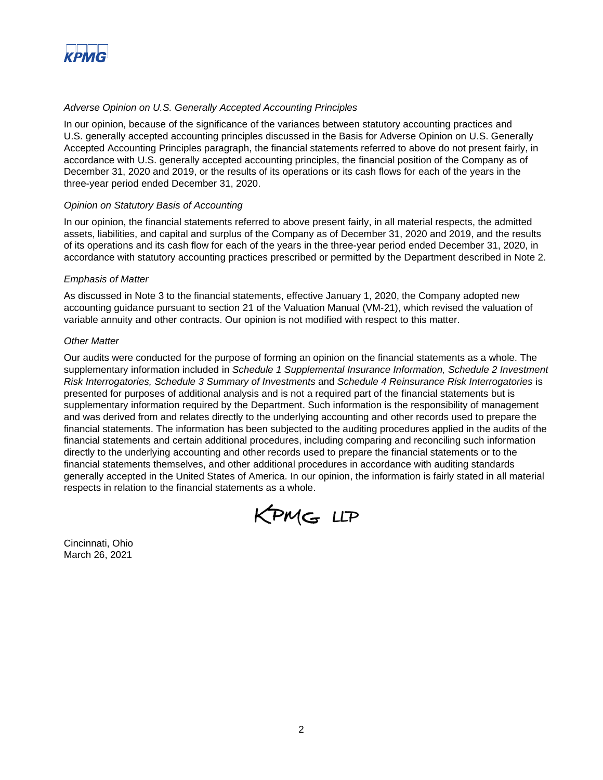

#### *Adverse Opinion on U.S. Generally Accepted Accounting Principles*

In our opinion, because of the significance of the variances between statutory accounting practices and U.S. generally accepted accounting principles discussed in the Basis for Adverse Opinion on U.S. Generally Accepted Accounting Principles paragraph, the financial statements referred to above do not present fairly, in accordance with U.S. generally accepted accounting principles, the financial position of the Company as of December 31, 2020 and 2019, or the results of its operations or its cash flows for each of the years in the three-year period ended December 31, 2020.

#### *Opinion on Statutory Basis of Accounting*

In our opinion, the financial statements referred to above present fairly, in all material respects, the admitted assets, liabilities, and capital and surplus of the Company as of December 31, 2020 and 2019, and the results of its operations and its cash flow for each of the years in the three-year period ended December 31, 2020, in accordance with statutory accounting practices prescribed or permitted by the Department described in Note 2.

#### *Emphasis of Matter*

As discussed in Note 3 to the financial statements, effective January 1, 2020, the Company adopted new accounting guidance pursuant to section 21 of the Valuation Manual (VM-21), which revised the valuation of variable annuity and other contracts. Our opinion is not modified with respect to this matter.

#### *Other Matter*

Our audits were conducted for the purpose of forming an opinion on the financial statements as a whole. The supplementary information included in *Schedule 1 Supplemental Insurance Information, Schedule 2 Investment Risk Interrogatories, Schedule 3 Summary of Investments* and *Schedule 4 Reinsurance Risk Interrogatories* is presented for purposes of additional analysis and is not a required part of the financial statements but is supplementary information required by the Department. Such information is the responsibility of management and was derived from and relates directly to the underlying accounting and other records used to prepare the financial statements. The information has been subjected to the auditing procedures applied in the audits of the financial statements and certain additional procedures, including comparing and reconciling such information directly to the underlying accounting and other records used to prepare the financial statements or to the financial statements themselves, and other additional procedures in accordance with auditing standards generally accepted in the United States of America. In our opinion, the information is fairly stated in all material respects in relation to the financial statements as a whole.

KPMG LLP

Cincinnati, Ohio March 26, 2021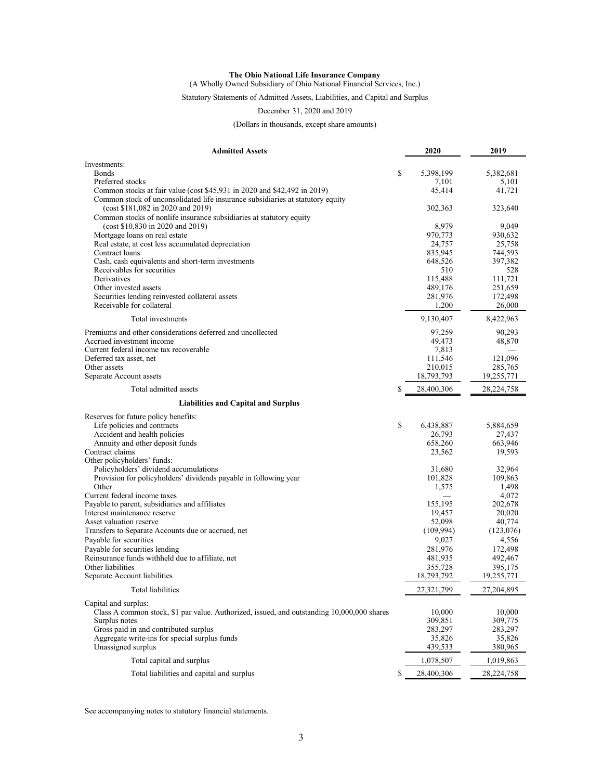#### **The Ohio National Life Insurance Company**

(A Wholly Owned Subsidiary of Ohio National Financial Services, Inc.)

Statutory Statements of Admitted Assets, Liabilities, and Capital and Surplus

#### December 31, 2020 and 2019

(Dollars in thousands, except share amounts)

| Investments:<br><b>Bonds</b><br>\$<br>5,398,199<br>5,382,681<br>Preferred stocks<br>7,101<br>5,101<br>Common stocks at fair value (cost $$45,931$ in 2020 and $$42,492$ in 2019)<br>45,414<br>41,721<br>Common stock of unconsolidated life insurance subsidiaries at statutory equity<br>(cost \$181,082 in 2020 and 2019)<br>302,363<br>323,640<br>Common stocks of nonlife insurance subsidiaries at statutory equity<br>(cost \$10,830 in 2020 and 2019)<br>8,979<br>9,049<br>Mortgage loans on real estate<br>970,773<br>930,632<br>Real estate, at cost less accumulated depreciation<br>24,757<br>25,758<br>Contract loans<br>835,945<br>744,593<br>Cash, cash equivalents and short-term investments<br>648,526<br>397,382<br>Receivables for securities<br>510<br>528<br>Derivatives<br>115,488<br>111,721<br>Other invested assets<br>489,176<br>251,659<br>Securities lending reinvested collateral assets<br>281,976<br>172,498<br>Receivable for collateral<br>1,200<br>26,000<br>Total investments<br>9,130,407<br>8,422,963<br>Premiums and other considerations deferred and uncollected<br>97,259<br>90,293<br>Accrued investment income<br>49,473<br>48,870<br>Current federal income tax recoverable<br>7,813<br>Deferred tax asset, net<br>111,546<br>121,096<br>Other assets<br>210,015<br>285,765<br>Separate Account assets<br>18,793,793<br>19,255,771<br>Total admitted assets<br>28,224,758<br>S<br>28,400,306<br>Liabilities and Capital and Surplus<br>Reserves for future policy benefits:<br>\$<br>Life policies and contracts<br>6,438,887<br>5,884,659<br>Accident and health policies<br>26,793<br>27,437<br>658,260<br>663,946<br>Annuity and other deposit funds<br>Contract claims<br>23,562<br>19,593<br>Other policyholders' funds:<br>Policyholders' dividend accumulations<br>32,964<br>31,680<br>Provision for policyholders' dividends payable in following year<br>101,828<br>109,863<br>Other<br>1,575<br>1,498<br>Current federal income taxes<br>4,072<br>155,195<br>Payable to parent, subsidiaries and affiliates<br>202,678<br>Interest maintenance reserve<br>19,457<br>20,020<br>Asset valuation reserve<br>52,098<br>40,774<br>Transfers to Separate Accounts due or accrued, net<br>(109, 994)<br>(123,076)<br>Payable for securities<br>9,027<br>4,556<br>Payable for securities lending<br>281,976<br>172,498<br>Reinsurance funds withheld due to affiliate, net<br>481,935<br>492,467<br>Other liabilities<br>355,728<br>395,175<br>18,793,792<br>Separate Account liabilities<br>19,255,771<br>Total liabilities<br>27,321,799<br>27,204,895<br>Capital and surplus:<br>Class A common stock, $$1$ par value. Authorized, issued, and outstanding $10,000,000$ shares<br>10,000<br>10,000<br>309,851<br>309,775<br>Surplus notes<br>Gross paid in and contributed surplus<br>283,297<br>283,297<br>Aggregate write-ins for special surplus funds<br>35,826<br>35,826<br>439,533<br>380,965<br>Unassigned surplus<br>1,019,863<br>Total capital and surplus<br>1,078,507<br>Total liabilities and capital and surplus<br>\$<br>28,400,306<br>28,224,758 | <b>Admitted Assets</b> | 2020 | 2019 |
|------------------------------------------------------------------------------------------------------------------------------------------------------------------------------------------------------------------------------------------------------------------------------------------------------------------------------------------------------------------------------------------------------------------------------------------------------------------------------------------------------------------------------------------------------------------------------------------------------------------------------------------------------------------------------------------------------------------------------------------------------------------------------------------------------------------------------------------------------------------------------------------------------------------------------------------------------------------------------------------------------------------------------------------------------------------------------------------------------------------------------------------------------------------------------------------------------------------------------------------------------------------------------------------------------------------------------------------------------------------------------------------------------------------------------------------------------------------------------------------------------------------------------------------------------------------------------------------------------------------------------------------------------------------------------------------------------------------------------------------------------------------------------------------------------------------------------------------------------------------------------------------------------------------------------------------------------------------------------------------------------------------------------------------------------------------------------------------------------------------------------------------------------------------------------------------------------------------------------------------------------------------------------------------------------------------------------------------------------------------------------------------------------------------------------------------------------------------------------------------------------------------------------------------------------------------------------------------------------------------------------------------------------------------------------------------------------------------------------------------------------------------------------------------------------------------------------------------------------------------------------------------------------------------------------------------------------------------------------------------------------------------------------------------------------------------------------------------------------------------|------------------------|------|------|
|                                                                                                                                                                                                                                                                                                                                                                                                                                                                                                                                                                                                                                                                                                                                                                                                                                                                                                                                                                                                                                                                                                                                                                                                                                                                                                                                                                                                                                                                                                                                                                                                                                                                                                                                                                                                                                                                                                                                                                                                                                                                                                                                                                                                                                                                                                                                                                                                                                                                                                                                                                                                                                                                                                                                                                                                                                                                                                                                                                                                                                                                                                                  |                        |      |      |
|                                                                                                                                                                                                                                                                                                                                                                                                                                                                                                                                                                                                                                                                                                                                                                                                                                                                                                                                                                                                                                                                                                                                                                                                                                                                                                                                                                                                                                                                                                                                                                                                                                                                                                                                                                                                                                                                                                                                                                                                                                                                                                                                                                                                                                                                                                                                                                                                                                                                                                                                                                                                                                                                                                                                                                                                                                                                                                                                                                                                                                                                                                                  |                        |      |      |
|                                                                                                                                                                                                                                                                                                                                                                                                                                                                                                                                                                                                                                                                                                                                                                                                                                                                                                                                                                                                                                                                                                                                                                                                                                                                                                                                                                                                                                                                                                                                                                                                                                                                                                                                                                                                                                                                                                                                                                                                                                                                                                                                                                                                                                                                                                                                                                                                                                                                                                                                                                                                                                                                                                                                                                                                                                                                                                                                                                                                                                                                                                                  |                        |      |      |
|                                                                                                                                                                                                                                                                                                                                                                                                                                                                                                                                                                                                                                                                                                                                                                                                                                                                                                                                                                                                                                                                                                                                                                                                                                                                                                                                                                                                                                                                                                                                                                                                                                                                                                                                                                                                                                                                                                                                                                                                                                                                                                                                                                                                                                                                                                                                                                                                                                                                                                                                                                                                                                                                                                                                                                                                                                                                                                                                                                                                                                                                                                                  |                        |      |      |
|                                                                                                                                                                                                                                                                                                                                                                                                                                                                                                                                                                                                                                                                                                                                                                                                                                                                                                                                                                                                                                                                                                                                                                                                                                                                                                                                                                                                                                                                                                                                                                                                                                                                                                                                                                                                                                                                                                                                                                                                                                                                                                                                                                                                                                                                                                                                                                                                                                                                                                                                                                                                                                                                                                                                                                                                                                                                                                                                                                                                                                                                                                                  |                        |      |      |
|                                                                                                                                                                                                                                                                                                                                                                                                                                                                                                                                                                                                                                                                                                                                                                                                                                                                                                                                                                                                                                                                                                                                                                                                                                                                                                                                                                                                                                                                                                                                                                                                                                                                                                                                                                                                                                                                                                                                                                                                                                                                                                                                                                                                                                                                                                                                                                                                                                                                                                                                                                                                                                                                                                                                                                                                                                                                                                                                                                                                                                                                                                                  |                        |      |      |
|                                                                                                                                                                                                                                                                                                                                                                                                                                                                                                                                                                                                                                                                                                                                                                                                                                                                                                                                                                                                                                                                                                                                                                                                                                                                                                                                                                                                                                                                                                                                                                                                                                                                                                                                                                                                                                                                                                                                                                                                                                                                                                                                                                                                                                                                                                                                                                                                                                                                                                                                                                                                                                                                                                                                                                                                                                                                                                                                                                                                                                                                                                                  |                        |      |      |
|                                                                                                                                                                                                                                                                                                                                                                                                                                                                                                                                                                                                                                                                                                                                                                                                                                                                                                                                                                                                                                                                                                                                                                                                                                                                                                                                                                                                                                                                                                                                                                                                                                                                                                                                                                                                                                                                                                                                                                                                                                                                                                                                                                                                                                                                                                                                                                                                                                                                                                                                                                                                                                                                                                                                                                                                                                                                                                                                                                                                                                                                                                                  |                        |      |      |
|                                                                                                                                                                                                                                                                                                                                                                                                                                                                                                                                                                                                                                                                                                                                                                                                                                                                                                                                                                                                                                                                                                                                                                                                                                                                                                                                                                                                                                                                                                                                                                                                                                                                                                                                                                                                                                                                                                                                                                                                                                                                                                                                                                                                                                                                                                                                                                                                                                                                                                                                                                                                                                                                                                                                                                                                                                                                                                                                                                                                                                                                                                                  |                        |      |      |
|                                                                                                                                                                                                                                                                                                                                                                                                                                                                                                                                                                                                                                                                                                                                                                                                                                                                                                                                                                                                                                                                                                                                                                                                                                                                                                                                                                                                                                                                                                                                                                                                                                                                                                                                                                                                                                                                                                                                                                                                                                                                                                                                                                                                                                                                                                                                                                                                                                                                                                                                                                                                                                                                                                                                                                                                                                                                                                                                                                                                                                                                                                                  |                        |      |      |
|                                                                                                                                                                                                                                                                                                                                                                                                                                                                                                                                                                                                                                                                                                                                                                                                                                                                                                                                                                                                                                                                                                                                                                                                                                                                                                                                                                                                                                                                                                                                                                                                                                                                                                                                                                                                                                                                                                                                                                                                                                                                                                                                                                                                                                                                                                                                                                                                                                                                                                                                                                                                                                                                                                                                                                                                                                                                                                                                                                                                                                                                                                                  |                        |      |      |
|                                                                                                                                                                                                                                                                                                                                                                                                                                                                                                                                                                                                                                                                                                                                                                                                                                                                                                                                                                                                                                                                                                                                                                                                                                                                                                                                                                                                                                                                                                                                                                                                                                                                                                                                                                                                                                                                                                                                                                                                                                                                                                                                                                                                                                                                                                                                                                                                                                                                                                                                                                                                                                                                                                                                                                                                                                                                                                                                                                                                                                                                                                                  |                        |      |      |
|                                                                                                                                                                                                                                                                                                                                                                                                                                                                                                                                                                                                                                                                                                                                                                                                                                                                                                                                                                                                                                                                                                                                                                                                                                                                                                                                                                                                                                                                                                                                                                                                                                                                                                                                                                                                                                                                                                                                                                                                                                                                                                                                                                                                                                                                                                                                                                                                                                                                                                                                                                                                                                                                                                                                                                                                                                                                                                                                                                                                                                                                                                                  |                        |      |      |
|                                                                                                                                                                                                                                                                                                                                                                                                                                                                                                                                                                                                                                                                                                                                                                                                                                                                                                                                                                                                                                                                                                                                                                                                                                                                                                                                                                                                                                                                                                                                                                                                                                                                                                                                                                                                                                                                                                                                                                                                                                                                                                                                                                                                                                                                                                                                                                                                                                                                                                                                                                                                                                                                                                                                                                                                                                                                                                                                                                                                                                                                                                                  |                        |      |      |
|                                                                                                                                                                                                                                                                                                                                                                                                                                                                                                                                                                                                                                                                                                                                                                                                                                                                                                                                                                                                                                                                                                                                                                                                                                                                                                                                                                                                                                                                                                                                                                                                                                                                                                                                                                                                                                                                                                                                                                                                                                                                                                                                                                                                                                                                                                                                                                                                                                                                                                                                                                                                                                                                                                                                                                                                                                                                                                                                                                                                                                                                                                                  |                        |      |      |
|                                                                                                                                                                                                                                                                                                                                                                                                                                                                                                                                                                                                                                                                                                                                                                                                                                                                                                                                                                                                                                                                                                                                                                                                                                                                                                                                                                                                                                                                                                                                                                                                                                                                                                                                                                                                                                                                                                                                                                                                                                                                                                                                                                                                                                                                                                                                                                                                                                                                                                                                                                                                                                                                                                                                                                                                                                                                                                                                                                                                                                                                                                                  |                        |      |      |
|                                                                                                                                                                                                                                                                                                                                                                                                                                                                                                                                                                                                                                                                                                                                                                                                                                                                                                                                                                                                                                                                                                                                                                                                                                                                                                                                                                                                                                                                                                                                                                                                                                                                                                                                                                                                                                                                                                                                                                                                                                                                                                                                                                                                                                                                                                                                                                                                                                                                                                                                                                                                                                                                                                                                                                                                                                                                                                                                                                                                                                                                                                                  |                        |      |      |
|                                                                                                                                                                                                                                                                                                                                                                                                                                                                                                                                                                                                                                                                                                                                                                                                                                                                                                                                                                                                                                                                                                                                                                                                                                                                                                                                                                                                                                                                                                                                                                                                                                                                                                                                                                                                                                                                                                                                                                                                                                                                                                                                                                                                                                                                                                                                                                                                                                                                                                                                                                                                                                                                                                                                                                                                                                                                                                                                                                                                                                                                                                                  |                        |      |      |
|                                                                                                                                                                                                                                                                                                                                                                                                                                                                                                                                                                                                                                                                                                                                                                                                                                                                                                                                                                                                                                                                                                                                                                                                                                                                                                                                                                                                                                                                                                                                                                                                                                                                                                                                                                                                                                                                                                                                                                                                                                                                                                                                                                                                                                                                                                                                                                                                                                                                                                                                                                                                                                                                                                                                                                                                                                                                                                                                                                                                                                                                                                                  |                        |      |      |
|                                                                                                                                                                                                                                                                                                                                                                                                                                                                                                                                                                                                                                                                                                                                                                                                                                                                                                                                                                                                                                                                                                                                                                                                                                                                                                                                                                                                                                                                                                                                                                                                                                                                                                                                                                                                                                                                                                                                                                                                                                                                                                                                                                                                                                                                                                                                                                                                                                                                                                                                                                                                                                                                                                                                                                                                                                                                                                                                                                                                                                                                                                                  |                        |      |      |
|                                                                                                                                                                                                                                                                                                                                                                                                                                                                                                                                                                                                                                                                                                                                                                                                                                                                                                                                                                                                                                                                                                                                                                                                                                                                                                                                                                                                                                                                                                                                                                                                                                                                                                                                                                                                                                                                                                                                                                                                                                                                                                                                                                                                                                                                                                                                                                                                                                                                                                                                                                                                                                                                                                                                                                                                                                                                                                                                                                                                                                                                                                                  |                        |      |      |
|                                                                                                                                                                                                                                                                                                                                                                                                                                                                                                                                                                                                                                                                                                                                                                                                                                                                                                                                                                                                                                                                                                                                                                                                                                                                                                                                                                                                                                                                                                                                                                                                                                                                                                                                                                                                                                                                                                                                                                                                                                                                                                                                                                                                                                                                                                                                                                                                                                                                                                                                                                                                                                                                                                                                                                                                                                                                                                                                                                                                                                                                                                                  |                        |      |      |
|                                                                                                                                                                                                                                                                                                                                                                                                                                                                                                                                                                                                                                                                                                                                                                                                                                                                                                                                                                                                                                                                                                                                                                                                                                                                                                                                                                                                                                                                                                                                                                                                                                                                                                                                                                                                                                                                                                                                                                                                                                                                                                                                                                                                                                                                                                                                                                                                                                                                                                                                                                                                                                                                                                                                                                                                                                                                                                                                                                                                                                                                                                                  |                        |      |      |
|                                                                                                                                                                                                                                                                                                                                                                                                                                                                                                                                                                                                                                                                                                                                                                                                                                                                                                                                                                                                                                                                                                                                                                                                                                                                                                                                                                                                                                                                                                                                                                                                                                                                                                                                                                                                                                                                                                                                                                                                                                                                                                                                                                                                                                                                                                                                                                                                                                                                                                                                                                                                                                                                                                                                                                                                                                                                                                                                                                                                                                                                                                                  |                        |      |      |
|                                                                                                                                                                                                                                                                                                                                                                                                                                                                                                                                                                                                                                                                                                                                                                                                                                                                                                                                                                                                                                                                                                                                                                                                                                                                                                                                                                                                                                                                                                                                                                                                                                                                                                                                                                                                                                                                                                                                                                                                                                                                                                                                                                                                                                                                                                                                                                                                                                                                                                                                                                                                                                                                                                                                                                                                                                                                                                                                                                                                                                                                                                                  |                        |      |      |
|                                                                                                                                                                                                                                                                                                                                                                                                                                                                                                                                                                                                                                                                                                                                                                                                                                                                                                                                                                                                                                                                                                                                                                                                                                                                                                                                                                                                                                                                                                                                                                                                                                                                                                                                                                                                                                                                                                                                                                                                                                                                                                                                                                                                                                                                                                                                                                                                                                                                                                                                                                                                                                                                                                                                                                                                                                                                                                                                                                                                                                                                                                                  |                        |      |      |
|                                                                                                                                                                                                                                                                                                                                                                                                                                                                                                                                                                                                                                                                                                                                                                                                                                                                                                                                                                                                                                                                                                                                                                                                                                                                                                                                                                                                                                                                                                                                                                                                                                                                                                                                                                                                                                                                                                                                                                                                                                                                                                                                                                                                                                                                                                                                                                                                                                                                                                                                                                                                                                                                                                                                                                                                                                                                                                                                                                                                                                                                                                                  |                        |      |      |
|                                                                                                                                                                                                                                                                                                                                                                                                                                                                                                                                                                                                                                                                                                                                                                                                                                                                                                                                                                                                                                                                                                                                                                                                                                                                                                                                                                                                                                                                                                                                                                                                                                                                                                                                                                                                                                                                                                                                                                                                                                                                                                                                                                                                                                                                                                                                                                                                                                                                                                                                                                                                                                                                                                                                                                                                                                                                                                                                                                                                                                                                                                                  |                        |      |      |
|                                                                                                                                                                                                                                                                                                                                                                                                                                                                                                                                                                                                                                                                                                                                                                                                                                                                                                                                                                                                                                                                                                                                                                                                                                                                                                                                                                                                                                                                                                                                                                                                                                                                                                                                                                                                                                                                                                                                                                                                                                                                                                                                                                                                                                                                                                                                                                                                                                                                                                                                                                                                                                                                                                                                                                                                                                                                                                                                                                                                                                                                                                                  |                        |      |      |
|                                                                                                                                                                                                                                                                                                                                                                                                                                                                                                                                                                                                                                                                                                                                                                                                                                                                                                                                                                                                                                                                                                                                                                                                                                                                                                                                                                                                                                                                                                                                                                                                                                                                                                                                                                                                                                                                                                                                                                                                                                                                                                                                                                                                                                                                                                                                                                                                                                                                                                                                                                                                                                                                                                                                                                                                                                                                                                                                                                                                                                                                                                                  |                        |      |      |
|                                                                                                                                                                                                                                                                                                                                                                                                                                                                                                                                                                                                                                                                                                                                                                                                                                                                                                                                                                                                                                                                                                                                                                                                                                                                                                                                                                                                                                                                                                                                                                                                                                                                                                                                                                                                                                                                                                                                                                                                                                                                                                                                                                                                                                                                                                                                                                                                                                                                                                                                                                                                                                                                                                                                                                                                                                                                                                                                                                                                                                                                                                                  |                        |      |      |
|                                                                                                                                                                                                                                                                                                                                                                                                                                                                                                                                                                                                                                                                                                                                                                                                                                                                                                                                                                                                                                                                                                                                                                                                                                                                                                                                                                                                                                                                                                                                                                                                                                                                                                                                                                                                                                                                                                                                                                                                                                                                                                                                                                                                                                                                                                                                                                                                                                                                                                                                                                                                                                                                                                                                                                                                                                                                                                                                                                                                                                                                                                                  |                        |      |      |
|                                                                                                                                                                                                                                                                                                                                                                                                                                                                                                                                                                                                                                                                                                                                                                                                                                                                                                                                                                                                                                                                                                                                                                                                                                                                                                                                                                                                                                                                                                                                                                                                                                                                                                                                                                                                                                                                                                                                                                                                                                                                                                                                                                                                                                                                                                                                                                                                                                                                                                                                                                                                                                                                                                                                                                                                                                                                                                                                                                                                                                                                                                                  |                        |      |      |
|                                                                                                                                                                                                                                                                                                                                                                                                                                                                                                                                                                                                                                                                                                                                                                                                                                                                                                                                                                                                                                                                                                                                                                                                                                                                                                                                                                                                                                                                                                                                                                                                                                                                                                                                                                                                                                                                                                                                                                                                                                                                                                                                                                                                                                                                                                                                                                                                                                                                                                                                                                                                                                                                                                                                                                                                                                                                                                                                                                                                                                                                                                                  |                        |      |      |
|                                                                                                                                                                                                                                                                                                                                                                                                                                                                                                                                                                                                                                                                                                                                                                                                                                                                                                                                                                                                                                                                                                                                                                                                                                                                                                                                                                                                                                                                                                                                                                                                                                                                                                                                                                                                                                                                                                                                                                                                                                                                                                                                                                                                                                                                                                                                                                                                                                                                                                                                                                                                                                                                                                                                                                                                                                                                                                                                                                                                                                                                                                                  |                        |      |      |
|                                                                                                                                                                                                                                                                                                                                                                                                                                                                                                                                                                                                                                                                                                                                                                                                                                                                                                                                                                                                                                                                                                                                                                                                                                                                                                                                                                                                                                                                                                                                                                                                                                                                                                                                                                                                                                                                                                                                                                                                                                                                                                                                                                                                                                                                                                                                                                                                                                                                                                                                                                                                                                                                                                                                                                                                                                                                                                                                                                                                                                                                                                                  |                        |      |      |
|                                                                                                                                                                                                                                                                                                                                                                                                                                                                                                                                                                                                                                                                                                                                                                                                                                                                                                                                                                                                                                                                                                                                                                                                                                                                                                                                                                                                                                                                                                                                                                                                                                                                                                                                                                                                                                                                                                                                                                                                                                                                                                                                                                                                                                                                                                                                                                                                                                                                                                                                                                                                                                                                                                                                                                                                                                                                                                                                                                                                                                                                                                                  |                        |      |      |
|                                                                                                                                                                                                                                                                                                                                                                                                                                                                                                                                                                                                                                                                                                                                                                                                                                                                                                                                                                                                                                                                                                                                                                                                                                                                                                                                                                                                                                                                                                                                                                                                                                                                                                                                                                                                                                                                                                                                                                                                                                                                                                                                                                                                                                                                                                                                                                                                                                                                                                                                                                                                                                                                                                                                                                                                                                                                                                                                                                                                                                                                                                                  |                        |      |      |
|                                                                                                                                                                                                                                                                                                                                                                                                                                                                                                                                                                                                                                                                                                                                                                                                                                                                                                                                                                                                                                                                                                                                                                                                                                                                                                                                                                                                                                                                                                                                                                                                                                                                                                                                                                                                                                                                                                                                                                                                                                                                                                                                                                                                                                                                                                                                                                                                                                                                                                                                                                                                                                                                                                                                                                                                                                                                                                                                                                                                                                                                                                                  |                        |      |      |
|                                                                                                                                                                                                                                                                                                                                                                                                                                                                                                                                                                                                                                                                                                                                                                                                                                                                                                                                                                                                                                                                                                                                                                                                                                                                                                                                                                                                                                                                                                                                                                                                                                                                                                                                                                                                                                                                                                                                                                                                                                                                                                                                                                                                                                                                                                                                                                                                                                                                                                                                                                                                                                                                                                                                                                                                                                                                                                                                                                                                                                                                                                                  |                        |      |      |
|                                                                                                                                                                                                                                                                                                                                                                                                                                                                                                                                                                                                                                                                                                                                                                                                                                                                                                                                                                                                                                                                                                                                                                                                                                                                                                                                                                                                                                                                                                                                                                                                                                                                                                                                                                                                                                                                                                                                                                                                                                                                                                                                                                                                                                                                                                                                                                                                                                                                                                                                                                                                                                                                                                                                                                                                                                                                                                                                                                                                                                                                                                                  |                        |      |      |
|                                                                                                                                                                                                                                                                                                                                                                                                                                                                                                                                                                                                                                                                                                                                                                                                                                                                                                                                                                                                                                                                                                                                                                                                                                                                                                                                                                                                                                                                                                                                                                                                                                                                                                                                                                                                                                                                                                                                                                                                                                                                                                                                                                                                                                                                                                                                                                                                                                                                                                                                                                                                                                                                                                                                                                                                                                                                                                                                                                                                                                                                                                                  |                        |      |      |
|                                                                                                                                                                                                                                                                                                                                                                                                                                                                                                                                                                                                                                                                                                                                                                                                                                                                                                                                                                                                                                                                                                                                                                                                                                                                                                                                                                                                                                                                                                                                                                                                                                                                                                                                                                                                                                                                                                                                                                                                                                                                                                                                                                                                                                                                                                                                                                                                                                                                                                                                                                                                                                                                                                                                                                                                                                                                                                                                                                                                                                                                                                                  |                        |      |      |
|                                                                                                                                                                                                                                                                                                                                                                                                                                                                                                                                                                                                                                                                                                                                                                                                                                                                                                                                                                                                                                                                                                                                                                                                                                                                                                                                                                                                                                                                                                                                                                                                                                                                                                                                                                                                                                                                                                                                                                                                                                                                                                                                                                                                                                                                                                                                                                                                                                                                                                                                                                                                                                                                                                                                                                                                                                                                                                                                                                                                                                                                                                                  |                        |      |      |
|                                                                                                                                                                                                                                                                                                                                                                                                                                                                                                                                                                                                                                                                                                                                                                                                                                                                                                                                                                                                                                                                                                                                                                                                                                                                                                                                                                                                                                                                                                                                                                                                                                                                                                                                                                                                                                                                                                                                                                                                                                                                                                                                                                                                                                                                                                                                                                                                                                                                                                                                                                                                                                                                                                                                                                                                                                                                                                                                                                                                                                                                                                                  |                        |      |      |
|                                                                                                                                                                                                                                                                                                                                                                                                                                                                                                                                                                                                                                                                                                                                                                                                                                                                                                                                                                                                                                                                                                                                                                                                                                                                                                                                                                                                                                                                                                                                                                                                                                                                                                                                                                                                                                                                                                                                                                                                                                                                                                                                                                                                                                                                                                                                                                                                                                                                                                                                                                                                                                                                                                                                                                                                                                                                                                                                                                                                                                                                                                                  |                        |      |      |
|                                                                                                                                                                                                                                                                                                                                                                                                                                                                                                                                                                                                                                                                                                                                                                                                                                                                                                                                                                                                                                                                                                                                                                                                                                                                                                                                                                                                                                                                                                                                                                                                                                                                                                                                                                                                                                                                                                                                                                                                                                                                                                                                                                                                                                                                                                                                                                                                                                                                                                                                                                                                                                                                                                                                                                                                                                                                                                                                                                                                                                                                                                                  |                        |      |      |
|                                                                                                                                                                                                                                                                                                                                                                                                                                                                                                                                                                                                                                                                                                                                                                                                                                                                                                                                                                                                                                                                                                                                                                                                                                                                                                                                                                                                                                                                                                                                                                                                                                                                                                                                                                                                                                                                                                                                                                                                                                                                                                                                                                                                                                                                                                                                                                                                                                                                                                                                                                                                                                                                                                                                                                                                                                                                                                                                                                                                                                                                                                                  |                        |      |      |
|                                                                                                                                                                                                                                                                                                                                                                                                                                                                                                                                                                                                                                                                                                                                                                                                                                                                                                                                                                                                                                                                                                                                                                                                                                                                                                                                                                                                                                                                                                                                                                                                                                                                                                                                                                                                                                                                                                                                                                                                                                                                                                                                                                                                                                                                                                                                                                                                                                                                                                                                                                                                                                                                                                                                                                                                                                                                                                                                                                                                                                                                                                                  |                        |      |      |
|                                                                                                                                                                                                                                                                                                                                                                                                                                                                                                                                                                                                                                                                                                                                                                                                                                                                                                                                                                                                                                                                                                                                                                                                                                                                                                                                                                                                                                                                                                                                                                                                                                                                                                                                                                                                                                                                                                                                                                                                                                                                                                                                                                                                                                                                                                                                                                                                                                                                                                                                                                                                                                                                                                                                                                                                                                                                                                                                                                                                                                                                                                                  |                        |      |      |
|                                                                                                                                                                                                                                                                                                                                                                                                                                                                                                                                                                                                                                                                                                                                                                                                                                                                                                                                                                                                                                                                                                                                                                                                                                                                                                                                                                                                                                                                                                                                                                                                                                                                                                                                                                                                                                                                                                                                                                                                                                                                                                                                                                                                                                                                                                                                                                                                                                                                                                                                                                                                                                                                                                                                                                                                                                                                                                                                                                                                                                                                                                                  |                        |      |      |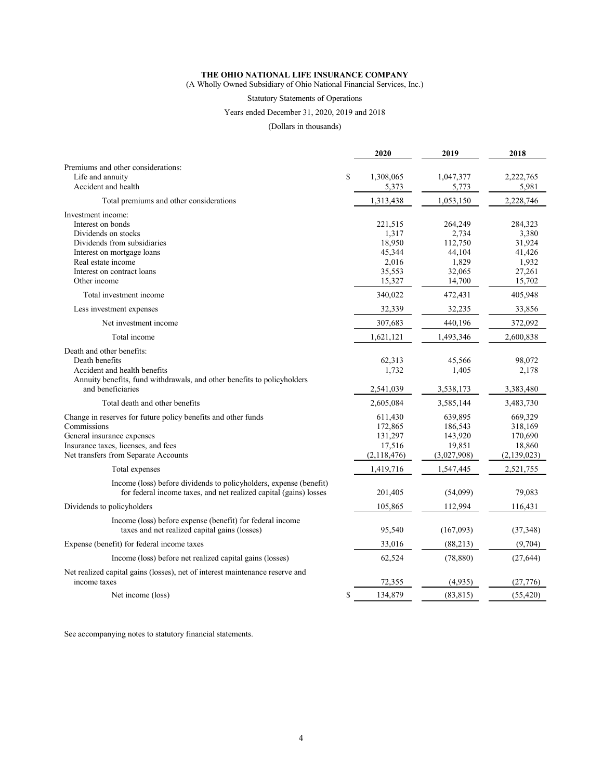(A Wholly Owned Subsidiary of Ohio National Financial Services, Inc.)

#### Statutory Statements of Operations

#### Years ended December 31, 2020, 2019 and 2018

(Dollars in thousands)

|                                                                                                                                         |    | 2020                  | 2019                  | 2018                  |
|-----------------------------------------------------------------------------------------------------------------------------------------|----|-----------------------|-----------------------|-----------------------|
| Premiums and other considerations:                                                                                                      |    |                       |                       |                       |
| Life and annuity                                                                                                                        | \$ | 1,308,065             | 1,047,377             | 2,222,765             |
| Accident and health                                                                                                                     |    | 5,373                 | 5,773                 | 5,981                 |
| Total premiums and other considerations                                                                                                 |    | 1,313,438             | 1,053,150             | 2,228,746             |
| Investment income:                                                                                                                      |    |                       |                       |                       |
| Interest on bonds                                                                                                                       |    | 221,515               | 264,249               | 284,323               |
| Dividends on stocks                                                                                                                     |    | 1,317                 | 2,734                 | 3,380                 |
| Dividends from subsidiaries                                                                                                             |    | 18.950                | 112,750               | 31,924                |
| Interest on mortgage loans<br>Real estate income                                                                                        |    | 45,344<br>2,016       | 44,104<br>1,829       | 41,426<br>1,932       |
| Interest on contract loans                                                                                                              |    | 35,553                | 32,065                | 27,261                |
| Other income                                                                                                                            |    | 15,327                | 14,700                | 15,702                |
| Total investment income                                                                                                                 |    | 340,022               | 472,431               | 405,948               |
| Less investment expenses                                                                                                                |    | 32,339                | 32,235                | 33,856                |
| Net investment income                                                                                                                   |    | 307,683               | 440,196               | 372,092               |
| Total income                                                                                                                            |    | 1,621,121             | 1,493,346             | 2,600,838             |
| Death and other benefits:                                                                                                               |    |                       |                       |                       |
| Death benefits                                                                                                                          |    | 62,313                | 45,566                | 98,072                |
| Accident and health benefits                                                                                                            |    | 1,732                 | 1,405                 | 2,178                 |
| Annuity benefits, fund withdrawals, and other benefits to policyholders                                                                 |    |                       |                       |                       |
| and beneficiaries                                                                                                                       |    | 2,541,039             | 3,538,173             | 3,383,480             |
| Total death and other benefits                                                                                                          |    | 2,605,084             | 3,585,144             | 3,483,730             |
| Change in reserves for future policy benefits and other funds                                                                           |    | 611,430               | 639,895               | 669,329               |
| Commissions                                                                                                                             |    | 172,865               | 186,543               | 318,169               |
| General insurance expenses                                                                                                              |    | 131,297               | 143,920               | 170,690               |
| Insurance taxes, licenses, and fees<br>Net transfers from Separate Accounts                                                             |    | 17,516<br>(2,118,476) | 19,851<br>(3,027,908) | 18,860<br>(2,139,023) |
|                                                                                                                                         |    |                       |                       |                       |
| Total expenses                                                                                                                          |    | 1,419,716             | 1,547,445             | 2,521,755             |
| Income (loss) before dividends to policyholders, expense (benefit)<br>for federal income taxes, and net realized capital (gains) losses |    | 201,405               | (54,099)              | 79,083                |
|                                                                                                                                         |    |                       |                       |                       |
| Dividends to policyholders                                                                                                              |    | 105,865               | 112,994               | 116,431               |
| Income (loss) before expense (benefit) for federal income<br>taxes and net realized capital gains (losses)                              |    | 95,540                | (167,093)             |                       |
|                                                                                                                                         |    |                       |                       | (37,348)              |
| Expense (benefit) for federal income taxes                                                                                              |    | 33,016                | (88, 213)             | (9,704)               |
| Income (loss) before net realized capital gains (losses)                                                                                |    | 62,524                | (78, 880)             | (27, 644)             |
| Net realized capital gains (losses), net of interest maintenance reserve and<br>income taxes                                            |    | 72,355                | (4,935)               | (27, 776)             |
|                                                                                                                                         |    |                       |                       |                       |
| Net income (loss)                                                                                                                       | S  | 134,879               | (83, 815)             | (55, 420)             |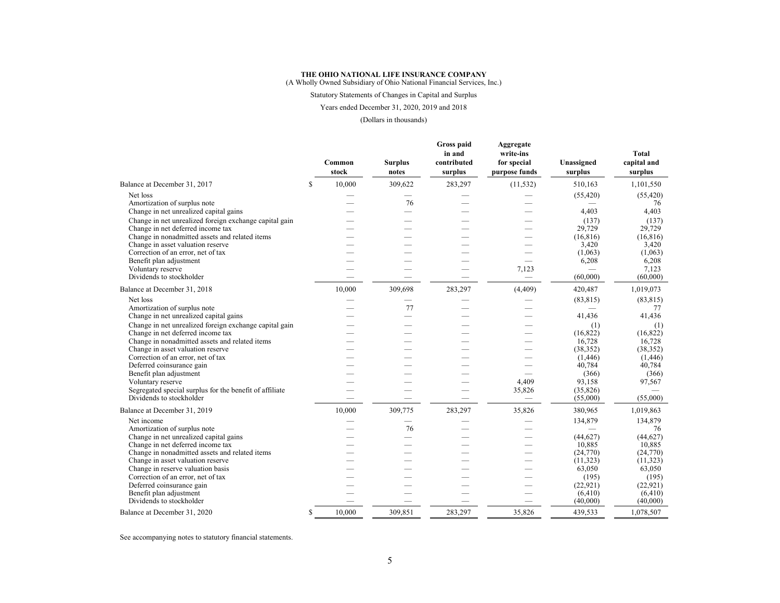**THE OHIO NATIONAL LIFE INSURANCE COMPANY** (A Wholly Owned Subsidiary of Ohio National Financial Services, Inc.)

Statutory Statements of Changes in Capital and Surplus

Years ended December 31, 2020, 2019 and 2018

(Dollars in thousands)

|                                                                                     |   | Common<br>stock | <b>Surplus</b><br>notes  | Gross paid<br>in and<br>contributed<br>surplus | Aggregate<br>write-ins<br>for special<br>purpose funds | Unassigned<br>surplus | <b>Total</b><br>capital and<br>surplus |
|-------------------------------------------------------------------------------------|---|-----------------|--------------------------|------------------------------------------------|--------------------------------------------------------|-----------------------|----------------------------------------|
| Balance at December 31, 2017                                                        | S | 10,000          | 309,622                  | 283,297                                        | (11, 532)                                              | 510,163               | 1,101,550                              |
| Net loss                                                                            |   |                 |                          |                                                |                                                        | (55, 420)             | (55, 420)                              |
| Amortization of surplus note                                                        |   |                 | 76                       |                                                |                                                        |                       | 76                                     |
| Change in net unrealized capital gains                                              |   |                 | $\overline{\phantom{0}}$ |                                                |                                                        | 4.403                 | 4,403                                  |
| Change in net unrealized foreign exchange capital gain                              |   |                 |                          |                                                |                                                        | (137)                 | (137)                                  |
| Change in net deferred income tax                                                   |   |                 |                          |                                                |                                                        | 29,729                | 29,729                                 |
| Change in nonadmitted assets and related items<br>Change in asset valuation reserve |   |                 |                          |                                                |                                                        | (16, 816)<br>3,420    | (16, 816)<br>3,420                     |
| Correction of an error, net of tax                                                  |   |                 |                          |                                                |                                                        | (1,063)               | (1,063)                                |
| Benefit plan adjustment                                                             |   |                 |                          |                                                |                                                        | 6,208                 | 6,208                                  |
| Voluntary reserve                                                                   |   |                 |                          |                                                | 7,123                                                  |                       | 7,123                                  |
| Dividends to stockholder                                                            |   |                 |                          | $\overline{\phantom{m}}$                       |                                                        | (60,000)              | (60,000)                               |
| Balance at December 31, 2018                                                        |   | 10,000          | 309,698                  | 283,297                                        | (4, 409)                                               | 420,487               | 1,019,073                              |
| Net loss                                                                            |   |                 |                          |                                                |                                                        | (83, 815)             | (83, 815)                              |
| Amortization of surplus note                                                        |   |                 | 77                       | $\sim$                                         |                                                        |                       | 77                                     |
| Change in net unrealized capital gains                                              |   |                 | $\overline{\phantom{0}}$ |                                                |                                                        | 41,436                | 41,436                                 |
| Change in net unrealized foreign exchange capital gain                              |   |                 |                          |                                                |                                                        | (1)                   | (1)                                    |
| Change in net deferred income tax                                                   |   |                 |                          |                                                |                                                        | (16, 822)             | (16, 822)                              |
| Change in nonadmitted assets and related items                                      |   |                 |                          |                                                |                                                        | 16.728                | 16,728                                 |
| Change in asset valuation reserve                                                   |   |                 |                          |                                                |                                                        | (38, 352)             | (38, 352)                              |
| Correction of an error, net of tax<br>Deferred coinsurance gain                     |   |                 |                          |                                                |                                                        | (1, 446)<br>40,784    | (1,446)<br>40,784                      |
| Benefit plan adjustment                                                             |   |                 |                          |                                                |                                                        | (366)                 | (366)                                  |
| Voluntary reserve                                                                   |   |                 |                          |                                                | 4,409                                                  | 93,158                | 97,567                                 |
| Segregated special surplus for the benefit of affiliate                             |   |                 |                          |                                                | 35,826                                                 | (35, 826)             |                                        |
| Dividends to stockholder                                                            |   |                 |                          |                                                |                                                        | (55,000)              | (55,000)                               |
| Balance at December 31, 2019                                                        |   | 10,000          | 309,775                  | 283,297                                        | 35,826                                                 | 380,965               | 1,019,863                              |
| Net income                                                                          |   |                 |                          |                                                |                                                        | 134,879               | 134,879                                |
| Amortization of surplus note                                                        |   |                 | 76                       |                                                |                                                        |                       | 76                                     |
| Change in net unrealized capital gains                                              |   |                 |                          |                                                |                                                        | (44, 627)             | (44, 627)                              |
| Change in net deferred income tax                                                   |   |                 |                          |                                                |                                                        | 10,885                | 10,885                                 |
| Change in nonadmitted assets and related items                                      |   |                 |                          |                                                |                                                        | (24,770)              | (24,770)                               |
| Change in asset valuation reserve                                                   |   |                 |                          |                                                |                                                        | (11, 323)             | (11, 323)                              |
| Change in reserve valuation basis<br>Correction of an error, net of tax             |   |                 |                          |                                                |                                                        | 63,050                | 63,050<br>(195)                        |
| Deferred coinsurance gain                                                           |   |                 |                          |                                                |                                                        | (195)<br>(22, 921)    | (22, 921)                              |
| Benefit plan adjustment                                                             |   |                 |                          |                                                |                                                        | (6, 410)              | (6, 410)                               |
| Dividends to stockholder                                                            |   |                 |                          |                                                |                                                        | (40,000)              | (40,000)                               |
| Balance at December 31, 2020                                                        | S | 10.000          | 309.851                  | 283,297                                        | 35,826                                                 | 439,533               | 1,078,507                              |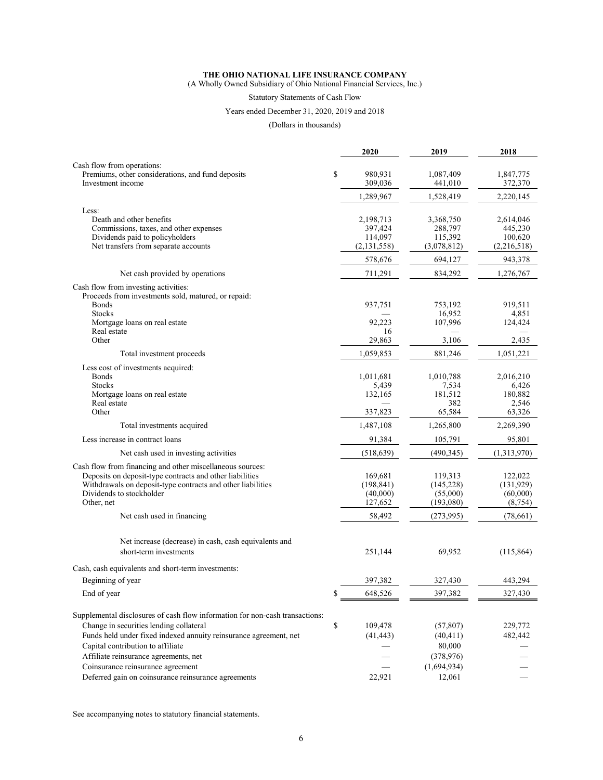(A Wholly Owned Subsidiary of Ohio National Financial Services, Inc.)

#### Statutory Statements of Cash Flow

#### Years ended December 31, 2020, 2019 and 2018

#### (Dollars in thousands)

|                                                                              | 2020                     | 2019                  | 2018                 |
|------------------------------------------------------------------------------|--------------------------|-----------------------|----------------------|
| Cash flow from operations:                                                   |                          |                       |                      |
| Premiums, other considerations, and fund deposits<br>Investment income       | \$<br>980,931<br>309,036 | 1,087,409<br>441,010  | 1,847,775<br>372,370 |
|                                                                              | 1,289,967                | 1,528,419             | 2,220,145            |
|                                                                              |                          |                       |                      |
| Less:<br>Death and other benefits                                            |                          | 3,368,750             |                      |
| Commissions, taxes, and other expenses                                       | 2,198,713<br>397,424     | 288,797               | 2,614,046<br>445,230 |
| Dividends paid to policyholders                                              | 114,097                  | 115,392               | 100,620              |
| Net transfers from separate accounts                                         | (2, 131, 558)            | (3,078,812)           | (2,216,518)          |
|                                                                              | 578,676                  | 694,127               | 943,378              |
| Net cash provided by operations                                              | 711,291                  | 834,292               | 1,276,767            |
| Cash flow from investing activities:                                         |                          |                       |                      |
| Proceeds from investments sold, matured, or repaid:                          |                          |                       |                      |
| <b>Bonds</b>                                                                 | 937,751                  | 753,192               | 919,511              |
| <b>Stocks</b><br>Mortgage loans on real estate                               | 92,223                   | 16,952<br>107,996     | 4,851<br>124,424     |
| Real estate                                                                  | 16                       |                       |                      |
| Other                                                                        | 29,863                   | 3,106                 | 2,435                |
| Total investment proceeds                                                    | 1,059,853                | 881,246               | 1,051,221            |
| Less cost of investments acquired:                                           |                          |                       |                      |
| <b>Bonds</b>                                                                 | 1,011,681                | 1,010,788             | 2,016,210            |
| <b>Stocks</b>                                                                | 5,439                    | 7,534                 | 6,426                |
| Mortgage loans on real estate                                                | 132,165                  | 181,512               | 180,882              |
| Real estate<br>Other                                                         |                          | 382                   | 2,546                |
|                                                                              | 337,823                  | 65,584                | 63,326               |
| Total investments acquired                                                   | 1,487,108                | 1,265,800             | 2,269,390            |
| Less increase in contract loans                                              | 91,384                   | 105,791               | 95,801               |
| Net cash used in investing activities                                        | (518, 639)               | (490, 345)            | (1,313,970)          |
| Cash flow from financing and other miscellaneous sources:                    |                          |                       |                      |
| Deposits on deposit-type contracts and other liabilities                     | 169,681                  | 119,313               | 122,022              |
| Withdrawals on deposit-type contracts and other liabilities                  | (198, 841)               | (145, 228)            | (131, 929)           |
| Dividends to stockholder<br>Other, net                                       | (40,000)<br>127,652      | (55,000)<br>(193,080) | (60,000)<br>(8, 754) |
|                                                                              |                          |                       |                      |
| Net cash used in financing                                                   | 58,492                   | (273,995)             | (78,661)             |
| Net increase (decrease) in cash, cash equivalents and                        |                          |                       |                      |
| short-term investments                                                       | 251,144                  | 69,952                | (115, 864)           |
| Cash, cash equivalents and short-term investments:                           |                          |                       |                      |
| Beginning of year                                                            | 397,382                  | 327,430               | 443,294              |
| End of year                                                                  | \$<br>648,526            | 397,382               | 327,430              |
|                                                                              |                          |                       |                      |
| Supplemental disclosures of cash flow information for non-cash transactions: |                          |                       |                      |
| Change in securities lending collateral                                      | \$<br>109,478            | (57, 807)             | 229,772              |
| Funds held under fixed indexed annuity reinsurance agreement, net            | (41, 443)                | (40, 411)             | 482,442              |
| Capital contribution to affiliate                                            |                          | 80,000                |                      |
| Affiliate reinsurance agreements, net                                        |                          | (378,976)             |                      |
| Coinsurance reinsurance agreement                                            |                          | (1,694,934)           |                      |
| Deferred gain on coinsurance reinsurance agreements                          | 22,921                   | 12,061                |                      |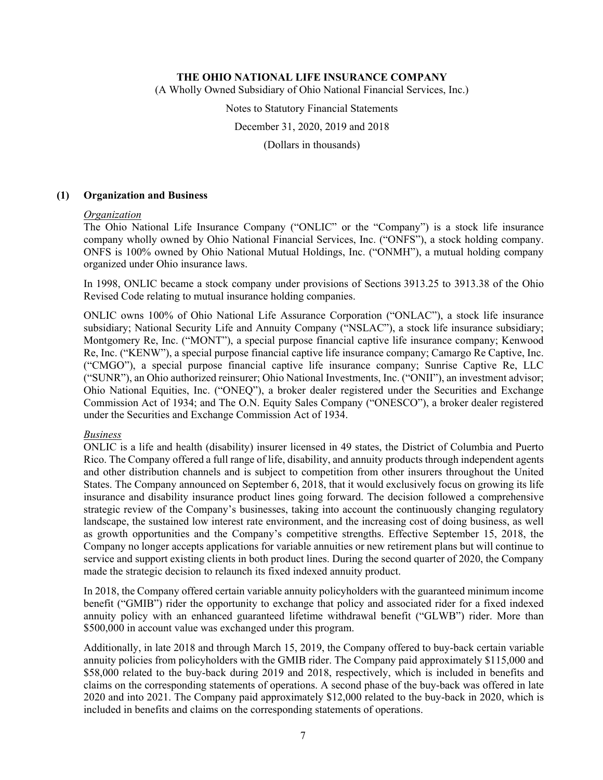(A Wholly Owned Subsidiary of Ohio National Financial Services, Inc.)

Notes to Statutory Financial Statements

December 31, 2020, 2019 and 2018

(Dollars in thousands)

#### **(1) Organization and Business**

#### *Organization*

The Ohio National Life Insurance Company ("ONLIC" or the "Company") is a stock life insurance company wholly owned by Ohio National Financial Services, Inc. ("ONFS"), a stock holding company. ONFS is 100% owned by Ohio National Mutual Holdings, Inc. ("ONMH"), a mutual holding company organized under Ohio insurance laws.

In 1998, ONLIC became a stock company under provisions of Sections 3913.25 to 3913.38 of the Ohio Revised Code relating to mutual insurance holding companies.

ONLIC owns 100% of Ohio National Life Assurance Corporation ("ONLAC"), a stock life insurance subsidiary; National Security Life and Annuity Company ("NSLAC"), a stock life insurance subsidiary; Montgomery Re, Inc. ("MONT"), a special purpose financial captive life insurance company; Kenwood Re, Inc. ("KENW"), a special purpose financial captive life insurance company; Camargo Re Captive, Inc. ("CMGO"), a special purpose financial captive life insurance company; Sunrise Captive Re, LLC ("SUNR"), an Ohio authorized reinsurer; Ohio National Investments, Inc. ("ONII"), an investment advisor; Ohio National Equities, Inc. ("ONEQ"), a broker dealer registered under the Securities and Exchange Commission Act of 1934; and The O.N. Equity Sales Company ("ONESCO"), a broker dealer registered under the Securities and Exchange Commission Act of 1934.

#### *Business*

ONLIC is a life and health (disability) insurer licensed in 49 states, the District of Columbia and Puerto Rico. The Company offered a full range of life, disability, and annuity products through independent agents and other distribution channels and is subject to competition from other insurers throughout the United States. The Company announced on September 6, 2018, that it would exclusively focus on growing its life insurance and disability insurance product lines going forward. The decision followed a comprehensive strategic review of the Company's businesses, taking into account the continuously changing regulatory landscape, the sustained low interest rate environment, and the increasing cost of doing business, as well as growth opportunities and the Company's competitive strengths. Effective September 15, 2018, the Company no longer accepts applications for variable annuities or new retirement plans but will continue to service and support existing clients in both product lines. During the second quarter of 2020, the Company made the strategic decision to relaunch its fixed indexed annuity product.

In 2018, the Company offered certain variable annuity policyholders with the guaranteed minimum income benefit ("GMIB") rider the opportunity to exchange that policy and associated rider for a fixed indexed annuity policy with an enhanced guaranteed lifetime withdrawal benefit ("GLWB") rider. More than \$500,000 in account value was exchanged under this program.

Additionally, in late 2018 and through March 15, 2019, the Company offered to buy-back certain variable annuity policies from policyholders with the GMIB rider. The Company paid approximately \$115,000 and \$58,000 related to the buy-back during 2019 and 2018, respectively, which is included in benefits and claims on the corresponding statements of operations. A second phase of the buy-back was offered in late 2020 and into 2021. The Company paid approximately \$12,000 related to the buy-back in 2020, which is included in benefits and claims on the corresponding statements of operations.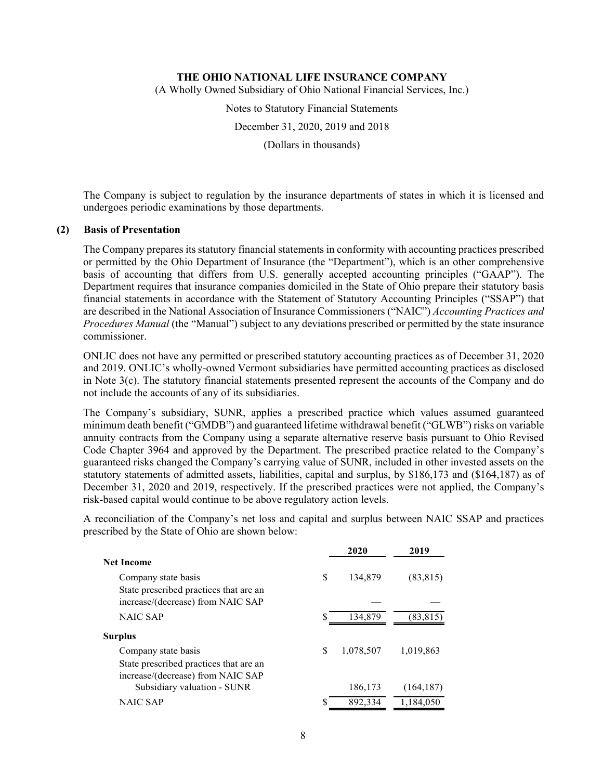(A Wholly Owned Subsidiary of Ohio National Financial Services, Inc.)

Notes to Statutory Financial Statements

December 31, 2020, 2019 and 2018

(Dollars in thousands)

The Company is subject to regulation by the insurance departments of states in which it is licensed and undergoes periodic examinations by those departments.

#### **(2) Basis of Presentation**

The Company prepares its statutory financial statements in conformity with accounting practices prescribed or permitted by the Ohio Department of Insurance (the "Department"), which is an other comprehensive basis of accounting that differs from U.S. generally accepted accounting principles ("GAAP"). The Department requires that insurance companies domiciled in the State of Ohio prepare their statutory basis financial statements in accordance with the Statement of Statutory Accounting Principles ("SSAP") that are described in the National Association of Insurance Commissioners ("NAIC") *Accounting Practices and Procedures Manual* (the "Manual") subject to any deviations prescribed or permitted by the state insurance commissioner.

ONLIC does not have any permitted or prescribed statutory accounting practices as of December 31, 2020 and 2019. ONLIC's wholly-owned Vermont subsidiaries have permitted accounting practices as disclosed in Note  $3(c)$ . The statutory financial statements presented represent the accounts of the Company and do not include the accounts of any of its subsidiaries.

The Company's subsidiary, SUNR, applies a prescribed practice which values assumed guaranteed minimum death benefit ("GMDB") and guaranteed lifetime withdrawal benefit ("GLWB") risks on variable annuity contracts from the Company using a separate alternative reserve basis pursuant to Ohio Revised Code Chapter 3964 and approved by the Department. The prescribed practice related to the Company's guaranteed risks changed the Company's carrying value of SUNR, included in other invested assets on the statutory statements of admitted assets, liabilities, capital and surplus, by \$186,173 and (\$164,187) as of December 31, 2020 and 2019, respectively. If the prescribed practices were not applied, the Company's risk-based capital would continue to be above regulatory action levels.

A reconciliation of the Company's net loss and capital and surplus between NAIC SSAP and practices prescribed by the State of Ohio are shown below:

|                                        |    | 2020      | 2019       |
|----------------------------------------|----|-----------|------------|
| <b>Net Income</b>                      |    |           |            |
| Company state basis                    | \$ | 134,879   | (83, 815)  |
| State prescribed practices that are an |    |           |            |
| increase/(decrease) from NAIC SAP      |    |           |            |
| <b>NAIC SAP</b>                        | S  | 134,879   | (83, 815)  |
| <b>Surplus</b>                         |    |           |            |
| Company state basis                    | S  | 1,078,507 | 1,019,863  |
| State prescribed practices that are an |    |           |            |
| increase/(decrease) from NAIC SAP      |    |           |            |
| Subsidiary valuation - SUNR            |    | 186,173   | (164, 187) |
| <b>NAIC SAP</b>                        | S  | 892,334   | 1,184,050  |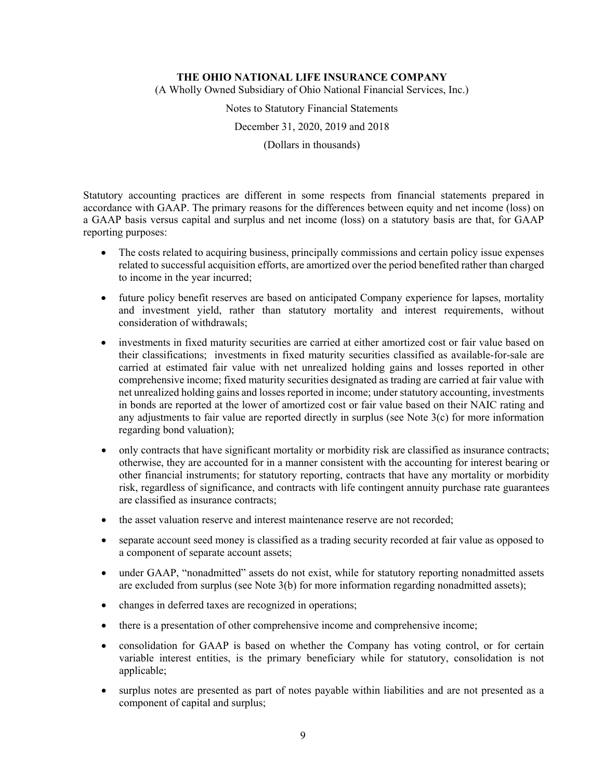(A Wholly Owned Subsidiary of Ohio National Financial Services, Inc.)

Notes to Statutory Financial Statements

December 31, 2020, 2019 and 2018

(Dollars in thousands)

Statutory accounting practices are different in some respects from financial statements prepared in accordance with GAAP. The primary reasons for the differences between equity and net income (loss) on a GAAP basis versus capital and surplus and net income (loss) on a statutory basis are that, for GAAP reporting purposes:

- The costs related to acquiring business, principally commissions and certain policy issue expenses related to successful acquisition efforts, are amortized over the period benefited rather than charged to income in the year incurred;
- future policy benefit reserves are based on anticipated Company experience for lapses, mortality and investment yield, rather than statutory mortality and interest requirements, without consideration of withdrawals;
- investments in fixed maturity securities are carried at either amortized cost or fair value based on their classifications; investments in fixed maturity securities classified as available-for-sale are carried at estimated fair value with net unrealized holding gains and losses reported in other comprehensive income; fixed maturity securities designated as trading are carried at fair value with net unrealized holding gains and losses reported in income; under statutory accounting, investments in bonds are reported at the lower of amortized cost or fair value based on their NAIC rating and any adjustments to fair value are reported directly in surplus (see Note 3(c) for more information regarding bond valuation);
- only contracts that have significant mortality or morbidity risk are classified as insurance contracts; otherwise, they are accounted for in a manner consistent with the accounting for interest bearing or other financial instruments; for statutory reporting, contracts that have any mortality or morbidity risk, regardless of significance, and contracts with life contingent annuity purchase rate guarantees are classified as insurance contracts;
- the asset valuation reserve and interest maintenance reserve are not recorded;
- separate account seed money is classified as a trading security recorded at fair value as opposed to a component of separate account assets;
- under GAAP, "nonadmitted" assets do not exist, while for statutory reporting nonadmitted assets are excluded from surplus (see Note 3(b) for more information regarding nonadmitted assets);
- changes in deferred taxes are recognized in operations;
- there is a presentation of other comprehensive income and comprehensive income;
- consolidation for GAAP is based on whether the Company has voting control, or for certain variable interest entities, is the primary beneficiary while for statutory, consolidation is not applicable;
- surplus notes are presented as part of notes payable within liabilities and are not presented as a component of capital and surplus;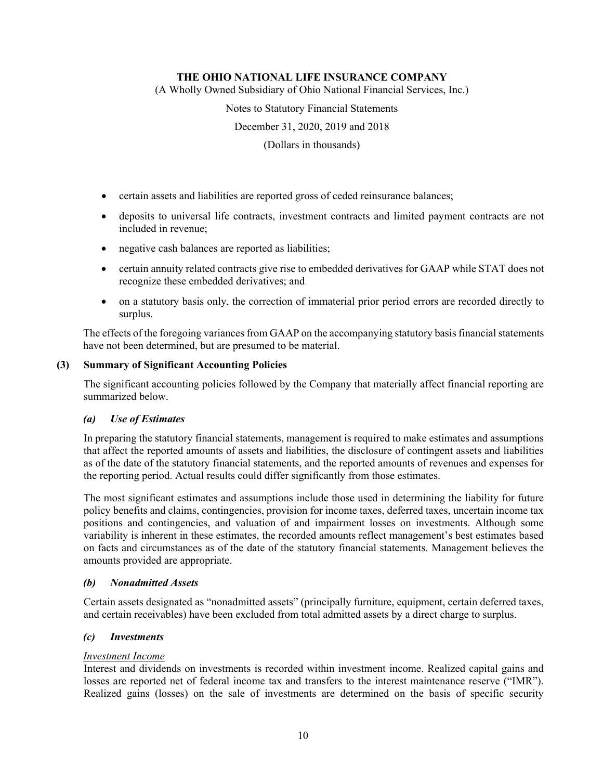(A Wholly Owned Subsidiary of Ohio National Financial Services, Inc.)

Notes to Statutory Financial Statements

December 31, 2020, 2019 and 2018

(Dollars in thousands)

- certain assets and liabilities are reported gross of ceded reinsurance balances;
- deposits to universal life contracts, investment contracts and limited payment contracts are not included in revenue;
- negative cash balances are reported as liabilities;
- certain annuity related contracts give rise to embedded derivatives for GAAP while STAT does not recognize these embedded derivatives; and
- on a statutory basis only, the correction of immaterial prior period errors are recorded directly to surplus.

The effects of the foregoing variances from GAAP on the accompanying statutory basis financial statements have not been determined, but are presumed to be material.

#### **(3) Summary of Significant Accounting Policies**

The significant accounting policies followed by the Company that materially affect financial reporting are summarized below.

#### *(a) Use of Estimates*

In preparing the statutory financial statements, management is required to make estimates and assumptions that affect the reported amounts of assets and liabilities, the disclosure of contingent assets and liabilities as of the date of the statutory financial statements, and the reported amounts of revenues and expenses for the reporting period. Actual results could differ significantly from those estimates.

The most significant estimates and assumptions include those used in determining the liability for future policy benefits and claims, contingencies, provision for income taxes, deferred taxes, uncertain income tax positions and contingencies, and valuation of and impairment losses on investments. Although some variability is inherent in these estimates, the recorded amounts reflect management's best estimates based on facts and circumstances as of the date of the statutory financial statements. Management believes the amounts provided are appropriate.

#### *(b) Nonadmitted Assets*

Certain assets designated as "nonadmitted assets" (principally furniture, equipment, certain deferred taxes, and certain receivables) have been excluded from total admitted assets by a direct charge to surplus.

#### *(c) Investments*

#### *Investment Income*

Interest and dividends on investments is recorded within investment income. Realized capital gains and losses are reported net of federal income tax and transfers to the interest maintenance reserve ("IMR"). Realized gains (losses) on the sale of investments are determined on the basis of specific security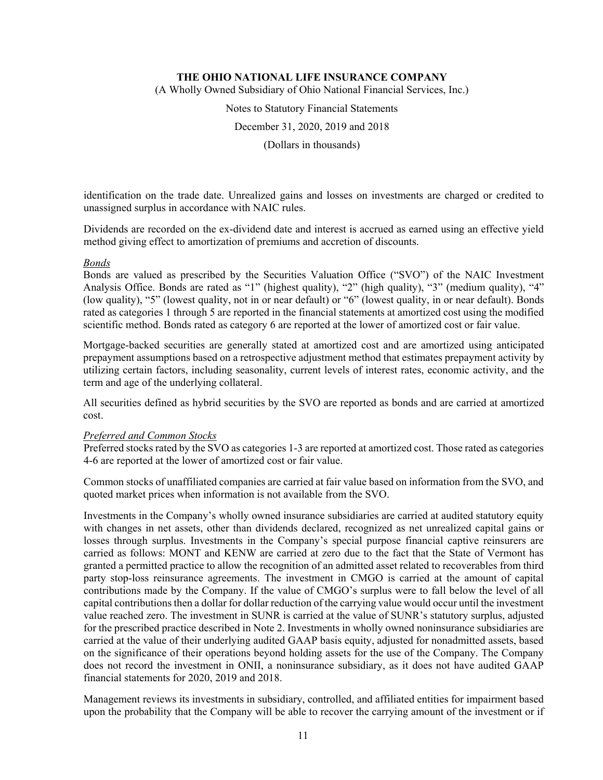(A Wholly Owned Subsidiary of Ohio National Financial Services, Inc.)

Notes to Statutory Financial Statements

December 31, 2020, 2019 and 2018

(Dollars in thousands)

identification on the trade date. Unrealized gains and losses on investments are charged or credited to unassigned surplus in accordance with NAIC rules.

Dividends are recorded on the ex-dividend date and interest is accrued as earned using an effective yield method giving effect to amortization of premiums and accretion of discounts.

#### *Bonds*

Bonds are valued as prescribed by the Securities Valuation Office ("SVO") of the NAIC Investment Analysis Office. Bonds are rated as "1" (highest quality), "2" (high quality), "3" (medium quality), "4" (low quality), "5" (lowest quality, not in or near default) or "6" (lowest quality, in or near default). Bonds rated as categories 1 through 5 are reported in the financial statements at amortized cost using the modified scientific method. Bonds rated as category 6 are reported at the lower of amortized cost or fair value.

Mortgage-backed securities are generally stated at amortized cost and are amortized using anticipated prepayment assumptions based on a retrospective adjustment method that estimates prepayment activity by utilizing certain factors, including seasonality, current levels of interest rates, economic activity, and the term and age of the underlying collateral.

All securities defined as hybrid securities by the SVO are reported as bonds and are carried at amortized cost.

#### *Preferred and Common Stocks*

Preferred stocks rated by the SVO as categories 1-3 are reported at amortized cost. Those rated as categories 4-6 are reported at the lower of amortized cost or fair value.

Common stocks of unaffiliated companies are carried at fair value based on information from the SVO, and quoted market prices when information is not available from the SVO.

Investments in the Company's wholly owned insurance subsidiaries are carried at audited statutory equity with changes in net assets, other than dividends declared, recognized as net unrealized capital gains or losses through surplus. Investments in the Company's special purpose financial captive reinsurers are carried as follows: MONT and KENW are carried at zero due to the fact that the State of Vermont has granted a permitted practice to allow the recognition of an admitted asset related to recoverables from third party stop-loss reinsurance agreements. The investment in CMGO is carried at the amount of capital contributions made by the Company. If the value of CMGO's surplus were to fall below the level of all capital contributions then a dollar for dollar reduction of the carrying value would occur until the investment value reached zero. The investment in SUNR is carried at the value of SUNR's statutory surplus, adjusted for the prescribed practice described in Note 2. Investments in wholly owned noninsurance subsidiaries are carried at the value of their underlying audited GAAP basis equity, adjusted for nonadmitted assets, based on the significance of their operations beyond holding assets for the use of the Company. The Company does not record the investment in ONII, a noninsurance subsidiary, as it does not have audited GAAP financial statements for 2020, 2019 and 2018.

Management reviews its investments in subsidiary, controlled, and affiliated entities for impairment based upon the probability that the Company will be able to recover the carrying amount of the investment or if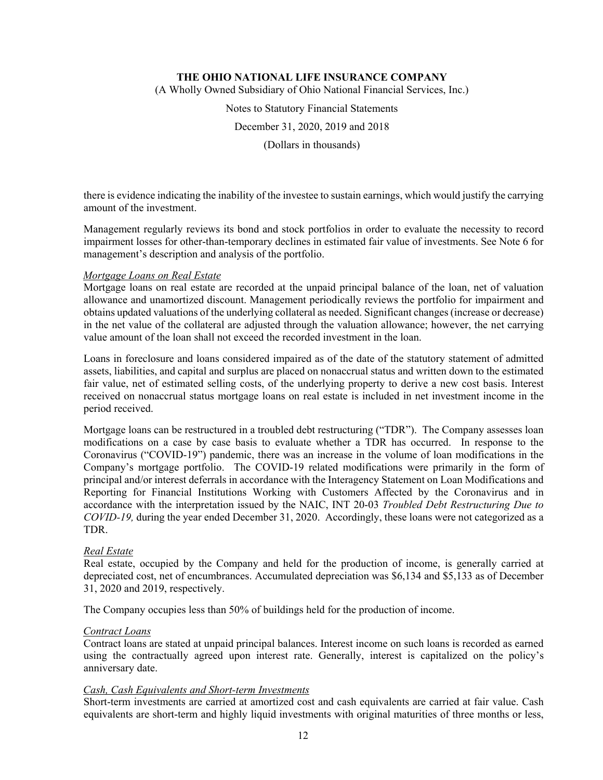(A Wholly Owned Subsidiary of Ohio National Financial Services, Inc.)

Notes to Statutory Financial Statements

December 31, 2020, 2019 and 2018

(Dollars in thousands)

there is evidence indicating the inability of the investee to sustain earnings, which would justify the carrying amount of the investment.

Management regularly reviews its bond and stock portfolios in order to evaluate the necessity to record impairment losses for other-than-temporary declines in estimated fair value of investments. See Note 6 for management's description and analysis of the portfolio.

#### *Mortgage Loans on Real Estate*

Mortgage loans on real estate are recorded at the unpaid principal balance of the loan, net of valuation allowance and unamortized discount. Management periodically reviews the portfolio for impairment and obtains updated valuations of the underlying collateral as needed. Significant changes (increase or decrease) in the net value of the collateral are adjusted through the valuation allowance; however, the net carrying value amount of the loan shall not exceed the recorded investment in the loan.

Loans in foreclosure and loans considered impaired as of the date of the statutory statement of admitted assets, liabilities, and capital and surplus are placed on nonaccrual status and written down to the estimated fair value, net of estimated selling costs, of the underlying property to derive a new cost basis. Interest received on nonaccrual status mortgage loans on real estate is included in net investment income in the period received.

Mortgage loans can be restructured in a troubled debt restructuring ("TDR"). The Company assesses loan modifications on a case by case basis to evaluate whether a TDR has occurred. In response to the Coronavirus ("COVID-19") pandemic, there was an increase in the volume of loan modifications in the Company's mortgage portfolio. The COVID-19 related modifications were primarily in the form of principal and/or interest deferrals in accordance with the Interagency Statement on Loan Modifications and Reporting for Financial Institutions Working with Customers Affected by the Coronavirus and in accordance with the interpretation issued by the NAIC, INT 20-03 *Troubled Debt Restructuring Due to COVID-19,* during the year ended December 31, 2020. Accordingly, these loans were not categorized as a TDR.

#### *Real Estate*

Real estate, occupied by the Company and held for the production of income, is generally carried at depreciated cost, net of encumbrances. Accumulated depreciation was \$6,134 and \$5,133 as of December 31, 2020 and 2019, respectively.

The Company occupies less than 50% of buildings held for the production of income.

#### *Contract Loans*

Contract loans are stated at unpaid principal balances. Interest income on such loans is recorded as earned using the contractually agreed upon interest rate. Generally, interest is capitalized on the policy's anniversary date.

#### *Cash, Cash Equivalents and Short-term Investments*

Short-term investments are carried at amortized cost and cash equivalents are carried at fair value. Cash equivalents are short-term and highly liquid investments with original maturities of three months or less,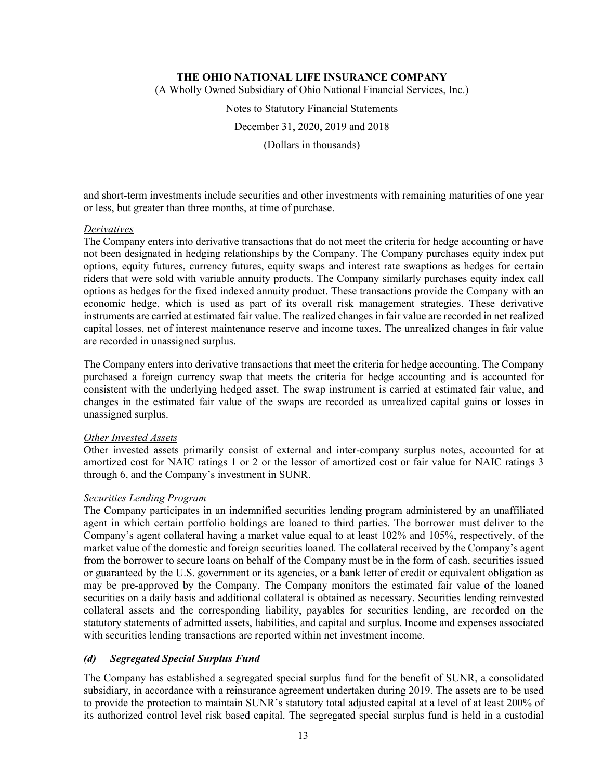(A Wholly Owned Subsidiary of Ohio National Financial Services, Inc.)

Notes to Statutory Financial Statements

December 31, 2020, 2019 and 2018

(Dollars in thousands)

and short-term investments include securities and other investments with remaining maturities of one year or less, but greater than three months, at time of purchase.

#### *Derivatives*

The Company enters into derivative transactions that do not meet the criteria for hedge accounting or have not been designated in hedging relationships by the Company. The Company purchases equity index put options, equity futures, currency futures, equity swaps and interest rate swaptions as hedges for certain riders that were sold with variable annuity products. The Company similarly purchases equity index call options as hedges for the fixed indexed annuity product. These transactions provide the Company with an economic hedge, which is used as part of its overall risk management strategies. These derivative instruments are carried at estimated fair value. The realized changes in fair value are recorded in net realized capital losses, net of interest maintenance reserve and income taxes. The unrealized changes in fair value are recorded in unassigned surplus.

The Company enters into derivative transactions that meet the criteria for hedge accounting. The Company purchased a foreign currency swap that meets the criteria for hedge accounting and is accounted for consistent with the underlying hedged asset. The swap instrument is carried at estimated fair value, and changes in the estimated fair value of the swaps are recorded as unrealized capital gains or losses in unassigned surplus.

#### *Other Invested Assets*

Other invested assets primarily consist of external and inter-company surplus notes, accounted for at amortized cost for NAIC ratings 1 or 2 or the lessor of amortized cost or fair value for NAIC ratings 3 through 6, and the Company's investment in SUNR.

#### *Securities Lending Program*

The Company participates in an indemnified securities lending program administered by an unaffiliated agent in which certain portfolio holdings are loaned to third parties. The borrower must deliver to the Company's agent collateral having a market value equal to at least 102% and 105%, respectively, of the market value of the domestic and foreign securities loaned. The collateral received by the Company's agent from the borrower to secure loans on behalf of the Company must be in the form of cash, securities issued or guaranteed by the U.S. government or its agencies, or a bank letter of credit or equivalent obligation as may be pre-approved by the Company. The Company monitors the estimated fair value of the loaned securities on a daily basis and additional collateral is obtained as necessary. Securities lending reinvested collateral assets and the corresponding liability, payables for securities lending, are recorded on the statutory statements of admitted assets, liabilities, and capital and surplus. Income and expenses associated with securities lending transactions are reported within net investment income.

#### *(d) Segregated Special Surplus Fund*

The Company has established a segregated special surplus fund for the benefit of SUNR, a consolidated subsidiary, in accordance with a reinsurance agreement undertaken during 2019. The assets are to be used to provide the protection to maintain SUNR's statutory total adjusted capital at a level of at least 200% of its authorized control level risk based capital. The segregated special surplus fund is held in a custodial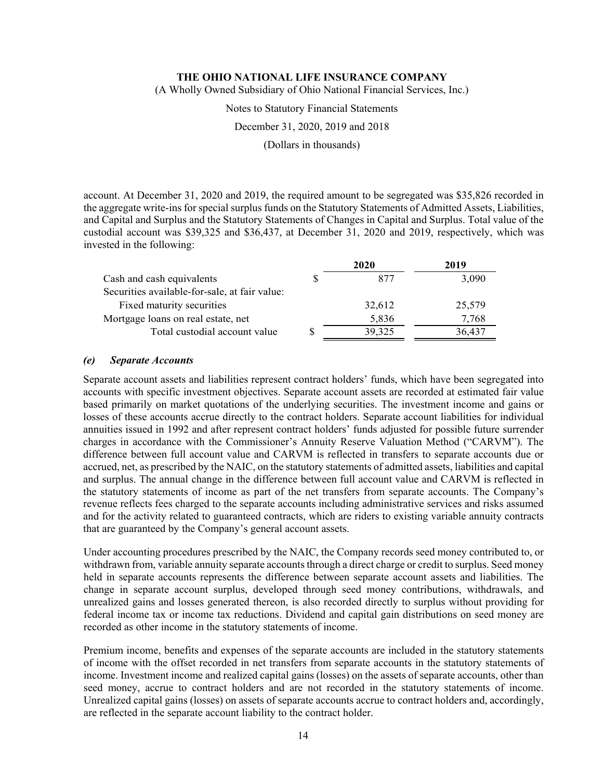(A Wholly Owned Subsidiary of Ohio National Financial Services, Inc.)

Notes to Statutory Financial Statements

December 31, 2020, 2019 and 2018

(Dollars in thousands)

account. At December 31, 2020 and 2019, the required amount to be segregated was \$35,826 recorded in the aggregate write-ins for special surplus funds on the Statutory Statements of Admitted Assets, Liabilities, and Capital and Surplus and the Statutory Statements of Changes in Capital and Surplus. Total value of the custodial account was \$39,325 and \$36,437, at December 31, 2020 and 2019, respectively, which was invested in the following:

|                                               | 2020   | 2019   |
|-----------------------------------------------|--------|--------|
| Cash and cash equivalents                     | 877    | 3,090  |
| Securities available-for-sale, at fair value: |        |        |
| Fixed maturity securities                     | 32,612 | 25,579 |
| Mortgage loans on real estate, net            | 5,836  | 7,768  |
| Total custodial account value                 | 39,325 | 36,437 |

#### *(e) Separate Accounts*

Separate account assets and liabilities represent contract holders' funds, which have been segregated into accounts with specific investment objectives. Separate account assets are recorded at estimated fair value based primarily on market quotations of the underlying securities. The investment income and gains or losses of these accounts accrue directly to the contract holders. Separate account liabilities for individual annuities issued in 1992 and after represent contract holders' funds adjusted for possible future surrender charges in accordance with the Commissioner's Annuity Reserve Valuation Method ("CARVM"). The difference between full account value and CARVM is reflected in transfers to separate accounts due or accrued, net, as prescribed by the NAIC, on the statutory statements of admitted assets, liabilities and capital and surplus. The annual change in the difference between full account value and CARVM is reflected in the statutory statements of income as part of the net transfers from separate accounts. The Company's revenue reflects fees charged to the separate accounts including administrative services and risks assumed and for the activity related to guaranteed contracts, which are riders to existing variable annuity contracts that are guaranteed by the Company's general account assets.

Under accounting procedures prescribed by the NAIC, the Company records seed money contributed to, or withdrawn from, variable annuity separate accounts through a direct charge or credit to surplus. Seed money held in separate accounts represents the difference between separate account assets and liabilities. The change in separate account surplus, developed through seed money contributions, withdrawals, and unrealized gains and losses generated thereon, is also recorded directly to surplus without providing for federal income tax or income tax reductions. Dividend and capital gain distributions on seed money are recorded as other income in the statutory statements of income.

Premium income, benefits and expenses of the separate accounts are included in the statutory statements of income with the offset recorded in net transfers from separate accounts in the statutory statements of income. Investment income and realized capital gains (losses) on the assets of separate accounts, other than seed money, accrue to contract holders and are not recorded in the statutory statements of income. Unrealized capital gains (losses) on assets of separate accounts accrue to contract holders and, accordingly, are reflected in the separate account liability to the contract holder.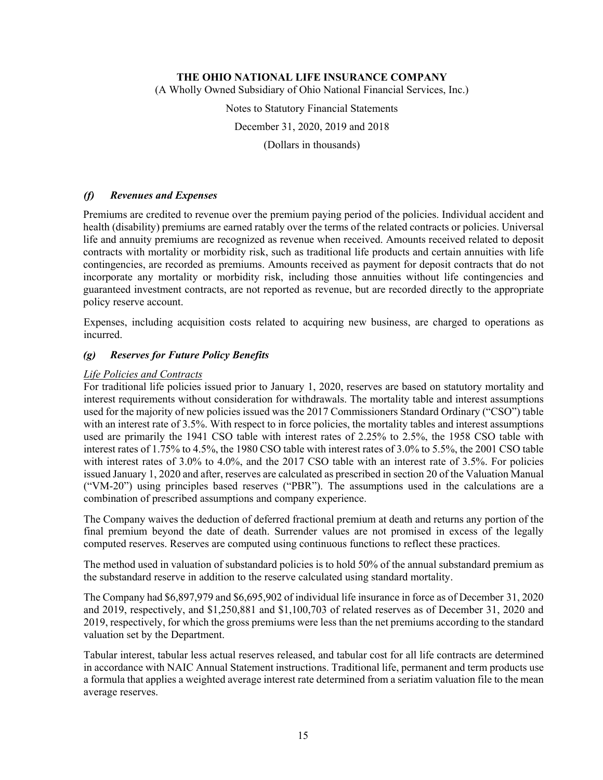(A Wholly Owned Subsidiary of Ohio National Financial Services, Inc.)

Notes to Statutory Financial Statements

December 31, 2020, 2019 and 2018

(Dollars in thousands)

#### *(f) Revenues and Expenses*

Premiums are credited to revenue over the premium paying period of the policies. Individual accident and health (disability) premiums are earned ratably over the terms of the related contracts or policies. Universal life and annuity premiums are recognized as revenue when received. Amounts received related to deposit contracts with mortality or morbidity risk, such as traditional life products and certain annuities with life contingencies, are recorded as premiums. Amounts received as payment for deposit contracts that do not incorporate any mortality or morbidity risk, including those annuities without life contingencies and guaranteed investment contracts, are not reported as revenue, but are recorded directly to the appropriate policy reserve account.

Expenses, including acquisition costs related to acquiring new business, are charged to operations as incurred.

#### *(g) Reserves for Future Policy Benefits*

#### *Life Policies and Contracts*

For traditional life policies issued prior to January 1, 2020, reserves are based on statutory mortality and interest requirements without consideration for withdrawals. The mortality table and interest assumptions used for the majority of new policies issued was the 2017 Commissioners Standard Ordinary ("CSO") table with an interest rate of 3.5%. With respect to in force policies, the mortality tables and interest assumptions used are primarily the 1941 CSO table with interest rates of 2.25% to 2.5%, the 1958 CSO table with interest rates of 1.75% to 4.5%, the 1980 CSO table with interest rates of 3.0% to 5.5%, the 2001 CSO table with interest rates of 3.0% to 4.0%, and the 2017 CSO table with an interest rate of 3.5%. For policies issued January 1, 2020 and after, reserves are calculated as prescribed in section 20 of the Valuation Manual ("VM-20") using principles based reserves ("PBR"). The assumptions used in the calculations are a combination of prescribed assumptions and company experience.

The Company waives the deduction of deferred fractional premium at death and returns any portion of the final premium beyond the date of death. Surrender values are not promised in excess of the legally computed reserves. Reserves are computed using continuous functions to reflect these practices.

The method used in valuation of substandard policies is to hold 50% of the annual substandard premium as the substandard reserve in addition to the reserve calculated using standard mortality.

The Company had \$6,897,979 and \$6,695,902 of individual life insurance in force as of December 31, 2020 and 2019, respectively, and \$1,250,881 and \$1,100,703 of related reserves as of December 31, 2020 and 2019, respectively, for which the gross premiums were less than the net premiums according to the standard valuation set by the Department.

Tabular interest, tabular less actual reserves released, and tabular cost for all life contracts are determined in accordance with NAIC Annual Statement instructions. Traditional life, permanent and term products use a formula that applies a weighted average interest rate determined from a seriatim valuation file to the mean average reserves.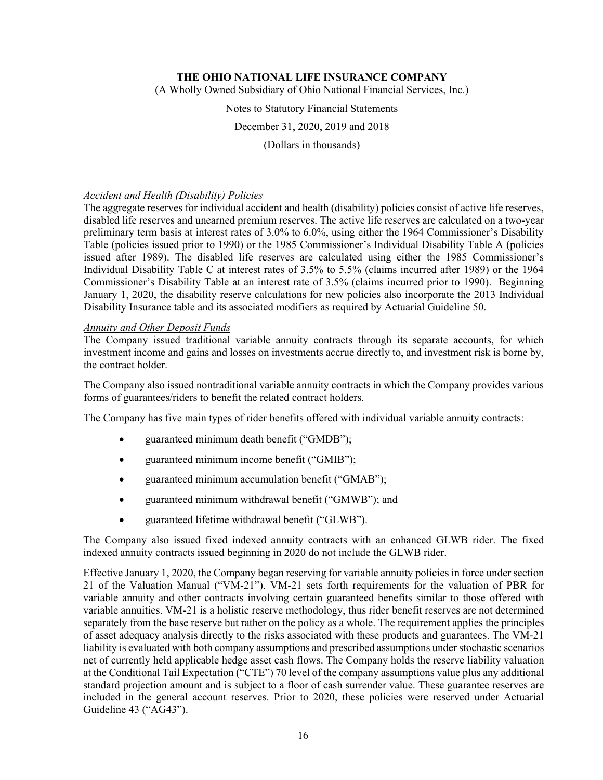(A Wholly Owned Subsidiary of Ohio National Financial Services, Inc.)

Notes to Statutory Financial Statements

December 31, 2020, 2019 and 2018

(Dollars in thousands)

#### *Accident and Health (Disability) Policies*

The aggregate reserves for individual accident and health (disability) policies consist of active life reserves, disabled life reserves and unearned premium reserves. The active life reserves are calculated on a two-year preliminary term basis at interest rates of 3.0% to 6.0%, using either the 1964 Commissioner's Disability Table (policies issued prior to 1990) or the 1985 Commissioner's Individual Disability Table A (policies issued after 1989). The disabled life reserves are calculated using either the 1985 Commissioner's Individual Disability Table C at interest rates of 3.5% to 5.5% (claims incurred after 1989) or the 1964 Commissioner's Disability Table at an interest rate of 3.5% (claims incurred prior to 1990). Beginning January 1, 2020, the disability reserve calculations for new policies also incorporate the 2013 Individual Disability Insurance table and its associated modifiers as required by Actuarial Guideline 50.

#### *Annuity and Other Deposit Funds*

The Company issued traditional variable annuity contracts through its separate accounts, for which investment income and gains and losses on investments accrue directly to, and investment risk is borne by, the contract holder.

The Company also issued nontraditional variable annuity contracts in which the Company provides various forms of guarantees/riders to benefit the related contract holders.

The Company has five main types of rider benefits offered with individual variable annuity contracts:

- guaranteed minimum death benefit ("GMDB");
- guaranteed minimum income benefit ("GMIB");
- guaranteed minimum accumulation benefit ("GMAB");
- guaranteed minimum withdrawal benefit ("GMWB"); and
- guaranteed lifetime withdrawal benefit ("GLWB").

The Company also issued fixed indexed annuity contracts with an enhanced GLWB rider. The fixed indexed annuity contracts issued beginning in 2020 do not include the GLWB rider.

Effective January 1, 2020, the Company began reserving for variable annuity policies in force under section 21 of the Valuation Manual ("VM-21"). VM-21 sets forth requirements for the valuation of PBR for variable annuity and other contracts involving certain guaranteed benefits similar to those offered with variable annuities. VM-21 is a holistic reserve methodology, thus rider benefit reserves are not determined separately from the base reserve but rather on the policy as a whole. The requirement applies the principles of asset adequacy analysis directly to the risks associated with these products and guarantees. The VM-21 liability is evaluated with both company assumptions and prescribed assumptions under stochastic scenarios net of currently held applicable hedge asset cash flows. The Company holds the reserve liability valuation at the Conditional Tail Expectation ("CTE") 70 level of the company assumptions value plus any additional standard projection amount and is subject to a floor of cash surrender value. These guarantee reserves are included in the general account reserves. Prior to 2020, these policies were reserved under Actuarial Guideline 43 ("AG43").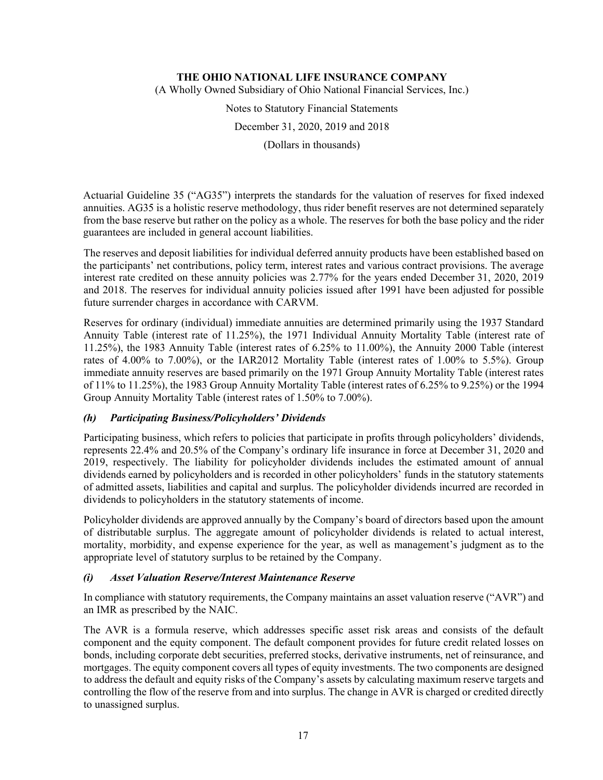(A Wholly Owned Subsidiary of Ohio National Financial Services, Inc.)

Notes to Statutory Financial Statements

December 31, 2020, 2019 and 2018

(Dollars in thousands)

Actuarial Guideline 35 ("AG35") interprets the standards for the valuation of reserves for fixed indexed annuities. AG35 is a holistic reserve methodology, thus rider benefit reserves are not determined separately from the base reserve but rather on the policy as a whole. The reserves for both the base policy and the rider guarantees are included in general account liabilities.

The reserves and deposit liabilities for individual deferred annuity products have been established based on the participants' net contributions, policy term, interest rates and various contract provisions. The average interest rate credited on these annuity policies was 2.77% for the years ended December 31, 2020, 2019 and 2018. The reserves for individual annuity policies issued after 1991 have been adjusted for possible future surrender charges in accordance with CARVM.

Reserves for ordinary (individual) immediate annuities are determined primarily using the 1937 Standard Annuity Table (interest rate of 11.25%), the 1971 Individual Annuity Mortality Table (interest rate of 11.25%), the 1983 Annuity Table (interest rates of 6.25% to 11.00%), the Annuity 2000 Table (interest rates of 4.00% to 7.00%), or the IAR2012 Mortality Table (interest rates of 1.00% to 5.5%). Group immediate annuity reserves are based primarily on the 1971 Group Annuity Mortality Table (interest rates of 11% to 11.25%), the 1983 Group Annuity Mortality Table (interest rates of 6.25% to 9.25%) or the 1994 Group Annuity Mortality Table (interest rates of 1.50% to 7.00%).

#### *(h) Participating Business/Policyholders' Dividends*

Participating business, which refers to policies that participate in profits through policyholders' dividends, represents 22.4% and 20.5% of the Company's ordinary life insurance in force at December 31, 2020 and 2019, respectively. The liability for policyholder dividends includes the estimated amount of annual dividends earned by policyholders and is recorded in other policyholders' funds in the statutory statements of admitted assets, liabilities and capital and surplus. The policyholder dividends incurred are recorded in dividends to policyholders in the statutory statements of income.

Policyholder dividends are approved annually by the Company's board of directors based upon the amount of distributable surplus. The aggregate amount of policyholder dividends is related to actual interest, mortality, morbidity, and expense experience for the year, as well as management's judgment as to the appropriate level of statutory surplus to be retained by the Company.

#### *(i) Asset Valuation Reserve/Interest Maintenance Reserve*

In compliance with statutory requirements, the Company maintains an asset valuation reserve ("AVR") and an IMR as prescribed by the NAIC.

The AVR is a formula reserve, which addresses specific asset risk areas and consists of the default component and the equity component. The default component provides for future credit related losses on bonds, including corporate debt securities, preferred stocks, derivative instruments, net of reinsurance, and mortgages. The equity component covers all types of equity investments. The two components are designed to address the default and equity risks of the Company's assets by calculating maximum reserve targets and controlling the flow of the reserve from and into surplus. The change in AVR is charged or credited directly to unassigned surplus.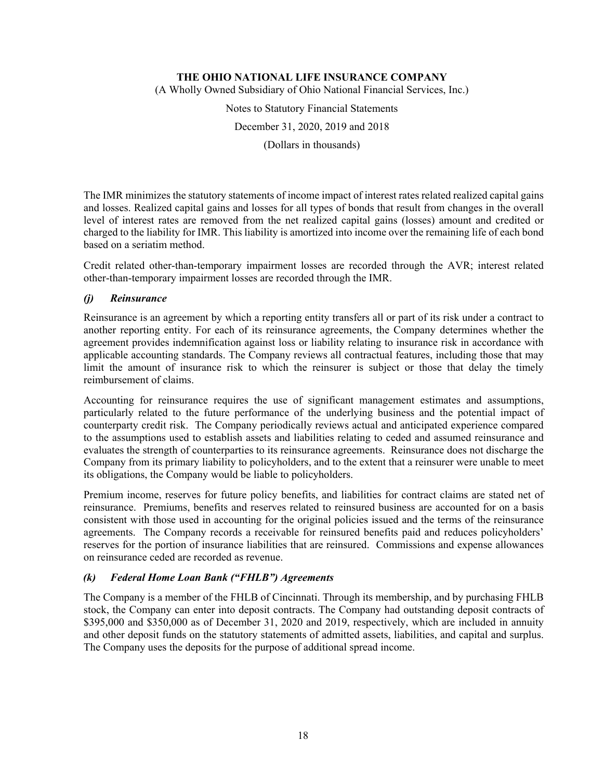(A Wholly Owned Subsidiary of Ohio National Financial Services, Inc.)

Notes to Statutory Financial Statements

December 31, 2020, 2019 and 2018

(Dollars in thousands)

The IMR minimizes the statutory statements of income impact of interest rates related realized capital gains and losses. Realized capital gains and losses for all types of bonds that result from changes in the overall level of interest rates are removed from the net realized capital gains (losses) amount and credited or charged to the liability for IMR. This liability is amortized into income over the remaining life of each bond based on a seriatim method.

Credit related other-than-temporary impairment losses are recorded through the AVR; interest related other-than-temporary impairment losses are recorded through the IMR.

#### *(j) Reinsurance*

Reinsurance is an agreement by which a reporting entity transfers all or part of its risk under a contract to another reporting entity. For each of its reinsurance agreements, the Company determines whether the agreement provides indemnification against loss or liability relating to insurance risk in accordance with applicable accounting standards. The Company reviews all contractual features, including those that may limit the amount of insurance risk to which the reinsurer is subject or those that delay the timely reimbursement of claims.

Accounting for reinsurance requires the use of significant management estimates and assumptions, particularly related to the future performance of the underlying business and the potential impact of counterparty credit risk. The Company periodically reviews actual and anticipated experience compared to the assumptions used to establish assets and liabilities relating to ceded and assumed reinsurance and evaluates the strength of counterparties to its reinsurance agreements. Reinsurance does not discharge the Company from its primary liability to policyholders, and to the extent that a reinsurer were unable to meet its obligations, the Company would be liable to policyholders.

Premium income, reserves for future policy benefits, and liabilities for contract claims are stated net of reinsurance. Premiums, benefits and reserves related to reinsured business are accounted for on a basis consistent with those used in accounting for the original policies issued and the terms of the reinsurance agreements. The Company records a receivable for reinsured benefits paid and reduces policyholders' reserves for the portion of insurance liabilities that are reinsured. Commissions and expense allowances on reinsurance ceded are recorded as revenue.

#### *(k) Federal Home Loan Bank ("FHLB") Agreements*

The Company is a member of the FHLB of Cincinnati. Through its membership, and by purchasing FHLB stock, the Company can enter into deposit contracts. The Company had outstanding deposit contracts of \$395,000 and \$350,000 as of December 31, 2020 and 2019, respectively, which are included in annuity and other deposit funds on the statutory statements of admitted assets, liabilities, and capital and surplus. The Company uses the deposits for the purpose of additional spread income.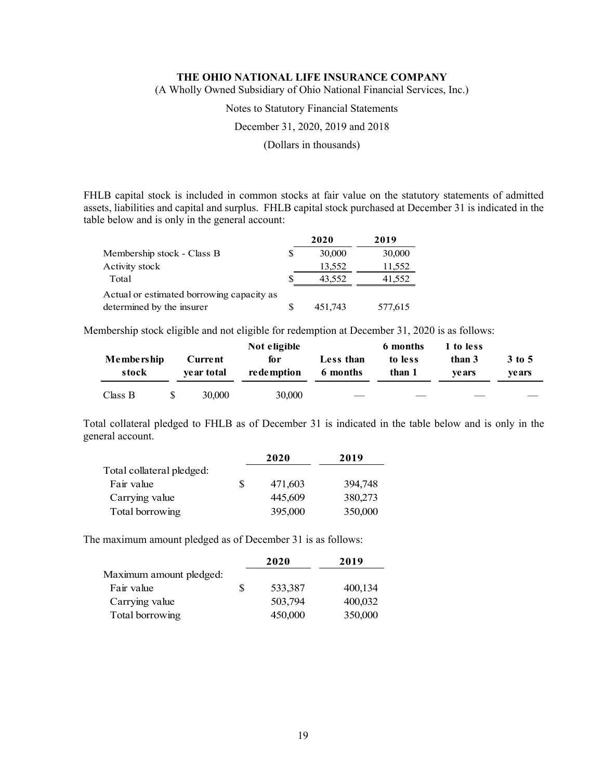(A Wholly Owned Subsidiary of Ohio National Financial Services, Inc.)

Notes to Statutory Financial Statements

December 31, 2020, 2019 and 2018

(Dollars in thousands)

FHLB capital stock is included in common stocks at fair value on the statutory statements of admitted assets, liabilities and capital and surplus. FHLB capital stock purchased at December 31 is indicated in the table below and is only in the general account:

|                                           |   | 2020    | 2019    |
|-------------------------------------------|---|---------|---------|
| Membership stock - Class B                | S | 30,000  | 30,000  |
| Activity stock                            |   | 13,552  | 11,552  |
| Total                                     | S | 43,552  | 41,552  |
| Actual or estimated borrowing capacity as |   |         |         |
| determined by the insurer                 |   | 451,743 | 577,615 |

Membership stock eligible and not eligible for redemption at December 31, 2020 is as follows:

|                            |                       | Not eligible      | Less than | 6 months<br>to less | 1 to less<br>than 3 | 3 to 5       |
|----------------------------|-----------------------|-------------------|-----------|---------------------|---------------------|--------------|
| <b>Membership</b><br>stock | Current<br>vear total | for<br>redemption | 6 months  | than 1              | ve ars              | <b>vears</b> |
| Class B                    | 30,000                | 30,000            |           |                     |                     |              |

Total collateral pledged to FHLB as of December 31 is indicated in the table below and is only in the general account.

|                           |   | 2020    | 2019    |
|---------------------------|---|---------|---------|
| Total collateral pledged: |   |         |         |
| Fair value                | S | 471,603 | 394,748 |
| Carrying value            |   | 445,609 | 380,273 |
| Total borrowing           |   | 395,000 | 350,000 |

The maximum amount pledged as of December 31 is as follows:

|                         |   | 2020    | 2019    |
|-------------------------|---|---------|---------|
| Maximum amount pledged: |   |         |         |
| Fair value              | S | 533.387 | 400,134 |
| Carrying value          |   | 503,794 | 400,032 |
| Total borrowing         |   | 450,000 | 350,000 |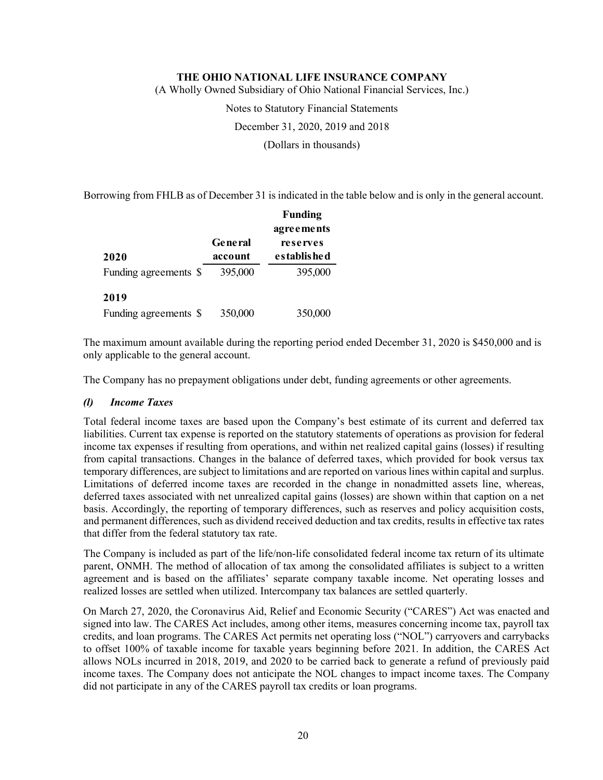(A Wholly Owned Subsidiary of Ohio National Financial Services, Inc.)

Notes to Statutory Financial Statements

December 31, 2020, 2019 and 2018

(Dollars in thousands)

Borrowing from FHLB as of December 31 is indicated in the table below and is only in the general account.

|                       |         | <b>Funding</b> |
|-----------------------|---------|----------------|
|                       |         | agreements     |
|                       | General | reserves       |
| 2020                  | account | established    |
| Funding agreements \$ | 395,000 | 395,000        |
| 2019                  |         |                |
| Funding agreements \$ | 350,000 | 350,000        |

The maximum amount available during the reporting period ended December 31, 2020 is \$450,000 and is only applicable to the general account.

The Company has no prepayment obligations under debt, funding agreements or other agreements.

#### *(l) Income Taxes*

Total federal income taxes are based upon the Company's best estimate of its current and deferred tax liabilities. Current tax expense is reported on the statutory statements of operations as provision for federal income tax expenses if resulting from operations, and within net realized capital gains (losses) if resulting from capital transactions. Changes in the balance of deferred taxes, which provided for book versus tax temporary differences, are subject to limitations and are reported on various lines within capital and surplus. Limitations of deferred income taxes are recorded in the change in nonadmitted assets line, whereas, deferred taxes associated with net unrealized capital gains (losses) are shown within that caption on a net basis. Accordingly, the reporting of temporary differences, such as reserves and policy acquisition costs, and permanent differences, such as dividend received deduction and tax credits, results in effective tax rates that differ from the federal statutory tax rate.

The Company is included as part of the life/non-life consolidated federal income tax return of its ultimate parent, ONMH. The method of allocation of tax among the consolidated affiliates is subject to a written agreement and is based on the affiliates' separate company taxable income. Net operating losses and realized losses are settled when utilized. Intercompany tax balances are settled quarterly.

On March 27, 2020, the Coronavirus Aid, Relief and Economic Security ("CARES") Act was enacted and signed into law. The CARES Act includes, among other items, measures concerning income tax, payroll tax credits, and loan programs. The CARES Act permits net operating loss ("NOL") carryovers and carrybacks to offset 100% of taxable income for taxable years beginning before 2021. In addition, the CARES Act allows NOLs incurred in 2018, 2019, and 2020 to be carried back to generate a refund of previously paid income taxes. The Company does not anticipate the NOL changes to impact income taxes. The Company did not participate in any of the CARES payroll tax credits or loan programs.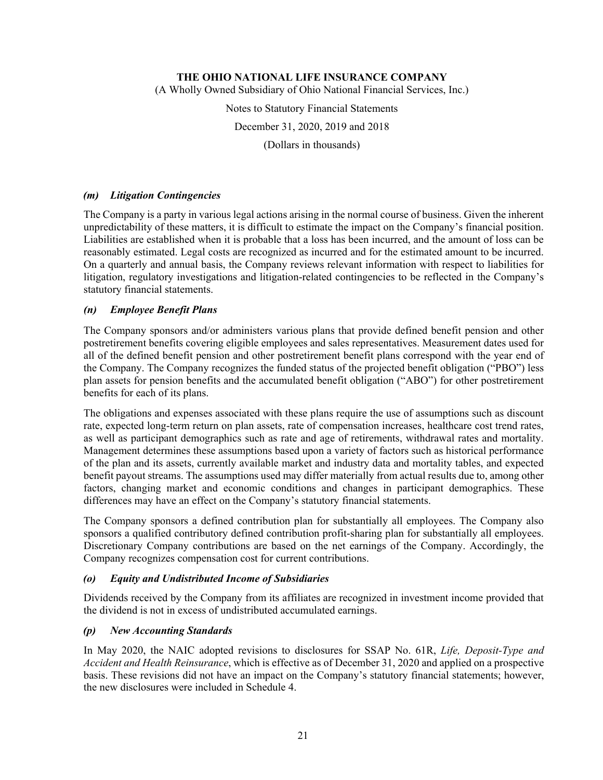(A Wholly Owned Subsidiary of Ohio National Financial Services, Inc.)

Notes to Statutory Financial Statements

December 31, 2020, 2019 and 2018

(Dollars in thousands)

### *(m) Litigation Contingencies*

The Company is a party in various legal actions arising in the normal course of business. Given the inherent unpredictability of these matters, it is difficult to estimate the impact on the Company's financial position. Liabilities are established when it is probable that a loss has been incurred, and the amount of loss can be reasonably estimated. Legal costs are recognized as incurred and for the estimated amount to be incurred. On a quarterly and annual basis, the Company reviews relevant information with respect to liabilities for litigation, regulatory investigations and litigation-related contingencies to be reflected in the Company's statutory financial statements.

#### *(n) Employee Benefit Plans*

The Company sponsors and/or administers various plans that provide defined benefit pension and other postretirement benefits covering eligible employees and sales representatives. Measurement dates used for all of the defined benefit pension and other postretirement benefit plans correspond with the year end of the Company. The Company recognizes the funded status of the projected benefit obligation ("PBO") less plan assets for pension benefits and the accumulated benefit obligation ("ABO") for other postretirement benefits for each of its plans.

The obligations and expenses associated with these plans require the use of assumptions such as discount rate, expected long-term return on plan assets, rate of compensation increases, healthcare cost trend rates, as well as participant demographics such as rate and age of retirements, withdrawal rates and mortality. Management determines these assumptions based upon a variety of factors such as historical performance of the plan and its assets, currently available market and industry data and mortality tables, and expected benefit payout streams. The assumptions used may differ materially from actual results due to, among other factors, changing market and economic conditions and changes in participant demographics. These differences may have an effect on the Company's statutory financial statements.

The Company sponsors a defined contribution plan for substantially all employees. The Company also sponsors a qualified contributory defined contribution profit-sharing plan for substantially all employees. Discretionary Company contributions are based on the net earnings of the Company. Accordingly, the Company recognizes compensation cost for current contributions.

#### *(o) Equity and Undistributed Income of Subsidiaries*

Dividends received by the Company from its affiliates are recognized in investment income provided that the dividend is not in excess of undistributed accumulated earnings.

## *(p) New Accounting Standards*

In May 2020, the NAIC adopted revisions to disclosures for SSAP No. 61R, *Life, Deposit-Type and Accident and Health Reinsurance*, which is effective as of December 31, 2020 and applied on a prospective basis. These revisions did not have an impact on the Company's statutory financial statements; however, the new disclosures were included in Schedule 4.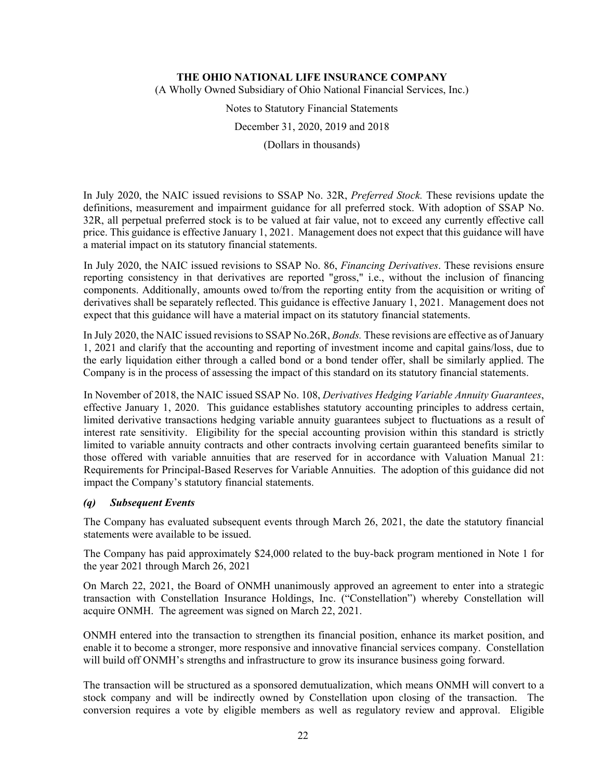(A Wholly Owned Subsidiary of Ohio National Financial Services, Inc.)

Notes to Statutory Financial Statements

December 31, 2020, 2019 and 2018

(Dollars in thousands)

In July 2020, the NAIC issued revisions to SSAP No. 32R, *Preferred Stock.* These revisions update the definitions, measurement and impairment guidance for all preferred stock. With adoption of SSAP No. 32R, all perpetual preferred stock is to be valued at fair value, not to exceed any currently effective call price. This guidance is effective January 1, 2021. Management does not expect that this guidance will have a material impact on its statutory financial statements.

In July 2020, the NAIC issued revisions to SSAP No. 86, *Financing Derivatives*. These revisions ensure reporting consistency in that derivatives are reported "gross," i.e., without the inclusion of financing components. Additionally, amounts owed to/from the reporting entity from the acquisition or writing of derivatives shall be separately reflected. This guidance is effective January 1, 2021. Management does not expect that this guidance will have a material impact on its statutory financial statements.

In July 2020, the NAIC issued revisions to SSAP No.26R, *Bonds.* These revisions are effective as of January 1, 2021 and clarify that the accounting and reporting of investment income and capital gains/loss, due to the early liquidation either through a called bond or a bond tender offer, shall be similarly applied. The Company is in the process of assessing the impact of this standard on its statutory financial statements.

In November of 2018, the NAIC issued SSAP No. 108, *Derivatives Hedging Variable Annuity Guarantees*, effective January 1, 2020. This guidance establishes statutory accounting principles to address certain, limited derivative transactions hedging variable annuity guarantees subject to fluctuations as a result of interest rate sensitivity. Eligibility for the special accounting provision within this standard is strictly limited to variable annuity contracts and other contracts involving certain guaranteed benefits similar to those offered with variable annuities that are reserved for in accordance with Valuation Manual 21: Requirements for Principal-Based Reserves for Variable Annuities. The adoption of this guidance did not impact the Company's statutory financial statements.

#### *(q) Subsequent Events*

The Company has evaluated subsequent events through March 26, 2021, the date the statutory financial statements were available to be issued.

The Company has paid approximately \$24,000 related to the buy-back program mentioned in Note 1 for the year 2021 through March 26, 2021

On March 22, 2021, the Board of ONMH unanimously approved an agreement to enter into a strategic transaction with Constellation Insurance Holdings, Inc. ("Constellation") whereby Constellation will acquire ONMH. The agreement was signed on March 22, 2021.

ONMH entered into the transaction to strengthen its financial position, enhance its market position, and enable it to become a stronger, more responsive and innovative financial services company. Constellation will build off ONMH's strengths and infrastructure to grow its insurance business going forward.

The transaction will be structured as a sponsored demutualization, which means ONMH will convert to a stock company and will be indirectly owned by Constellation upon closing of the transaction. The conversion requires a vote by eligible members as well as regulatory review and approval. Eligible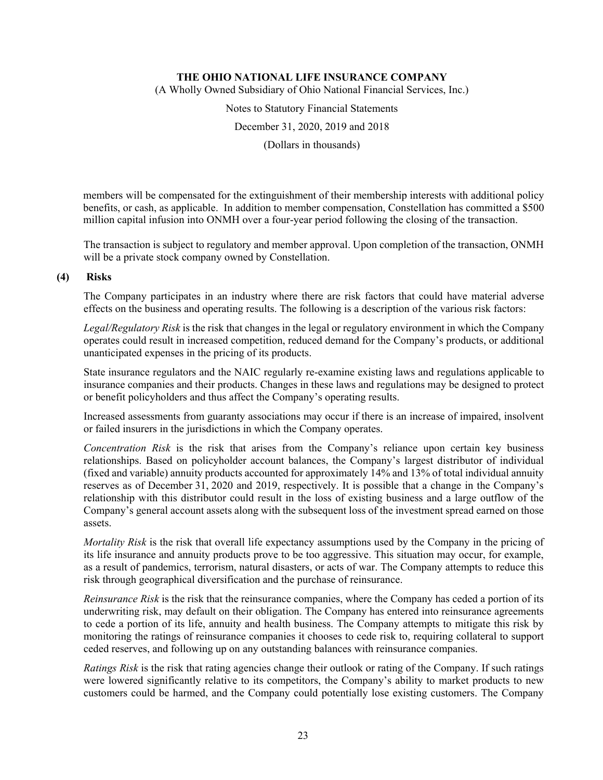(A Wholly Owned Subsidiary of Ohio National Financial Services, Inc.)

Notes to Statutory Financial Statements

December 31, 2020, 2019 and 2018

(Dollars in thousands)

members will be compensated for the extinguishment of their membership interests with additional policy benefits, or cash, as applicable. In addition to member compensation, Constellation has committed a \$500 million capital infusion into ONMH over a four-year period following the closing of the transaction.

The transaction is subject to regulatory and member approval. Upon completion of the transaction, ONMH will be a private stock company owned by Constellation.

#### **(4) Risks**

The Company participates in an industry where there are risk factors that could have material adverse effects on the business and operating results. The following is a description of the various risk factors:

*Legal/Regulatory Risk* is the risk that changes in the legal or regulatory environment in which the Company operates could result in increased competition, reduced demand for the Company's products, or additional unanticipated expenses in the pricing of its products.

State insurance regulators and the NAIC regularly re-examine existing laws and regulations applicable to insurance companies and their products. Changes in these laws and regulations may be designed to protect or benefit policyholders and thus affect the Company's operating results.

Increased assessments from guaranty associations may occur if there is an increase of impaired, insolvent or failed insurers in the jurisdictions in which the Company operates.

*Concentration Risk* is the risk that arises from the Company's reliance upon certain key business relationships. Based on policyholder account balances, the Company's largest distributor of individual (fixed and variable) annuity products accounted for approximately 14% and 13% of total individual annuity reserves as of December 31, 2020 and 2019, respectively. It is possible that a change in the Company's relationship with this distributor could result in the loss of existing business and a large outflow of the Company's general account assets along with the subsequent loss of the investment spread earned on those assets.

*Mortality Risk* is the risk that overall life expectancy assumptions used by the Company in the pricing of its life insurance and annuity products prove to be too aggressive. This situation may occur, for example, as a result of pandemics, terrorism, natural disasters, or acts of war. The Company attempts to reduce this risk through geographical diversification and the purchase of reinsurance.

*Reinsurance Risk* is the risk that the reinsurance companies, where the Company has ceded a portion of its underwriting risk, may default on their obligation. The Company has entered into reinsurance agreements to cede a portion of its life, annuity and health business. The Company attempts to mitigate this risk by monitoring the ratings of reinsurance companies it chooses to cede risk to, requiring collateral to support ceded reserves, and following up on any outstanding balances with reinsurance companies.

*Ratings Risk* is the risk that rating agencies change their outlook or rating of the Company. If such ratings were lowered significantly relative to its competitors, the Company's ability to market products to new customers could be harmed, and the Company could potentially lose existing customers. The Company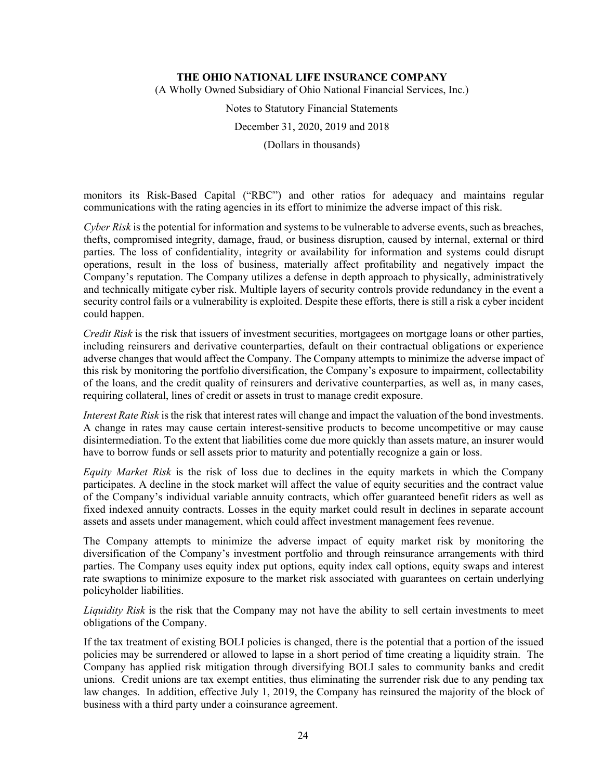(A Wholly Owned Subsidiary of Ohio National Financial Services, Inc.)

Notes to Statutory Financial Statements

December 31, 2020, 2019 and 2018

(Dollars in thousands)

monitors its Risk-Based Capital ("RBC") and other ratios for adequacy and maintains regular communications with the rating agencies in its effort to minimize the adverse impact of this risk.

*Cyber Risk* is the potential for information and systems to be vulnerable to adverse events, such as breaches, thefts, compromised integrity, damage, fraud, or business disruption, caused by internal, external or third parties. The loss of confidentiality, integrity or availability for information and systems could disrupt operations, result in the loss of business, materially affect profitability and negatively impact the Company's reputation. The Company utilizes a defense in depth approach to physically, administratively and technically mitigate cyber risk. Multiple layers of security controls provide redundancy in the event a security control fails or a vulnerability is exploited. Despite these efforts, there is still a risk a cyber incident could happen.

*Credit Risk* is the risk that issuers of investment securities, mortgagees on mortgage loans or other parties, including reinsurers and derivative counterparties, default on their contractual obligations or experience adverse changes that would affect the Company. The Company attempts to minimize the adverse impact of this risk by monitoring the portfolio diversification, the Company's exposure to impairment, collectability of the loans, and the credit quality of reinsurers and derivative counterparties, as well as, in many cases, requiring collateral, lines of credit or assets in trust to manage credit exposure.

*Interest Rate Risk* is the risk that interest rates will change and impact the valuation of the bond investments. A change in rates may cause certain interest-sensitive products to become uncompetitive or may cause disintermediation. To the extent that liabilities come due more quickly than assets mature, an insurer would have to borrow funds or sell assets prior to maturity and potentially recognize a gain or loss.

*Equity Market Risk* is the risk of loss due to declines in the equity markets in which the Company participates. A decline in the stock market will affect the value of equity securities and the contract value of the Company's individual variable annuity contracts, which offer guaranteed benefit riders as well as fixed indexed annuity contracts. Losses in the equity market could result in declines in separate account assets and assets under management, which could affect investment management fees revenue.

The Company attempts to minimize the adverse impact of equity market risk by monitoring the diversification of the Company's investment portfolio and through reinsurance arrangements with third parties. The Company uses equity index put options, equity index call options, equity swaps and interest rate swaptions to minimize exposure to the market risk associated with guarantees on certain underlying policyholder liabilities.

*Liquidity Risk* is the risk that the Company may not have the ability to sell certain investments to meet obligations of the Company.

If the tax treatment of existing BOLI policies is changed, there is the potential that a portion of the issued policies may be surrendered or allowed to lapse in a short period of time creating a liquidity strain. The Company has applied risk mitigation through diversifying BOLI sales to community banks and credit unions. Credit unions are tax exempt entities, thus eliminating the surrender risk due to any pending tax law changes. In addition, effective July 1, 2019, the Company has reinsured the majority of the block of business with a third party under a coinsurance agreement.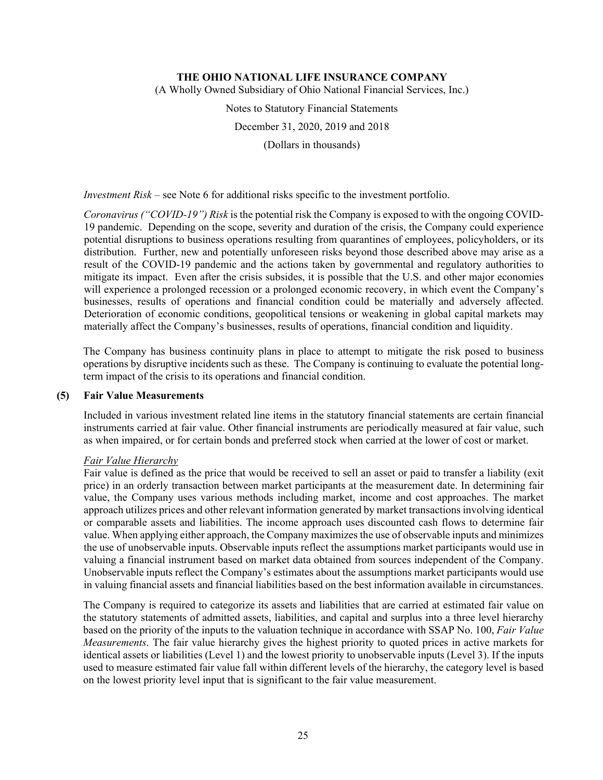(A Wholly Owned Subsidiary of Ohio National Financial Services, Inc.)

Notes to Statutory Financial Statements

December 31, 2020, 2019 and 2018

(Dollars in thousands)

*Investment Risk* – see Note 6 for additional risks specific to the investment portfolio.

*Coronavirus ("COVID-19") Risk* is the potential risk the Company is exposed to with the ongoing COVID-19 pandemic. Depending on the scope, severity and duration of the crisis, the Company could experience potential disruptions to business operations resulting from quarantines of employees, policyholders, or its distribution. Further, new and potentially unforeseen risks beyond those described above may arise as a result of the COVID-19 pandemic and the actions taken by governmental and regulatory authorities to mitigate its impact. Even after the crisis subsides, it is possible that the U.S. and other major economies will experience a prolonged recession or a prolonged economic recovery, in which event the Company's businesses, results of operations and financial condition could be materially and adversely affected. Deterioration of economic conditions, geopolitical tensions or weakening in global capital markets may materially affect the Company's businesses, results of operations, financial condition and liquidity.

The Company has business continuity plans in place to attempt to mitigate the risk posed to business operations by disruptive incidents such as these. The Company is continuing to evaluate the potential longterm impact of the crisis to its operations and financial condition.

#### **(5) Fair Value Measurements**

Included in various investment related line items in the statutory financial statements are certain financial instruments carried at fair value. Other financial instruments are periodically measured at fair value, such as when impaired, or for certain bonds and preferred stock when carried at the lower of cost or market.

#### *Fair Value Hierarchy*

Fair value is defined as the price that would be received to sell an asset or paid to transfer a liability (exit price) in an orderly transaction between market participants at the measurement date. In determining fair value, the Company uses various methods including market, income and cost approaches. The market approach utilizes prices and other relevant information generated by market transactions involving identical or comparable assets and liabilities. The income approach uses discounted cash flows to determine fair value. When applying either approach, the Company maximizes the use of observable inputs and minimizes the use of unobservable inputs. Observable inputs reflect the assumptions market participants would use in valuing a financial instrument based on market data obtained from sources independent of the Company. Unobservable inputs reflect the Company's estimates about the assumptions market participants would use in valuing financial assets and financial liabilities based on the best information available in circumstances.

The Company is required to categorize its assets and liabilities that are carried at estimated fair value on the statutory statements of admitted assets, liabilities, and capital and surplus into a three level hierarchy based on the priority of the inputs to the valuation technique in accordance with SSAP No. 100, *Fair Value Measurements*. The fair value hierarchy gives the highest priority to quoted prices in active markets for identical assets or liabilities (Level 1) and the lowest priority to unobservable inputs (Level 3). If the inputs used to measure estimated fair value fall within different levels of the hierarchy, the category level is based on the lowest priority level input that is significant to the fair value measurement.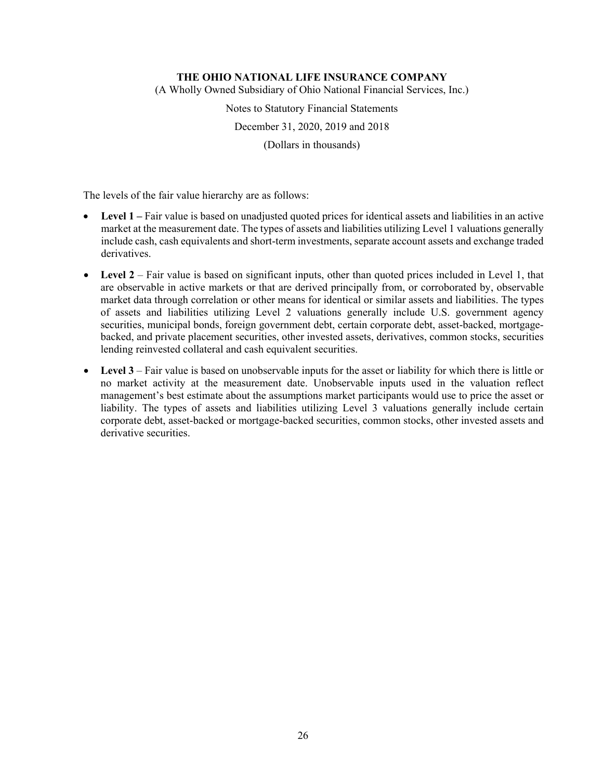(A Wholly Owned Subsidiary of Ohio National Financial Services, Inc.)

Notes to Statutory Financial Statements

December 31, 2020, 2019 and 2018

(Dollars in thousands)

The levels of the fair value hierarchy are as follows:

- **Level 1** Fair value is based on unadjusted quoted prices for identical assets and liabilities in an active market at the measurement date. The types of assets and liabilities utilizing Level 1 valuations generally include cash, cash equivalents and short-term investments, separate account assets and exchange traded derivatives.
- Level 2 Fair value is based on significant inputs, other than quoted prices included in Level 1, that are observable in active markets or that are derived principally from, or corroborated by, observable market data through correlation or other means for identical or similar assets and liabilities. The types of assets and liabilities utilizing Level 2 valuations generally include U.S. government agency securities, municipal bonds, foreign government debt, certain corporate debt, asset-backed, mortgagebacked, and private placement securities, other invested assets, derivatives, common stocks, securities lending reinvested collateral and cash equivalent securities.
- **Level 3** Fair value is based on unobservable inputs for the asset or liability for which there is little or no market activity at the measurement date. Unobservable inputs used in the valuation reflect management's best estimate about the assumptions market participants would use to price the asset or liability. The types of assets and liabilities utilizing Level 3 valuations generally include certain corporate debt, asset-backed or mortgage-backed securities, common stocks, other invested assets and derivative securities.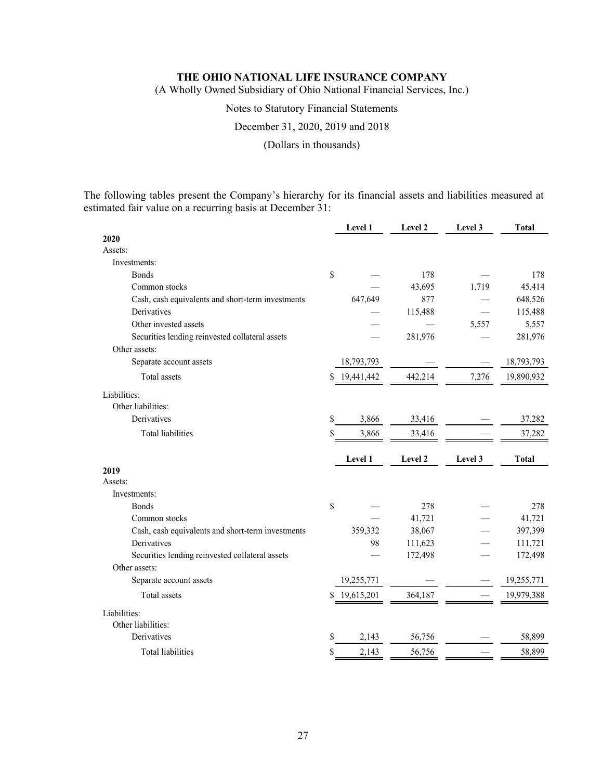(A Wholly Owned Subsidiary of Ohio National Financial Services, Inc.)

Notes to Statutory Financial Statements

December 31, 2020, 2019 and 2018

#### (Dollars in thousands)

The following tables present the Company's hierarchy for its financial assets and liabilities measured at estimated fair value on a recurring basis at December 31:

|                                                                  |    | Level 1    | Level 2          | Level 3 | <b>Total</b> |
|------------------------------------------------------------------|----|------------|------------------|---------|--------------|
| 2020                                                             |    |            |                  |         |              |
| Assets:                                                          |    |            |                  |         |              |
| Investments:                                                     |    |            |                  |         |              |
| <b>Bonds</b>                                                     | \$ |            | 178              |         | 178          |
| Common stocks                                                    |    |            | 43,695           | 1,719   | 45,414       |
| Cash, cash equivalents and short-term investments                |    | 647,649    | 877              |         | 648,526      |
| Derivatives                                                      |    |            | 115,488          |         | 115,488      |
| Other invested assets                                            |    |            |                  | 5,557   | 5,557        |
| Securities lending reinvested collateral assets                  |    |            | 281,976          |         | 281,976      |
| Other assets:                                                    |    |            |                  |         |              |
| Separate account assets                                          |    | 18,793,793 |                  |         | 18,793,793   |
| Total assets                                                     | S  | 19,441,442 | 442,214          | 7,276   | 19,890,932   |
| Liabilities:                                                     |    |            |                  |         |              |
| Other liabilities:                                               |    |            |                  |         |              |
| Derivatives                                                      | \$ | 3,866      | 33,416           |         | 37,282       |
| <b>Total liabilities</b>                                         | \$ | 3,866      | 33,416           |         | 37,282       |
|                                                                  |    |            |                  |         |              |
|                                                                  |    |            |                  |         |              |
|                                                                  |    | Level 1    | Level 2          | Level 3 | <b>Total</b> |
| 2019<br>Assets:                                                  |    |            |                  |         |              |
| Investments:                                                     |    |            |                  |         |              |
| <b>Bonds</b>                                                     | \$ |            | 278              |         | 278          |
| Common stocks                                                    |    |            |                  |         |              |
|                                                                  |    | 359,332    | 41,721<br>38,067 |         | 41,721       |
| Cash, cash equivalents and short-term investments<br>Derivatives |    | 98         |                  |         | 397,399      |
|                                                                  |    |            | 111,623          |         | 111,721      |
| Securities lending reinvested collateral assets<br>Other assets: |    |            | 172,498          |         | 172,498      |
| Separate account assets                                          |    | 19,255,771 |                  |         | 19,255,771   |
| Total assets                                                     | S  | 19,615,201 | 364,187          |         | 19,979,388   |
| Liabilities:                                                     |    |            |                  |         |              |
| Other liabilities:                                               |    |            |                  |         |              |
| Derivatives                                                      | S  | 2,143      | 56,756           |         | 58,899       |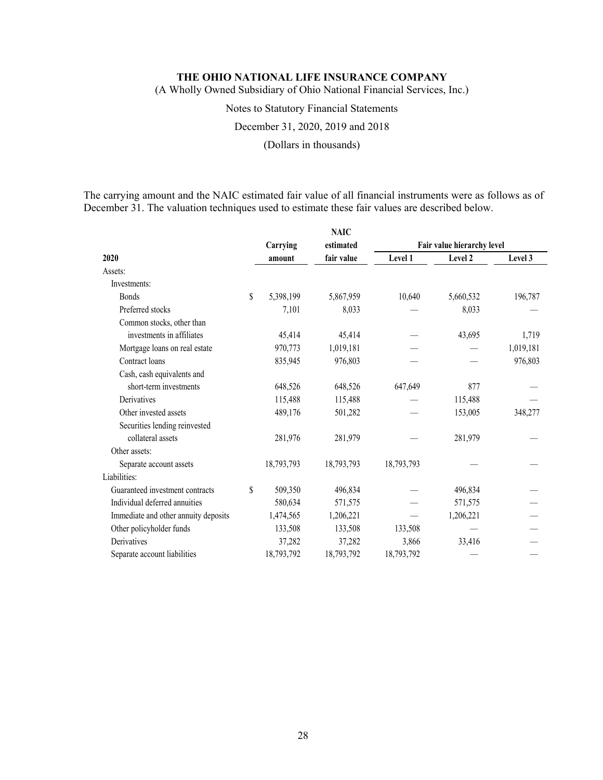(A Wholly Owned Subsidiary of Ohio National Financial Services, Inc.)

Notes to Statutory Financial Statements

December 31, 2020, 2019 and 2018

(Dollars in thousands)

The carrying amount and the NAIC estimated fair value of all financial instruments were as follows as of December 31. The valuation techniques used to estimate these fair values are described below.

|                                      |    |            | NAIC       |                            |           |           |
|--------------------------------------|----|------------|------------|----------------------------|-----------|-----------|
| 2020                                 |    | Carrying   | estimated  | Fair value hierarchy level |           |           |
|                                      |    | amount     | fair value | Level 1                    | Level 2   | Level 3   |
| Assets:                              |    |            |            |                            |           |           |
| Investments:                         |    |            |            |                            |           |           |
| <b>Bonds</b>                         | \$ | 5,398,199  | 5,867,959  | 10,640                     | 5,660,532 | 196,787   |
| Preferred stocks                     |    | 7,101      | 8,033      |                            | 8,033     |           |
| Common stocks, other than            |    |            |            |                            |           |           |
| investments in affiliates            |    | 45,414     | 45,414     |                            | 43,695    | 1,719     |
| Mortgage loans on real estate        |    | 970,773    | 1,019,181  |                            |           | 1,019,181 |
| Contract loans                       |    | 835,945    | 976,803    |                            |           | 976,803   |
| Cash, cash equivalents and           |    |            |            |                            |           |           |
| short-term investments               |    | 648,526    | 648,526    | 647,649                    | 877       |           |
| Derivatives                          |    | 115,488    | 115,488    |                            | 115,488   |           |
| Other invested assets                |    | 489,176    | 501,282    |                            | 153,005   | 348,277   |
| Securities lending reinvested        |    |            |            |                            |           |           |
| collateral assets                    |    | 281,976    | 281,979    |                            | 281,979   |           |
| Other assets:                        |    |            |            |                            |           |           |
| Separate account assets              |    | 18,793,793 | 18,793,793 | 18,793,793                 |           |           |
| Liabilities:                         |    |            |            |                            |           |           |
| Guaranteed investment contracts      | \$ | 509,350    | 496,834    |                            | 496,834   |           |
| Individual deferred annuities        |    | 580,634    | 571,575    |                            | 571,575   |           |
| Immediate and other annuity deposits |    | 1,474,565  | 1,206,221  |                            | 1,206,221 |           |
| Other policyholder funds             |    | 133,508    | 133,508    | 133,508                    |           |           |
| Derivatives                          |    | 37,282     | 37,282     | 3,866                      | 33,416    |           |
| Separate account liabilities         |    | 18,793,792 | 18,793,792 | 18,793,792                 |           |           |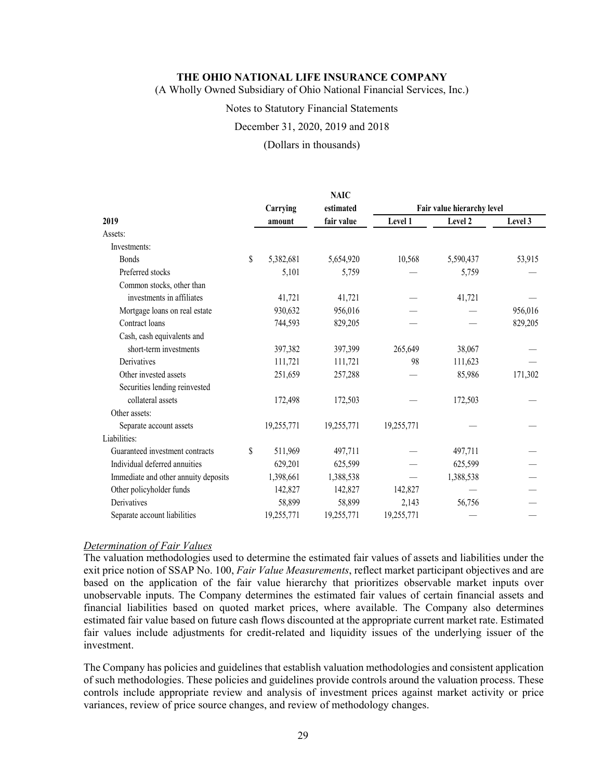(A Wholly Owned Subsidiary of Ohio National Financial Services, Inc.)

#### Notes to Statutory Financial Statements

#### December 31, 2020, 2019 and 2018

#### (Dollars in thousands)

|                                      |          |            | <b>NAIC</b> |                            |           |         |
|--------------------------------------|----------|------------|-------------|----------------------------|-----------|---------|
|                                      | Carrying |            | estimated   | Fair value hierarchy level |           |         |
| 2019                                 |          | amount     | fair value  | Level 1                    | Level 2   | Level 3 |
| Assets:                              |          |            |             |                            |           |         |
| Investments:                         |          |            |             |                            |           |         |
| <b>Bonds</b>                         | \$       | 5,382,681  | 5,654,920   | 10,568                     | 5,590,437 | 53,915  |
| Preferred stocks                     |          | 5,101      | 5,759       |                            | 5,759     |         |
| Common stocks, other than            |          |            |             |                            |           |         |
| investments in affiliates            |          | 41,721     | 41,721      |                            | 41,721    |         |
| Mortgage loans on real estate        |          | 930,632    | 956,016     |                            |           | 956,016 |
| Contract loans                       |          | 744,593    | 829,205     |                            |           | 829,205 |
| Cash, cash equivalents and           |          |            |             |                            |           |         |
| short-term investments               |          | 397,382    | 397,399     | 265,649                    | 38,067    |         |
| Derivatives                          |          | 111,721    | 111,721     | 98                         | 111,623   |         |
| Other invested assets                |          | 251,659    | 257,288     |                            | 85,986    | 171,302 |
| Securities lending reinvested        |          |            |             |                            |           |         |
| collateral assets                    |          | 172,498    | 172,503     |                            | 172,503   |         |
| Other assets:                        |          |            |             |                            |           |         |
| Separate account assets              |          | 19,255,771 | 19,255,771  | 19,255,771                 |           |         |
| Liabilities:                         |          |            |             |                            |           |         |
| Guaranteed investment contracts      | \$       | 511,969    | 497,711     |                            | 497,711   |         |
| Individual deferred annuities        |          | 629,201    | 625,599     |                            | 625,599   |         |
| Immediate and other annuity deposits |          | 1,398,661  | 1,388,538   |                            | 1,388,538 |         |
| Other policyholder funds             |          | 142,827    | 142,827     | 142,827                    |           |         |
| Derivatives                          |          | 58,899     | 58,899      | 2,143                      | 56,756    |         |
| Separate account liabilities         |          | 19,255,771 | 19,255,771  | 19,255,771                 |           |         |

#### *Determination of Fair Values*

The valuation methodologies used to determine the estimated fair values of assets and liabilities under the exit price notion of SSAP No. 100, *Fair Value Measurements*, reflect market participant objectives and are based on the application of the fair value hierarchy that prioritizes observable market inputs over unobservable inputs. The Company determines the estimated fair values of certain financial assets and financial liabilities based on quoted market prices, where available. The Company also determines estimated fair value based on future cash flows discounted at the appropriate current market rate. Estimated fair values include adjustments for credit-related and liquidity issues of the underlying issuer of the investment.

The Company has policies and guidelines that establish valuation methodologies and consistent application of such methodologies. These policies and guidelines provide controls around the valuation process. These controls include appropriate review and analysis of investment prices against market activity or price variances, review of price source changes, and review of methodology changes.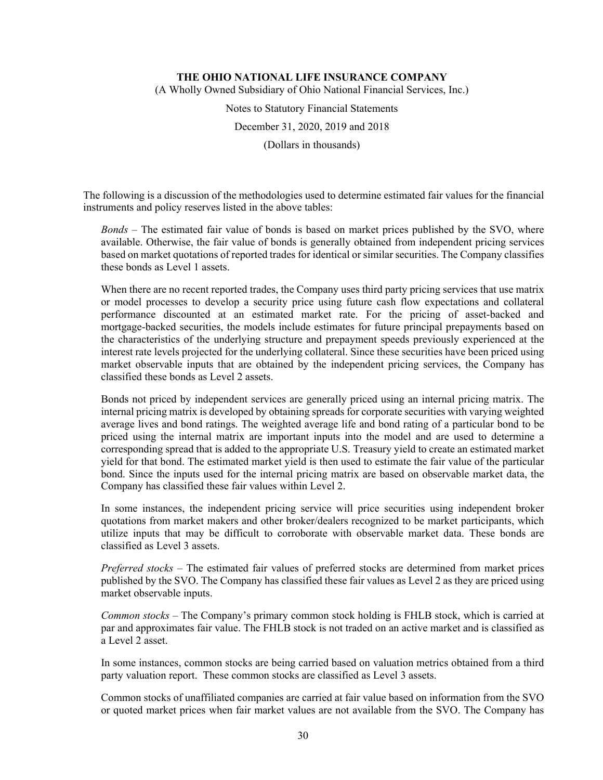(A Wholly Owned Subsidiary of Ohio National Financial Services, Inc.)

Notes to Statutory Financial Statements

December 31, 2020, 2019 and 2018

(Dollars in thousands)

The following is a discussion of the methodologies used to determine estimated fair values for the financial instruments and policy reserves listed in the above tables:

*Bonds –* The estimated fair value of bonds is based on market prices published by the SVO, where available. Otherwise, the fair value of bonds is generally obtained from independent pricing services based on market quotations of reported trades for identical or similar securities. The Company classifies these bonds as Level 1 assets.

When there are no recent reported trades, the Company uses third party pricing services that use matrix or model processes to develop a security price using future cash flow expectations and collateral performance discounted at an estimated market rate. For the pricing of asset-backed and mortgage-backed securities, the models include estimates for future principal prepayments based on the characteristics of the underlying structure and prepayment speeds previously experienced at the interest rate levels projected for the underlying collateral. Since these securities have been priced using market observable inputs that are obtained by the independent pricing services, the Company has classified these bonds as Level 2 assets.

Bonds not priced by independent services are generally priced using an internal pricing matrix. The internal pricing matrix is developed by obtaining spreads for corporate securities with varying weighted average lives and bond ratings. The weighted average life and bond rating of a particular bond to be priced using the internal matrix are important inputs into the model and are used to determine a corresponding spread that is added to the appropriate U.S. Treasury yield to create an estimated market yield for that bond. The estimated market yield is then used to estimate the fair value of the particular bond. Since the inputs used for the internal pricing matrix are based on observable market data, the Company has classified these fair values within Level 2.

In some instances, the independent pricing service will price securities using independent broker quotations from market makers and other broker/dealers recognized to be market participants, which utilize inputs that may be difficult to corroborate with observable market data. These bonds are classified as Level 3 assets.

*Preferred stocks* – The estimated fair values of preferred stocks are determined from market prices published by the SVO. The Company has classified these fair values as Level 2 as they are priced using market observable inputs.

*Common stocks –* The Company's primary common stock holding is FHLB stock, which is carried at par and approximates fair value. The FHLB stock is not traded on an active market and is classified as a Level 2 asset.

In some instances, common stocks are being carried based on valuation metrics obtained from a third party valuation report. These common stocks are classified as Level 3 assets.

Common stocks of unaffiliated companies are carried at fair value based on information from the SVO or quoted market prices when fair market values are not available from the SVO. The Company has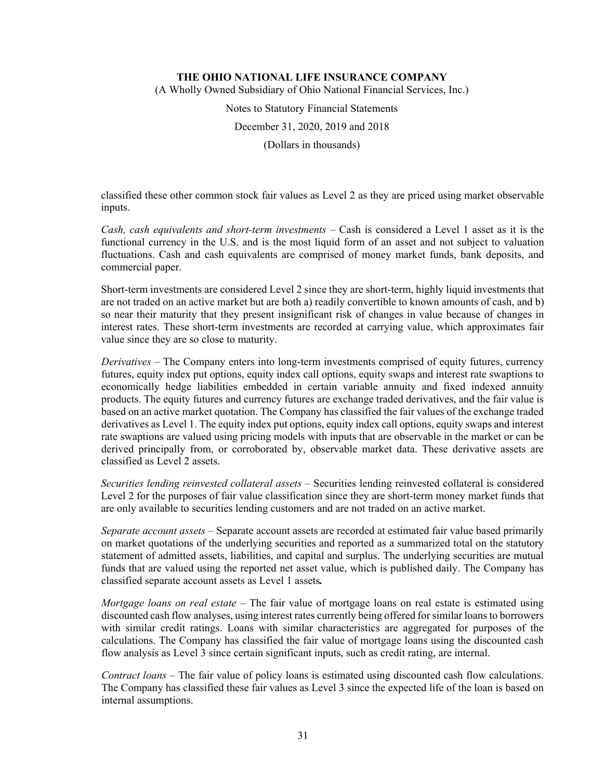(A Wholly Owned Subsidiary of Ohio National Financial Services, Inc.)

Notes to Statutory Financial Statements

December 31, 2020, 2019 and 2018

(Dollars in thousands)

classified these other common stock fair values as Level 2 as they are priced using market observable inputs.

*Cash, cash equivalents and short-term investments –* Cash is considered a Level 1 asset as it is the functional currency in the U.S. and is the most liquid form of an asset and not subject to valuation fluctuations. Cash and cash equivalents are comprised of money market funds, bank deposits, and commercial paper.

Short-term investments are considered Level 2 since they are short-term, highly liquid investments that are not traded on an active market but are both a) readily convertible to known amounts of cash, and b) so near their maturity that they present insignificant risk of changes in value because of changes in interest rates. These short-term investments are recorded at carrying value, which approximates fair value since they are so close to maturity.

*Derivatives –* The Company enters into long-term investments comprised of equity futures, currency futures, equity index put options, equity index call options, equity swaps and interest rate swaptions to economically hedge liabilities embedded in certain variable annuity and fixed indexed annuity products. The equity futures and currency futures are exchange traded derivatives, and the fair value is based on an active market quotation. The Company has classified the fair values of the exchange traded derivatives as Level 1. The equity index put options, equity index call options, equity swaps and interest rate swaptions are valued using pricing models with inputs that are observable in the market or can be derived principally from, or corroborated by, observable market data. These derivative assets are classified as Level 2 assets.

*Securities lending reinvested collateral assets –* Securities lending reinvested collateral is considered Level 2 for the purposes of fair value classification since they are short-term money market funds that are only available to securities lending customers and are not traded on an active market.

*Separate account assets* – Separate account assets are recorded at estimated fair value based primarily on market quotations of the underlying securities and reported as a summarized total on the statutory statement of admitted assets, liabilities, and capital and surplus. The underlying securities are mutual funds that are valued using the reported net asset value, which is published daily. The Company has classified separate account assets as Level 1 assets*.*

*Mortgage loans on real estate* – The fair value of mortgage loans on real estate is estimated using discounted cash flow analyses, using interest rates currently being offered for similar loans to borrowers with similar credit ratings. Loans with similar characteristics are aggregated for purposes of the calculations. The Company has classified the fair value of mortgage loans using the discounted cash flow analysis as Level 3 since certain significant inputs, such as credit rating, are internal.

*Contract loans* – The fair value of policy loans is estimated using discounted cash flow calculations. The Company has classified these fair values as Level 3 since the expected life of the loan is based on internal assumptions.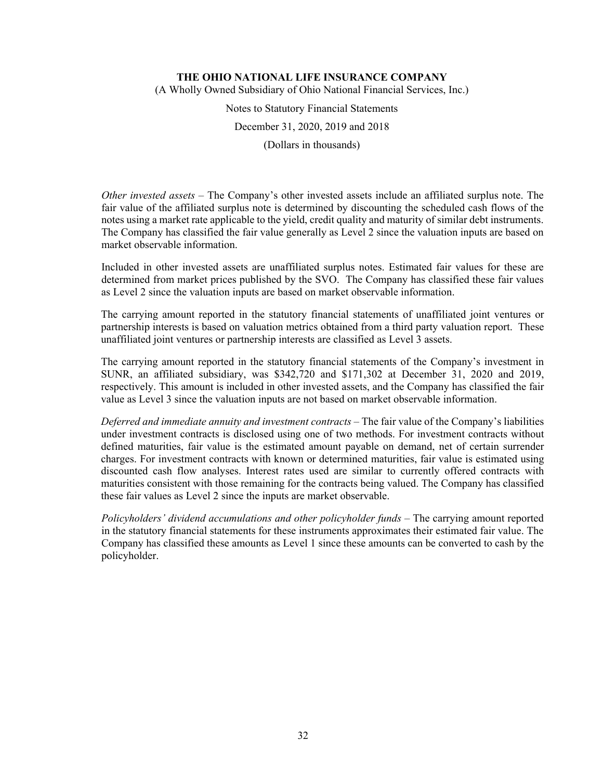(A Wholly Owned Subsidiary of Ohio National Financial Services, Inc.)

Notes to Statutory Financial Statements

December 31, 2020, 2019 and 2018

(Dollars in thousands)

*Other invested assets* – The Company's other invested assets include an affiliated surplus note. The fair value of the affiliated surplus note is determined by discounting the scheduled cash flows of the notes using a market rate applicable to the yield, credit quality and maturity of similar debt instruments. The Company has classified the fair value generally as Level 2 since the valuation inputs are based on market observable information.

Included in other invested assets are unaffiliated surplus notes. Estimated fair values for these are determined from market prices published by the SVO. The Company has classified these fair values as Level 2 since the valuation inputs are based on market observable information.

The carrying amount reported in the statutory financial statements of unaffiliated joint ventures or partnership interests is based on valuation metrics obtained from a third party valuation report. These unaffiliated joint ventures or partnership interests are classified as Level 3 assets.

The carrying amount reported in the statutory financial statements of the Company's investment in SUNR, an affiliated subsidiary, was \$342,720 and \$171,302 at December 31, 2020 and 2019, respectively. This amount is included in other invested assets, and the Company has classified the fair value as Level 3 since the valuation inputs are not based on market observable information.

*Deferred and immediate annuity and investment contracts –* The fair value of the Company's liabilities under investment contracts is disclosed using one of two methods. For investment contracts without defined maturities, fair value is the estimated amount payable on demand, net of certain surrender charges. For investment contracts with known or determined maturities, fair value is estimated using discounted cash flow analyses. Interest rates used are similar to currently offered contracts with maturities consistent with those remaining for the contracts being valued. The Company has classified these fair values as Level 2 since the inputs are market observable.

*Policyholders' dividend accumulations and other policyholder funds* – The carrying amount reported in the statutory financial statements for these instruments approximates their estimated fair value. The Company has classified these amounts as Level 1 since these amounts can be converted to cash by the policyholder.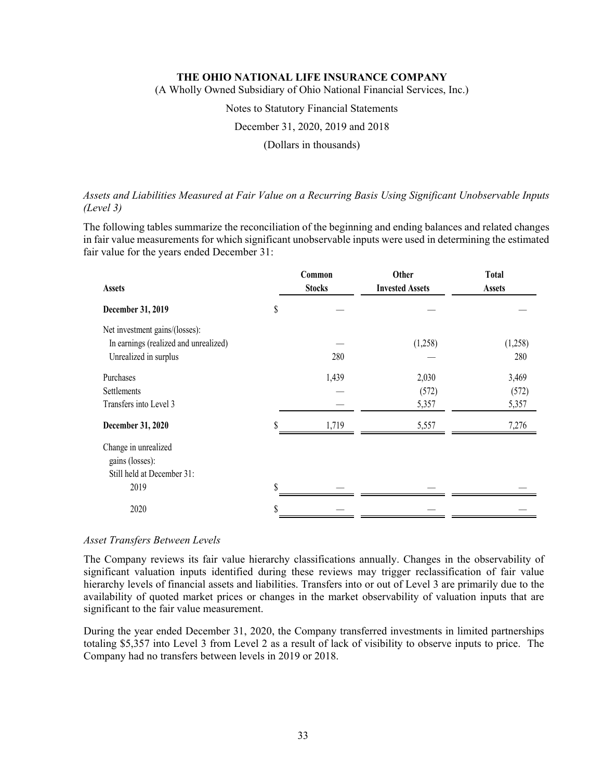(A Wholly Owned Subsidiary of Ohio National Financial Services, Inc.)

Notes to Statutory Financial Statements

December 31, 2020, 2019 and 2018

(Dollars in thousands)

*Assets and Liabilities Measured at Fair Value on a Recurring Basis Using Significant Unobservable Inputs (Level 3)* 

The following tables summarize the reconciliation of the beginning and ending balances and related changes in fair value measurements for which significant unobservable inputs were used in determining the estimated fair value for the years ended December 31:

|                                       | Common |               | Other                  | <b>Total</b>  |  |
|---------------------------------------|--------|---------------|------------------------|---------------|--|
| <b>Assets</b>                         |        | <b>Stocks</b> | <b>Invested Assets</b> | <b>Assets</b> |  |
| December 31, 2019                     | \$     |               |                        |               |  |
| Net investment gains/(losses):        |        |               |                        |               |  |
| In earnings (realized and unrealized) |        |               | (1,258)                | (1,258)       |  |
| Unrealized in surplus                 |        | 280           |                        | 280           |  |
| Purchases                             |        | 1,439         | 2,030                  | 3,469         |  |
| Settlements                           |        |               | (572)                  | (572)         |  |
| Transfers into Level 3                |        |               | 5,357                  | 5,357         |  |
| December 31, 2020                     |        | 1,719         | 5,557                  | 7,276         |  |
| Change in unrealized                  |        |               |                        |               |  |
| gains (losses):                       |        |               |                        |               |  |
| Still held at December 31:            |        |               |                        |               |  |
| 2019                                  |        |               |                        |               |  |
| 2020                                  |        |               |                        |               |  |

#### *Asset Transfers Between Levels*

The Company reviews its fair value hierarchy classifications annually. Changes in the observability of significant valuation inputs identified during these reviews may trigger reclassification of fair value hierarchy levels of financial assets and liabilities. Transfers into or out of Level 3 are primarily due to the availability of quoted market prices or changes in the market observability of valuation inputs that are significant to the fair value measurement.

During the year ended December 31, 2020, the Company transferred investments in limited partnerships totaling \$5,357 into Level 3 from Level 2 as a result of lack of visibility to observe inputs to price. The Company had no transfers between levels in 2019 or 2018.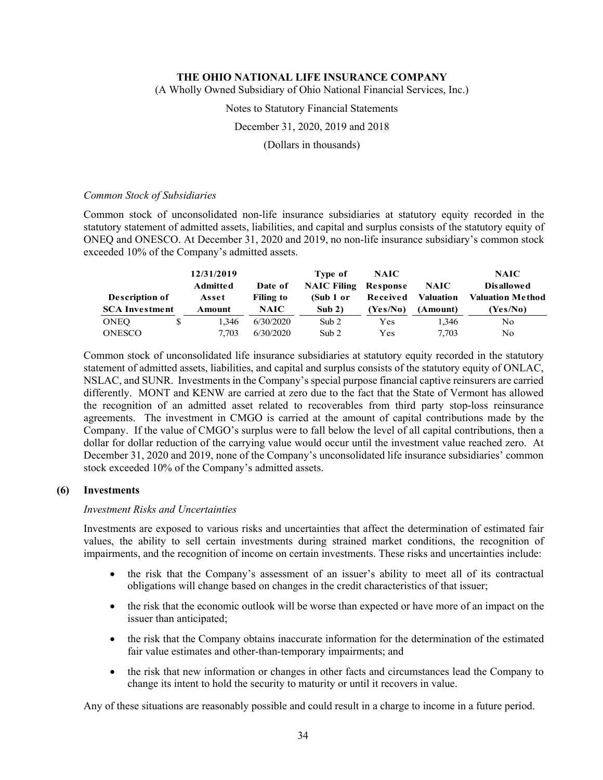(A Wholly Owned Subsidiary of Ohio National Financial Services, Inc.)

#### Notes to Statutory Financial Statements

December 31, 2020, 2019 and 2018

(Dollars in thousands)

#### *Common Stock of Subsidiaries*

Common stock of unconsolidated non-life insurance subsidiaries at statutory equity recorded in the statutory statement of admitted assets, liabilities, and capital and surplus consists of the statutory equity of ONEQ and ONESCO. At December 31, 2020 and 2019, no non-life insurance subsidiary's common stock exceeded 10% of the Company's admitted assets.

|                       | 12/31/2019      |                  | Type of            | <b>NAIC</b> |                  | <b>NAIC</b>             |
|-----------------------|-----------------|------------------|--------------------|-------------|------------------|-------------------------|
|                       | <b>Admitted</b> | Date of          | <b>NAIC Filing</b> | Response    | <b>NAIC</b>      | <b>Disallowed</b>       |
| Description of        | Asset           | <b>Filing to</b> | (Sub 1 or          | Received    | <b>Valuation</b> | <b>Valuation Method</b> |
| <b>SCA Investment</b> | Amount          | <b>NAIC</b>      | Sub 2)             | (Yes/No)    | (Amount)         | (Yes/No)                |
| <b>ONEO</b>           | 1.346           | 6/30/2020        | Sub $2$            | Yes         | 1.346            | No                      |
| <b>ONESCO</b>         | 7.703           | 6/30/2020        | Sub $2$            | Yes         | 7,703            | No                      |

Common stock of unconsolidated life insurance subsidiaries at statutory equity recorded in the statutory statement of admitted assets, liabilities, and capital and surplus consists of the statutory equity of ONLAC, NSLAC, and SUNR. Investments in the Company's special purpose financial captive reinsurers are carried differently. MONT and KENW are carried at zero due to the fact that the State of Vermont has allowed the recognition of an admitted asset related to recoverables from third party stop-loss reinsurance agreements. The investment in CMGO is carried at the amount of capital contributions made by the Company. If the value of CMGO's surplus were to fall below the level of all capital contributions, then a dollar for dollar reduction of the carrying value would occur until the investment value reached zero. At December 31, 2020 and 2019, none of the Company's unconsolidated life insurance subsidiaries' common stock exceeded 10% of the Company's admitted assets.

#### **(6) Investments**

#### *Investment Risks and Uncertainties*

Investments are exposed to various risks and uncertainties that affect the determination of estimated fair values, the ability to sell certain investments during strained market conditions, the recognition of impairments, and the recognition of income on certain investments. These risks and uncertainties include:

- the risk that the Company's assessment of an issuer's ability to meet all of its contractual obligations will change based on changes in the credit characteristics of that issuer;
- the risk that the economic outlook will be worse than expected or have more of an impact on the issuer than anticipated;
- the risk that the Company obtains inaccurate information for the determination of the estimated fair value estimates and other-than-temporary impairments; and
- the risk that new information or changes in other facts and circumstances lead the Company to change its intent to hold the security to maturity or until it recovers in value.

Any of these situations are reasonably possible and could result in a charge to income in a future period.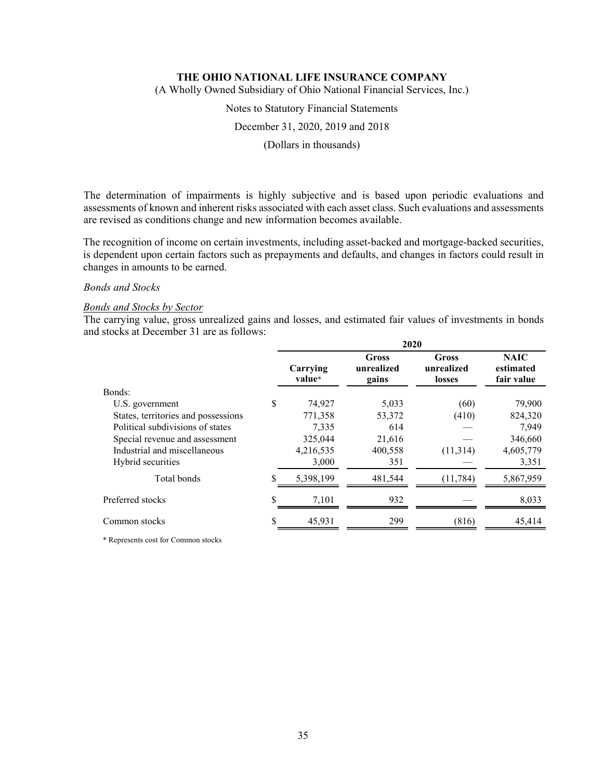(A Wholly Owned Subsidiary of Ohio National Financial Services, Inc.)

Notes to Statutory Financial Statements

December 31, 2020, 2019 and 2018

(Dollars in thousands)

The determination of impairments is highly subjective and is based upon periodic evaluations and assessments of known and inherent risks associated with each asset class. Such evaluations and assessments are revised as conditions change and new information becomes available.

The recognition of income on certain investments, including asset-backed and mortgage-backed securities, is dependent upon certain factors such as prepayments and defaults, and changes in factors could result in changes in amounts to be earned.

#### *Bonds and Stocks*

### *Bonds and Stocks by Sector*

The carrying value, gross unrealized gains and losses, and estimated fair values of investments in bonds and stocks at December 31 are as follows:

**2020**

|                                     | ZUZU               |                              |                               |                                        |  |  |
|-------------------------------------|--------------------|------------------------------|-------------------------------|----------------------------------------|--|--|
|                                     | Carrying<br>value* | Gross<br>unrealized<br>gains | Gross<br>unrealized<br>losses | <b>NAIC</b><br>estimated<br>fair value |  |  |
| Bonds:                              |                    |                              |                               |                                        |  |  |
| U.S. government                     | \$<br>74,927       | 5,033                        | (60)                          | 79,900                                 |  |  |
| States, territories and possessions | 771,358            | 53,372                       | (410)                         | 824,320                                |  |  |
| Political subdivisions of states    | 7,335              | 614                          |                               | 7,949                                  |  |  |
| Special revenue and assessment      | 325,044            | 21,616                       |                               | 346,660                                |  |  |
| Industrial and miscellaneous        | 4,216,535          | 400,558                      | (11,314)                      | 4,605,779                              |  |  |
| Hybrid securities                   | 3,000              | 351                          |                               | 3,351                                  |  |  |
| Total bonds                         | 5,398,199          | 481.544                      | (11, 784)                     | 5,867,959                              |  |  |
| Preferred stocks                    | 7,101              | 932                          |                               | 8,033                                  |  |  |
| Common stocks                       | \$<br>45,931       | 299                          | (816)                         | 45,414                                 |  |  |
|                                     |                    |                              |                               |                                        |  |  |

\* Represents cost for Common stocks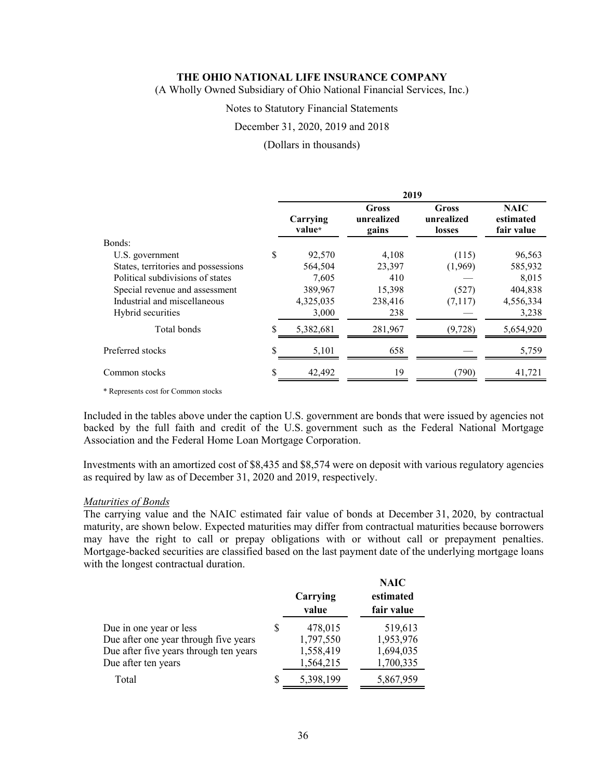(A Wholly Owned Subsidiary of Ohio National Financial Services, Inc.)

### Notes to Statutory Financial Statements

#### December 31, 2020, 2019 and 2018

#### (Dollars in thousands)

|                                     | 2019               |                              |                                      |                                        |  |
|-------------------------------------|--------------------|------------------------------|--------------------------------------|----------------------------------------|--|
|                                     | Carrying<br>value* | Gross<br>unrealized<br>gains | <b>Gross</b><br>unrealized<br>losses | <b>NAIC</b><br>estimated<br>fair value |  |
| Bonds:                              |                    |                              |                                      |                                        |  |
| S<br>U.S. government                | 92,570             | 4,108                        | (115)                                | 96,563                                 |  |
| States, territories and possessions | 564,504            | 23,397                       | (1,969)                              | 585,932                                |  |
| Political subdivisions of states    | 7.605              | 410                          |                                      | 8,015                                  |  |
| Special revenue and assessment      | 389,967            | 15,398                       | (527)                                | 404,838                                |  |
| Industrial and miscellaneous        | 4,325,035          | 238,416                      | (7,117)                              | 4,556,334                              |  |
| Hybrid securities                   | 3,000              | 238                          |                                      | 3,238                                  |  |
| Total bonds                         | 5,382,681          | 281,967                      | (9, 728)                             | 5,654,920                              |  |
| Preferred stocks                    | 5,101              | 658                          |                                      | 5,759                                  |  |
| S<br>Common stocks                  | 42,492             | 19                           | (790)                                | 41,721                                 |  |

\* Represents cost for Common stocks

Included in the tables above under the caption U.S. government are bonds that were issued by agencies not backed by the full faith and credit of the U.S. government such as the Federal National Mortgage Association and the Federal Home Loan Mortgage Corporation.

Investments with an amortized cost of \$8,435 and \$8,574 were on deposit with various regulatory agencies as required by law as of December 31, 2020 and 2019, respectively.

#### *Maturities of Bonds*

The carrying value and the NAIC estimated fair value of bonds at December 31, 2020, by contractual maturity, are shown below. Expected maturities may differ from contractual maturities because borrowers may have the right to call or prepay obligations with or without call or prepayment penalties. Mortgage-backed securities are classified based on the last payment date of the underlying mortgage loans with the longest contractual duration.

|                                        |   | Carrying<br>value | <b>NAIC</b><br>estimated<br>fair value |
|----------------------------------------|---|-------------------|----------------------------------------|
| Due in one year or less                | S | 478,015           | 519,613                                |
| Due after one year through five years  |   | 1,797,550         | 1,953,976                              |
| Due after five years through ten years |   | 1,558,419         | 1,694,035                              |
| Due after ten years                    |   | 1,564,215         | 1,700,335                              |
| Total                                  | S | 5,398,199         | 5,867,959                              |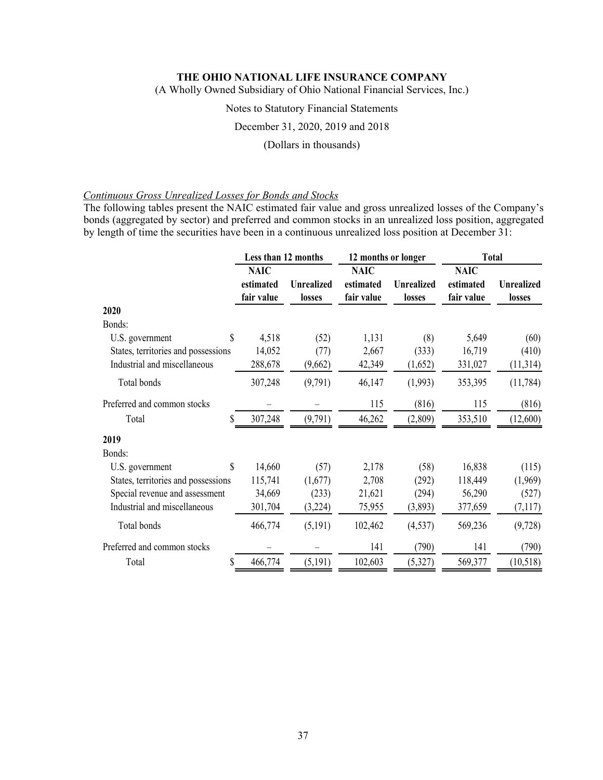(A Wholly Owned Subsidiary of Ohio National Financial Services, Inc.)

# Notes to Statutory Financial Statements

# December 31, 2020, 2019 and 2018

# (Dollars in thousands)

# *Continuous Gross Unrealized Losses for Bonds and Stocks*

The following tables present the NAIC estimated fair value and gross unrealized losses of the Company's bonds (aggregated by sector) and preferred and common stocks in an unrealized loss position, aggregated by length of time the securities have been in a continuous unrealized loss position at December 31:

|                                     | Less than 12 months                    |                             | 12 months or longer                    |                             | <b>Total</b>                           |                             |  |
|-------------------------------------|----------------------------------------|-----------------------------|----------------------------------------|-----------------------------|----------------------------------------|-----------------------------|--|
|                                     | <b>NAIC</b><br>estimated<br>fair value | <b>Unrealized</b><br>losses | <b>NAIC</b><br>estimated<br>fair value | <b>Unrealized</b><br>losses | <b>NAIC</b><br>estimated<br>fair value | <b>Unrealized</b><br>losses |  |
| 2020                                |                                        |                             |                                        |                             |                                        |                             |  |
| Bonds:                              |                                        |                             |                                        |                             |                                        |                             |  |
| \$<br>U.S. government               | 4,518                                  | (52)                        | 1,131                                  | (8)                         | 5,649                                  | (60)                        |  |
| States, territories and possessions | 14,052                                 | (77)                        | 2,667                                  | (333)                       | 16,719                                 | (410)                       |  |
| Industrial and miscellaneous        | 288,678                                | (9,662)                     | 42,349                                 | (1,652)                     | 331,027                                | (11, 314)                   |  |
| Total bonds                         | 307,248                                | (9,791)                     | 46,147                                 | (1,993)                     | 353,395                                | (11, 784)                   |  |
| Preferred and common stocks         |                                        |                             | 115                                    | (816)                       | 115                                    | (816)                       |  |
| Total<br>S                          | 307,248                                | (9,791)                     | 46,262                                 | (2,809)                     | 353,510                                | (12,600)                    |  |
| 2019                                |                                        |                             |                                        |                             |                                        |                             |  |
| Bonds:                              |                                        |                             |                                        |                             |                                        |                             |  |
| \$<br>U.S. government               | 14,660                                 | (57)                        | 2,178                                  | (58)                        | 16,838                                 | (115)                       |  |
| States, territories and possessions | 115,741                                | (1,677)                     | 2,708                                  | (292)                       | 118,449                                | (1,969)                     |  |
| Special revenue and assessment      | 34,669                                 | (233)                       | 21,621                                 | (294)                       | 56,290                                 | (527)                       |  |
| Industrial and miscellaneous        | 301,704                                | (3,224)                     | 75,955                                 | (3,893)                     | 377,659                                | (7,117)                     |  |
| Total bonds                         | 466,774                                | (5,191)                     | 102,462                                | (4,537)                     | 569,236                                | (9,728)                     |  |
| Preferred and common stocks         |                                        |                             | 141                                    | (790)                       | 141                                    | (790)                       |  |
| Total                               | 466,774                                | (5,191)                     | 102,603                                | (5,327)                     | 569,377                                | (10,518)                    |  |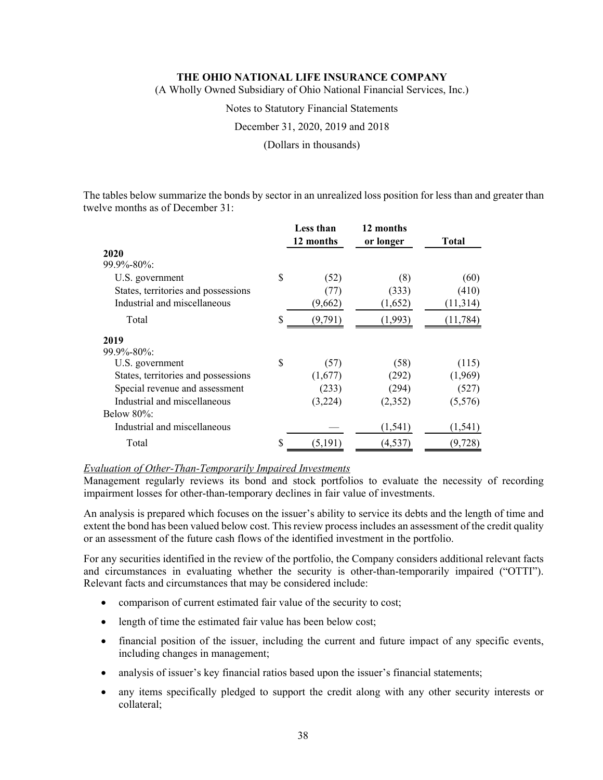(A Wholly Owned Subsidiary of Ohio National Financial Services, Inc.)

Notes to Statutory Financial Statements

December 31, 2020, 2019 and 2018

(Dollars in thousands)

The tables below summarize the bonds by sector in an unrealized loss position for less than and greater than twelve months as of December 31:

|                                     |    | Less than | 12 months |           |
|-------------------------------------|----|-----------|-----------|-----------|
|                                     |    | 12 months | or longer | Total     |
| 2020                                |    |           |           |           |
| $99.9\% - 80\%$                     |    |           |           |           |
| U.S. government                     | \$ | (52)      | (8)       | (60)      |
| States, territories and possessions |    | (77)      | (333)     | (410)     |
| Industrial and miscellaneous        |    | (9,662)   | (1,652)   | (11, 314) |
| Total                               |    | (9,791)   | (1,993)   | (11, 784) |
| 2019                                |    |           |           |           |
| $99.9\% - 80\%$                     |    |           |           |           |
| U.S. government                     | S  | (57)      | (58)      | (115)     |
| States, territories and possessions |    | (1,677)   | (292)     | (1,969)   |
| Special revenue and assessment      |    | (233)     | (294)     | (527)     |
| Industrial and miscellaneous        |    | (3,224)   | (2,352)   | (5,576)   |
| Below $80\%$ :                      |    |           |           |           |
| Industrial and miscellaneous        |    |           | (1, 541)  | (1, 541)  |
| Total                               | S  | (5,191)   | (4, 537)  | (9,728)   |

# *Evaluation of Other-Than-Temporarily Impaired Investments*

Management regularly reviews its bond and stock portfolios to evaluate the necessity of recording impairment losses for other-than-temporary declines in fair value of investments.

An analysis is prepared which focuses on the issuer's ability to service its debts and the length of time and extent the bond has been valued below cost. This review process includes an assessment of the credit quality or an assessment of the future cash flows of the identified investment in the portfolio.

For any securities identified in the review of the portfolio, the Company considers additional relevant facts and circumstances in evaluating whether the security is other-than-temporarily impaired ("OTTI"). Relevant facts and circumstances that may be considered include:

- comparison of current estimated fair value of the security to cost;
- length of time the estimated fair value has been below cost;
- financial position of the issuer, including the current and future impact of any specific events, including changes in management;
- analysis of issuer's key financial ratios based upon the issuer's financial statements;
- any items specifically pledged to support the credit along with any other security interests or collateral;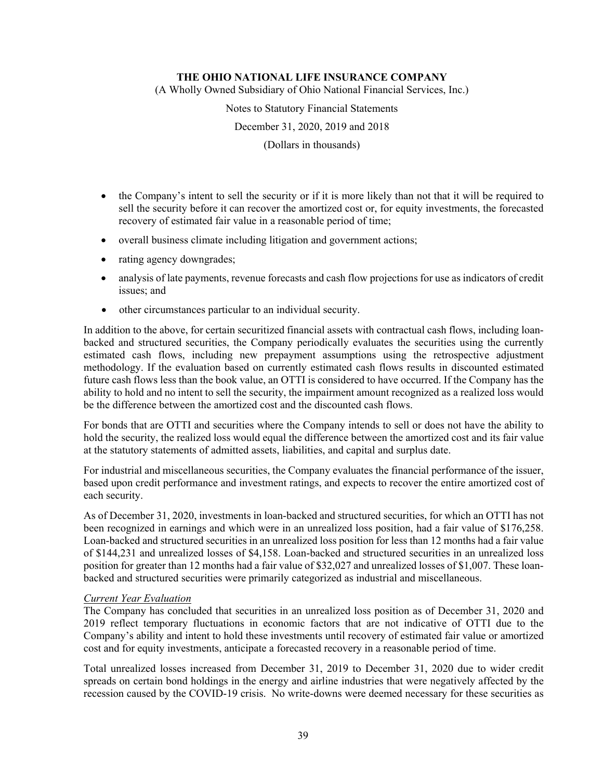(A Wholly Owned Subsidiary of Ohio National Financial Services, Inc.)

Notes to Statutory Financial Statements

December 31, 2020, 2019 and 2018

(Dollars in thousands)

- the Company's intent to sell the security or if it is more likely than not that it will be required to sell the security before it can recover the amortized cost or, for equity investments, the forecasted recovery of estimated fair value in a reasonable period of time;
- overall business climate including litigation and government actions;
- rating agency downgrades;
- analysis of late payments, revenue forecasts and cash flow projections for use as indicators of credit issues; and
- other circumstances particular to an individual security.

In addition to the above, for certain securitized financial assets with contractual cash flows, including loanbacked and structured securities, the Company periodically evaluates the securities using the currently estimated cash flows, including new prepayment assumptions using the retrospective adjustment methodology. If the evaluation based on currently estimated cash flows results in discounted estimated future cash flows less than the book value, an OTTI is considered to have occurred. If the Company has the ability to hold and no intent to sell the security, the impairment amount recognized as a realized loss would be the difference between the amortized cost and the discounted cash flows.

For bonds that are OTTI and securities where the Company intends to sell or does not have the ability to hold the security, the realized loss would equal the difference between the amortized cost and its fair value at the statutory statements of admitted assets, liabilities, and capital and surplus date.

For industrial and miscellaneous securities, the Company evaluates the financial performance of the issuer, based upon credit performance and investment ratings, and expects to recover the entire amortized cost of each security.

As of December 31, 2020, investments in loan-backed and structured securities, for which an OTTI has not been recognized in earnings and which were in an unrealized loss position, had a fair value of \$176,258. Loan-backed and structured securities in an unrealized loss position for less than 12 months had a fair value of \$144,231 and unrealized losses of \$4,158. Loan-backed and structured securities in an unrealized loss position for greater than 12 months had a fair value of \$32,027 and unrealized losses of \$1,007. These loanbacked and structured securities were primarily categorized as industrial and miscellaneous.

#### *Current Year Evaluation*

The Company has concluded that securities in an unrealized loss position as of December 31, 2020 and 2019 reflect temporary fluctuations in economic factors that are not indicative of OTTI due to the Company's ability and intent to hold these investments until recovery of estimated fair value or amortized cost and for equity investments, anticipate a forecasted recovery in a reasonable period of time.

Total unrealized losses increased from December 31, 2019 to December 31, 2020 due to wider credit spreads on certain bond holdings in the energy and airline industries that were negatively affected by the recession caused by the COVID-19 crisis. No write-downs were deemed necessary for these securities as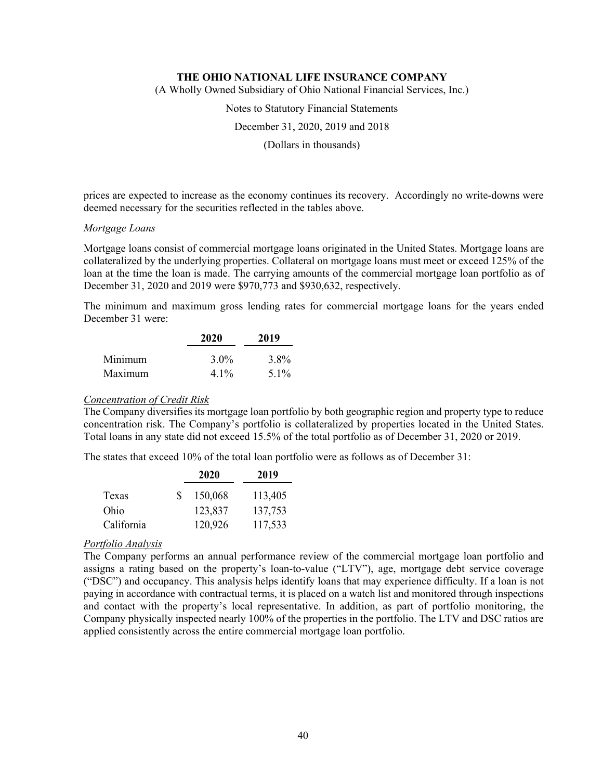(A Wholly Owned Subsidiary of Ohio National Financial Services, Inc.)

Notes to Statutory Financial Statements

December 31, 2020, 2019 and 2018

(Dollars in thousands)

prices are expected to increase as the economy continues its recovery. Accordingly no write-downs were deemed necessary for the securities reflected in the tables above.

#### *Mortgage Loans*

Mortgage loans consist of commercial mortgage loans originated in the United States. Mortgage loans are collateralized by the underlying properties. Collateral on mortgage loans must meet or exceed 125% of the loan at the time the loan is made. The carrying amounts of the commercial mortgage loan portfolio as of December 31, 2020 and 2019 were \$970,773 and \$930,632, respectively.

The minimum and maximum gross lending rates for commercial mortgage loans for the years ended December 31 were:

|         | 2020    | 2019    |  |
|---------|---------|---------|--|
| Minimum | $3.0\%$ | 3.8%    |  |
| Maximum | $4.1\%$ | $5.1\%$ |  |

#### *Concentration of Credit Risk*

The Company diversifies its mortgage loan portfolio by both geographic region and property type to reduce concentration risk. The Company's portfolio is collateralized by properties located in the United States. Total loans in any state did not exceed 15.5% of the total portfolio as of December 31, 2020 or 2019.

The states that exceed 10% of the total loan portfolio were as follows as of December 31:

|            |    | 2020    | 2019    |
|------------|----|---------|---------|
| Texas      | S. | 150,068 | 113,405 |
| Ohio       |    | 123,837 | 137,753 |
| California |    | 120,926 | 117,533 |

#### *Portfolio Analysis*

The Company performs an annual performance review of the commercial mortgage loan portfolio and assigns a rating based on the property's loan-to-value ("LTV"), age, mortgage debt service coverage ("DSC") and occupancy. This analysis helps identify loans that may experience difficulty. If a loan is not paying in accordance with contractual terms, it is placed on a watch list and monitored through inspections and contact with the property's local representative. In addition, as part of portfolio monitoring, the Company physically inspected nearly 100% of the properties in the portfolio. The LTV and DSC ratios are applied consistently across the entire commercial mortgage loan portfolio.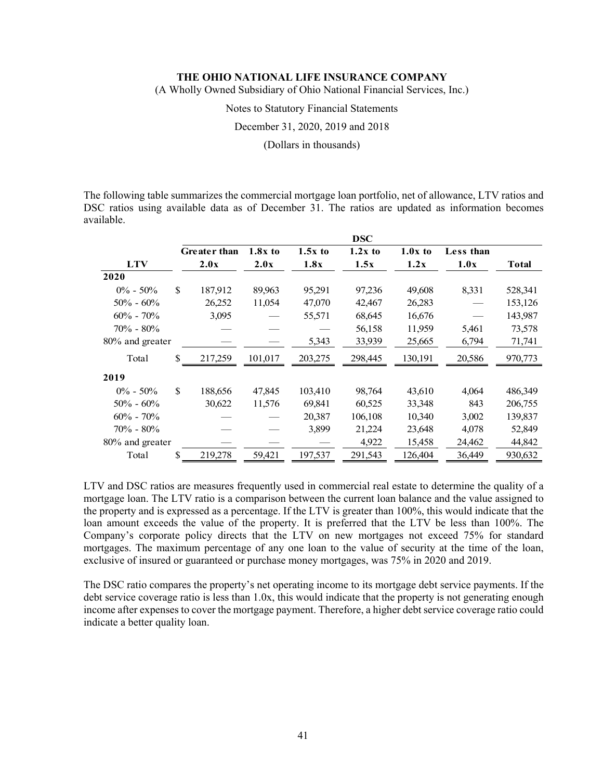(A Wholly Owned Subsidiary of Ohio National Financial Services, Inc.)

Notes to Statutory Financial Statements

December 31, 2020, 2019 and 2018

(Dollars in thousands)

The following table summarizes the commercial mortgage loan portfolio, net of allowance, LTV ratios and DSC ratios using available data as of December 31. The ratios are updated as information becomes available.

|                 |     |                     |           |           | <b>DSC</b> |           |           |              |
|-----------------|-----|---------------------|-----------|-----------|------------|-----------|-----------|--------------|
|                 |     | <b>Greater than</b> | $1.8x$ to | $1.5x$ to | $1.2x$ to  | $1.0x$ to | Less than |              |
| <b>LTV</b>      |     | 2.0x                | 2.0x      | 1.8x      | 1.5x       | 1.2x      | 1.0x      | <b>Total</b> |
| 2020            |     |                     |           |           |            |           |           |              |
| $0\% - 50\%$    | \$  | 187,912             | 89,963    | 95,291    | 97,236     | 49,608    | 8,331     | 528,341      |
| $50\% - 60\%$   |     | 26,252              | 11,054    | 47,070    | 42,467     | 26,283    |           | 153,126      |
| $60\% - 70\%$   |     | 3,095               |           | 55,571    | 68,645     | 16,676    |           | 143,987      |
| $70\% - 80\%$   |     |                     |           |           | 56,158     | 11,959    | 5,461     | 73,578       |
| 80% and greater |     |                     |           | 5,343     | 33,939     | 25,665    | 6,794     | 71,741       |
| Total           | \$. | 217,259             | 101,017   | 203,275   | 298,445    | 130,191   | 20,586    | 970,773      |
| 2019            |     |                     |           |           |            |           |           |              |
| $0\% - 50\%$    | \$  | 188,656             | 47,845    | 103,410   | 98,764     | 43,610    | 4,064     | 486,349      |
| $50\% - 60\%$   |     | 30,622              | 11,576    | 69,841    | 60,525     | 33,348    | 843       | 206,755      |
| $60\% - 70\%$   |     |                     |           | 20,387    | 106,108    | 10,340    | 3,002     | 139,837      |
| $70\% - 80\%$   |     |                     |           | 3,899     | 21,224     | 23,648    | 4,078     | 52,849       |
| 80% and greater |     |                     |           |           | 4,922      | 15,458    | 24,462    | 44,842       |
| Total           | \$  | 219,278             | 59,421    | 197,537   | 291,543    | 126,404   | 36,449    | 930,632      |

LTV and DSC ratios are measures frequently used in commercial real estate to determine the quality of a mortgage loan. The LTV ratio is a comparison between the current loan balance and the value assigned to the property and is expressed as a percentage. If the LTV is greater than 100%, this would indicate that the loan amount exceeds the value of the property. It is preferred that the LTV be less than 100%. The Company's corporate policy directs that the LTV on new mortgages not exceed 75% for standard mortgages. The maximum percentage of any one loan to the value of security at the time of the loan, exclusive of insured or guaranteed or purchase money mortgages, was 75% in 2020 and 2019.

The DSC ratio compares the property's net operating income to its mortgage debt service payments. If the debt service coverage ratio is less than 1.0x, this would indicate that the property is not generating enough income after expenses to cover the mortgage payment. Therefore, a higher debt service coverage ratio could indicate a better quality loan.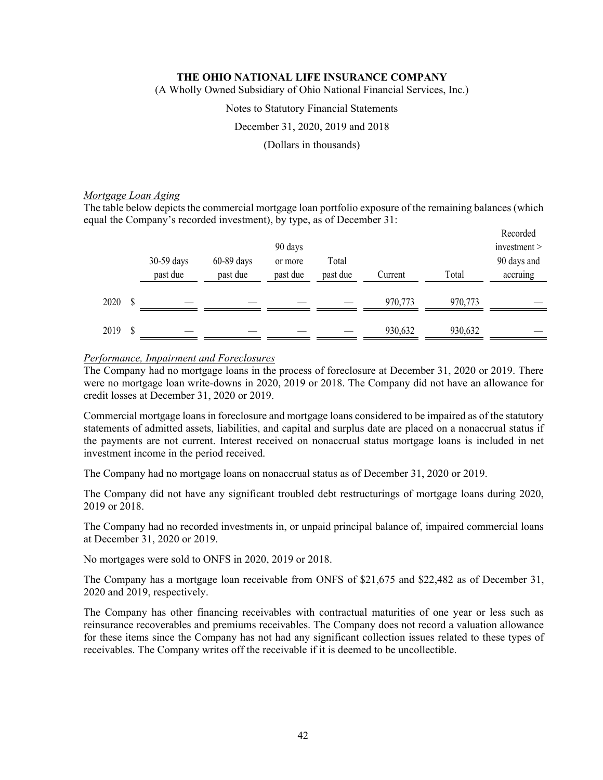(A Wholly Owned Subsidiary of Ohio National Financial Services, Inc.)

# Notes to Statutory Financial Statements

#### December 31, 2020, 2019 and 2018

#### (Dollars in thousands)

# *Mortgage Loan Aging*

The table below depicts the commercial mortgage loan portfolio exposure of the remaining balances (which equal the Company's recorded investment), by type, as of December 31:

|      |   |                        |                          | 90 days             |                   |         |         | Recorded<br>investment  |
|------|---|------------------------|--------------------------|---------------------|-------------------|---------|---------|-------------------------|
|      |   | 30-59 days<br>past due | $60-89$ days<br>past due | or more<br>past due | Total<br>past due | Current | Total   | 90 days and<br>accruing |
| 2020 | S |                        |                          |                     |                   | 970,773 | 970,773 |                         |
| 2019 | S |                        |                          |                     |                   | 930,632 | 930,632 |                         |

#### *Performance, Impairment and Foreclosures*

The Company had no mortgage loans in the process of foreclosure at December 31, 2020 or 2019. There were no mortgage loan write-downs in 2020, 2019 or 2018. The Company did not have an allowance for credit losses at December 31, 2020 or 2019.

Commercial mortgage loans in foreclosure and mortgage loans considered to be impaired as of the statutory statements of admitted assets, liabilities, and capital and surplus date are placed on a nonaccrual status if the payments are not current. Interest received on nonaccrual status mortgage loans is included in net investment income in the period received.

The Company had no mortgage loans on nonaccrual status as of December 31, 2020 or 2019.

The Company did not have any significant troubled debt restructurings of mortgage loans during 2020, 2019 or 2018.

The Company had no recorded investments in, or unpaid principal balance of, impaired commercial loans at December 31, 2020 or 2019.

No mortgages were sold to ONFS in 2020, 2019 or 2018.

The Company has a mortgage loan receivable from ONFS of \$21,675 and \$22,482 as of December 31, 2020 and 2019, respectively.

The Company has other financing receivables with contractual maturities of one year or less such as reinsurance recoverables and premiums receivables. The Company does not record a valuation allowance for these items since the Company has not had any significant collection issues related to these types of receivables. The Company writes off the receivable if it is deemed to be uncollectible.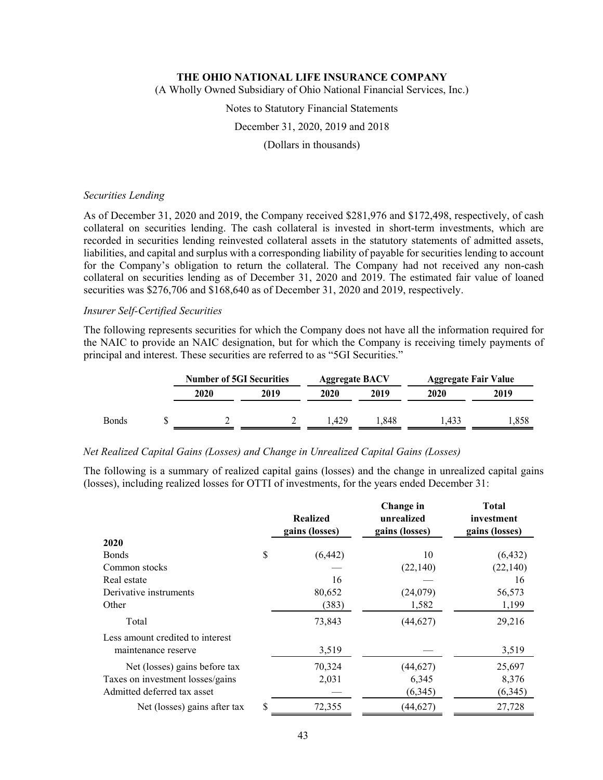(A Wholly Owned Subsidiary of Ohio National Financial Services, Inc.)

Notes to Statutory Financial Statements

December 31, 2020, 2019 and 2018

(Dollars in thousands)

#### *Securities Lending*

As of December 31, 2020 and 2019, the Company received \$281,976 and \$172,498, respectively, of cash collateral on securities lending. The cash collateral is invested in short-term investments, which are recorded in securities lending reinvested collateral assets in the statutory statements of admitted assets, liabilities, and capital and surplus with a corresponding liability of payable for securities lending to account for the Company's obligation to return the collateral. The Company had not received any non-cash collateral on securities lending as of December 31, 2020 and 2019. The estimated fair value of loaned securities was \$276,706 and \$168,640 as of December 31, 2020 and 2019, respectively.

#### *Insurer Self-Certified Securities*

The following represents securities for which the Company does not have all the information required for the NAIC to provide an NAIC designation, but for which the Company is receiving timely payments of principal and interest. These securities are referred to as "5GI Securities."

|       | <b>Number of 5GI Securities</b> |      | <b>Aggregate BACV</b> |      | <b>Aggregate Fair Value</b> |      |
|-------|---------------------------------|------|-----------------------|------|-----------------------------|------|
|       | 2020                            | 2019 | 2020                  | 2019 | 2020                        | 2019 |
| Bonds |                                 |      | .429                  | .848 | .433                        |      |

#### *Net Realized Capital Gains (Losses) and Change in Unrealized Capital Gains (Losses)*

The following is a summary of realized capital gains (losses) and the change in unrealized capital gains (losses), including realized losses for OTTI of investments, for the years ended December 31:

|                                  | <b>Realized</b><br>gains (losses) | Change in<br>unrealized<br>gains (losses) | <b>Total</b><br>investment<br>gains (losses) |
|----------------------------------|-----------------------------------|-------------------------------------------|----------------------------------------------|
| 2020                             |                                   |                                           |                                              |
| <b>Bonds</b>                     | \$<br>(6, 442)                    | 10                                        | (6, 432)                                     |
| Common stocks                    |                                   | (22,140)                                  | (22, 140)                                    |
| Real estate                      | 16                                |                                           | 16                                           |
| Derivative instruments           | 80,652                            | (24,079)                                  | 56,573                                       |
| Other                            | (383)                             | 1,582                                     | 1,199                                        |
| Total                            | 73,843                            | (44, 627)                                 | 29,216                                       |
| Less amount credited to interest |                                   |                                           |                                              |
| maintenance reserve              | 3,519                             |                                           | 3,519                                        |
| Net (losses) gains before tax    | 70,324                            | (44, 627)                                 | 25,697                                       |
| Taxes on investment losses/gains | 2,031                             | 6,345                                     | 8,376                                        |
| Admitted deferred tax asset      |                                   | (6,345)                                   | (6,345)                                      |
| Net (losses) gains after tax     | \$<br>72,355                      | (44, 627)                                 | 27,728                                       |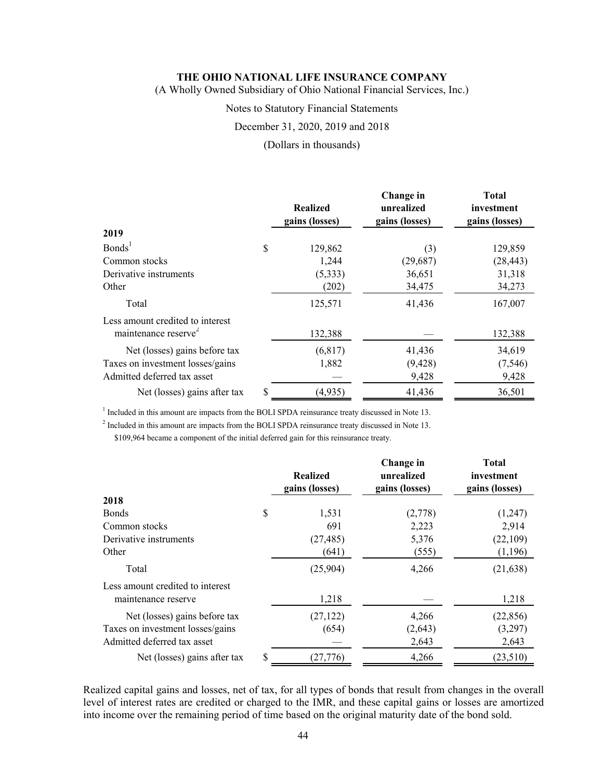(A Wholly Owned Subsidiary of Ohio National Financial Services, Inc.)

# Notes to Statutory Financial Statements

## December 31, 2020, 2019 and 2018

#### (Dollars in thousands)

|                                                                      | <b>Realized</b><br>gains (losses) | Change in<br>unrealized<br>gains (losses) | <b>Total</b><br>investment<br>gains (losses) |
|----------------------------------------------------------------------|-----------------------------------|-------------------------------------------|----------------------------------------------|
| 2019                                                                 |                                   |                                           |                                              |
| Bonds <sup>1</sup>                                                   | \$<br>129,862                     | (3)                                       | 129,859                                      |
| Common stocks                                                        | 1,244                             | (29,687)                                  | (28, 443)                                    |
| Derivative instruments                                               | (5,333)                           | 36,651                                    | 31,318                                       |
| Other                                                                | (202)                             | 34,475                                    | 34,273                                       |
| Total                                                                | 125,571                           | 41,436                                    | 167,007                                      |
| Less amount credited to interest<br>maintenance reserve <sup>2</sup> | 132,388                           |                                           | 132,388                                      |
| Net (losses) gains before tax                                        | (6,817)                           | 41,436                                    | 34,619                                       |
| Taxes on investment losses/gains                                     | 1,882                             | (9, 428)                                  | (7, 546)                                     |
| Admitted deferred tax asset                                          |                                   | 9,428                                     | 9,428                                        |
| Net (losses) gains after tax                                         | \$<br>(4, 935)                    | 41,436                                    | 36,501                                       |

 $1$  Included in this amount are impacts from the BOLI SPDA reinsurance treaty discussed in Note 13.

 $2^{2}$  Included in this amount are impacts from the BOLI SPDA reinsurance treaty discussed in Note 13.

\$109,964 became a component of the initial deferred gain for this reinsurance treaty.

|                                  | <b>Realized</b><br>gains (losses) | Change in<br>unrealized<br>gains (losses) | <b>Total</b><br>investment<br>gains (losses) |
|----------------------------------|-----------------------------------|-------------------------------------------|----------------------------------------------|
| 2018                             |                                   |                                           |                                              |
| <b>Bonds</b>                     | \$<br>1,531                       | (2,778)                                   | (1,247)                                      |
| Common stocks                    | 691                               | 2,223                                     | 2,914                                        |
| Derivative instruments           | (27, 485)                         | 5,376                                     | (22,109)                                     |
| Other                            | (641)                             | (555)                                     | (1,196)                                      |
| Total                            | (25,904)                          | 4,266                                     | (21, 638)                                    |
| Less amount credited to interest |                                   |                                           |                                              |
| maintenance reserve              | 1,218                             |                                           | 1,218                                        |
| Net (losses) gains before tax    | (27, 122)                         | 4,266                                     | (22, 856)                                    |
| Taxes on investment losses/gains | (654)                             | (2,643)                                   | (3,297)                                      |
| Admitted deferred tax asset      |                                   | 2,643                                     | 2,643                                        |
| Net (losses) gains after tax     | \$<br>(27, 776)                   | 4,266                                     | (23,510)                                     |

Realized capital gains and losses, net of tax, for all types of bonds that result from changes in the overall level of interest rates are credited or charged to the IMR, and these capital gains or losses are amortized into income over the remaining period of time based on the original maturity date of the bond sold.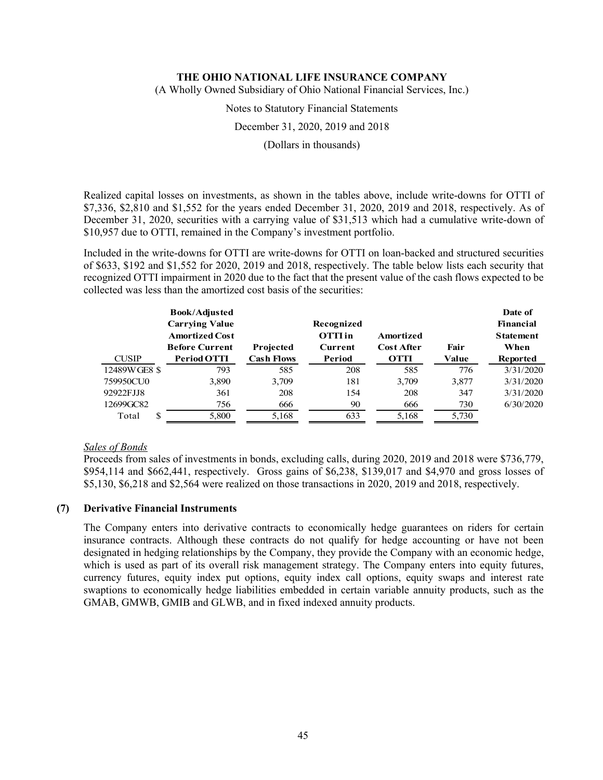(A Wholly Owned Subsidiary of Ohio National Financial Services, Inc.)

Notes to Statutory Financial Statements

December 31, 2020, 2019 and 2018

(Dollars in thousands)

Realized capital losses on investments, as shown in the tables above, include write-downs for OTTI of \$7,336, \$2,810 and \$1,552 for the years ended December 31, 2020, 2019 and 2018, respectively. As of December 31, 2020, securities with a carrying value of \$31,513 which had a cumulative write-down of \$10,957 due to OTTI, remained in the Company's investment portfolio.

Included in the write-downs for OTTI are write-downs for OTTI on loan-backed and structured securities of \$633, \$192 and \$1,552 for 2020, 2019 and 2018, respectively. The table below lists each security that recognized OTTI impairment in 2020 due to the fact that the present value of the cash flows expected to be collected was less than the amortized cost basis of the securities:

|              | <b>Book/Adjusted</b><br><b>Carrying Value</b><br><b>Amortized Cost</b><br><b>Before Current</b> | Projected         | Recognized<br><b>OTTI</b> in<br>Current | Amortized<br><b>Cost After</b> | Fair  | Date of<br><b>Financial</b><br><b>Statement</b><br>When |
|--------------|-------------------------------------------------------------------------------------------------|-------------------|-----------------------------------------|--------------------------------|-------|---------------------------------------------------------|
| <b>CUSIP</b> | Period OTTI                                                                                     | <b>Cash Flows</b> | Period                                  | <b>OTTI</b>                    | Value | <b>Reported</b>                                         |
| 12489WGE8 \$ | 793                                                                                             | 585               | 208                                     | 585                            | 776   | 3/31/2020                                               |
| 759950CU0    | 3,890                                                                                           | 3,709             | 181                                     | 3,709                          | 3,877 | 3/31/2020                                               |
| 92922FJJ8    | 361                                                                                             | 208               | 154                                     | 208                            | 347   | 3/31/2020                                               |
| 12699GC82    | 756                                                                                             | 666               | 90                                      | 666                            | 730   | 6/30/2020                                               |
| \$<br>Total  | 5,800                                                                                           | 5,168             | 633                                     | 5,168                          | 5,730 |                                                         |

#### *Sales of Bonds*

Proceeds from sales of investments in bonds, excluding calls, during 2020, 2019 and 2018 were \$736,779, \$954,114 and \$662,441, respectively. Gross gains of \$6,238, \$139,017 and \$4,970 and gross losses of \$5,130, \$6,218 and \$2,564 were realized on those transactions in 2020, 2019 and 2018, respectively.

#### **(7) Derivative Financial Instruments**

The Company enters into derivative contracts to economically hedge guarantees on riders for certain insurance contracts. Although these contracts do not qualify for hedge accounting or have not been designated in hedging relationships by the Company, they provide the Company with an economic hedge, which is used as part of its overall risk management strategy. The Company enters into equity futures, currency futures, equity index put options, equity index call options, equity swaps and interest rate swaptions to economically hedge liabilities embedded in certain variable annuity products, such as the GMAB, GMWB, GMIB and GLWB, and in fixed indexed annuity products.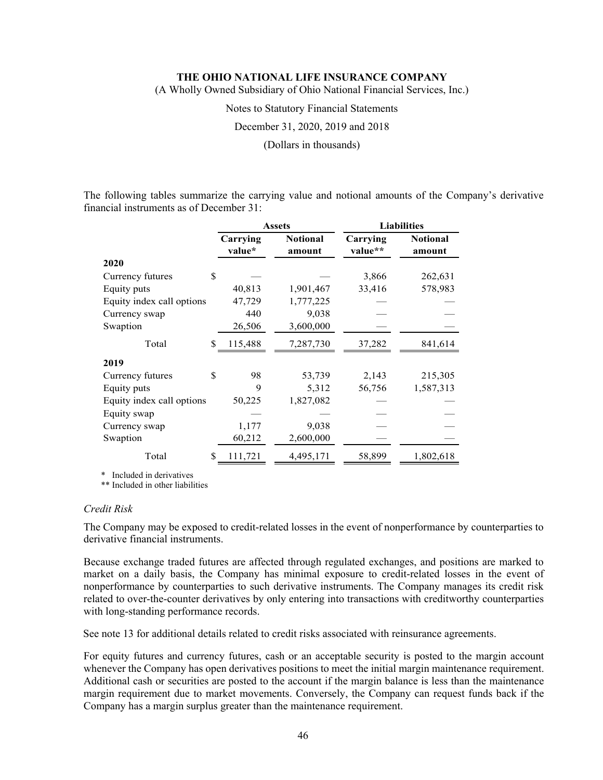(A Wholly Owned Subsidiary of Ohio National Financial Services, Inc.)

Notes to Statutory Financial Statements

December 31, 2020, 2019 and 2018

(Dollars in thousands)

The following tables summarize the carrying value and notional amounts of the Company's derivative financial instruments as of December 31:

|                           |                    | <b>Assets</b>             | <b>Liabilities</b>  |                           |  |  |
|---------------------------|--------------------|---------------------------|---------------------|---------------------------|--|--|
|                           | Carrying<br>value* | <b>Notional</b><br>amount | Carrying<br>value** | <b>Notional</b><br>amount |  |  |
| 2020                      |                    |                           |                     |                           |  |  |
| \$<br>Currency futures    |                    |                           | 3,866               | 262,631                   |  |  |
| Equity puts               | 40,813             | 1,901,467                 | 33,416              | 578,983                   |  |  |
| Equity index call options | 47,729             | 1,777,225                 |                     |                           |  |  |
| Currency swap             | 440                | 9,038                     |                     |                           |  |  |
| Swaption                  | 26,506             | 3,600,000                 |                     |                           |  |  |
| Total                     | \$<br>115,488      | 7,287,730                 | 37,282              | 841,614                   |  |  |
| 2019                      |                    |                           |                     |                           |  |  |
| \$<br>Currency futures    | 98                 | 53,739                    | 2,143               | 215,305                   |  |  |
| Equity puts               | 9                  | 5,312                     | 56,756              | 1,587,313                 |  |  |
| Equity index call options | 50,225             | 1,827,082                 |                     |                           |  |  |
| Equity swap               |                    |                           |                     |                           |  |  |
| Currency swap             | 1,177              | 9,038                     |                     |                           |  |  |
| Swaption                  | 60,212             | 2,600,000                 |                     |                           |  |  |
| Total<br>S                | 111,721            | 4,495,171                 | 58,899              | 1,802,618                 |  |  |

\* Included in derivatives

\*\* Included in other liabilities

#### *Credit Risk*

The Company may be exposed to credit-related losses in the event of nonperformance by counterparties to derivative financial instruments.

Because exchange traded futures are affected through regulated exchanges, and positions are marked to market on a daily basis, the Company has minimal exposure to credit-related losses in the event of nonperformance by counterparties to such derivative instruments. The Company manages its credit risk related to over-the-counter derivatives by only entering into transactions with creditworthy counterparties with long-standing performance records.

See note 13 for additional details related to credit risks associated with reinsurance agreements.

For equity futures and currency futures, cash or an acceptable security is posted to the margin account whenever the Company has open derivatives positions to meet the initial margin maintenance requirement. Additional cash or securities are posted to the account if the margin balance is less than the maintenance margin requirement due to market movements. Conversely, the Company can request funds back if the Company has a margin surplus greater than the maintenance requirement.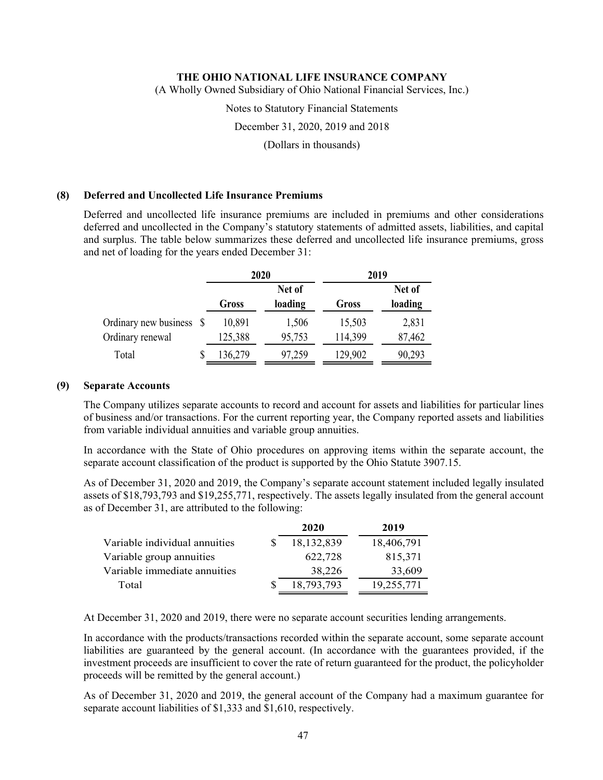(A Wholly Owned Subsidiary of Ohio National Financial Services, Inc.)

Notes to Statutory Financial Statements

December 31, 2020, 2019 and 2018

(Dollars in thousands)

# **(8) Deferred and Uncollected Life Insurance Premiums**

Deferred and uncollected life insurance premiums are included in premiums and other considerations deferred and uncollected in the Company's statutory statements of admitted assets, liabilities, and capital and surplus. The table below summarizes these deferred and uncollected life insurance premiums, gross and net of loading for the years ended December 31:

|                          |   | 2020    |                   | 2019    |                   |  |
|--------------------------|---|---------|-------------------|---------|-------------------|--|
|                          |   | Gross   | Net of<br>loading | Gross   | Net of<br>loading |  |
| Ordinary new business \$ |   | 10,891  | 1,506             | 15,503  | 2,831             |  |
| Ordinary renewal         |   | 125,388 | 95,753            | 114,399 | 87,462            |  |
| Total                    | S | 136,279 | 97,259            | 129,902 | 90,293            |  |

### **(9) Separate Accounts**

The Company utilizes separate accounts to record and account for assets and liabilities for particular lines of business and/or transactions. For the current reporting year, the Company reported assets and liabilities from variable individual annuities and variable group annuities.

In accordance with the State of Ohio procedures on approving items within the separate account, the separate account classification of the product is supported by the Ohio Statute 3907.15.

As of December 31, 2020 and 2019, the Company's separate account statement included legally insulated assets of \$18,793,793 and \$19,255,771, respectively. The assets legally insulated from the general account as of December 31, are attributed to the following:

|                               | 2020       | 2019       |
|-------------------------------|------------|------------|
| Variable individual annuities | 18,132,839 | 18,406,791 |
| Variable group annuities      | 622,728    | 815,371    |
| Variable immediate annuities  | 38,226     | 33,609     |
| Total                         | 18,793,793 | 19,255,771 |

At December 31, 2020 and 2019, there were no separate account securities lending arrangements.

In accordance with the products/transactions recorded within the separate account, some separate account liabilities are guaranteed by the general account. (In accordance with the guarantees provided, if the investment proceeds are insufficient to cover the rate of return guaranteed for the product, the policyholder proceeds will be remitted by the general account.)

As of December 31, 2020 and 2019, the general account of the Company had a maximum guarantee for separate account liabilities of \$1,333 and \$1,610, respectively.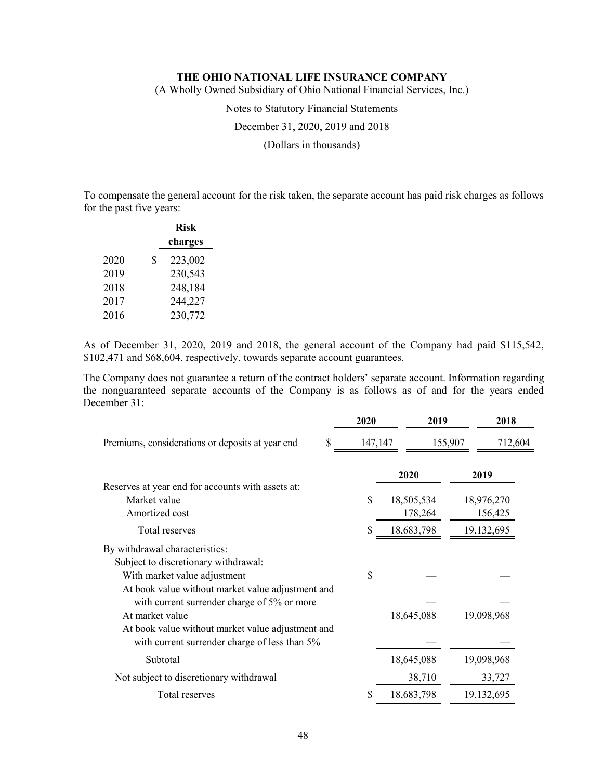(A Wholly Owned Subsidiary of Ohio National Financial Services, Inc.)

Notes to Statutory Financial Statements

December 31, 2020, 2019 and 2018

(Dollars in thousands)

To compensate the general account for the risk taken, the separate account has paid risk charges as follows for the past five years:

|      | Risk          |
|------|---------------|
|      | charges       |
| 2020 | \$<br>223,002 |
| 2019 | 230,543       |
| 2018 | 248,184       |
| 2017 | 244,227       |
| 2016 | 230,772       |

As of December 31, 2020, 2019 and 2018, the general account of the Company had paid \$115,542, \$102,471 and \$68,604, respectively, towards separate account guarantees.

The Company does not guarantee a return of the contract holders' separate account. Information regarding the nonguaranteed separate accounts of the Company is as follows as of and for the years ended December 31:

|                                                                                                                                                                                                                           | 2020    | 2019       | 2018       |         |
|---------------------------------------------------------------------------------------------------------------------------------------------------------------------------------------------------------------------------|---------|------------|------------|---------|
| S<br>Premiums, considerations or deposits at year end                                                                                                                                                                     | 147,147 |            | 155,907    | 712,604 |
|                                                                                                                                                                                                                           |         | 2020       | 2019       |         |
| Reserves at year end for accounts with assets at:                                                                                                                                                                         |         |            |            |         |
| Market value                                                                                                                                                                                                              | \$      | 18,505,534 | 18,976,270 |         |
| Amortized cost                                                                                                                                                                                                            |         | 178,264    | 156,425    |         |
| Total reserves                                                                                                                                                                                                            | \$      | 18,683,798 | 19,132,695 |         |
| By withdrawal characteristics:                                                                                                                                                                                            |         |            |            |         |
| Subject to discretionary withdrawal:                                                                                                                                                                                      |         |            |            |         |
| With market value adjustment                                                                                                                                                                                              | \$      |            |            |         |
| At book value without market value adjustment and<br>with current surrender charge of 5% or more<br>At market value<br>At book value without market value adjustment and<br>with current surrender charge of less than 5% |         | 18,645,088 | 19,098,968 |         |
| Subtotal                                                                                                                                                                                                                  |         | 18,645,088 | 19,098,968 |         |
| Not subject to discretionary withdrawal                                                                                                                                                                                   |         | 38,710     | 33,727     |         |
| Total reserves                                                                                                                                                                                                            | \$      | 18,683,798 | 19,132,695 |         |
|                                                                                                                                                                                                                           |         |            |            |         |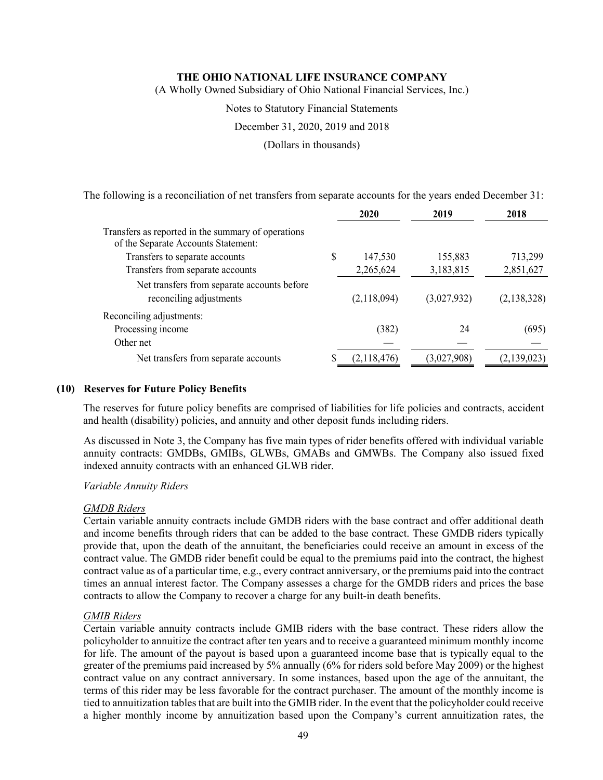(A Wholly Owned Subsidiary of Ohio National Financial Services, Inc.)

Notes to Statutory Financial Statements

December 31, 2020, 2019 and 2018

(Dollars in thousands)

The following is a reconciliation of net transfers from separate accounts for the years ended December 31:

|                                                                                           |   | 2020        | 2019        | 2018        |
|-------------------------------------------------------------------------------------------|---|-------------|-------------|-------------|
| Transfers as reported in the summary of operations<br>of the Separate Accounts Statement: |   |             |             |             |
| Transfers to separate accounts                                                            | S | 147,530     | 155,883     | 713,299     |
| Transfers from separate accounts                                                          |   | 2,265,624   | 3,183,815   | 2,851,627   |
| Net transfers from separate accounts before<br>reconciling adjustments                    |   | (2,118,094) | (3,027,932) | (2,138,328) |
| Reconciling adjustments:                                                                  |   |             |             |             |
| Processing income                                                                         |   | (382)       | 24          | (695)       |
| Other net                                                                                 |   |             |             |             |
| Net transfers from separate accounts                                                      |   | (2,118,476) | (3,027,908) | (2,139,023) |

#### **(10) Reserves for Future Policy Benefits**

The reserves for future policy benefits are comprised of liabilities for life policies and contracts, accident and health (disability) policies, and annuity and other deposit funds including riders.

As discussed in Note 3, the Company has five main types of rider benefits offered with individual variable annuity contracts: GMDBs, GMIBs, GLWBs, GMABs and GMWBs. The Company also issued fixed indexed annuity contracts with an enhanced GLWB rider.

## *Variable Annuity Riders*

#### *GMDB Riders*

Certain variable annuity contracts include GMDB riders with the base contract and offer additional death and income benefits through riders that can be added to the base contract. These GMDB riders typically provide that, upon the death of the annuitant, the beneficiaries could receive an amount in excess of the contract value. The GMDB rider benefit could be equal to the premiums paid into the contract, the highest contract value as of a particular time, e.g., every contract anniversary, or the premiums paid into the contract times an annual interest factor. The Company assesses a charge for the GMDB riders and prices the base contracts to allow the Company to recover a charge for any built-in death benefits.

#### *GMIB Riders*

Certain variable annuity contracts include GMIB riders with the base contract. These riders allow the policyholder to annuitize the contract after ten years and to receive a guaranteed minimum monthly income for life. The amount of the payout is based upon a guaranteed income base that is typically equal to the greater of the premiums paid increased by 5% annually (6% for riders sold before May 2009) or the highest contract value on any contract anniversary. In some instances, based upon the age of the annuitant, the terms of this rider may be less favorable for the contract purchaser. The amount of the monthly income is tied to annuitization tables that are built into the GMIB rider. In the event that the policyholder could receive a higher monthly income by annuitization based upon the Company's current annuitization rates, the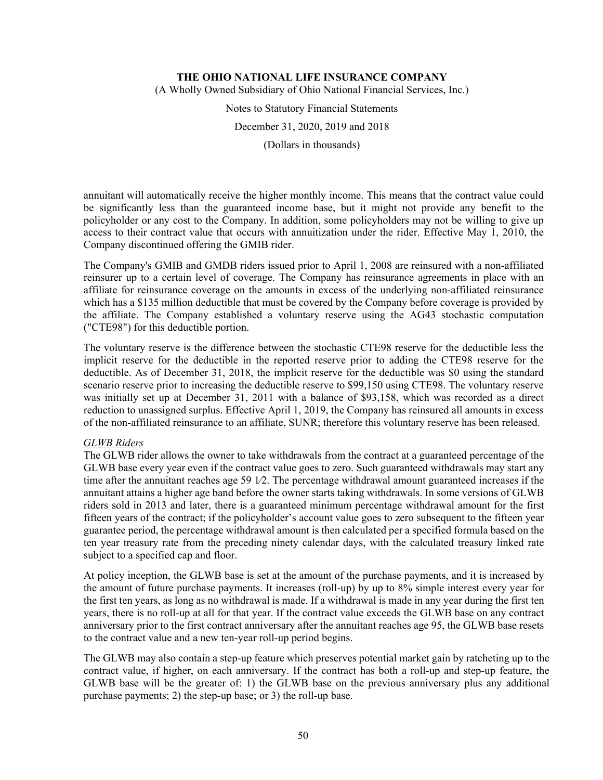(A Wholly Owned Subsidiary of Ohio National Financial Services, Inc.)

Notes to Statutory Financial Statements

December 31, 2020, 2019 and 2018

(Dollars in thousands)

annuitant will automatically receive the higher monthly income. This means that the contract value could be significantly less than the guaranteed income base, but it might not provide any benefit to the policyholder or any cost to the Company. In addition, some policyholders may not be willing to give up access to their contract value that occurs with annuitization under the rider. Effective May 1, 2010, the Company discontinued offering the GMIB rider.

The Company's GMIB and GMDB riders issued prior to April 1, 2008 are reinsured with a non-affiliated reinsurer up to a certain level of coverage. The Company has reinsurance agreements in place with an affiliate for reinsurance coverage on the amounts in excess of the underlying non-affiliated reinsurance which has a \$135 million deductible that must be covered by the Company before coverage is provided by the affiliate. The Company established a voluntary reserve using the AG43 stochastic computation ("CTE98") for this deductible portion.

The voluntary reserve is the difference between the stochastic CTE98 reserve for the deductible less the implicit reserve for the deductible in the reported reserve prior to adding the CTE98 reserve for the deductible. As of December 31, 2018, the implicit reserve for the deductible was \$0 using the standard scenario reserve prior to increasing the deductible reserve to \$99,150 using CTE98. The voluntary reserve was initially set up at December 31, 2011 with a balance of \$93,158, which was recorded as a direct reduction to unassigned surplus. Effective April 1, 2019, the Company has reinsured all amounts in excess of the non-affiliated reinsurance to an affiliate, SUNR; therefore this voluntary reserve has been released.

# *GLWB Riders*

The GLWB rider allows the owner to take withdrawals from the contract at a guaranteed percentage of the GLWB base every year even if the contract value goes to zero. Such guaranteed withdrawals may start any time after the annuitant reaches age 59 1∕2. The percentage withdrawal amount guaranteed increases if the annuitant attains a higher age band before the owner starts taking withdrawals. In some versions of GLWB riders sold in 2013 and later, there is a guaranteed minimum percentage withdrawal amount for the first fifteen years of the contract; if the policyholder's account value goes to zero subsequent to the fifteen year guarantee period, the percentage withdrawal amount is then calculated per a specified formula based on the ten year treasury rate from the preceding ninety calendar days, with the calculated treasury linked rate subject to a specified cap and floor.

At policy inception, the GLWB base is set at the amount of the purchase payments, and it is increased by the amount of future purchase payments. It increases (roll-up) by up to 8% simple interest every year for the first ten years, as long as no withdrawal is made. If a withdrawal is made in any year during the first ten years, there is no roll-up at all for that year. If the contract value exceeds the GLWB base on any contract anniversary prior to the first contract anniversary after the annuitant reaches age 95, the GLWB base resets to the contract value and a new ten-year roll-up period begins.

The GLWB may also contain a step-up feature which preserves potential market gain by ratcheting up to the contract value, if higher, on each anniversary. If the contract has both a roll-up and step-up feature, the GLWB base will be the greater of: 1) the GLWB base on the previous anniversary plus any additional purchase payments; 2) the step-up base; or 3) the roll-up base.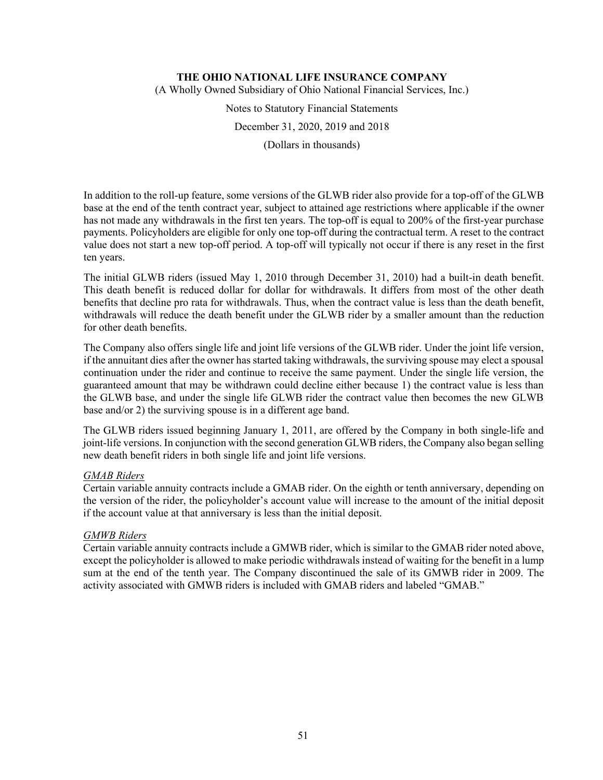(A Wholly Owned Subsidiary of Ohio National Financial Services, Inc.)

Notes to Statutory Financial Statements

December 31, 2020, 2019 and 2018

(Dollars in thousands)

In addition to the roll-up feature, some versions of the GLWB rider also provide for a top-off of the GLWB base at the end of the tenth contract year, subject to attained age restrictions where applicable if the owner has not made any withdrawals in the first ten years. The top-off is equal to 200% of the first-year purchase payments. Policyholders are eligible for only one top-off during the contractual term. A reset to the contract value does not start a new top-off period. A top-off will typically not occur if there is any reset in the first ten years.

The initial GLWB riders (issued May 1, 2010 through December 31, 2010) had a built-in death benefit. This death benefit is reduced dollar for dollar for withdrawals. It differs from most of the other death benefits that decline pro rata for withdrawals. Thus, when the contract value is less than the death benefit, withdrawals will reduce the death benefit under the GLWB rider by a smaller amount than the reduction for other death benefits.

The Company also offers single life and joint life versions of the GLWB rider. Under the joint life version, if the annuitant dies after the owner has started taking withdrawals, the surviving spouse may elect a spousal continuation under the rider and continue to receive the same payment. Under the single life version, the guaranteed amount that may be withdrawn could decline either because 1) the contract value is less than the GLWB base, and under the single life GLWB rider the contract value then becomes the new GLWB base and/or 2) the surviving spouse is in a different age band.

The GLWB riders issued beginning January 1, 2011, are offered by the Company in both single-life and joint-life versions. In conjunction with the second generation GLWB riders, the Company also began selling new death benefit riders in both single life and joint life versions.

#### *GMAB Riders*

Certain variable annuity contracts include a GMAB rider. On the eighth or tenth anniversary, depending on the version of the rider, the policyholder's account value will increase to the amount of the initial deposit if the account value at that anniversary is less than the initial deposit.

# *GMWB Riders*

Certain variable annuity contracts include a GMWB rider, which is similar to the GMAB rider noted above, except the policyholder is allowed to make periodic withdrawals instead of waiting for the benefit in a lump sum at the end of the tenth year. The Company discontinued the sale of its GMWB rider in 2009. The activity associated with GMWB riders is included with GMAB riders and labeled "GMAB."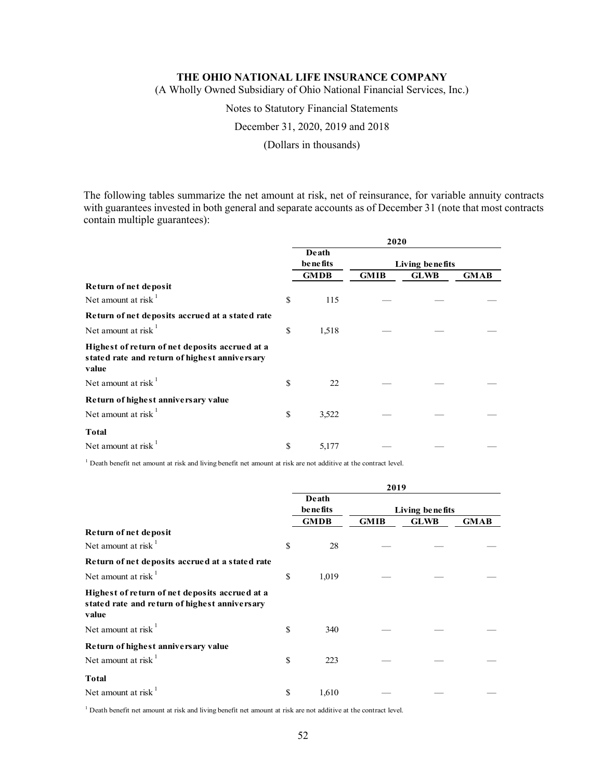(A Wholly Owned Subsidiary of Ohio National Financial Services, Inc.)

Notes to Statutory Financial Statements

December 31, 2020, 2019 and 2018

(Dollars in thousands)

The following tables summarize the net amount at risk, net of reinsurance, for variable annuity contracts with guarantees invested in both general and separate accounts as of December 31 (note that most contracts contain multiple guarantees):

|                                                                                                          | 2020              |             |                 |             |             |
|----------------------------------------------------------------------------------------------------------|-------------------|-------------|-----------------|-------------|-------------|
|                                                                                                          | Death<br>benefits |             | Living benefits |             |             |
|                                                                                                          |                   | <b>GMDB</b> | <b>GMIB</b>     | <b>GLWB</b> | <b>GMAB</b> |
| Return of net deposit                                                                                    |                   |             |                 |             |             |
| Net amount at risk $1$                                                                                   | \$                | 115         |                 |             |             |
| Return of net deposits accrued at a stated rate                                                          |                   |             |                 |             |             |
| Net amount at risk $1$                                                                                   | \$                | 1,518       |                 |             |             |
| Highest of return of net deposits accrued at a<br>stated rate and return of highest anniversary<br>value |                   |             |                 |             |             |
| Net amount at risk $1$                                                                                   | S                 | 22          |                 |             |             |
| Return of highest anniversary value<br>Net amount at risk $1$                                            | \$                | 3,522       |                 |             |             |
| <b>Total</b><br>Net amount at risk                                                                       | \$                | 5,177       |                 |             |             |

<sup>1</sup> Death benefit net amount at risk and living benefit net amount at risk are not additive at the contract level.

|                                                                                                          | 2019              |                 |             |             |  |
|----------------------------------------------------------------------------------------------------------|-------------------|-----------------|-------------|-------------|--|
|                                                                                                          | Death<br>benefits | Living benefits |             |             |  |
|                                                                                                          | <b>GMDB</b>       | <b>GMIB</b>     | <b>GLWB</b> | <b>GMAB</b> |  |
| Return of net deposit                                                                                    |                   |                 |             |             |  |
| Net amount at risk $1$                                                                                   | \$<br>28          |                 |             |             |  |
| Return of net deposits accrued at a stated rate                                                          |                   |                 |             |             |  |
| Net amount at risk $1$                                                                                   | \$<br>1,019       |                 |             |             |  |
| Highest of return of net deposits accrued at a<br>stated rate and return of highest anniversary<br>value |                   |                 |             |             |  |
| Net amount at risk $1$                                                                                   | \$<br>340         |                 |             |             |  |
| Return of highest anniversary value<br>Net amount at risk $1$                                            | \$<br>223         |                 |             |             |  |
| <b>Total</b>                                                                                             |                   |                 |             |             |  |
| Net amount at risk                                                                                       | \$<br>1,610       |                 |             |             |  |

<sup>1</sup> Death benefit net amount at risk and living benefit net amount at risk are not additive at the contract level.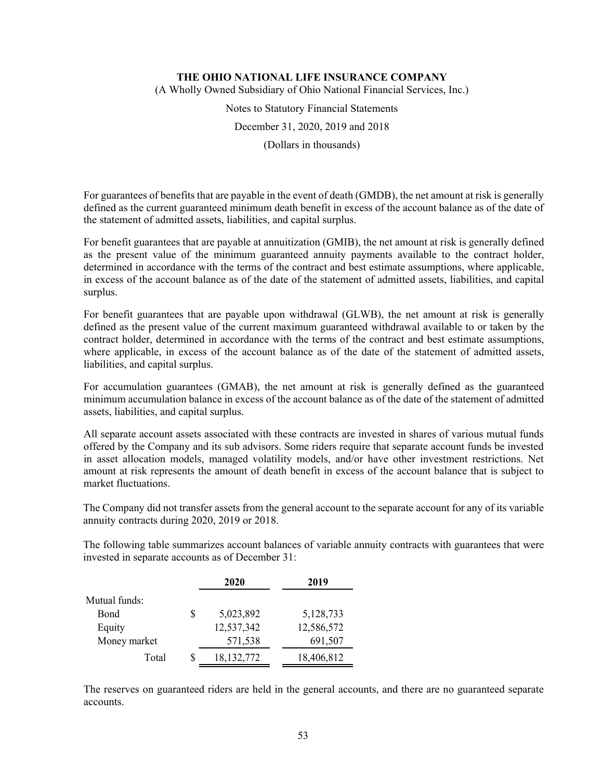(A Wholly Owned Subsidiary of Ohio National Financial Services, Inc.)

Notes to Statutory Financial Statements

December 31, 2020, 2019 and 2018

(Dollars in thousands)

For guarantees of benefits that are payable in the event of death (GMDB), the net amount at risk is generally defined as the current guaranteed minimum death benefit in excess of the account balance as of the date of the statement of admitted assets, liabilities, and capital surplus.

For benefit guarantees that are payable at annuitization (GMIB), the net amount at risk is generally defined as the present value of the minimum guaranteed annuity payments available to the contract holder, determined in accordance with the terms of the contract and best estimate assumptions, where applicable, in excess of the account balance as of the date of the statement of admitted assets, liabilities, and capital surplus.

For benefit guarantees that are payable upon withdrawal (GLWB), the net amount at risk is generally defined as the present value of the current maximum guaranteed withdrawal available to or taken by the contract holder, determined in accordance with the terms of the contract and best estimate assumptions, where applicable, in excess of the account balance as of the date of the statement of admitted assets, liabilities, and capital surplus.

For accumulation guarantees (GMAB), the net amount at risk is generally defined as the guaranteed minimum accumulation balance in excess of the account balance as of the date of the statement of admitted assets, liabilities, and capital surplus.

All separate account assets associated with these contracts are invested in shares of various mutual funds offered by the Company and its sub advisors. Some riders require that separate account funds be invested in asset allocation models, managed volatility models, and/or have other investment restrictions. Net amount at risk represents the amount of death benefit in excess of the account balance that is subject to market fluctuations.

The Company did not transfer assets from the general account to the separate account for any of its variable annuity contracts during 2020, 2019 or 2018.

The following table summarizes account balances of variable annuity contracts with guarantees that were invested in separate accounts as of December 31:

|               |    | 2020         | 2019       |
|---------------|----|--------------|------------|
| Mutual funds: |    |              |            |
| Bond          | \$ | 5,023,892    | 5,128,733  |
| Equity        |    | 12,537,342   | 12,586,572 |
| Money market  |    | 571,538      | 691,507    |
| Total         | S  | 18, 132, 772 | 18,406,812 |

The reserves on guaranteed riders are held in the general accounts, and there are no guaranteed separate accounts.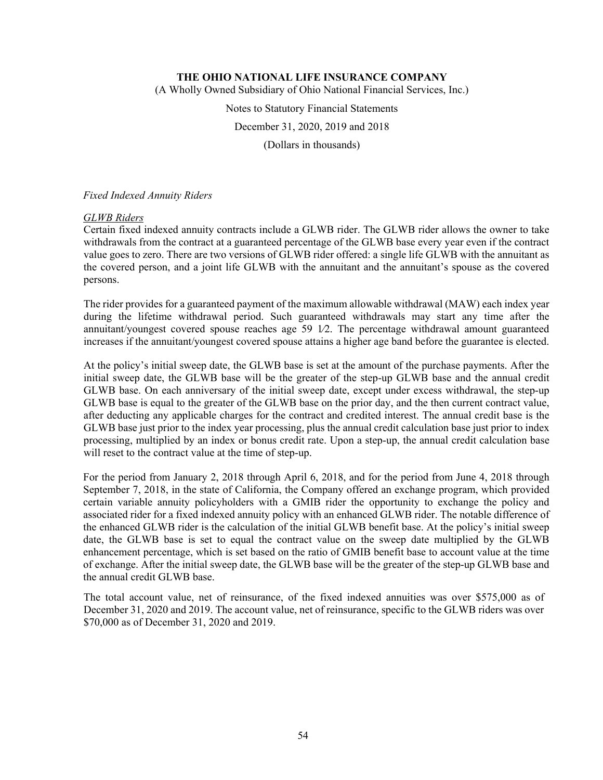(A Wholly Owned Subsidiary of Ohio National Financial Services, Inc.)

Notes to Statutory Financial Statements

December 31, 2020, 2019 and 2018

(Dollars in thousands)

# *Fixed Indexed Annuity Riders*

# *GLWB Riders*

Certain fixed indexed annuity contracts include a GLWB rider. The GLWB rider allows the owner to take withdrawals from the contract at a guaranteed percentage of the GLWB base every year even if the contract value goes to zero. There are two versions of GLWB rider offered: a single life GLWB with the annuitant as the covered person, and a joint life GLWB with the annuitant and the annuitant's spouse as the covered persons.

The rider provides for a guaranteed payment of the maximum allowable withdrawal (MAW) each index year during the lifetime withdrawal period. Such guaranteed withdrawals may start any time after the annuitant/youngest covered spouse reaches age 59 1∕2. The percentage withdrawal amount guaranteed increases if the annuitant/youngest covered spouse attains a higher age band before the guarantee is elected.

At the policy's initial sweep date, the GLWB base is set at the amount of the purchase payments. After the initial sweep date, the GLWB base will be the greater of the step-up GLWB base and the annual credit GLWB base. On each anniversary of the initial sweep date, except under excess withdrawal, the step-up GLWB base is equal to the greater of the GLWB base on the prior day, and the then current contract value, after deducting any applicable charges for the contract and credited interest. The annual credit base is the GLWB base just prior to the index year processing, plus the annual credit calculation base just prior to index processing, multiplied by an index or bonus credit rate. Upon a step-up, the annual credit calculation base will reset to the contract value at the time of step-up.

For the period from January 2, 2018 through April 6, 2018, and for the period from June 4, 2018 through September 7, 2018, in the state of California, the Company offered an exchange program, which provided certain variable annuity policyholders with a GMIB rider the opportunity to exchange the policy and associated rider for a fixed indexed annuity policy with an enhanced GLWB rider. The notable difference of the enhanced GLWB rider is the calculation of the initial GLWB benefit base. At the policy's initial sweep date, the GLWB base is set to equal the contract value on the sweep date multiplied by the GLWB enhancement percentage, which is set based on the ratio of GMIB benefit base to account value at the time of exchange. After the initial sweep date, the GLWB base will be the greater of the step-up GLWB base and the annual credit GLWB base.

The total account value, net of reinsurance, of the fixed indexed annuities was over \$575,000 as of December 31, 2020 and 2019. The account value, net of reinsurance, specific to the GLWB riders was over \$70,000 as of December 31, 2020 and 2019.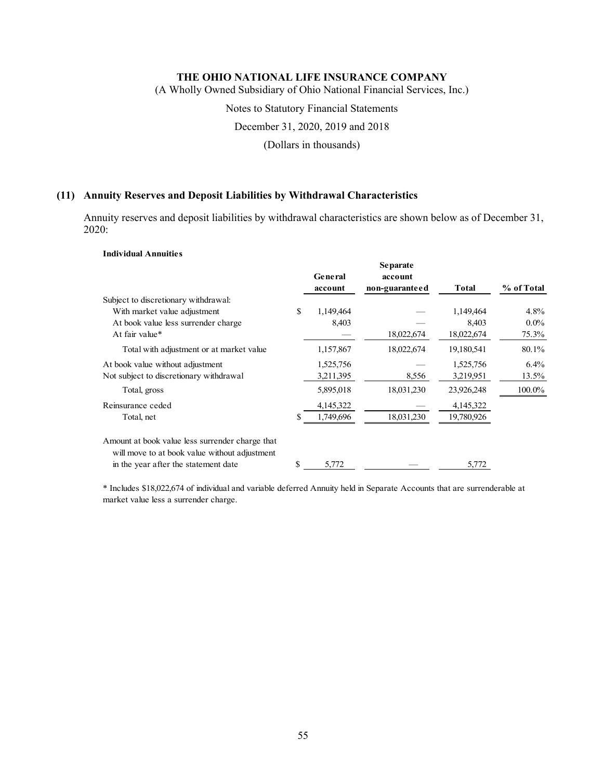(A Wholly Owned Subsidiary of Ohio National Financial Services, Inc.)

Notes to Statutory Financial Statements

December 31, 2020, 2019 and 2018

(Dollars in thousands)

## **(11) Annuity Reserves and Deposit Liabilities by Withdrawal Characteristics**

Annuity reserves and deposit liabilities by withdrawal characteristics are shown below as of December 31, 2020:

#### **Individual Annuities**

|                                                                                                                                          |   | General<br>account | <b>Separate</b><br>account<br>non-guaranteed | <b>Total</b> | % of Total |
|------------------------------------------------------------------------------------------------------------------------------------------|---|--------------------|----------------------------------------------|--------------|------------|
| Subject to discretionary withdrawal:                                                                                                     |   |                    |                                              |              |            |
| With market value adjustment                                                                                                             | S | 1,149,464          |                                              | 1,149,464    | $4.8\%$    |
| At book value less surrender charge                                                                                                      |   | 8,403              |                                              | 8,403        | $0.0\%$    |
| At fair value*                                                                                                                           |   |                    | 18,022,674                                   | 18,022,674   | 75.3%      |
| Total with adjustment or at market value                                                                                                 |   | 1,157,867          | 18,022,674                                   | 19,180,541   | 80.1%      |
| At book value without adjustment                                                                                                         |   | 1,525,756          |                                              | 1,525,756    | 6.4%       |
| Not subject to discretionary withdrawal                                                                                                  |   | 3,211,395          | 8,556                                        | 3,219,951    | 13.5%      |
| Total, gross                                                                                                                             |   | 5,895,018          | 18,031,230                                   | 23,926,248   | 100.0%     |
| Reinsurance ceded                                                                                                                        |   | 4,145,322          |                                              | 4,145,322    |            |
| Total, net                                                                                                                               |   | 1,749,696          | 18,031,230                                   | 19,780,926   |            |
| Amount at book value less surrender charge that<br>will move to at book value without adjustment<br>in the year after the statement date | S | 5,772              |                                              | 5,772        |            |

\* Includes \$18,022,674 of individual and variable deferred Annuity held in Separate Accounts that are surrenderable at market value less a surrender charge.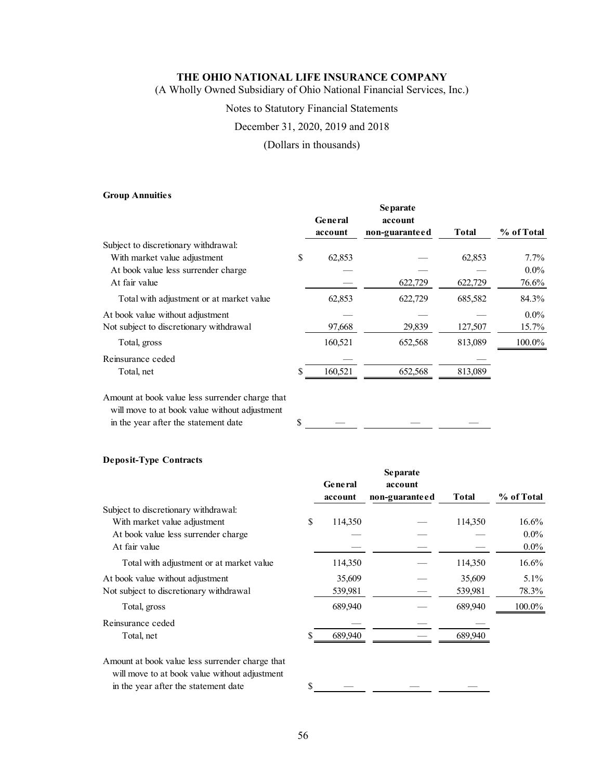(A Wholly Owned Subsidiary of Ohio National Financial Services, Inc.)

#### Notes to Statutory Financial Statements

# December 31, 2020, 2019 and 2018

# (Dollars in thousands)

#### **Group Annuities**

|                                                 | General<br>account | account<br>non-guaranteed | <b>Total</b> | % of Total |
|-------------------------------------------------|--------------------|---------------------------|--------------|------------|
| Subject to discretionary withdrawal:            |                    |                           |              |            |
| With market value adjustment                    | \$<br>62,853       |                           | 62,853       | $7.7\%$    |
| At book value less surrender charge             |                    |                           |              | $0.0\%$    |
| At fair value                                   |                    | 622,729                   | 622,729      | 76.6%      |
| Total with adjustment or at market value        | 62,853             | 622,729                   | 685,582      | 84.3%      |
| At book value without adjustment                |                    |                           |              | $0.0\%$    |
| Not subject to discretionary withdrawal         | 97,668             | 29,839                    | 127,507      | 15.7%      |
| Total, gross                                    | 160,521            | 652,568                   | 813,089      | 100.0%     |
| Reinsurance ceded                               |                    |                           |              |            |
| Total, net                                      | 160,521            | 652,568                   | 813,089      |            |
| A mount of book your loss surrandor aborgs that |                    |                           |              |            |

Amount at book value less surrender charge that will move to at book value without adjustment in the year after the statement date  $\qquad \qquad$   $\qquad \qquad$   $\qquad \qquad$ 

**Separate**

#### **Deposit-Type Contracts**

|                                                 |     |                | <b>Separate</b> |              |            |
|-------------------------------------------------|-----|----------------|-----------------|--------------|------------|
|                                                 |     | <b>General</b> | account         |              |            |
|                                                 |     | account        | non-guaranteed  | <b>Total</b> | % of Total |
| Subject to discretionary withdrawal:            |     |                |                 |              |            |
| With market value adjustment                    | \$. | 114,350        |                 | 114,350      | 16.6%      |
| At book value less surrender charge             |     |                |                 |              | $0.0\%$    |
| At fair value                                   |     |                |                 |              | $0.0\%$    |
| Total with adjustment or at market value        |     | 114,350        |                 | 114,350      | 16.6%      |
| At book value without adjustment                |     | 35,609         |                 | 35,609       | $5.1\%$    |
| Not subject to discretionary withdrawal         |     | 539,981        |                 | 539,981      | 78.3%      |
| Total, gross                                    |     | 689,940        |                 | 689,940      | 100.0%     |
| Reinsurance ceded                               |     |                |                 |              |            |
| Total, net                                      |     | 689,940        |                 | 689,940      |            |
| Amount at book value less surrender charge that |     |                |                 |              |            |

will move to at book value without adjustment in the year after the statement date  $\frac{\sqrt{3}}{2}$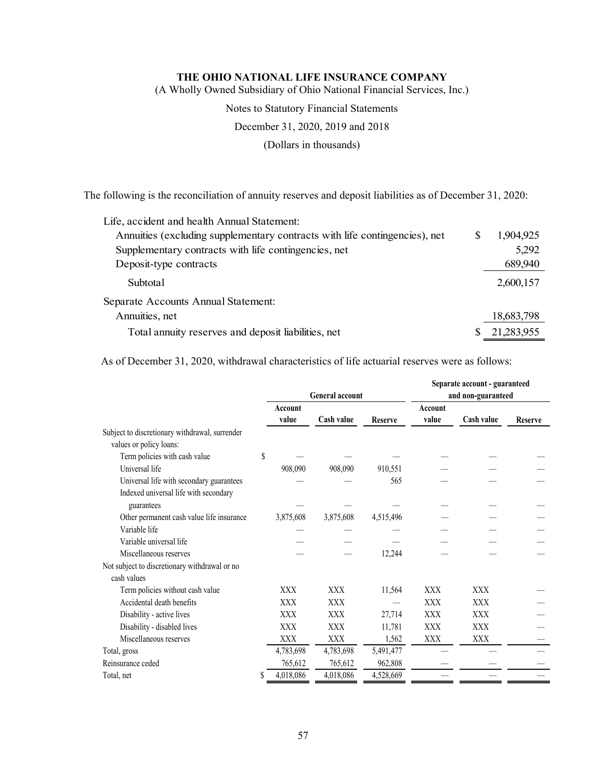(A Wholly Owned Subsidiary of Ohio National Financial Services, Inc.)

Notes to Statutory Financial Statements

December 31, 2020, 2019 and 2018

(Dollars in thousands)

The following is the reconciliation of annuity reserves and deposit liabilities as of December 31, 2020:

| Life, accident and health Annual Statement:                                |              |            |
|----------------------------------------------------------------------------|--------------|------------|
| Annuities (excluding supplementary contracts with life contingencies), net | <sup>8</sup> | 1,904,925  |
| Supplementary contracts with life contingencies, net                       |              | 5,292      |
| Deposit-type contracts                                                     |              | 689,940    |
| Subtotal                                                                   |              | 2,600,157  |
| Separate Accounts Annual Statement:                                        |              |            |
| Annuities, net                                                             |              | 18,683,798 |
| Total annuity reserves and deposit liabilities, net                        | S            | 21,283,955 |

As of December 31, 2020, withdrawal characteristics of life actuarial reserves were as follows:

|                                                |                |                        |                |            | Separate account - guaranteed |                |  |  |
|------------------------------------------------|----------------|------------------------|----------------|------------|-------------------------------|----------------|--|--|
|                                                |                | <b>General account</b> |                |            | and non-guaranteed            |                |  |  |
|                                                | <b>Account</b> |                        |                | Account    |                               |                |  |  |
|                                                | value          | Cash value             | <b>Reserve</b> | value      | Cash value                    | <b>Reserve</b> |  |  |
| Subject to discretionary withdrawal, surrender |                |                        |                |            |                               |                |  |  |
| values or policy loans:                        |                |                        |                |            |                               |                |  |  |
| Term policies with cash value                  | S              |                        |                |            |                               |                |  |  |
| Universal life                                 | 908,090        | 908,090                | 910,551        |            |                               |                |  |  |
| Universal life with secondary guarantees       |                |                        | 565            |            |                               |                |  |  |
| Indexed universal life with secondary          |                |                        |                |            |                               |                |  |  |
| guarantees                                     |                |                        |                |            |                               |                |  |  |
| Other permanent cash value life insurance      | 3,875,608      | 3,875,608              | 4,515,496      |            |                               |                |  |  |
| Variable life                                  |                |                        |                |            |                               |                |  |  |
| Variable universal life                        |                |                        |                |            |                               |                |  |  |
| Miscellaneous reserves                         |                |                        | 12,244         |            |                               |                |  |  |
| Not subject to discretionary withdrawal or no  |                |                        |                |            |                               |                |  |  |
| cash values                                    |                |                        |                |            |                               |                |  |  |
| Term policies without cash value               | <b>XXX</b>     | <b>XXX</b>             | 11,564         | <b>XXX</b> | <b>XXX</b>                    |                |  |  |
| Accidental death benefits                      | <b>XXX</b>     | <b>XXX</b>             |                | <b>XXX</b> | <b>XXX</b>                    |                |  |  |
| Disability - active lives                      | <b>XXX</b>     | <b>XXX</b>             | 27,714         | <b>XXX</b> | <b>XXX</b>                    |                |  |  |
| Disability - disabled lives                    | XXX            | <b>XXX</b>             | 11,781         | <b>XXX</b> | XXX                           |                |  |  |
| Miscellaneous reserves                         | XXX            | XXX                    | 1,562          | <b>XXX</b> | <b>XXX</b>                    |                |  |  |
| Total, gross                                   | 4,783,698      | 4,783,698              | 5,491,477      |            |                               |                |  |  |
| Reinsurance ceded                              | 765,612        | 765,612                | 962,808        |            |                               |                |  |  |
| Total, net                                     | 4,018,086<br>S | 4,018,086              | 4,528,669      |            |                               |                |  |  |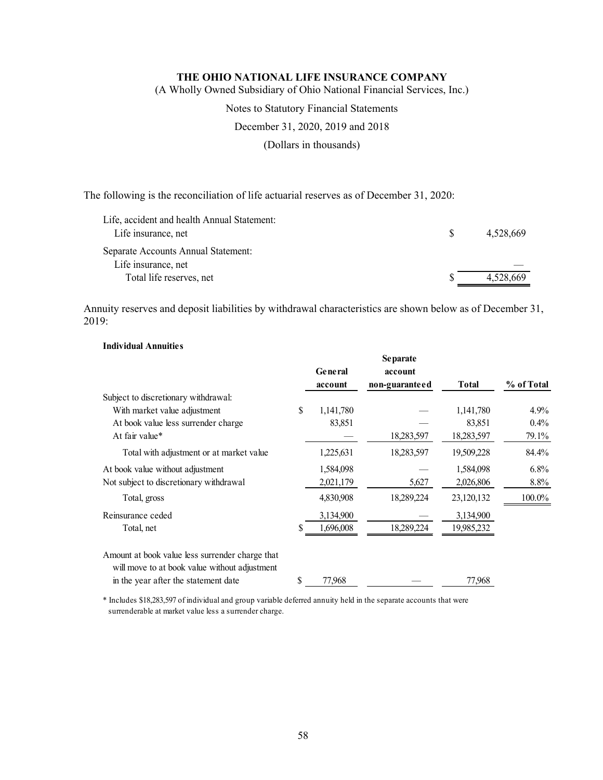(A Wholly Owned Subsidiary of Ohio National Financial Services, Inc.)

Notes to Statutory Financial Statements

December 31, 2020, 2019 and 2018

(Dollars in thousands)

The following is the reconciliation of life actuarial reserves as of December 31, 2020:

| Life, accident and health Annual Statement: |     |           |
|---------------------------------------------|-----|-----------|
| Life insurance, net                         | -SS | 4.528.669 |
| Separate Accounts Annual Statement:         |     |           |
| Life insurance, net                         |     |           |
| Total life reserves, net                    |     | 4,528,669 |

Annuity reserves and deposit liabilities by withdrawal characteristics are shown below as of December 31, 2019:

#### **Individual Annuities**

|                                                                                                                                          | <b>General</b><br>account | <b>Separate</b><br>account<br>non-guaranteed | <b>Total</b> | % of Total |
|------------------------------------------------------------------------------------------------------------------------------------------|---------------------------|----------------------------------------------|--------------|------------|
| Subject to discretionary withdrawal:                                                                                                     |                           |                                              |              |            |
| With market value adjustment                                                                                                             | \$<br>1,141,780           |                                              | 1,141,780    | $4.9\%$    |
| At book value less surrender charge                                                                                                      | 83,851                    |                                              | 83,851       | $0.4\%$    |
| At fair value*                                                                                                                           |                           | 18,283,597                                   | 18,283,597   | 79.1%      |
| Total with adjustment or at market value                                                                                                 | 1,225,631                 | 18,283,597                                   | 19,509,228   | 84.4%      |
| At book value without adjustment                                                                                                         | 1,584,098                 |                                              | 1,584,098    | $6.8\%$    |
| Not subject to discretionary withdrawal                                                                                                  | 2,021,179                 | 5,627                                        | 2,026,806    | 8.8%       |
| Total, gross                                                                                                                             | 4,830,908                 | 18,289,224                                   | 23,120,132   | 100.0%     |
| Reinsurance ceded                                                                                                                        | 3,134,900                 |                                              | 3,134,900    |            |
| Total, net                                                                                                                               | 1,696,008                 | 18,289,224                                   | 19,985,232   |            |
| Amount at book value less surrender charge that<br>will move to at book value without adjustment<br>in the year after the statement date | \$<br>77,968              |                                              | 77,968       |            |

\* Includes \$18,283,597 of individual and group variable deferred annuity held in the separate accounts that were surrenderable at market value less a surrender charge.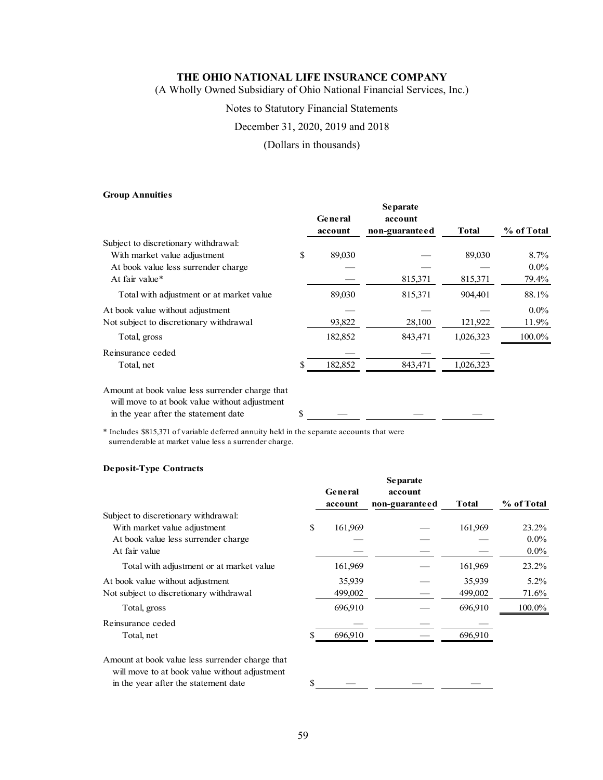(A Wholly Owned Subsidiary of Ohio National Financial Services, Inc.)

# Notes to Statutory Financial Statements

# December 31, 2020, 2019 and 2018

### (Dollars in thousands)

#### **Group Annuities**

|                                                 | General<br>account | account<br>non-guarante ed | <b>Total</b> | % of Total |
|-------------------------------------------------|--------------------|----------------------------|--------------|------------|
| Subject to discretionary withdrawal:            |                    |                            |              |            |
| With market value adjustment                    | \$<br>89,030       |                            | 89,030       | 8.7%       |
| At book value less surrender charge             |                    |                            |              | $0.0\%$    |
| At fair value*                                  |                    | 815,371                    | 815,371      | 79.4%      |
| Total with adjustment or at market value        | 89,030             | 815,371                    | 904,401      | 88.1%      |
| At book value without adjustment                |                    |                            |              | $0.0\%$    |
| Not subject to discretionary withdrawal         | 93,822             | 28,100                     | 121,922      | 11.9%      |
| Total, gross                                    | 182,852            | 843,471                    | 1,026,323    | 100.0%     |
| Reinsurance ceded                               |                    |                            |              |            |
| Total, net                                      | 182,852            | 843,471                    | 1,026,323    |            |
| Amount at book value less surrender charge that |                    |                            |              |            |

will move to at book value without adjustment in the year after the statement date  $\qquad \qquad$   $\qquad \qquad$ 

**Separate**

**Separate**

\* Includes \$815,371 of variable deferred annuity held in the separate accounts that were surrenderable at market value less a surrender charge.

#### **Deposit-Type Contracts**

|                                                 | <b>General</b><br>account | account<br>non-guarante ed | Total   | % of Total |
|-------------------------------------------------|---------------------------|----------------------------|---------|------------|
| Subject to discretionary withdrawal:            |                           |                            |         |            |
| With market value adjustment                    | \$<br>161,969             |                            | 161,969 | 23.2%      |
| At book value less surrender charge             |                           |                            |         | $0.0\%$    |
| At fair value                                   |                           |                            |         | $0.0\%$    |
| Total with adjustment or at market value        | 161,969                   |                            | 161,969 | 23.2%      |
| At book value without adjustment                | 35,939                    |                            | 35,939  | $5.2\%$    |
| Not subject to discretionary withdrawal         | 499,002                   |                            | 499,002 | 71.6%      |
| Total, gross                                    | 696,910                   |                            | 696,910 | 100.0%     |
| Reinsurance ceded                               |                           |                            |         |            |
| Total, net                                      | 696.910                   |                            | 696,910 |            |
| Amount at book value less surrender charge that |                           |                            |         |            |

will move to at book value without adjustment in the year after the statement date  $\frac{\$$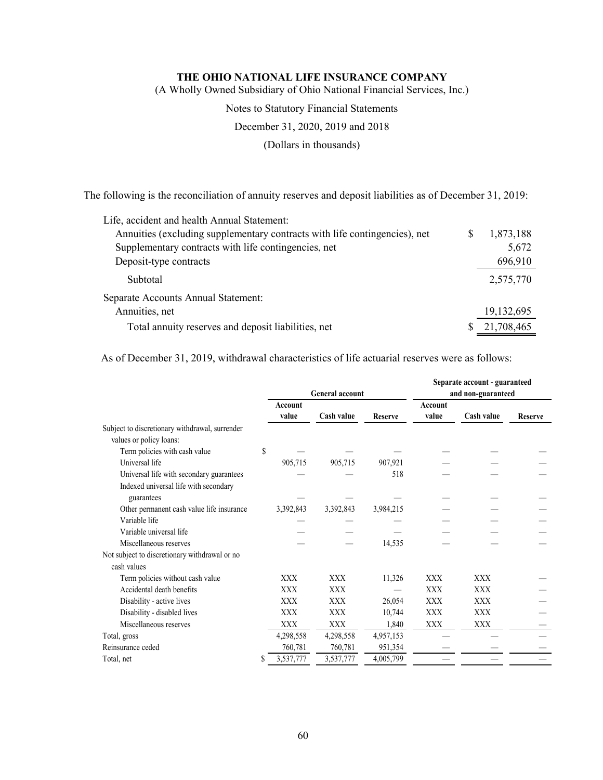(A Wholly Owned Subsidiary of Ohio National Financial Services, Inc.)

Notes to Statutory Financial Statements

December 31, 2020, 2019 and 2018

(Dollars in thousands)

The following is the reconciliation of annuity reserves and deposit liabilities as of December 31, 2019:

| Life, accident and health Annual Statement:                                |   |            |
|----------------------------------------------------------------------------|---|------------|
| Annuities (excluding supplementary contracts with life contingencies), net | S | 1,873,188  |
| Supplementary contracts with life contingencies, net                       |   | 5,672      |
| Deposit-type contracts                                                     |   | 696,910    |
| Subtotal                                                                   |   | 2,575,770  |
| Separate Accounts Annual Statement:                                        |   |            |
| Annuities, net                                                             |   | 19,132,695 |
| Total annuity reserves and deposit liabilities, net                        |   | 21,708,465 |

As of December 31, 2019, withdrawal characteristics of life actuarial reserves were as follows:

|                                                |    |                        |            |                |                    | Separate account - guaranteed |                |  |
|------------------------------------------------|----|------------------------|------------|----------------|--------------------|-------------------------------|----------------|--|
|                                                |    | <b>General account</b> |            |                | and non-guaranteed |                               |                |  |
|                                                |    | <b>Account</b>         |            |                | <b>Account</b>     |                               |                |  |
|                                                |    | value                  | Cash value | <b>Reserve</b> | value              | Cash value                    | <b>Reserve</b> |  |
| Subject to discretionary withdrawal, surrender |    |                        |            |                |                    |                               |                |  |
| values or policy loans:                        |    |                        |            |                |                    |                               |                |  |
| Term policies with cash value                  | \$ |                        |            |                |                    |                               |                |  |
| Universal life                                 |    | 905,715                | 905,715    | 907,921        |                    |                               |                |  |
| Universal life with secondary guarantees       |    |                        |            | 518            |                    |                               |                |  |
| Indexed universal life with secondary          |    |                        |            |                |                    |                               |                |  |
| guarantees                                     |    |                        |            |                |                    |                               |                |  |
| Other permanent cash value life insurance      |    | 3,392,843              | 3,392,843  | 3,984,215      |                    |                               |                |  |
| Variable life                                  |    |                        |            |                |                    |                               |                |  |
| Variable universal life                        |    |                        |            |                |                    |                               |                |  |
| Miscellaneous reserves                         |    |                        |            | 14,535         |                    |                               |                |  |
| Not subject to discretionary withdrawal or no  |    |                        |            |                |                    |                               |                |  |
| cash values                                    |    |                        |            |                |                    |                               |                |  |
| Term policies without cash value               |    | XXX                    | XXX        | 11,326         | XXX                | XXX                           |                |  |
| Accidental death benefits                      |    | <b>XXX</b>             | <b>XXX</b> |                | <b>XXX</b>         | <b>XXX</b>                    |                |  |
| Disability - active lives                      |    | <b>XXX</b>             | <b>XXX</b> | 26,054         | <b>XXX</b>         | <b>XXX</b>                    |                |  |
| Disability - disabled lives                    |    | <b>XXX</b>             | <b>XXX</b> | 10,744         | <b>XXX</b>         | <b>XXX</b>                    |                |  |
| Miscellaneous reserves                         |    | <b>XXX</b>             | XXX        | 1,840          | XXX                | XXX                           |                |  |
| Total, gross                                   |    | 4,298,558              | 4,298,558  | 4,957,153      |                    |                               |                |  |
| Reinsurance ceded                              |    | 760,781                | 760,781    | 951,354        |                    |                               |                |  |
| Total, net                                     | S  | 3,537,777              | 3,537,777  | 4,005,799      |                    |                               |                |  |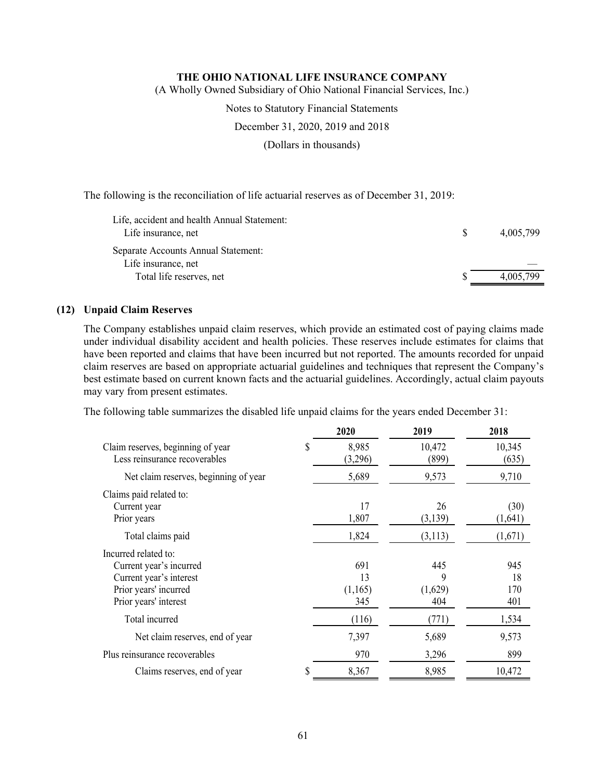(A Wholly Owned Subsidiary of Ohio National Financial Services, Inc.)

Notes to Statutory Financial Statements

December 31, 2020, 2019 and 2018

(Dollars in thousands)

The following is the reconciliation of life actuarial reserves as of December 31, 2019:

| Life, accident and health Annual Statement:<br>Life insurance, net | S. | 4,005,799 |
|--------------------------------------------------------------------|----|-----------|
| Separate Accounts Annual Statement:                                |    |           |
| Life insurance, net                                                |    |           |
| Total life reserves, net                                           |    | 4,005,799 |
|                                                                    |    |           |

#### **(12) Unpaid Claim Reserves**

The Company establishes unpaid claim reserves, which provide an estimated cost of paying claims made under individual disability accident and health policies. These reserves include estimates for claims that have been reported and claims that have been incurred but not reported. The amounts recorded for unpaid claim reserves are based on appropriate actuarial guidelines and techniques that represent the Company's best estimate based on current known facts and the actuarial guidelines. Accordingly, actual claim payouts may vary from present estimates.

The following table summarizes the disabled life unpaid claims for the years ended December 31:

|                                                                                                                              | 2020                        | 2019                       | 2018                    |
|------------------------------------------------------------------------------------------------------------------------------|-----------------------------|----------------------------|-------------------------|
| Claim reserves, beginning of year<br>Less reinsurance recoverables                                                           | \$<br>8,985<br>(3,296)      | 10,472<br>(899)            | 10,345<br>(635)         |
| Net claim reserves, beginning of year                                                                                        | 5,689                       | 9,573                      | 9,710                   |
| Claims paid related to:<br>Current year<br>Prior years                                                                       | 17<br>1,807                 | 26<br>(3,139)              | (30)<br>(1,641)         |
| Total claims paid                                                                                                            | 1,824                       | (3,113)                    | (1,671)                 |
| Incurred related to:<br>Current year's incurred<br>Current year's interest<br>Prior years' incurred<br>Prior years' interest | 691<br>13<br>(1,165)<br>345 | 445<br>9<br>(1,629)<br>404 | 945<br>18<br>170<br>401 |
| Total incurred                                                                                                               | (116)                       | (771)                      | 1,534                   |
| Net claim reserves, end of year                                                                                              | 7,397                       | 5,689                      | 9,573                   |
| Plus reinsurance recoverables                                                                                                | 970                         | 3,296                      | 899                     |
| Claims reserves, end of year                                                                                                 | \$<br>8,367                 | 8,985                      | 10,472                  |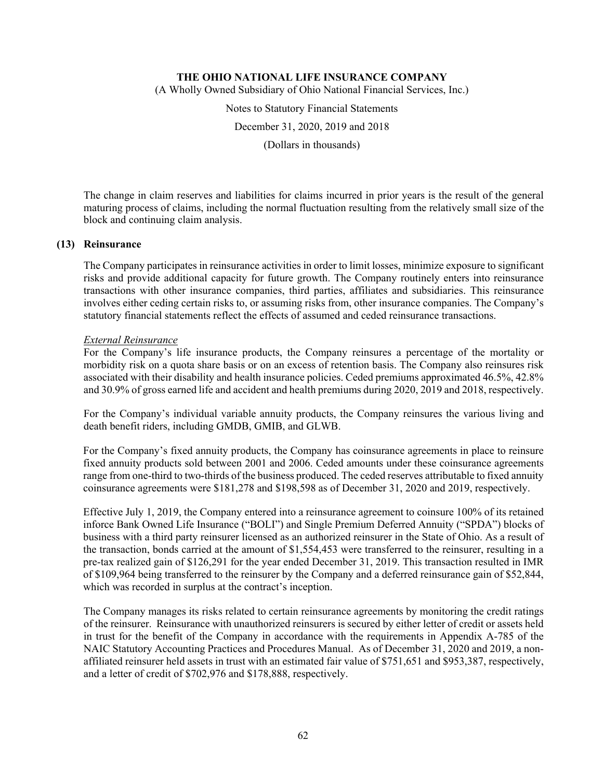(A Wholly Owned Subsidiary of Ohio National Financial Services, Inc.)

Notes to Statutory Financial Statements

December 31, 2020, 2019 and 2018

(Dollars in thousands)

The change in claim reserves and liabilities for claims incurred in prior years is the result of the general maturing process of claims, including the normal fluctuation resulting from the relatively small size of the block and continuing claim analysis.

# **(13) Reinsurance**

The Company participates in reinsurance activities in order to limit losses, minimize exposure to significant risks and provide additional capacity for future growth. The Company routinely enters into reinsurance transactions with other insurance companies, third parties, affiliates and subsidiaries. This reinsurance involves either ceding certain risks to, or assuming risks from, other insurance companies. The Company's statutory financial statements reflect the effects of assumed and ceded reinsurance transactions.

# *External Reinsurance*

For the Company's life insurance products, the Company reinsures a percentage of the mortality or morbidity risk on a quota share basis or on an excess of retention basis. The Company also reinsures risk associated with their disability and health insurance policies. Ceded premiums approximated 46.5%, 42.8% and 30.9% of gross earned life and accident and health premiums during 2020, 2019 and 2018, respectively.

For the Company's individual variable annuity products, the Company reinsures the various living and death benefit riders, including GMDB, GMIB, and GLWB.

For the Company's fixed annuity products, the Company has coinsurance agreements in place to reinsure fixed annuity products sold between 2001 and 2006. Ceded amounts under these coinsurance agreements range from one-third to two-thirds of the business produced. The ceded reserves attributable to fixed annuity coinsurance agreements were \$181,278 and \$198,598 as of December 31, 2020 and 2019, respectively.

Effective July 1, 2019, the Company entered into a reinsurance agreement to coinsure 100% of its retained inforce Bank Owned Life Insurance ("BOLI") and Single Premium Deferred Annuity ("SPDA") blocks of business with a third party reinsurer licensed as an authorized reinsurer in the State of Ohio. As a result of the transaction, bonds carried at the amount of \$1,554,453 were transferred to the reinsurer, resulting in a pre-tax realized gain of \$126,291 for the year ended December 31, 2019. This transaction resulted in IMR of \$109,964 being transferred to the reinsurer by the Company and a deferred reinsurance gain of \$52,844, which was recorded in surplus at the contract's inception.

The Company manages its risks related to certain reinsurance agreements by monitoring the credit ratings of the reinsurer. Reinsurance with unauthorized reinsurers is secured by either letter of credit or assets held in trust for the benefit of the Company in accordance with the requirements in Appendix A-785 of the NAIC Statutory Accounting Practices and Procedures Manual. As of December 31, 2020 and 2019, a nonaffiliated reinsurer held assets in trust with an estimated fair value of \$751,651 and \$953,387, respectively, and a letter of credit of \$702,976 and \$178,888, respectively.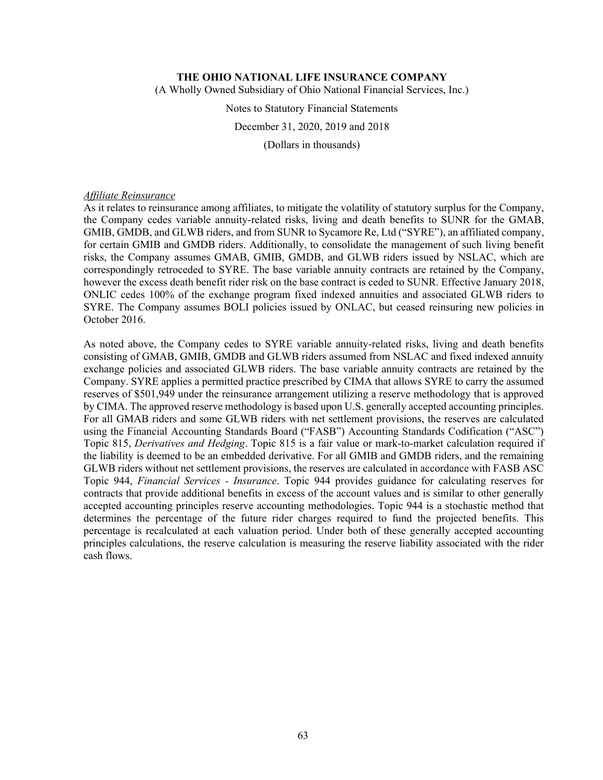(A Wholly Owned Subsidiary of Ohio National Financial Services, Inc.)

Notes to Statutory Financial Statements

December 31, 2020, 2019 and 2018

(Dollars in thousands)

#### *Affiliate Reinsurance*

As it relates to reinsurance among affiliates, to mitigate the volatility of statutory surplus for the Company, the Company cedes variable annuity-related risks, living and death benefits to SUNR for the GMAB, GMIB, GMDB, and GLWB riders, and from SUNR to Sycamore Re, Ltd ("SYRE"), an affiliated company, for certain GMIB and GMDB riders. Additionally, to consolidate the management of such living benefit risks, the Company assumes GMAB, GMIB, GMDB, and GLWB riders issued by NSLAC, which are correspondingly retroceded to SYRE. The base variable annuity contracts are retained by the Company, however the excess death benefit rider risk on the base contract is ceded to SUNR. Effective January 2018, ONLIC cedes 100% of the exchange program fixed indexed annuities and associated GLWB riders to SYRE. The Company assumes BOLI policies issued by ONLAC, but ceased reinsuring new policies in October 2016.

As noted above, the Company cedes to SYRE variable annuity-related risks, living and death benefits consisting of GMAB, GMIB, GMDB and GLWB riders assumed from NSLAC and fixed indexed annuity exchange policies and associated GLWB riders. The base variable annuity contracts are retained by the Company. SYRE applies a permitted practice prescribed by CIMA that allows SYRE to carry the assumed reserves of \$501,949 under the reinsurance arrangement utilizing a reserve methodology that is approved by CIMA. The approved reserve methodology is based upon U.S. generally accepted accounting principles. For all GMAB riders and some GLWB riders with net settlement provisions, the reserves are calculated using the Financial Accounting Standards Board ("FASB") Accounting Standards Codification ("ASC") Topic 815, *Derivatives and Hedging*. Topic 815 is a fair value or mark-to-market calculation required if the liability is deemed to be an embedded derivative. For all GMIB and GMDB riders, and the remaining GLWB riders without net settlement provisions, the reserves are calculated in accordance with FASB ASC Topic 944, *Financial Services - Insurance*. Topic 944 provides guidance for calculating reserves for contracts that provide additional benefits in excess of the account values and is similar to other generally accepted accounting principles reserve accounting methodologies. Topic 944 is a stochastic method that determines the percentage of the future rider charges required to fund the projected benefits. This percentage is recalculated at each valuation period. Under both of these generally accepted accounting principles calculations, the reserve calculation is measuring the reserve liability associated with the rider cash flows.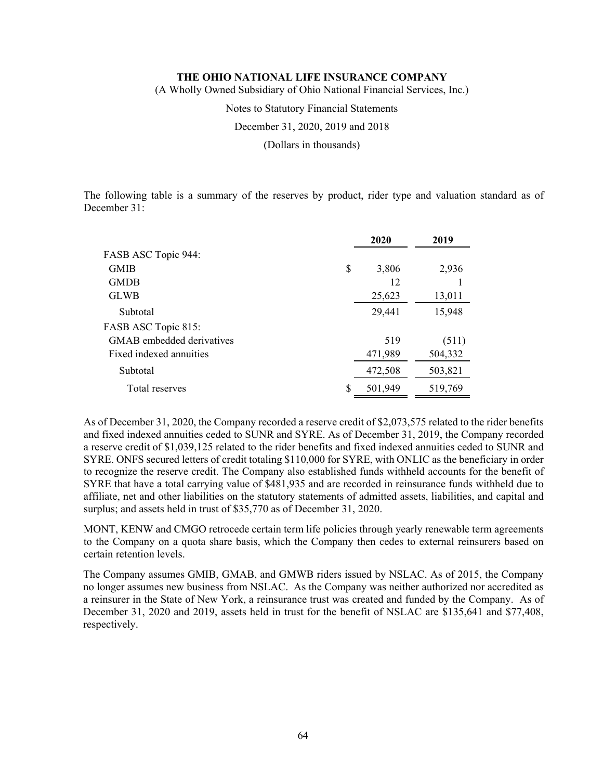(A Wholly Owned Subsidiary of Ohio National Financial Services, Inc.)

Notes to Statutory Financial Statements

December 31, 2020, 2019 and 2018

(Dollars in thousands)

The following table is a summary of the reserves by product, rider type and valuation standard as of December 31:

|                           |    | 2020    | 2019    |
|---------------------------|----|---------|---------|
| FASB ASC Topic 944:       |    |         |         |
| <b>GMIB</b>               | \$ | 3,806   | 2,936   |
| <b>GMDB</b>               |    | 12      |         |
| <b>GLWB</b>               |    | 25,623  | 13,011  |
| Subtotal                  |    | 29,441  | 15,948  |
| FASB ASC Topic 815:       |    |         |         |
| GMAB embedded derivatives |    | 519     | (511)   |
| Fixed indexed annuities   |    | 471,989 | 504,332 |
| Subtotal                  |    | 472,508 | 503,821 |
| Total reserves            | S  | 501,949 | 519,769 |

As of December 31, 2020, the Company recorded a reserve credit of \$2,073,575 related to the rider benefits and fixed indexed annuities ceded to SUNR and SYRE. As of December 31, 2019, the Company recorded a reserve credit of \$1,039,125 related to the rider benefits and fixed indexed annuities ceded to SUNR and SYRE. ONFS secured letters of credit totaling \$110,000 for SYRE, with ONLIC as the beneficiary in order to recognize the reserve credit. The Company also established funds withheld accounts for the benefit of SYRE that have a total carrying value of \$481,935 and are recorded in reinsurance funds withheld due to affiliate, net and other liabilities on the statutory statements of admitted assets, liabilities, and capital and surplus; and assets held in trust of \$35,770 as of December 31, 2020.

MONT, KENW and CMGO retrocede certain term life policies through yearly renewable term agreements to the Company on a quota share basis, which the Company then cedes to external reinsurers based on certain retention levels.

The Company assumes GMIB, GMAB, and GMWB riders issued by NSLAC. As of 2015, the Company no longer assumes new business from NSLAC. As the Company was neither authorized nor accredited as a reinsurer in the State of New York, a reinsurance trust was created and funded by the Company. As of December 31, 2020 and 2019, assets held in trust for the benefit of NSLAC are \$135,641 and \$77,408, respectively.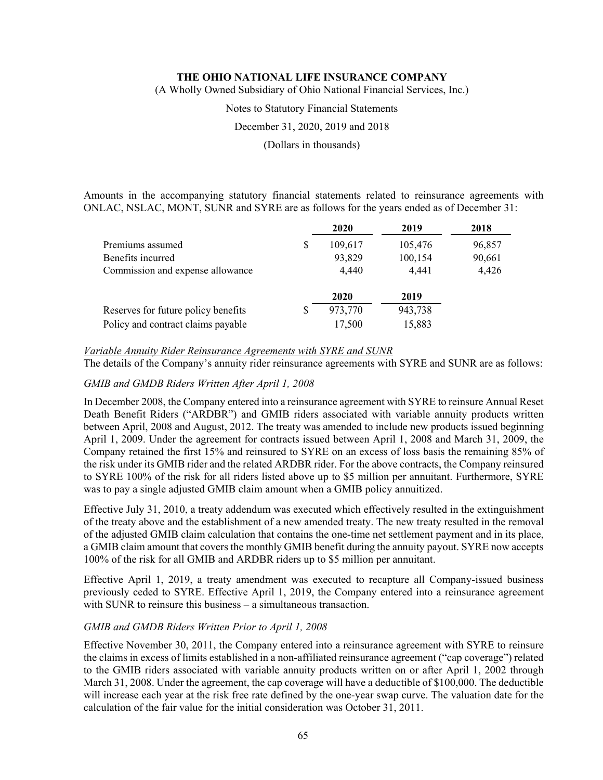(A Wholly Owned Subsidiary of Ohio National Financial Services, Inc.)

Notes to Statutory Financial Statements

December 31, 2020, 2019 and 2018

(Dollars in thousands)

Amounts in the accompanying statutory financial statements related to reinsurance agreements with ONLAC, NSLAC, MONT, SUNR and SYRE are as follows for the years ended as of December 31:

|                                     |   | 2020    | 2019    | 2018   |
|-------------------------------------|---|---------|---------|--------|
| Premiums assumed                    | S | 109,617 | 105,476 | 96,857 |
| Benefits incurred                   |   | 93,829  | 100,154 | 90,661 |
| Commission and expense allowance    |   | 4,440   | 4.441   | 4,426  |
|                                     |   | 2020    | 2019    |        |
| Reserves for future policy benefits | S | 973,770 | 943,738 |        |
| Policy and contract claims payable  |   | 17,500  | 15,883  |        |

#### *Variable Annuity Rider Reinsurance Agreements with SYRE and SUNR*

The details of the Company's annuity rider reinsurance agreements with SYRE and SUNR are as follows:

#### *GMIB and GMDB Riders Written After April 1, 2008*

In December 2008, the Company entered into a reinsurance agreement with SYRE to reinsure Annual Reset Death Benefit Riders ("ARDBR") and GMIB riders associated with variable annuity products written between April, 2008 and August, 2012. The treaty was amended to include new products issued beginning April 1, 2009. Under the agreement for contracts issued between April 1, 2008 and March 31, 2009, the Company retained the first 15% and reinsured to SYRE on an excess of loss basis the remaining 85% of the risk under its GMIB rider and the related ARDBR rider. For the above contracts, the Company reinsured to SYRE 100% of the risk for all riders listed above up to \$5 million per annuitant. Furthermore, SYRE was to pay a single adjusted GMIB claim amount when a GMIB policy annuitized.

Effective July 31, 2010, a treaty addendum was executed which effectively resulted in the extinguishment of the treaty above and the establishment of a new amended treaty. The new treaty resulted in the removal of the adjusted GMIB claim calculation that contains the one-time net settlement payment and in its place, a GMIB claim amount that covers the monthly GMIB benefit during the annuity payout. SYRE now accepts 100% of the risk for all GMIB and ARDBR riders up to \$5 million per annuitant.

Effective April 1, 2019, a treaty amendment was executed to recapture all Company-issued business previously ceded to SYRE. Effective April 1, 2019, the Company entered into a reinsurance agreement with SUNR to reinsure this business – a simultaneous transaction.

#### *GMIB and GMDB Riders Written Prior to April 1, 2008*

Effective November 30, 2011, the Company entered into a reinsurance agreement with SYRE to reinsure the claims in excess of limits established in a non-affiliated reinsurance agreement ("cap coverage") related to the GMIB riders associated with variable annuity products written on or after April 1, 2002 through March 31, 2008. Under the agreement, the cap coverage will have a deductible of \$100,000. The deductible will increase each year at the risk free rate defined by the one-year swap curve. The valuation date for the calculation of the fair value for the initial consideration was October 31, 2011.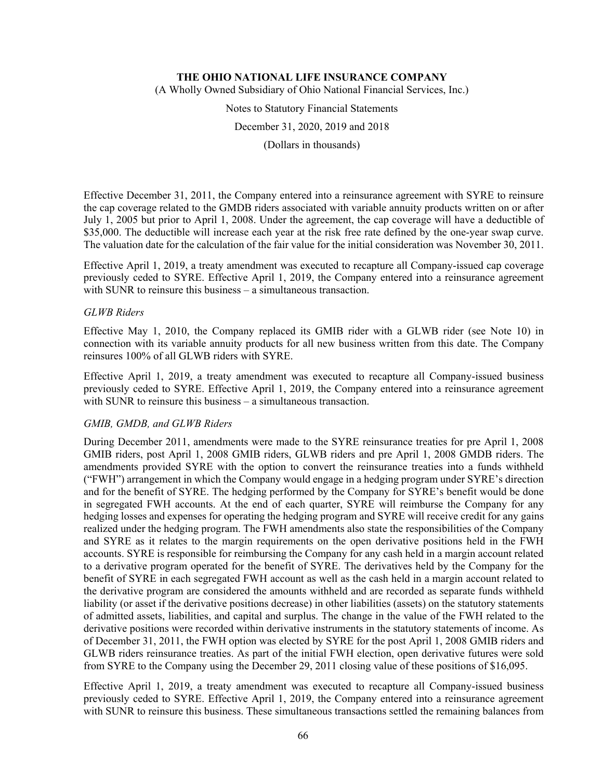(A Wholly Owned Subsidiary of Ohio National Financial Services, Inc.)

Notes to Statutory Financial Statements

December 31, 2020, 2019 and 2018

(Dollars in thousands)

Effective December 31, 2011, the Company entered into a reinsurance agreement with SYRE to reinsure the cap coverage related to the GMDB riders associated with variable annuity products written on or after July 1, 2005 but prior to April 1, 2008. Under the agreement, the cap coverage will have a deductible of \$35,000. The deductible will increase each year at the risk free rate defined by the one-year swap curve. The valuation date for the calculation of the fair value for the initial consideration was November 30, 2011.

Effective April 1, 2019, a treaty amendment was executed to recapture all Company-issued cap coverage previously ceded to SYRE. Effective April 1, 2019, the Company entered into a reinsurance agreement with SUNR to reinsure this business – a simultaneous transaction.

#### *GLWB Riders*

Effective May 1, 2010, the Company replaced its GMIB rider with a GLWB rider (see Note 10) in connection with its variable annuity products for all new business written from this date. The Company reinsures 100% of all GLWB riders with SYRE.

Effective April 1, 2019, a treaty amendment was executed to recapture all Company-issued business previously ceded to SYRE. Effective April 1, 2019, the Company entered into a reinsurance agreement with SUNR to reinsure this business – a simultaneous transaction.

#### *GMIB, GMDB, and GLWB Riders*

During December 2011, amendments were made to the SYRE reinsurance treaties for pre April 1, 2008 GMIB riders, post April 1, 2008 GMIB riders, GLWB riders and pre April 1, 2008 GMDB riders. The amendments provided SYRE with the option to convert the reinsurance treaties into a funds withheld ("FWH") arrangement in which the Company would engage in a hedging program under SYRE's direction and for the benefit of SYRE. The hedging performed by the Company for SYRE's benefit would be done in segregated FWH accounts. At the end of each quarter, SYRE will reimburse the Company for any hedging losses and expenses for operating the hedging program and SYRE will receive credit for any gains realized under the hedging program. The FWH amendments also state the responsibilities of the Company and SYRE as it relates to the margin requirements on the open derivative positions held in the FWH accounts. SYRE is responsible for reimbursing the Company for any cash held in a margin account related to a derivative program operated for the benefit of SYRE. The derivatives held by the Company for the benefit of SYRE in each segregated FWH account as well as the cash held in a margin account related to the derivative program are considered the amounts withheld and are recorded as separate funds withheld liability (or asset if the derivative positions decrease) in other liabilities (assets) on the statutory statements of admitted assets, liabilities, and capital and surplus. The change in the value of the FWH related to the derivative positions were recorded within derivative instruments in the statutory statements of income. As of December 31, 2011, the FWH option was elected by SYRE for the post April 1, 2008 GMIB riders and GLWB riders reinsurance treaties. As part of the initial FWH election, open derivative futures were sold from SYRE to the Company using the December 29, 2011 closing value of these positions of \$16,095.

Effective April 1, 2019, a treaty amendment was executed to recapture all Company-issued business previously ceded to SYRE. Effective April 1, 2019, the Company entered into a reinsurance agreement with SUNR to reinsure this business. These simultaneous transactions settled the remaining balances from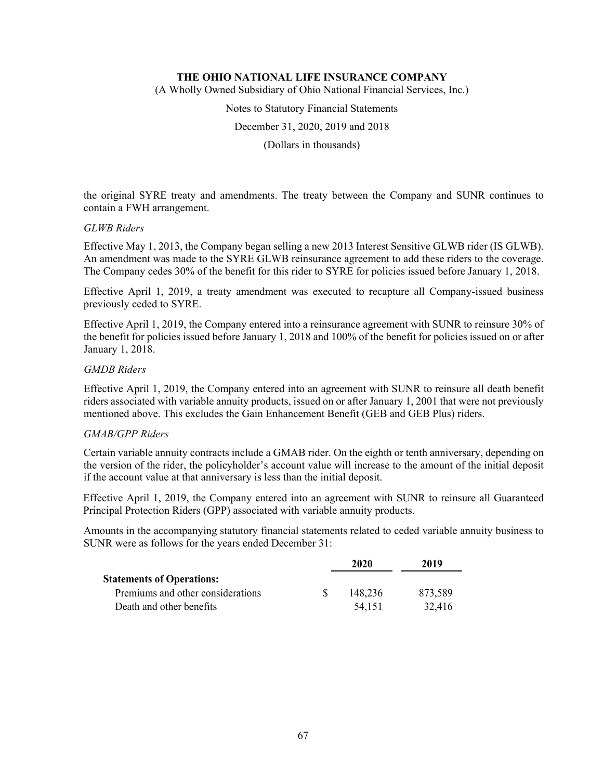(A Wholly Owned Subsidiary of Ohio National Financial Services, Inc.)

Notes to Statutory Financial Statements

December 31, 2020, 2019 and 2018

(Dollars in thousands)

the original SYRE treaty and amendments. The treaty between the Company and SUNR continues to contain a FWH arrangement.

## *GLWB Riders*

Effective May 1, 2013, the Company began selling a new 2013 Interest Sensitive GLWB rider (IS GLWB). An amendment was made to the SYRE GLWB reinsurance agreement to add these riders to the coverage. The Company cedes 30% of the benefit for this rider to SYRE for policies issued before January 1, 2018.

Effective April 1, 2019, a treaty amendment was executed to recapture all Company-issued business previously ceded to SYRE.

Effective April 1, 2019, the Company entered into a reinsurance agreement with SUNR to reinsure 30% of the benefit for policies issued before January 1, 2018 and 100% of the benefit for policies issued on or after January 1, 2018.

# *GMDB Riders*

Effective April 1, 2019, the Company entered into an agreement with SUNR to reinsure all death benefit riders associated with variable annuity products, issued on or after January 1, 2001 that were not previously mentioned above. This excludes the Gain Enhancement Benefit (GEB and GEB Plus) riders.

#### *GMAB/GPP Riders*

Certain variable annuity contracts include a GMAB rider. On the eighth or tenth anniversary, depending on the version of the rider, the policyholder's account value will increase to the amount of the initial deposit if the account value at that anniversary is less than the initial deposit.

Effective April 1, 2019, the Company entered into an agreement with SUNR to reinsure all Guaranteed Principal Protection Riders (GPP) associated with variable annuity products.

Amounts in the accompanying statutory financial statements related to ceded variable annuity business to SUNR were as follows for the years ended December 31:

|                                   | 2020    | 2019    |
|-----------------------------------|---------|---------|
| <b>Statements of Operations:</b>  |         |         |
| Premiums and other considerations | 148.236 | 873,589 |
| Death and other benefits          | 54.151  | 32,416  |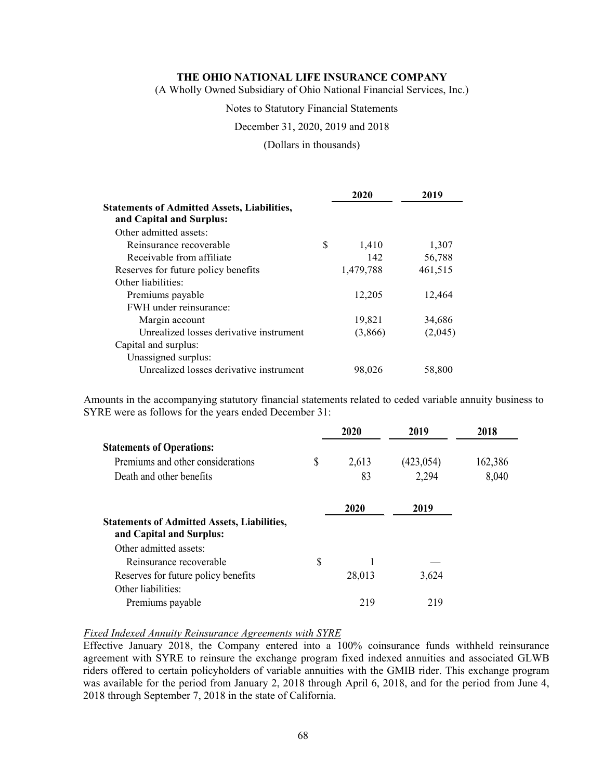(A Wholly Owned Subsidiary of Ohio National Financial Services, Inc.)

# Notes to Statutory Financial Statements

# December 31, 2020, 2019 and 2018

#### (Dollars in thousands)

| 2020        | 2019    |
|-------------|---------|
|             |         |
|             |         |
| \$<br>1,410 | 1,307   |
| 142         | 56,788  |
| 1,479,788   | 461,515 |
|             |         |
| 12.205      | 12,464  |
|             |         |
| 19,821      | 34,686  |
| (3,866)     | (2,045) |
|             |         |
|             |         |
| 98,026      | 58,800  |
|             |         |

Amounts in the accompanying statutory financial statements related to ceded variable annuity business to SYRE were as follows for the years ended December 31:

|                                                                                |    | 2020        | 2019       | 2018    |
|--------------------------------------------------------------------------------|----|-------------|------------|---------|
| <b>Statements of Operations:</b>                                               |    |             |            |         |
| Premiums and other considerations                                              | S  | 2,613       | (423, 054) | 162,386 |
| Death and other benefits                                                       |    | 83          | 2.294      | 8,040   |
|                                                                                |    | <b>2020</b> | 2019       |         |
| <b>Statements of Admitted Assets, Liabilities,</b><br>and Capital and Surplus: |    |             |            |         |
| Other admitted assets:                                                         |    |             |            |         |
| Reinsurance recoverable                                                        | \$ |             |            |         |
| Reserves for future policy benefits                                            |    | 28,013      | 3,624      |         |
| Other liabilities:                                                             |    |             |            |         |
| Premiums payable                                                               |    | 219         | 219        |         |

## *Fixed Indexed Annuity Reinsurance Agreements with SYRE*

Effective January 2018, the Company entered into a 100% coinsurance funds withheld reinsurance agreement with SYRE to reinsure the exchange program fixed indexed annuities and associated GLWB riders offered to certain policyholders of variable annuities with the GMIB rider. This exchange program was available for the period from January 2, 2018 through April 6, 2018, and for the period from June 4, 2018 through September 7, 2018 in the state of California.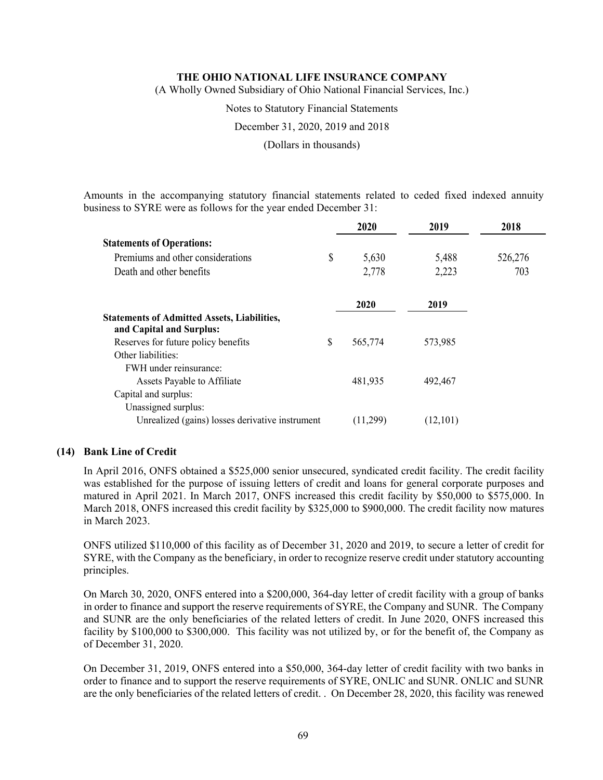(A Wholly Owned Subsidiary of Ohio National Financial Services, Inc.)

Notes to Statutory Financial Statements

December 31, 2020, 2019 and 2018

(Dollars in thousands)

Amounts in the accompanying statutory financial statements related to ceded fixed indexed annuity business to SYRE were as follows for the year ended December 31:

|                                                    | 2020          | 2019      | 2018    |
|----------------------------------------------------|---------------|-----------|---------|
| <b>Statements of Operations:</b>                   |               |           |         |
| Premiums and other considerations                  | \$<br>5,630   | 5,488     | 526,276 |
| Death and other benefits                           | 2,778         | 2,223     | 703     |
|                                                    | 2020          | 2019      |         |
| <b>Statements of Admitted Assets, Liabilities,</b> |               |           |         |
| and Capital and Surplus:                           |               |           |         |
| Reserves for future policy benefits                | \$<br>565,774 | 573,985   |         |
| Other liabilities:                                 |               |           |         |
| FWH under reinsurance:                             |               |           |         |
| Assets Payable to Affiliate                        | 481,935       | 492,467   |         |
| Capital and surplus:                               |               |           |         |
| Unassigned surplus:                                |               |           |         |
| Unrealized (gains) losses derivative instrument    | (11,299)      | (12, 101) |         |

#### **(14) Bank Line of Credit**

In April 2016, ONFS obtained a \$525,000 senior unsecured, syndicated credit facility. The credit facility was established for the purpose of issuing letters of credit and loans for general corporate purposes and matured in April 2021. In March 2017, ONFS increased this credit facility by \$50,000 to \$575,000. In March 2018, ONFS increased this credit facility by \$325,000 to \$900,000. The credit facility now matures in March 2023.

ONFS utilized \$110,000 of this facility as of December 31, 2020 and 2019, to secure a letter of credit for SYRE, with the Company as the beneficiary, in order to recognize reserve credit under statutory accounting principles.

On March 30, 2020, ONFS entered into a \$200,000, 364-day letter of credit facility with a group of banks in order to finance and support the reserve requirements of SYRE, the Company and SUNR. The Company and SUNR are the only beneficiaries of the related letters of credit. In June 2020, ONFS increased this facility by \$100,000 to \$300,000. This facility was not utilized by, or for the benefit of, the Company as of December 31, 2020.

On December 31, 2019, ONFS entered into a \$50,000, 364-day letter of credit facility with two banks in order to finance and to support the reserve requirements of SYRE, ONLIC and SUNR. ONLIC and SUNR are the only beneficiaries of the related letters of credit. . On December 28, 2020, this facility was renewed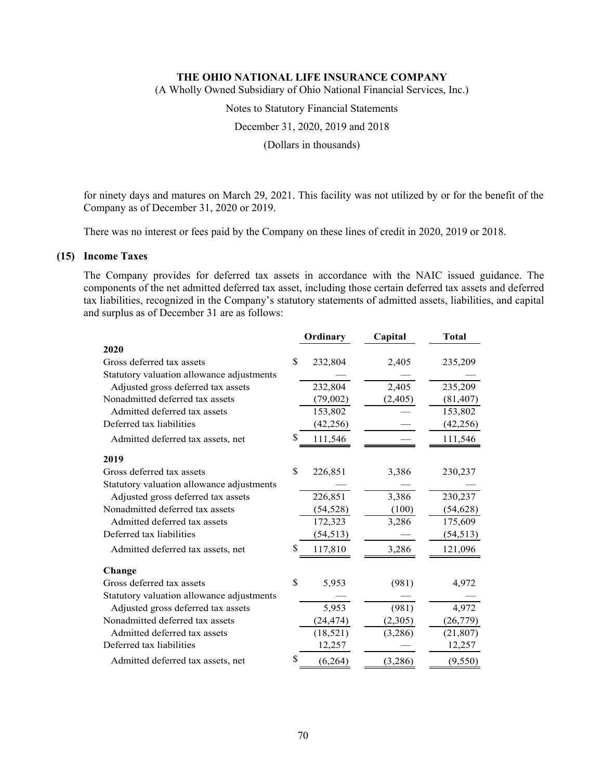(A Wholly Owned Subsidiary of Ohio National Financial Services, Inc.)

Notes to Statutory Financial Statements

December 31, 2020, 2019 and 2018

(Dollars in thousands)

for ninety days and matures on March 29, 2021. This facility was not utilized by or for the benefit of the Company as of December 31, 2020 or 2019.

There was no interest or fees paid by the Company on these lines of credit in 2020, 2019 or 2018.

# **(15) Income Taxes**

The Company provides for deferred tax assets in accordance with the NAIC issued guidance. The components of the net admitted deferred tax asset, including those certain deferred tax assets and deferred tax liabilities, recognized in the Company's statutory statements of admitted assets, liabilities, and capital and surplus as of December 31 are as follows:

|                                           |    | Ordinary  | Capital | <b>Total</b> |
|-------------------------------------------|----|-----------|---------|--------------|
| 2020                                      |    |           |         |              |
| Gross deferred tax assets                 | \$ | 232,804   | 2,405   | 235,209      |
| Statutory valuation allowance adjustments |    |           |         |              |
| Adjusted gross deferred tax assets        |    | 232,804   | 2,405   | 235,209      |
| Nonadmitted deferred tax assets           |    | (79,002)  | (2,405) | (81, 407)    |
| Admitted deferred tax assets              |    | 153,802   |         | 153,802      |
| Deferred tax liabilities                  |    | (42, 256) |         | (42, 256)    |
| Admitted deferred tax assets, net         | \$ | 111,546   |         | 111,546      |
| 2019                                      |    |           |         |              |
| Gross deferred tax assets                 | \$ | 226,851   | 3,386   | 230,237      |
| Statutory valuation allowance adjustments |    |           |         |              |
| Adjusted gross deferred tax assets        |    | 226,851   | 3,386   | 230,237      |
| Nonadmitted deferred tax assets           |    | (54, 528) | (100)   | (54, 628)    |
| Admitted deferred tax assets              |    | 172,323   | 3,286   | 175,609      |
| Deferred tax liabilities                  |    | (54, 513) |         | (54, 513)    |
| Admitted deferred tax assets, net         | \$ | 117,810   | 3,286   | 121,096      |
| Change                                    |    |           |         |              |
| Gross deferred tax assets                 | \$ | 5,953     | (981)   | 4,972        |
| Statutory valuation allowance adjustments |    |           |         |              |
| Adjusted gross deferred tax assets        |    | 5,953     | (981)   | 4,972        |
| Nonadmitted deferred tax assets           |    | (24, 474) | (2,305) | (26, 779)    |
| Admitted deferred tax assets              |    | (18, 521) | (3,286) | (21, 807)    |
| Deferred tax liabilities                  |    | 12,257    |         | 12,257       |
| Admitted deferred tax assets, net         | S  | (6,264)   | (3,286) | (9, 550)     |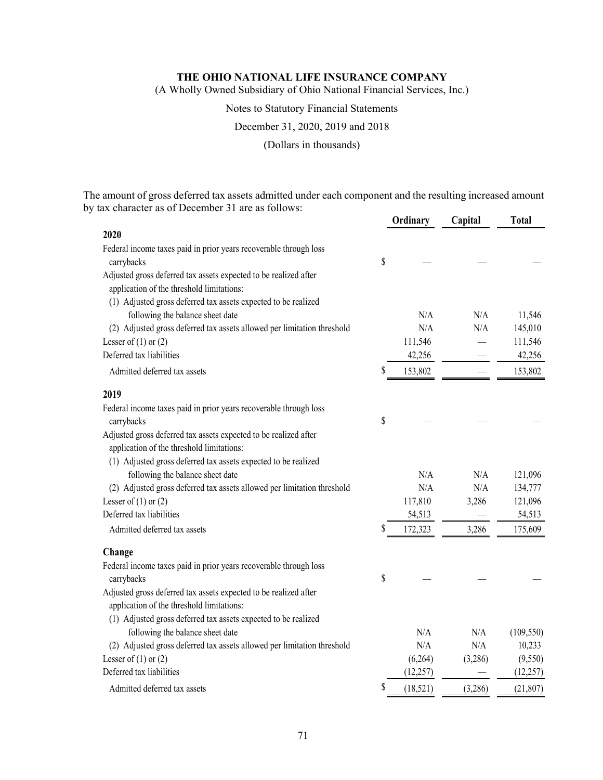(A Wholly Owned Subsidiary of Ohio National Financial Services, Inc.)

# Notes to Statutory Financial Statements

December 31, 2020, 2019 and 2018

(Dollars in thousands)

The amount of gross deferred tax assets admitted under each component and the resulting increased amount by tax character as of December 31 are as follows: **Ordinary Capital Total**

|                                                                                                     |    | Ordinary   | Capital    | I otal            |
|-----------------------------------------------------------------------------------------------------|----|------------|------------|-------------------|
| 2020                                                                                                |    |            |            |                   |
| Federal income taxes paid in prior years recoverable through loss                                   |    |            |            |                   |
| carrybacks                                                                                          | \$ |            |            |                   |
| Adjusted gross deferred tax assets expected to be realized after                                    |    |            |            |                   |
| application of the threshold limitations:                                                           |    |            |            |                   |
| (1) Adjusted gross deferred tax assets expected to be realized                                      |    |            |            |                   |
| following the balance sheet date                                                                    |    | N/A        | N/A        | 11,546            |
| (2) Adjusted gross deferred tax assets allowed per limitation threshold                             |    | N/A        | N/A        | 145,010           |
| Lesser of $(1)$ or $(2)$                                                                            |    | 111,546    |            | 111,546           |
| Deferred tax liabilities                                                                            |    | 42,256     |            | 42,256            |
| Admitted deferred tax assets                                                                        | S  | 153,802    |            | 153,802           |
| 2019                                                                                                |    |            |            |                   |
| Federal income taxes paid in prior years recoverable through loss                                   |    |            |            |                   |
| carrybacks                                                                                          | \$ |            |            |                   |
| Adjusted gross deferred tax assets expected to be realized after                                    |    |            |            |                   |
| application of the threshold limitations:                                                           |    |            |            |                   |
| (1) Adjusted gross deferred tax assets expected to be realized                                      |    |            |            |                   |
| following the balance sheet date                                                                    |    | N/A        | N/A        | 121,096           |
| (2) Adjusted gross deferred tax assets allowed per limitation threshold                             |    | N/A        | N/A        | 134,777           |
| Lesser of $(1)$ or $(2)$<br>Deferred tax liabilities                                                |    | 117,810    | 3,286      | 121,096           |
|                                                                                                     |    | 54,513     |            | 54,513            |
| Admitted deferred tax assets                                                                        | \$ | 172,323    | 3,286      | 175,609           |
| Change                                                                                              |    |            |            |                   |
| Federal income taxes paid in prior years recoverable through loss                                   |    |            |            |                   |
| carrybacks                                                                                          | \$ |            |            |                   |
| Adjusted gross deferred tax assets expected to be realized after                                    |    |            |            |                   |
| application of the threshold limitations:                                                           |    |            |            |                   |
| (1) Adjusted gross deferred tax assets expected to be realized                                      |    |            |            |                   |
| following the balance sheet date                                                                    |    | N/A<br>N/A | N/A<br>N/A | (109, 550)        |
| (2) Adjusted gross deferred tax assets allowed per limitation threshold<br>Lesser of $(1)$ or $(2)$ |    | (6,264)    | (3,286)    | 10,233<br>(9,550) |
| Deferred tax liabilities                                                                            |    | (12, 257)  |            | (12, 257)         |
| Admitted deferred tax assets                                                                        | S  | (18, 521)  | (3,286)    | (21, 807)         |
|                                                                                                     |    |            |            |                   |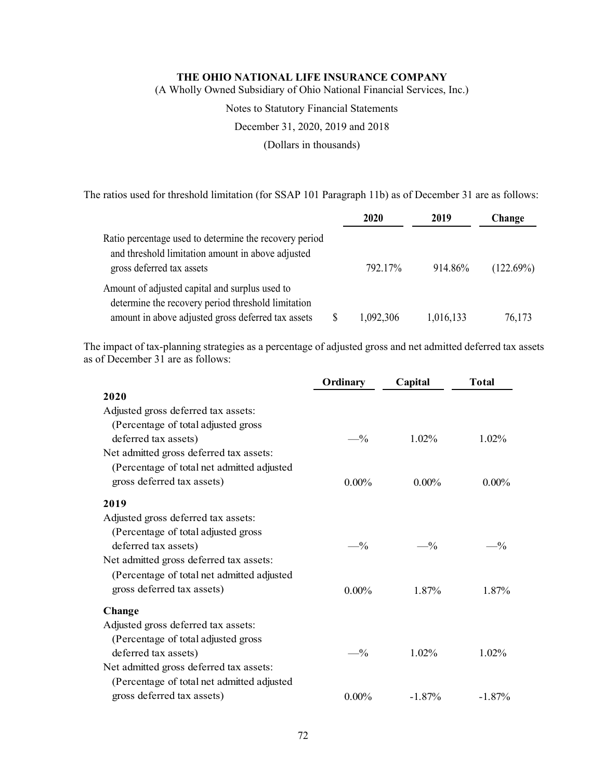(A Wholly Owned Subsidiary of Ohio National Financial Services, Inc.)

Notes to Statutory Financial Statements

December 31, 2020, 2019 and 2018

(Dollars in thousands)

The ratios used for threshold limitation (for SSAP 101 Paragraph 11b) as of December 31 are as follows:

|                                                                                                                                          |   | 2020      | 2019      | Change    |
|------------------------------------------------------------------------------------------------------------------------------------------|---|-----------|-----------|-----------|
| Ratio percentage used to determine the recovery period<br>and threshold limitation amount in above adjusted<br>gross deferred tax assets |   | 792.17%   | 914.86%   | (122.69%) |
| Amount of adjusted capital and surplus used to<br>determine the recovery period threshold limitation                                     |   |           |           |           |
| amount in above adjusted gross deferred tax assets                                                                                       | S | 1,092,306 | 1,016,133 | 76,173    |

The impact of tax-planning strategies as a percentage of adjusted gross and net admitted deferred tax assets as of December 31 are as follows:

|                                            | Ordinary | Capital   | <b>Total</b> |
|--------------------------------------------|----------|-----------|--------------|
| 2020                                       |          |           |              |
| Adjusted gross deferred tax assets:        |          |           |              |
| (Percentage of total adjusted gross)       |          |           |              |
| deferred tax assets)                       | $-$ %    | $1.02\%$  | $1.02\%$     |
| Net admitted gross deferred tax assets:    |          |           |              |
| (Percentage of total net admitted adjusted |          |           |              |
| gross deferred tax assets)                 | $0.00\%$ | $0.00\%$  | $0.00\%$     |
| 2019                                       |          |           |              |
| Adjusted gross deferred tax assets:        |          |           |              |
| (Percentage of total adjusted gross)       |          |           |              |
| deferred tax assets)                       | $-$ %    | $-$ %     | $-1/2$       |
| Net admitted gross deferred tax assets:    |          |           |              |
| (Percentage of total net admitted adjusted |          |           |              |
| gross deferred tax assets)                 | $0.00\%$ | $1.87\%$  | $1.87\%$     |
| Change                                     |          |           |              |
| Adjusted gross deferred tax assets:        |          |           |              |
| (Percentage of total adjusted gross)       |          |           |              |
| deferred tax assets)                       | $-$ %    | $1.02\%$  | $1.02\%$     |
| Net admitted gross deferred tax assets:    |          |           |              |
| (Percentage of total net admitted adjusted |          |           |              |
| gross deferred tax assets)                 | $0.00\%$ | $-1.87\%$ | $-1.87%$     |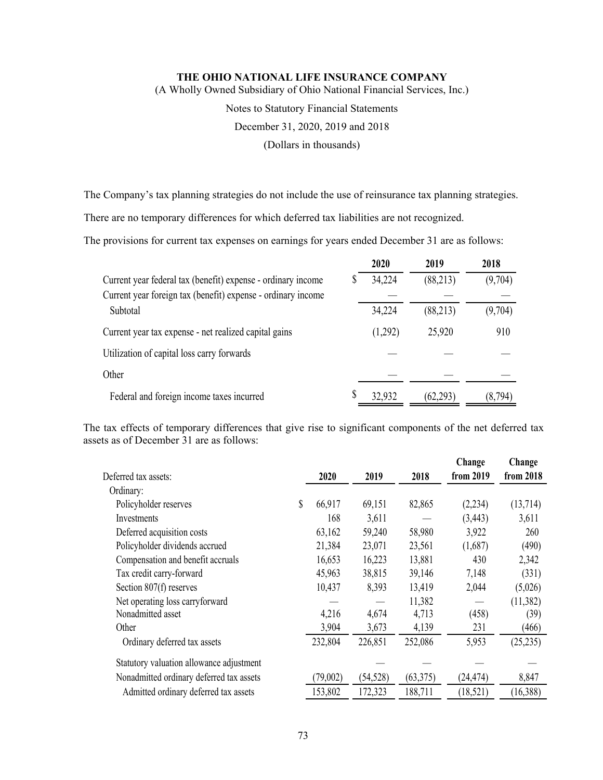(A Wholly Owned Subsidiary of Ohio National Financial Services, Inc.)

Notes to Statutory Financial Statements

December 31, 2020, 2019 and 2018

(Dollars in thousands)

The Company's tax planning strategies do not include the use of reinsurance tax planning strategies.

There are no temporary differences for which deferred tax liabilities are not recognized.

The provisions for current tax expenses on earnings for years ended December 31 are as follows:

|                                                              | 2020    | 2019      | 2018    |
|--------------------------------------------------------------|---------|-----------|---------|
| Current year federal tax (benefit) expense - ordinary income | 34,224  | (88, 213) | (9,704) |
| Current year foreign tax (benefit) expense - ordinary income |         |           |         |
| Subtotal                                                     | 34,224  | (88,213)  | (9,704) |
| Current year tax expense - net realized capital gains        | (1,292) | 25,920    | 910     |
| Utilization of capital loss carry forwards                   |         |           |         |
| Other                                                        |         |           |         |
| Federal and foreign income taxes incurred                    | 32.932  | (62, 293) | (8,794) |

The tax effects of temporary differences that give rise to significant components of the net deferred tax assets as of December 31 are as follows:

|              |           |          | Change    | Change    |
|--------------|-----------|----------|-----------|-----------|
| 2020         | 2019      | 2018     | from 2019 | from 2018 |
|              |           |          |           |           |
| \$<br>66,917 | 69,151    | 82,865   | (2,234)   | (13,714)  |
| 168          | 3,611     |          | (3, 443)  | 3,611     |
| 63,162       | 59,240    | 58,980   | 3,922     | 260       |
| 21,384       | 23,071    | 23,561   | (1,687)   | (490)     |
| 16,653       | 16,223    | 13,881   | 430       | 2,342     |
| 45,963       | 38,815    | 39,146   | 7,148     | (331)     |
| 10,437       | 8,393     | 13,419   | 2,044     | (5,026)   |
|              |           | 11,382   |           | (11, 382) |
| 4,216        | 4,674     | 4,713    | (458)     | (39)      |
| 3,904        | 3,673     | 4,139    | 231       | (466)     |
| 232,804      | 226,851   | 252,086  | 5,953     | (25, 235) |
|              |           |          |           |           |
| (79,002)     | (54, 528) | (63,375) | (24, 474) | 8,847     |
| 153,802      | 172,323   | 188,711  | (18, 521) | (16,388)  |
|              |           |          |           |           |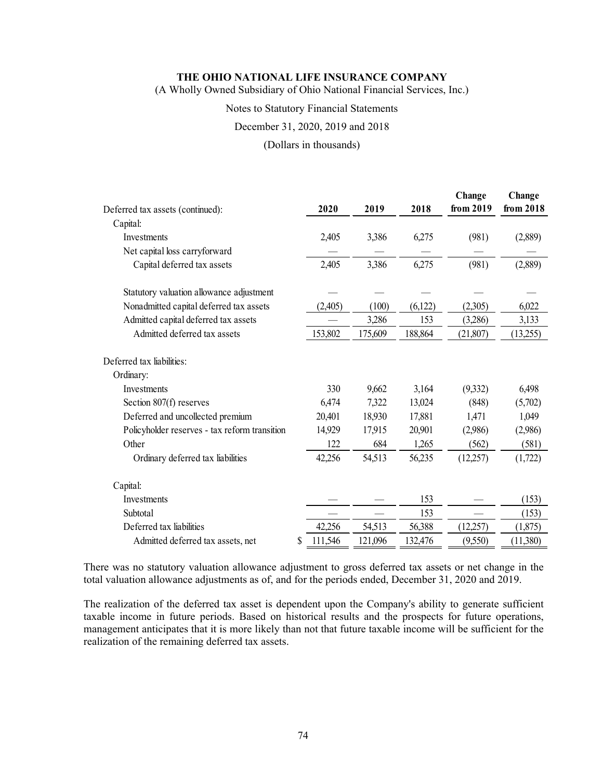(A Wholly Owned Subsidiary of Ohio National Financial Services, Inc.)

## Notes to Statutory Financial Statements

## December 31, 2020, 2019 and 2018

### (Dollars in thousands)

| Deferred tax assets (continued):              | 2020         | 2019    | 2018    | Change<br>from 2019 | Change<br>from 2018 |
|-----------------------------------------------|--------------|---------|---------|---------------------|---------------------|
| Capital:                                      |              |         |         |                     |                     |
| Investments                                   | 2,405        | 3,386   | 6,275   | (981)               | (2,889)             |
| Net capital loss carryforward                 |              |         |         |                     |                     |
| Capital deferred tax assets                   | 2,405        | 3,386   | 6,275   | (981)               | (2,889)             |
|                                               |              |         |         |                     |                     |
| Statutory valuation allowance adjustment      |              |         |         |                     |                     |
| Nonadmitted capital deferred tax assets       | (2,405)      | (100)   | (6,122) | (2,305)             | 6,022               |
| Admitted capital deferred tax assets          |              | 3,286   | 153     | (3,286)             | 3,133               |
| Admitted deferred tax assets                  | 153,802      | 175,609 | 188,864 | (21, 807)           | (13,255)            |
| Deferred tax liabilities:<br>Ordinary:        |              |         |         |                     |                     |
| Investments                                   | 330          | 9,662   | 3,164   | (9,332)             | 6,498               |
| Section 807(f) reserves                       | 6,474        | 7,322   | 13,024  | (848)               | (5,702)             |
| Deferred and uncollected premium              | 20,401       | 18,930  | 17,881  | 1,471               | 1,049               |
| Policyholder reserves - tax reform transition | 14,929       | 17,915  | 20,901  | (2,986)             | (2,986)             |
| Other                                         | 122          | 684     | 1,265   | (562)               | (581)               |
| Ordinary deferred tax liabilities             | 42,256       | 54,513  | 56,235  | (12,257)            | (1,722)             |
| Capital:                                      |              |         |         |                     |                     |
| Investments                                   |              |         | 153     |                     | (153)               |
| Subtotal                                      |              |         | 153     |                     | (153)               |
| Deferred tax liabilities                      | 42,256       | 54,513  | 56,388  | (12, 257)           | (1,875)             |
| Admitted deferred tax assets, net             | 111,546<br>S | 121,096 | 132,476 | (9,550)             | (11,380)            |

There was no statutory valuation allowance adjustment to gross deferred tax assets or net change in the total valuation allowance adjustments as of, and for the periods ended, December 31, 2020 and 2019.

The realization of the deferred tax asset is dependent upon the Company's ability to generate sufficient taxable income in future periods. Based on historical results and the prospects for future operations, management anticipates that it is more likely than not that future taxable income will be sufficient for the realization of the remaining deferred tax assets.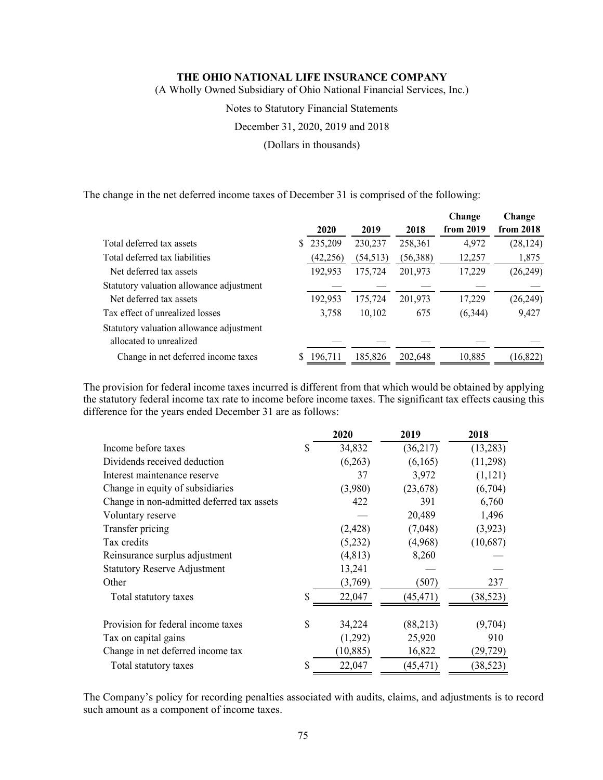(A Wholly Owned Subsidiary of Ohio National Financial Services, Inc.)

Notes to Statutory Financial Statements

December 31, 2020, 2019 and 2018

(Dollars in thousands)

The change in the net deferred income taxes of December 31 is comprised of the following:

|                                                                     |    |           |           |          | Change    | Change    |
|---------------------------------------------------------------------|----|-----------|-----------|----------|-----------|-----------|
|                                                                     |    | 2020      | 2019      | 2018     | from 2019 | from 2018 |
| Total deferred tax assets                                           | S. | 235,209   | 230,237   | 258,361  | 4,972     | (28, 124) |
| Total deferred tax liabilities                                      |    | (42, 256) | (54, 513) | (56,388) | 12,257    | 1,875     |
| Net deferred tax assets                                             |    | 192,953   | 175,724   | 201,973  | 17,229    | (26, 249) |
| Statutory valuation allowance adjustment                            |    |           |           |          |           |           |
| Net deferred tax assets                                             |    | 192,953   | 175,724   | 201,973  | 17,229    | (26, 249) |
| Tax effect of unrealized losses                                     |    | 3,758     | 10,102    | 675      | (6,344)   | 9,427     |
| Statutory valuation allowance adjustment<br>allocated to unrealized |    |           |           |          |           |           |
| Change in net deferred income taxes                                 |    | 196,711   | 185,826   | 202,648  | 10,885    | (16, 822) |
|                                                                     |    |           |           |          |           |           |

The provision for federal income taxes incurred is different from that which would be obtained by applying the statutory federal income tax rate to income before income taxes. The significant tax effects causing this difference for the years ended December 31 are as follows:

|                                            | 2020         | 2019      | 2018      |
|--------------------------------------------|--------------|-----------|-----------|
| Income before taxes                        | \$<br>34,832 | (36,217)  | (13,283)  |
| Dividends received deduction               | (6,263)      | (6,165)   | (11,298)  |
| Interest maintenance reserve               | 37           | 3,972     | (1,121)   |
| Change in equity of subsidiaries           | (3,980)      | (23, 678) | (6,704)   |
| Change in non-admitted deferred tax assets | 422          | 391       | 6,760     |
| Voluntary reserve                          |              | 20,489    | 1,496     |
| Transfer pricing                           | (2, 428)     | (7,048)   | (3,923)   |
| Tax credits                                | (5,232)      | (4,968)   | (10,687)  |
| Reinsurance surplus adjustment             | (4, 813)     | 8,260     |           |
| <b>Statutory Reserve Adjustment</b>        | 13,241       |           |           |
| Other                                      | (3,769)      | (507)     | 237       |
| Total statutory taxes                      | \$<br>22,047 | (45, 471) | (38, 523) |
| Provision for federal income taxes         | \$<br>34,224 | (88,213)  | (9,704)   |
| Tax on capital gains                       | (1,292)      | 25,920    | 910       |
| Change in net deferred income tax          | (10, 885)    | 16,822    | (29, 729) |
| Total statutory taxes                      | \$<br>22,047 | (45, 471) | (38, 523) |

The Company's policy for recording penalties associated with audits, claims, and adjustments is to record such amount as a component of income taxes.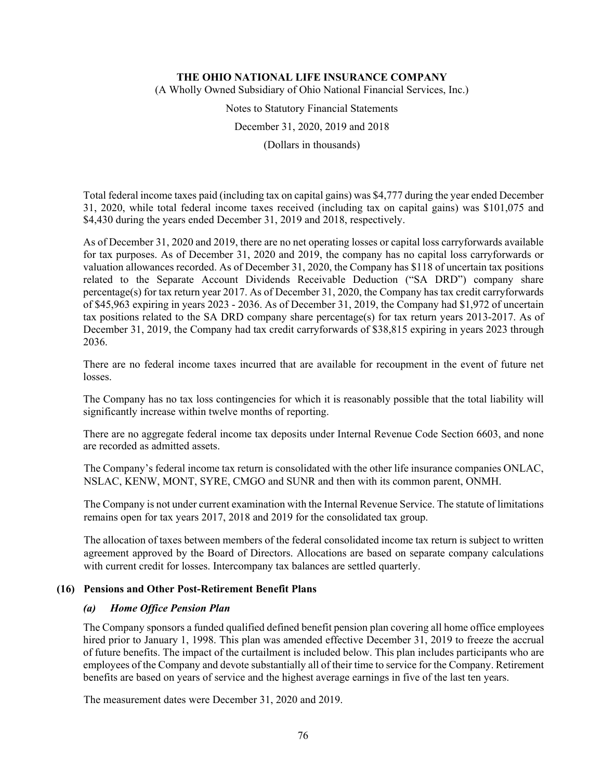(A Wholly Owned Subsidiary of Ohio National Financial Services, Inc.)

Notes to Statutory Financial Statements

December 31, 2020, 2019 and 2018

(Dollars in thousands)

Total federal income taxes paid (including tax on capital gains) was \$4,777 during the year ended December 31, 2020, while total federal income taxes received (including tax on capital gains) was \$101,075 and \$4,430 during the years ended December 31, 2019 and 2018, respectively.

As of December 31, 2020 and 2019, there are no net operating losses or capital loss carryforwards available for tax purposes. As of December 31, 2020 and 2019, the company has no capital loss carryforwards or valuation allowances recorded. As of December 31, 2020, the Company has \$118 of uncertain tax positions related to the Separate Account Dividends Receivable Deduction ("SA DRD") company share percentage(s) for tax return year 2017. As of December 31, 2020, the Company has tax credit carryforwards of \$45,963 expiring in years 2023 - 2036. As of December 31, 2019, the Company had \$1,972 of uncertain tax positions related to the SA DRD company share percentage(s) for tax return years 2013-2017. As of December 31, 2019, the Company had tax credit carryforwards of \$38,815 expiring in years 2023 through 2036.

There are no federal income taxes incurred that are available for recoupment in the event of future net losses.

The Company has no tax loss contingencies for which it is reasonably possible that the total liability will significantly increase within twelve months of reporting.

There are no aggregate federal income tax deposits under Internal Revenue Code Section 6603, and none are recorded as admitted assets.

The Company's federal income tax return is consolidated with the other life insurance companies ONLAC, NSLAC, KENW, MONT, SYRE, CMGO and SUNR and then with its common parent, ONMH.

The Company is not under current examination with the Internal Revenue Service. The statute of limitations remains open for tax years 2017, 2018 and 2019 for the consolidated tax group.

The allocation of taxes between members of the federal consolidated income tax return is subject to written agreement approved by the Board of Directors. Allocations are based on separate company calculations with current credit for losses. Intercompany tax balances are settled quarterly.

### **(16) Pensions and Other Post-Retirement Benefit Plans**

### *(a) Home Office Pension Plan*

The Company sponsors a funded qualified defined benefit pension plan covering all home office employees hired prior to January 1, 1998. This plan was amended effective December 31, 2019 to freeze the accrual of future benefits. The impact of the curtailment is included below. This plan includes participants who are employees of the Company and devote substantially all of their time to service for the Company. Retirement benefits are based on years of service and the highest average earnings in five of the last ten years.

The measurement dates were December 31, 2020 and 2019.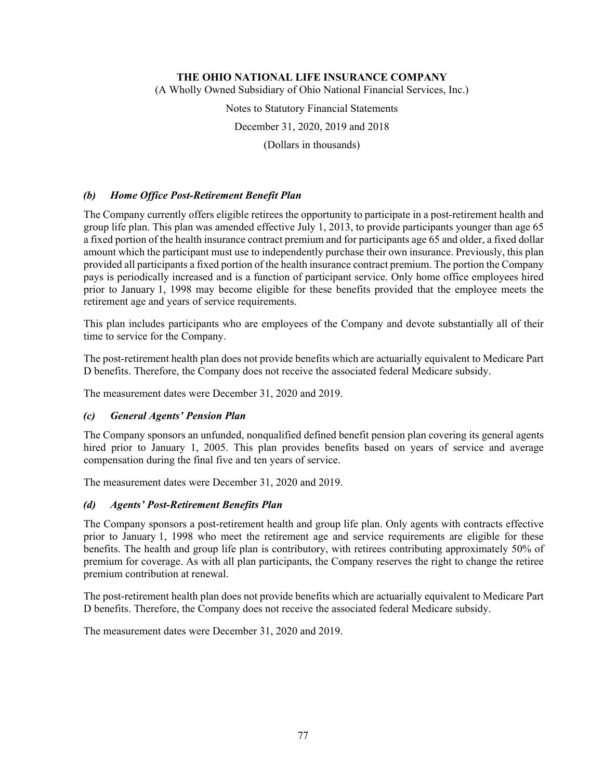(A Wholly Owned Subsidiary of Ohio National Financial Services, Inc.)

Notes to Statutory Financial Statements

December 31, 2020, 2019 and 2018

(Dollars in thousands)

## *(b) Home Office Post-Retirement Benefit Plan*

The Company currently offers eligible retirees the opportunity to participate in a post-retirement health and group life plan. This plan was amended effective July 1, 2013, to provide participants younger than age 65 a fixed portion of the health insurance contract premium and for participants age 65 and older, a fixed dollar amount which the participant must use to independently purchase their own insurance. Previously, this plan provided all participants a fixed portion of the health insurance contract premium. The portion the Company pays is periodically increased and is a function of participant service. Only home office employees hired prior to January 1, 1998 may become eligible for these benefits provided that the employee meets the retirement age and years of service requirements.

This plan includes participants who are employees of the Company and devote substantially all of their time to service for the Company.

The post-retirement health plan does not provide benefits which are actuarially equivalent to Medicare Part D benefits. Therefore, the Company does not receive the associated federal Medicare subsidy.

The measurement dates were December 31, 2020 and 2019.

## *(c) General Agents' Pension Plan*

The Company sponsors an unfunded, nonqualified defined benefit pension plan covering its general agents hired prior to January 1, 2005. This plan provides benefits based on years of service and average compensation during the final five and ten years of service.

The measurement dates were December 31, 2020 and 2019.

## *(d) Agents' Post-Retirement Benefits Plan*

The Company sponsors a post-retirement health and group life plan. Only agents with contracts effective prior to January 1, 1998 who meet the retirement age and service requirements are eligible for these benefits. The health and group life plan is contributory, with retirees contributing approximately 50% of premium for coverage. As with all plan participants, the Company reserves the right to change the retiree premium contribution at renewal.

The post-retirement health plan does not provide benefits which are actuarially equivalent to Medicare Part D benefits. Therefore, the Company does not receive the associated federal Medicare subsidy.

The measurement dates were December 31, 2020 and 2019.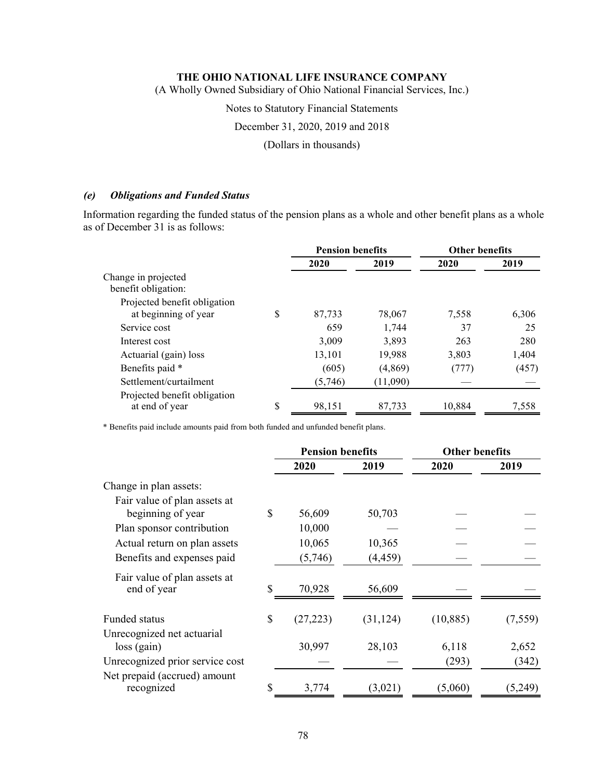(A Wholly Owned Subsidiary of Ohio National Financial Services, Inc.)

Notes to Statutory Financial Statements

December 31, 2020, 2019 and 2018

(Dollars in thousands)

### *(e) Obligations and Funded Status*

Information regarding the funded status of the pension plans as a whole and other benefit plans as a whole as of December 31 is as follows:

|                                                | <b>Pension benefits</b> |          | <b>Other benefits</b> |       |  |
|------------------------------------------------|-------------------------|----------|-----------------------|-------|--|
|                                                | 2020                    | 2019     | 2020                  | 2019  |  |
| Change in projected<br>benefit obligation:     |                         |          |                       |       |  |
| Projected benefit obligation                   |                         |          |                       |       |  |
| at beginning of year                           | \$<br>87,733            | 78,067   | 7,558                 | 6,306 |  |
| Service cost                                   | 659                     | 1,744    | 37                    | 25    |  |
| Interest cost                                  | 3,009                   | 3,893    | 263                   | 280   |  |
| Actuarial (gain) loss                          | 13,101                  | 19,988   | 3,803                 | 1,404 |  |
| Benefits paid *                                | (605)                   | (4,869)  | (777)                 | (457) |  |
| Settlement/curtailment                         | (5,746)                 | (11,090) |                       |       |  |
| Projected benefit obligation<br>at end of year | \$<br>98,151            | 87,733   | 10,884                | 7,558 |  |

\* Benefits paid include amounts paid from both funded and unfunded benefit plans.

|                                                   | <b>Pension benefits</b> |           | <b>Other benefits</b> |         |
|---------------------------------------------------|-------------------------|-----------|-----------------------|---------|
|                                                   | 2020                    | 2019      | 2020                  | 2019    |
| Change in plan assets:                            |                         |           |                       |         |
| Fair value of plan assets at<br>beginning of year | \$<br>56,609            | 50,703    |                       |         |
| Plan sponsor contribution                         | 10,000                  |           |                       |         |
| Actual return on plan assets                      | 10,065                  | 10,365    |                       |         |
| Benefits and expenses paid                        | (5,746)                 | (4, 459)  |                       |         |
| Fair value of plan assets at<br>end of year       | \$<br>70,928            | 56,609    |                       |         |
| <b>Funded status</b>                              | \$<br>(27, 223)         | (31, 124) | (10, 885)             | (7,559) |
| Unrecognized net actuarial<br>$loss$ (gain)       | 30,997                  | 28,103    | 6,118                 | 2,652   |
| Unrecognized prior service cost                   |                         |           | (293)                 | (342)   |
| Net prepaid (accrued) amount<br>recognized        | \$<br>3,774             | (3,021)   | (5,060)               | (5,249) |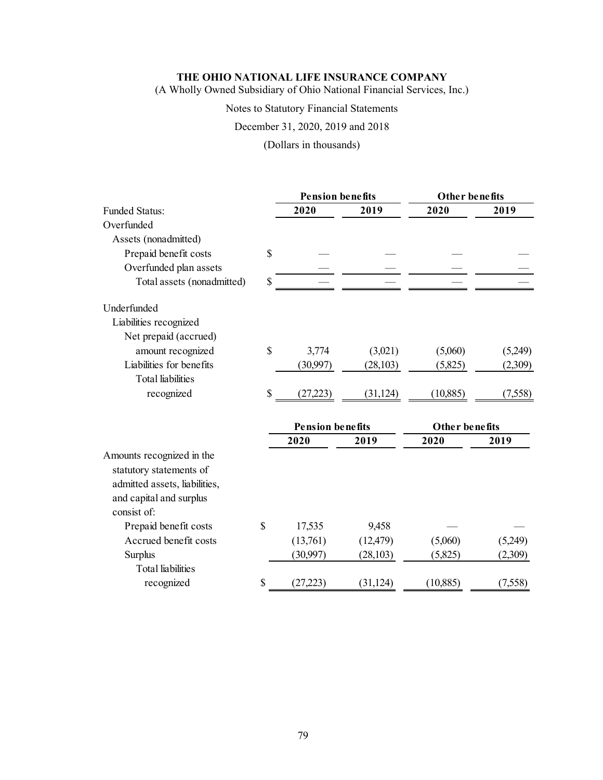(A Wholly Owned Subsidiary of Ohio National Financial Services, Inc.)

## Notes to Statutory Financial Statements

December 31, 2020, 2019 and 2018

# (Dollars in thousands)

|                                                                                                                                 |               | <b>Pension benefits</b> |           | Other benefits |         |
|---------------------------------------------------------------------------------------------------------------------------------|---------------|-------------------------|-----------|----------------|---------|
| <b>Funded Status:</b>                                                                                                           |               | 2020                    | 2019      | 2020           | 2019    |
| Overfunded                                                                                                                      |               |                         |           |                |         |
| Assets (nonadmitted)                                                                                                            |               |                         |           |                |         |
| Prepaid benefit costs                                                                                                           | \$            |                         |           |                |         |
| Overfunded plan assets                                                                                                          |               |                         |           |                |         |
| Total assets (nonadmitted)                                                                                                      | \$            |                         |           |                |         |
| Underfunded                                                                                                                     |               |                         |           |                |         |
| Liabilities recognized                                                                                                          |               |                         |           |                |         |
| Net prepaid (accrued)                                                                                                           |               |                         |           |                |         |
| amount recognized                                                                                                               | $\mathsf{\$}$ | 3,774                   | (3,021)   | (5,060)        | (5,249) |
| Liabilities for benefits                                                                                                        |               | (30,997)                | (28, 103) | (5,825)        | (2,309) |
| <b>Total liabilities</b>                                                                                                        |               |                         |           |                |         |
| recognized                                                                                                                      | \$            | (27,223)                | (31, 124) | (10, 885)      | (7,558) |
|                                                                                                                                 |               | <b>Pension benefits</b> |           | Other benefits |         |
|                                                                                                                                 |               | 2020                    | 2019      | 2020           | 2019    |
| Amounts recognized in the<br>statutory statements of<br>admitted assets, liabilities,<br>and capital and surplus<br>consist of: |               |                         |           |                |         |
| Prepaid benefit costs                                                                                                           | $\mathbb{S}$  | 17,535                  | 9,458     |                |         |
| Accrued benefit costs                                                                                                           |               | (13,761)                | (12, 479) | (5,060)        | (5,249) |
| Surplus                                                                                                                         |               | (30,997)                | (28, 103) | (5,825)        | (2,309) |
| <b>Total</b> liabilities                                                                                                        |               |                         |           |                |         |
| recognized                                                                                                                      | \$            | (27, 223)               | (31, 124) | (10, 885)      | (7,558) |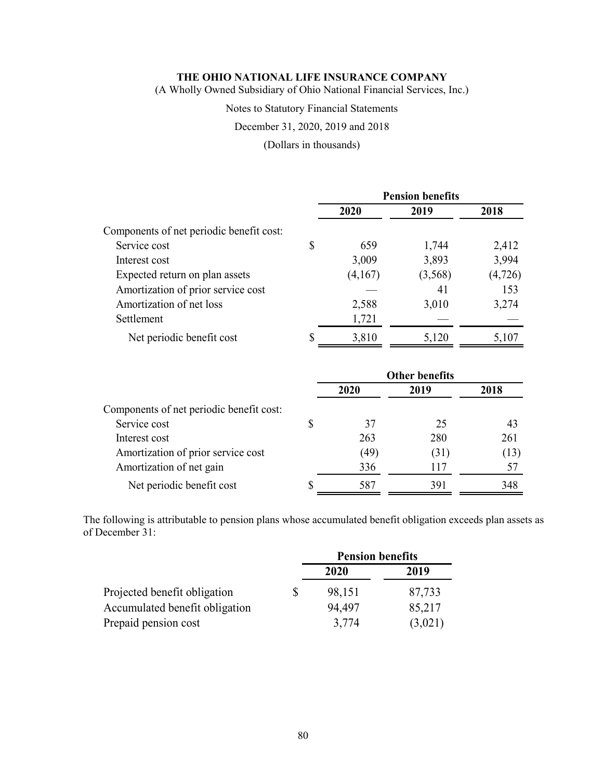(A Wholly Owned Subsidiary of Ohio National Financial Services, Inc.)

Notes to Statutory Financial Statements

December 31, 2020, 2019 and 2018

(Dollars in thousands)

|                                          | <b>Pension benefits</b> |         |          |  |
|------------------------------------------|-------------------------|---------|----------|--|
|                                          | 2020                    | 2019    | 2018     |  |
| Components of net periodic benefit cost: |                         |         |          |  |
| Service cost                             | \$<br>659               | 1,744   | 2,412    |  |
| Interest cost                            | 3,009                   | 3,893   | 3,994    |  |
| Expected return on plan assets           | (4,167)                 | (3,568) | (4, 726) |  |
| Amortization of prior service cost       |                         | 41      | 153      |  |
| Amortization of net loss                 | 2,588                   | 3,010   | 3,274    |  |
| Settlement                               | 1,721                   |         |          |  |
| Net periodic benefit cost                | 3,810                   | 5,120   | 5,107    |  |

|                                          | <b>Other benefits</b> |      |      |  |
|------------------------------------------|-----------------------|------|------|--|
|                                          | 2020                  | 2019 | 2018 |  |
| Components of net periodic benefit cost: |                       |      |      |  |
| Service cost                             | 37                    | 25   | 43   |  |
| Interest cost                            | 263                   | 280  | 261  |  |
| Amortization of prior service cost       | (49)                  | (31) | (13) |  |
| Amortization of net gain                 | 336                   | 117  | 57   |  |
| Net periodic benefit cost                | 587                   | 391  | 348  |  |

The following is attributable to pension plans whose accumulated benefit obligation exceeds plan assets as of December 31:

|                                |              | <b>Pension benefits</b> |         |  |
|--------------------------------|--------------|-------------------------|---------|--|
|                                |              | 2020                    | 2019    |  |
| Projected benefit obligation   | <sup>8</sup> | 98,151                  | 87,733  |  |
| Accumulated benefit obligation |              | 94,497                  | 85,217  |  |
| Prepaid pension cost           |              | 3,774                   | (3,021) |  |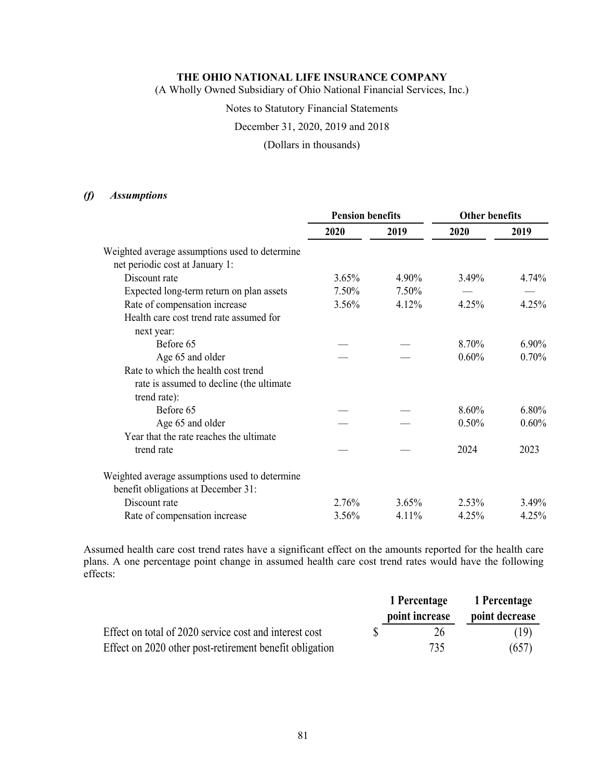(A Wholly Owned Subsidiary of Ohio National Financial Services, Inc.)

## Notes to Statutory Financial Statements

## December 31, 2020, 2019 and 2018

## (Dollars in thousands)

## *(f) Assumptions*

|                                                | <b>Pension benefits</b> |       | <b>Other benefits</b> |          |
|------------------------------------------------|-------------------------|-------|-----------------------|----------|
|                                                | 2020                    | 2019  | 2020                  | 2019     |
| Weighted average assumptions used to determine |                         |       |                       |          |
| net periodic cost at January 1:                |                         |       |                       |          |
| Discount rate                                  | $3.65\%$                | 4.90% | 3.49%                 | $4.74\%$ |
| Expected long-term return on plan assets       | 7.50%                   | 7.50% |                       |          |
| Rate of compensation increase                  | 3.56%                   | 4.12% | 4.25%                 | 4.25%    |
| Health care cost trend rate assumed for        |                         |       |                       |          |
| next year:                                     |                         |       |                       |          |
| Before 65                                      |                         |       | 8.70%                 | 6.90%    |
| Age 65 and older                               |                         |       | 0.60%                 | 0.70%    |
| Rate to which the health cost trend            |                         |       |                       |          |
| rate is assumed to decline (the ultimate       |                         |       |                       |          |
| trend rate):                                   |                         |       |                       |          |
| Before 65                                      |                         |       | 8.60%                 | 6.80%    |
| Age 65 and older                               |                         |       | 0.50%                 | 0.60%    |
| Year that the rate reaches the ultimate        |                         |       |                       |          |
| trend rate                                     |                         |       | 2024                  | 2023     |
| Weighted average assumptions used to determine |                         |       |                       |          |
| benefit obligations at December 31:            |                         |       |                       |          |
| Discount rate                                  | 2.76%                   | 3.65% | 2.53%                 | 3.49%    |
| Rate of compensation increase                  | 3.56%                   | 4.11% | 4.25%                 | 4.25%    |

Assumed health care cost trend rates have a significant effect on the amounts reported for the health care plans. A one percentage point change in assumed health care cost trend rates would have the following effects:

|                                                         |                | 1 Percentage 1 Percentage |
|---------------------------------------------------------|----------------|---------------------------|
|                                                         | point increase | point decrease            |
| Effect on total of 2020 service cost and interest cost  | 26.            | (19)                      |
| Effect on 2020 other post-retirement benefit obligation | 735            | (657)                     |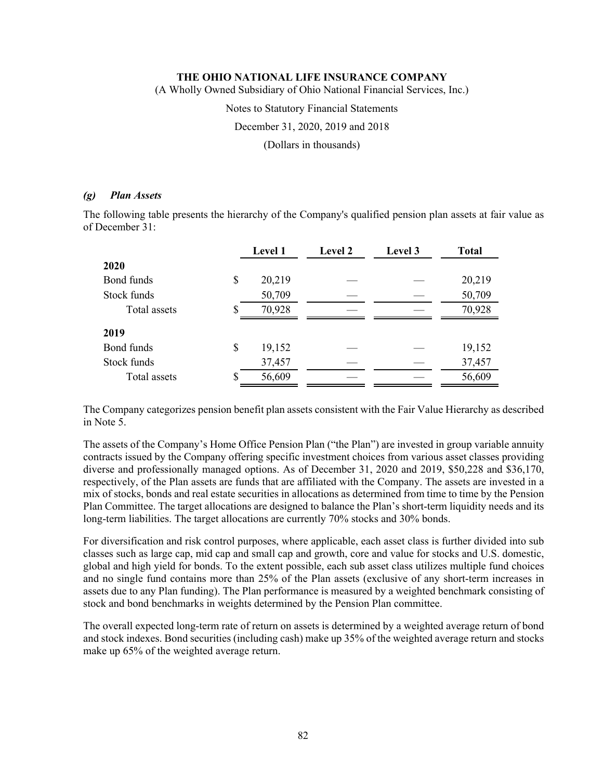(A Wholly Owned Subsidiary of Ohio National Financial Services, Inc.)

Notes to Statutory Financial Statements

December 31, 2020, 2019 and 2018

(Dollars in thousands)

## *(g) Plan Assets*

The following table presents the hierarchy of the Company's qualified pension plan assets at fair value as of December 31:

|              |    | Level 1 | <b>Level 2</b> | Level 3 | <b>Total</b> |
|--------------|----|---------|----------------|---------|--------------|
| 2020         |    |         |                |         |              |
| Bond funds   | \$ | 20,219  |                |         | 20,219       |
| Stock funds  |    | 50,709  |                |         | 50,709       |
| Total assets | \$ | 70,928  |                |         | 70,928       |
| 2019         |    |         |                |         |              |
| Bond funds   | \$ | 19,152  |                |         | 19,152       |
| Stock funds  |    | 37,457  |                |         | 37,457       |
| Total assets | S  | 56,609  |                |         | 56,609       |

The Company categorizes pension benefit plan assets consistent with the Fair Value Hierarchy as described in Note 5.

The assets of the Company's Home Office Pension Plan ("the Plan") are invested in group variable annuity contracts issued by the Company offering specific investment choices from various asset classes providing diverse and professionally managed options. As of December 31, 2020 and 2019, \$50,228 and \$36,170, respectively, of the Plan assets are funds that are affiliated with the Company. The assets are invested in a mix of stocks, bonds and real estate securities in allocations as determined from time to time by the Pension Plan Committee. The target allocations are designed to balance the Plan's short-term liquidity needs and its long-term liabilities. The target allocations are currently 70% stocks and 30% bonds.

For diversification and risk control purposes, where applicable, each asset class is further divided into sub classes such as large cap, mid cap and small cap and growth, core and value for stocks and U.S. domestic, global and high yield for bonds. To the extent possible, each sub asset class utilizes multiple fund choices and no single fund contains more than 25% of the Plan assets (exclusive of any short-term increases in assets due to any Plan funding). The Plan performance is measured by a weighted benchmark consisting of stock and bond benchmarks in weights determined by the Pension Plan committee.

The overall expected long-term rate of return on assets is determined by a weighted average return of bond and stock indexes. Bond securities (including cash) make up 35% of the weighted average return and stocks make up 65% of the weighted average return.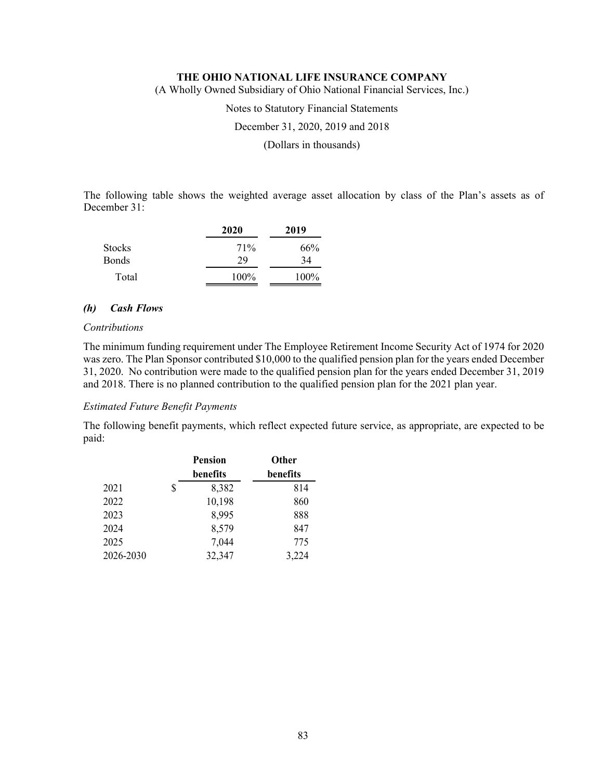(A Wholly Owned Subsidiary of Ohio National Financial Services, Inc.)

Notes to Statutory Financial Statements

December 31, 2020, 2019 and 2018

(Dollars in thousands)

The following table shows the weighted average asset allocation by class of the Plan's assets as of December 31:

|               | 2020 | 2019 |
|---------------|------|------|
| <b>Stocks</b> | 71%  | 66%  |
| <b>Bonds</b>  | 29   | 34   |
| Total         | 100% | 100% |

## *(h) Cash Flows*

#### *Contributions*

The minimum funding requirement under The Employee Retirement Income Security Act of 1974 for 2020 was zero. The Plan Sponsor contributed \$10,000 to the qualified pension plan for the years ended December 31, 2020. No contribution were made to the qualified pension plan for the years ended December 31, 2019 and 2018. There is no planned contribution to the qualified pension plan for the 2021 plan year.

## *Estimated Future Benefit Payments*

The following benefit payments, which reflect expected future service, as appropriate, are expected to be paid:

|           | <b>Pension</b> | <b>Other</b> |
|-----------|----------------|--------------|
|           | benefits       | benefits     |
| 2021      | \$<br>8,382    | 814          |
| 2022      | 10,198         | 860          |
| 2023      | 8,995          | 888          |
| 2024      | 8,579          | 847          |
| 2025      | 7,044          | 775          |
| 2026-2030 | 32,347         | 3,224        |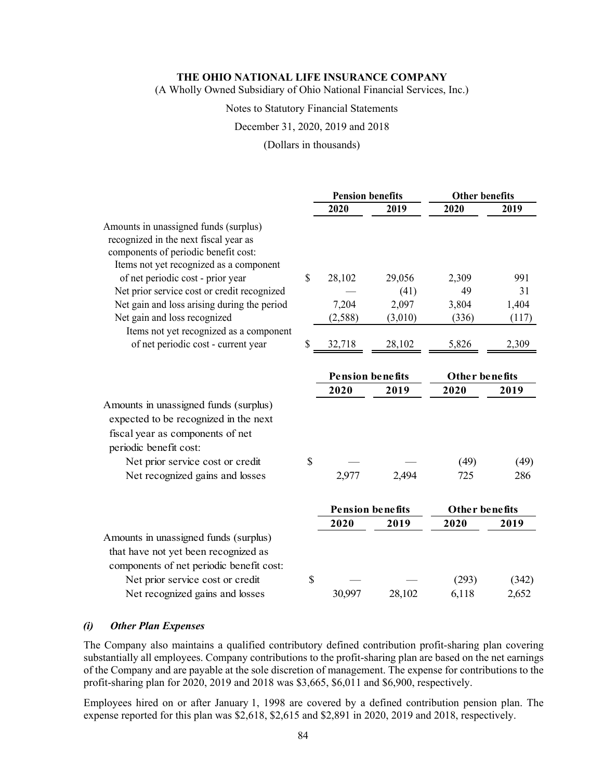(A Wholly Owned Subsidiary of Ohio National Financial Services, Inc.)

## Notes to Statutory Financial Statements

## December 31, 2020, 2019 and 2018

### (Dollars in thousands)

|                                                                                                                                              | <b>Pension benefits</b> |         | <b>Other benefits</b> |       |
|----------------------------------------------------------------------------------------------------------------------------------------------|-------------------------|---------|-----------------------|-------|
|                                                                                                                                              | 2020                    | 2019    | 2020                  | 2019  |
| Amounts in unassigned funds (surplus)<br>recognized in the next fiscal year as<br>components of periodic benefit cost:                       |                         |         |                       |       |
| Items not yet recognized as a component<br>of net periodic cost - prior year                                                                 | \$                      | 29,056  | 2,309                 | 991   |
| Net prior service cost or credit recognized                                                                                                  | 28,102                  | (41)    | 49                    | 31    |
| Net gain and loss arising during the period                                                                                                  | 7,204                   | 2,097   | 3,804                 | 1,404 |
| Net gain and loss recognized                                                                                                                 | (2,588)                 | (3,010) | (336)                 | (117) |
| Items not yet recognized as a component                                                                                                      |                         |         |                       |       |
| of net periodic cost - current year                                                                                                          | \$<br>32,718            | 28,102  | 5,826                 | 2,309 |
|                                                                                                                                              | <b>Pension benefits</b> |         | Other benefits        |       |
|                                                                                                                                              | 2020                    | 2019    | 2020                  | 2019  |
| Amounts in unassigned funds (surplus)<br>expected to be recognized in the next<br>fiscal year as components of net<br>periodic benefit cost: |                         |         |                       |       |
| Net prior service cost or credit                                                                                                             | \$                      |         | (49)                  | (49)  |
| Net recognized gains and losses                                                                                                              | 2,977                   | 2,494   | 725                   | 286   |
|                                                                                                                                              | <b>Pension benefits</b> |         | Other benefits        |       |
|                                                                                                                                              | 2020                    | 2019    | 2020                  | 2019  |
| Amounts in unassigned funds (surplus)<br>that have not yet been recognized as<br>components of net periodic benefit cost:                    |                         |         |                       |       |
| Net prior service cost or credit                                                                                                             | \$                      |         | (293)                 | (342) |
| Net recognized gains and losses                                                                                                              | 30,997                  | 28,102  | 6,118                 | 2,652 |

### *(i) Other Plan Expenses*

The Company also maintains a qualified contributory defined contribution profit-sharing plan covering substantially all employees. Company contributions to the profit-sharing plan are based on the net earnings of the Company and are payable at the sole discretion of management. The expense for contributions to the profit-sharing plan for 2020, 2019 and 2018 was \$3,665, \$6,011 and \$6,900, respectively.

Employees hired on or after January 1, 1998 are covered by a defined contribution pension plan. The expense reported for this plan was \$2,618, \$2,615 and \$2,891 in 2020, 2019 and 2018, respectively.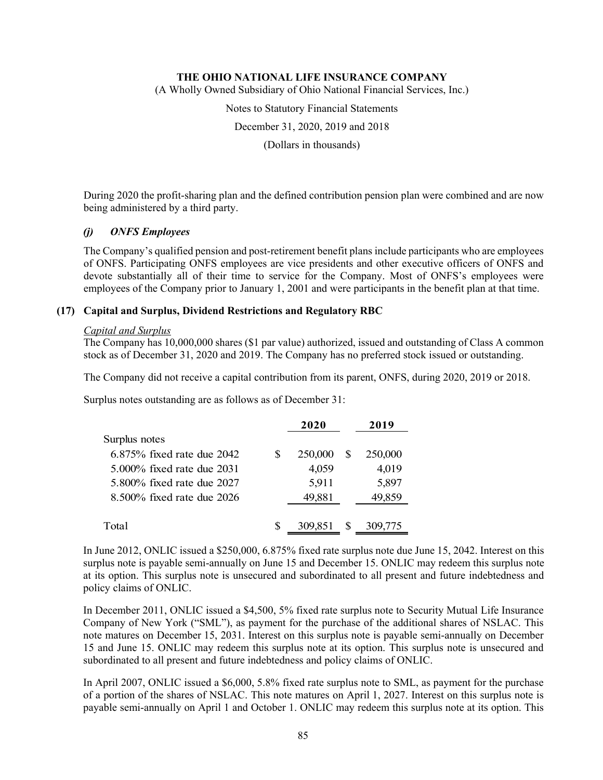(A Wholly Owned Subsidiary of Ohio National Financial Services, Inc.)

Notes to Statutory Financial Statements

December 31, 2020, 2019 and 2018

(Dollars in thousands)

During 2020 the profit-sharing plan and the defined contribution pension plan were combined and are now being administered by a third party.

## *(j) ONFS Employees*

The Company's qualified pension and post-retirement benefit plans include participants who are employees of ONFS. Participating ONFS employees are vice presidents and other executive officers of ONFS and devote substantially all of their time to service for the Company. Most of ONFS's employees were employees of the Company prior to January 1, 2001 and were participants in the benefit plan at that time.

## **(17) Capital and Surplus, Dividend Restrictions and Regulatory RBC**

### *Capital and Surplus*

The Company has 10,000,000 shares (\$1 par value) authorized, issued and outstanding of Class A common stock as of December 31, 2020 and 2019. The Company has no preferred stock issued or outstanding.

The Company did not receive a capital contribution from its parent, ONFS, during 2020, 2019 or 2018.

Surplus notes outstanding are as follows as of December 31:

|                                 |   | 2020    |   | 2019    |
|---------------------------------|---|---------|---|---------|
| Surplus notes                   |   |         |   |         |
| $6.875\%$ fixed rate due $2042$ |   | 250,000 |   | 250,000 |
| 5,000% fixed rate due 2031      |   | 4,059   |   | 4,019   |
| 5.800% fixed rate due 2027      |   | 5,911   |   | 5,897   |
| $8.500\%$ fixed rate due 2026   |   | 49,881  |   | 49,859  |
|                                 |   |         |   |         |
| Total                           | S | 309,851 | S | 309,775 |

In June 2012, ONLIC issued a \$250,000, 6.875% fixed rate surplus note due June 15, 2042. Interest on this surplus note is payable semi-annually on June 15 and December 15. ONLIC may redeem this surplus note at its option. This surplus note is unsecured and subordinated to all present and future indebtedness and policy claims of ONLIC.

In December 2011, ONLIC issued a \$4,500, 5% fixed rate surplus note to Security Mutual Life Insurance Company of New York ("SML"), as payment for the purchase of the additional shares of NSLAC. This note matures on December 15, 2031. Interest on this surplus note is payable semi-annually on December 15 and June 15. ONLIC may redeem this surplus note at its option. This surplus note is unsecured and subordinated to all present and future indebtedness and policy claims of ONLIC.

In April 2007, ONLIC issued a \$6,000, 5.8% fixed rate surplus note to SML, as payment for the purchase of a portion of the shares of NSLAC. This note matures on April 1, 2027. Interest on this surplus note is payable semi-annually on April 1 and October 1. ONLIC may redeem this surplus note at its option. This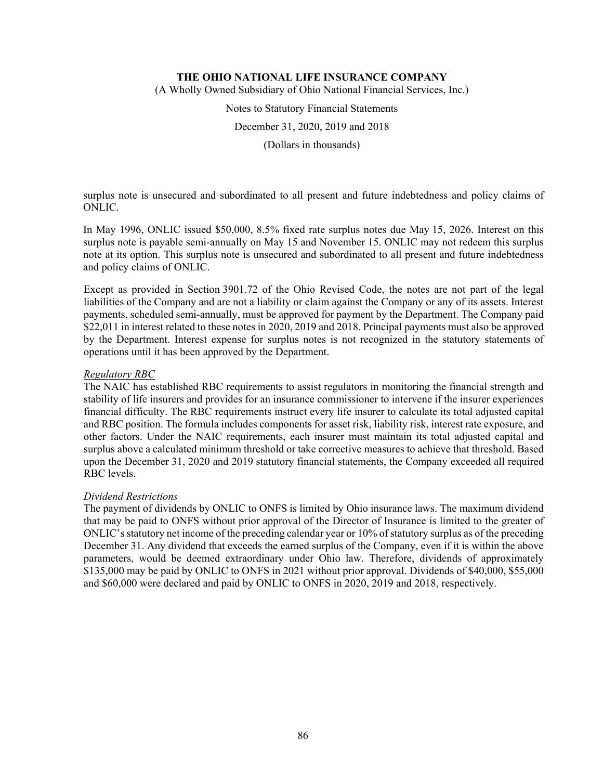(A Wholly Owned Subsidiary of Ohio National Financial Services, Inc.)

Notes to Statutory Financial Statements

December 31, 2020, 2019 and 2018

(Dollars in thousands)

surplus note is unsecured and subordinated to all present and future indebtedness and policy claims of ONLIC.

In May 1996, ONLIC issued \$50,000, 8.5% fixed rate surplus notes due May 15, 2026. Interest on this surplus note is payable semi-annually on May 15 and November 15. ONLIC may not redeem this surplus note at its option. This surplus note is unsecured and subordinated to all present and future indebtedness and policy claims of ONLIC.

Except as provided in Section 3901.72 of the Ohio Revised Code, the notes are not part of the legal liabilities of the Company and are not a liability or claim against the Company or any of its assets. Interest payments, scheduled semi-annually, must be approved for payment by the Department. The Company paid \$22,011 in interest related to these notes in 2020, 2019 and 2018. Principal payments must also be approved by the Department. Interest expense for surplus notes is not recognized in the statutory statements of operations until it has been approved by the Department.

## *Regulatory RBC*

The NAIC has established RBC requirements to assist regulators in monitoring the financial strength and stability of life insurers and provides for an insurance commissioner to intervene if the insurer experiences financial difficulty. The RBC requirements instruct every life insurer to calculate its total adjusted capital and RBC position. The formula includes components for asset risk, liability risk, interest rate exposure, and other factors. Under the NAIC requirements, each insurer must maintain its total adjusted capital and surplus above a calculated minimum threshold or take corrective measures to achieve that threshold. Based upon the December 31, 2020 and 2019 statutory financial statements, the Company exceeded all required RBC levels.

### *Dividend Restrictions*

The payment of dividends by ONLIC to ONFS is limited by Ohio insurance laws. The maximum dividend that may be paid to ONFS without prior approval of the Director of Insurance is limited to the greater of ONLIC's statutory net income of the preceding calendar year or 10% of statutory surplus as of the preceding December 31. Any dividend that exceeds the earned surplus of the Company, even if it is within the above parameters, would be deemed extraordinary under Ohio law. Therefore, dividends of approximately \$135,000 may be paid by ONLIC to ONFS in 2021 without prior approval. Dividends of \$40,000, \$55,000 and \$60,000 were declared and paid by ONLIC to ONFS in 2020, 2019 and 2018, respectively.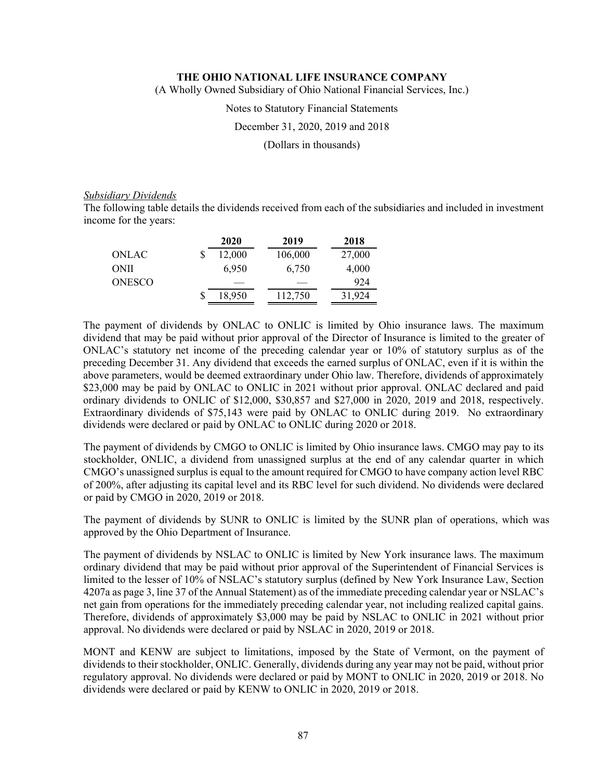(A Wholly Owned Subsidiary of Ohio National Financial Services, Inc.)

Notes to Statutory Financial Statements

December 31, 2020, 2019 and 2018

(Dollars in thousands)

#### *Subsidiary Dividends*

The following table details the dividends received from each of the subsidiaries and included in investment income for the years:

|        | 2020   | 2019    | 2018   |
|--------|--------|---------|--------|
| ONLAC  | 12,000 | 106,000 | 27,000 |
| ONII   | 6.950  | 6.750   | 4,000  |
| ONESCO |        |         | 924    |
|        | 18,950 | 112,750 | 31,924 |

The payment of dividends by ONLAC to ONLIC is limited by Ohio insurance laws. The maximum dividend that may be paid without prior approval of the Director of Insurance is limited to the greater of ONLAC's statutory net income of the preceding calendar year or 10% of statutory surplus as of the preceding December 31. Any dividend that exceeds the earned surplus of ONLAC, even if it is within the above parameters, would be deemed extraordinary under Ohio law. Therefore, dividends of approximately \$23,000 may be paid by ONLAC to ONLIC in 2021 without prior approval. ONLAC declared and paid ordinary dividends to ONLIC of \$12,000, \$30,857 and \$27,000 in 2020, 2019 and 2018, respectively. Extraordinary dividends of \$75,143 were paid by ONLAC to ONLIC during 2019. No extraordinary dividends were declared or paid by ONLAC to ONLIC during 2020 or 2018.

The payment of dividends by CMGO to ONLIC is limited by Ohio insurance laws. CMGO may pay to its stockholder, ONLIC, a dividend from unassigned surplus at the end of any calendar quarter in which CMGO's unassigned surplus is equal to the amount required for CMGO to have company action level RBC of 200%, after adjusting its capital level and its RBC level for such dividend. No dividends were declared or paid by CMGO in 2020, 2019 or 2018.

The payment of dividends by SUNR to ONLIC is limited by the SUNR plan of operations, which was approved by the Ohio Department of Insurance.

The payment of dividends by NSLAC to ONLIC is limited by New York insurance laws. The maximum ordinary dividend that may be paid without prior approval of the Superintendent of Financial Services is limited to the lesser of 10% of NSLAC's statutory surplus (defined by New York Insurance Law, Section 4207a as page 3, line 37 of the Annual Statement) as of the immediate preceding calendar year or NSLAC's net gain from operations for the immediately preceding calendar year, not including realized capital gains. Therefore, dividends of approximately \$3,000 may be paid by NSLAC to ONLIC in 2021 without prior approval. No dividends were declared or paid by NSLAC in 2020, 2019 or 2018.

MONT and KENW are subject to limitations, imposed by the State of Vermont, on the payment of dividends to their stockholder, ONLIC. Generally, dividends during any year may not be paid, without prior regulatory approval. No dividends were declared or paid by MONT to ONLIC in 2020, 2019 or 2018. No dividends were declared or paid by KENW to ONLIC in 2020, 2019 or 2018.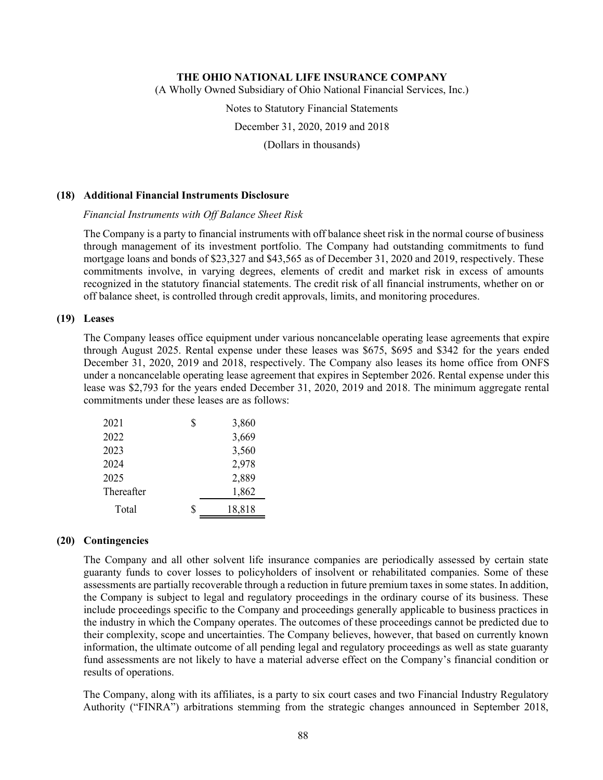(A Wholly Owned Subsidiary of Ohio National Financial Services, Inc.)

Notes to Statutory Financial Statements

December 31, 2020, 2019 and 2018

(Dollars in thousands)

## **(18) Additional Financial Instruments Disclosure**

#### *Financial Instruments with Off Balance Sheet Risk*

The Company is a party to financial instruments with off balance sheet risk in the normal course of business through management of its investment portfolio. The Company had outstanding commitments to fund mortgage loans and bonds of \$23,327 and \$43,565 as of December 31, 2020 and 2019, respectively. These commitments involve, in varying degrees, elements of credit and market risk in excess of amounts recognized in the statutory financial statements. The credit risk of all financial instruments, whether on or off balance sheet, is controlled through credit approvals, limits, and monitoring procedures.

#### **(19) Leases**

The Company leases office equipment under various noncancelable operating lease agreements that expire through August 2025. Rental expense under these leases was \$675, \$695 and \$342 for the years ended December 31, 2020, 2019 and 2018, respectively. The Company also leases its home office from ONFS under a noncancelable operating lease agreement that expires in September 2026. Rental expense under this lease was \$2,793 for the years ended December 31, 2020, 2019 and 2018. The minimum aggregate rental commitments under these leases are as follows:

| 2021       | \$<br>3,860  |
|------------|--------------|
| 2022       | 3,669        |
| 2023       | 3,560        |
| 2024       | 2,978        |
| 2025       | 2,889        |
| Thereafter | 1,862        |
| Total      | \$<br>18,818 |

### **(20) Contingencies**

The Company and all other solvent life insurance companies are periodically assessed by certain state guaranty funds to cover losses to policyholders of insolvent or rehabilitated companies. Some of these assessments are partially recoverable through a reduction in future premium taxes in some states. In addition, the Company is subject to legal and regulatory proceedings in the ordinary course of its business. These include proceedings specific to the Company and proceedings generally applicable to business practices in the industry in which the Company operates. The outcomes of these proceedings cannot be predicted due to their complexity, scope and uncertainties. The Company believes, however, that based on currently known information, the ultimate outcome of all pending legal and regulatory proceedings as well as state guaranty fund assessments are not likely to have a material adverse effect on the Company's financial condition or results of operations.

The Company, along with its affiliates, is a party to six court cases and two Financial Industry Regulatory Authority ("FINRA") arbitrations stemming from the strategic changes announced in September 2018,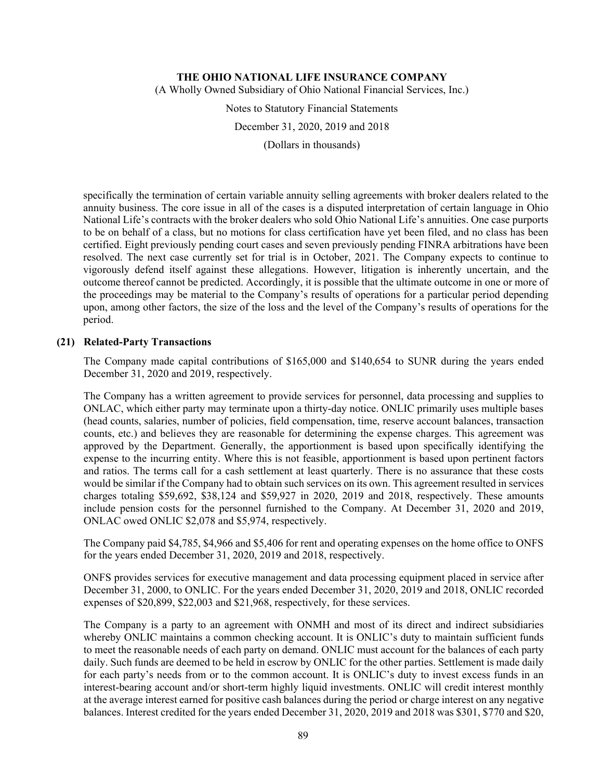(A Wholly Owned Subsidiary of Ohio National Financial Services, Inc.)

Notes to Statutory Financial Statements

December 31, 2020, 2019 and 2018

(Dollars in thousands)

specifically the termination of certain variable annuity selling agreements with broker dealers related to the annuity business. The core issue in all of the cases is a disputed interpretation of certain language in Ohio National Life's contracts with the broker dealers who sold Ohio National Life's annuities. One case purports to be on behalf of a class, but no motions for class certification have yet been filed, and no class has been certified. Eight previously pending court cases and seven previously pending FINRA arbitrations have been resolved. The next case currently set for trial is in October, 2021. The Company expects to continue to vigorously defend itself against these allegations. However, litigation is inherently uncertain, and the outcome thereof cannot be predicted. Accordingly, it is possible that the ultimate outcome in one or more of the proceedings may be material to the Company's results of operations for a particular period depending upon, among other factors, the size of the loss and the level of the Company's results of operations for the period.

## **(21) Related-Party Transactions**

The Company made capital contributions of \$165,000 and \$140,654 to SUNR during the years ended December 31, 2020 and 2019, respectively.

The Company has a written agreement to provide services for personnel, data processing and supplies to ONLAC, which either party may terminate upon a thirty-day notice. ONLIC primarily uses multiple bases (head counts, salaries, number of policies, field compensation, time, reserve account balances, transaction counts, etc.) and believes they are reasonable for determining the expense charges. This agreement was approved by the Department. Generally, the apportionment is based upon specifically identifying the expense to the incurring entity. Where this is not feasible, apportionment is based upon pertinent factors and ratios. The terms call for a cash settlement at least quarterly. There is no assurance that these costs would be similar if the Company had to obtain such services on its own. This agreement resulted in services charges totaling \$59,692, \$38,124 and \$59,927 in 2020, 2019 and 2018, respectively. These amounts include pension costs for the personnel furnished to the Company. At December 31, 2020 and 2019, ONLAC owed ONLIC \$2,078 and \$5,974, respectively.

The Company paid \$4,785, \$4,966 and \$5,406 for rent and operating expenses on the home office to ONFS for the years ended December 31, 2020, 2019 and 2018, respectively.

ONFS provides services for executive management and data processing equipment placed in service after December 31, 2000, to ONLIC. For the years ended December 31, 2020, 2019 and 2018, ONLIC recorded expenses of \$20,899, \$22,003 and \$21,968, respectively, for these services.

The Company is a party to an agreement with ONMH and most of its direct and indirect subsidiaries whereby ONLIC maintains a common checking account. It is ONLIC's duty to maintain sufficient funds to meet the reasonable needs of each party on demand. ONLIC must account for the balances of each party daily. Such funds are deemed to be held in escrow by ONLIC for the other parties. Settlement is made daily for each party's needs from or to the common account. It is ONLIC's duty to invest excess funds in an interest-bearing account and/or short-term highly liquid investments. ONLIC will credit interest monthly at the average interest earned for positive cash balances during the period or charge interest on any negative balances. Interest credited for the years ended December 31, 2020, 2019 and 2018 was \$301, \$770 and \$20,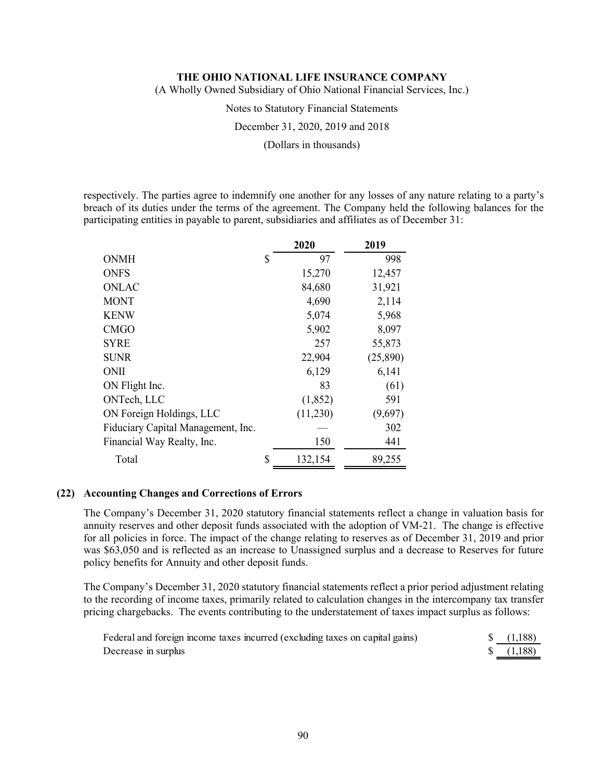(A Wholly Owned Subsidiary of Ohio National Financial Services, Inc.)

Notes to Statutory Financial Statements

December 31, 2020, 2019 and 2018

(Dollars in thousands)

respectively. The parties agree to indemnify one another for any losses of any nature relating to a party's breach of its duties under the terms of the agreement. The Company held the following balances for the participating entities in payable to parent, subsidiaries and affiliates as of December 31:

|                                    | 2020          | 2019     |
|------------------------------------|---------------|----------|
| <b>ONMH</b>                        | \$<br>97      | 998      |
| <b>ONFS</b>                        | 15,270        | 12,457   |
| ONLAC                              | 84,680        | 31,921   |
| <b>MONT</b>                        | 4,690         | 2,114    |
| <b>KENW</b>                        | 5,074         | 5,968    |
| <b>CMGO</b>                        | 5,902         | 8,097    |
| <b>SYRE</b>                        | 257           | 55,873   |
| <b>SUNR</b>                        | 22,904        | (25,890) |
| <b>ONII</b>                        | 6,129         | 6,141    |
| ON Flight Inc.                     | 83            | (61)     |
| ONTech, LLC                        | (1, 852)      | 591      |
| ON Foreign Holdings, LLC           | (11,230)      | (9,697)  |
| Fiduciary Capital Management, Inc. |               | 302      |
| Financial Way Realty, Inc.         | 150           | 441      |
| Total                              | \$<br>132,154 | 89,255   |

### **(22) Accounting Changes and Corrections of Errors**

The Company's December 31, 2020 statutory financial statements reflect a change in valuation basis for annuity reserves and other deposit funds associated with the adoption of VM-21. The change is effective for all policies in force. The impact of the change relating to reserves as of December 31, 2019 and prior was \$63,050 and is reflected as an increase to Unassigned surplus and a decrease to Reserves for future policy benefits for Annuity and other deposit funds.

The Company's December 31, 2020 statutory financial statements reflect a prior period adjustment relating to the recording of income taxes, primarily related to calculation changes in the intercompany tax transfer pricing chargebacks. The events contributing to the understatement of taxes impact surplus as follows:

| Federal and foreign income taxes incurred (excluding taxes on capital gains) | $\{(1,188)\}$      |
|------------------------------------------------------------------------------|--------------------|
| Decrease in surplus                                                          | $\text{S}$ (1.188) |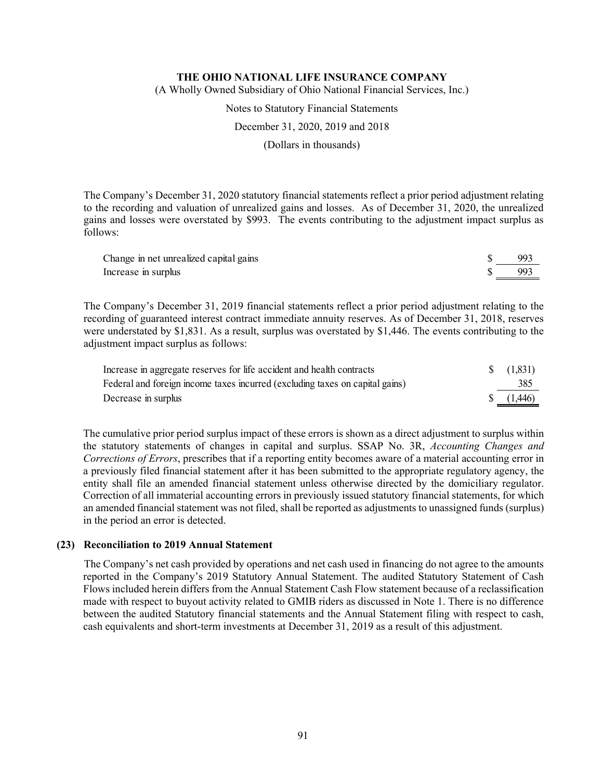(A Wholly Owned Subsidiary of Ohio National Financial Services, Inc.)

Notes to Statutory Financial Statements

December 31, 2020, 2019 and 2018

(Dollars in thousands)

The Company's December 31, 2020 statutory financial statements reflect a prior period adjustment relating to the recording and valuation of unrealized gains and losses. As of December 31, 2020, the unrealized gains and losses were overstated by \$993. The events contributing to the adjustment impact surplus as follows:

| Change in net unrealized capital gains | -993 |
|----------------------------------------|------|
| Increase in surplus                    | -993 |

The Company's December 31, 2019 financial statements reflect a prior period adjustment relating to the recording of guaranteed interest contract immediate annuity reserves. As of December 31, 2018, reserves were understated by \$1,831. As a result, surplus was overstated by \$1,446. The events contributing to the adjustment impact surplus as follows:

| Increase in aggregate reserves for life accident and health contracts        | $\{1,831\}$            |
|------------------------------------------------------------------------------|------------------------|
| Federal and foreign income taxes incurred (excluding taxes on capital gains) | 385                    |
| Decrease in surplus                                                          | $\frac{1}{46}$ (1,446) |

The cumulative prior period surplus impact of these errors is shown as a direct adjustment to surplus within the statutory statements of changes in capital and surplus. SSAP No. 3R, *Accounting Changes and Corrections of Errors*, prescribes that if a reporting entity becomes aware of a material accounting error in a previously filed financial statement after it has been submitted to the appropriate regulatory agency, the entity shall file an amended financial statement unless otherwise directed by the domiciliary regulator. Correction of all immaterial accounting errors in previously issued statutory financial statements, for which an amended financial statement was not filed, shall be reported as adjustments to unassigned funds (surplus) in the period an error is detected.

### **(23) Reconciliation to 2019 Annual Statement**

The Company's net cash provided by operations and net cash used in financing do not agree to the amounts reported in the Company's 2019 Statutory Annual Statement. The audited Statutory Statement of Cash Flows included herein differs from the Annual Statement Cash Flow statement because of a reclassification made with respect to buyout activity related to GMIB riders as discussed in Note 1. There is no difference between the audited Statutory financial statements and the Annual Statement filing with respect to cash, cash equivalents and short-term investments at December 31, 2019 as a result of this adjustment.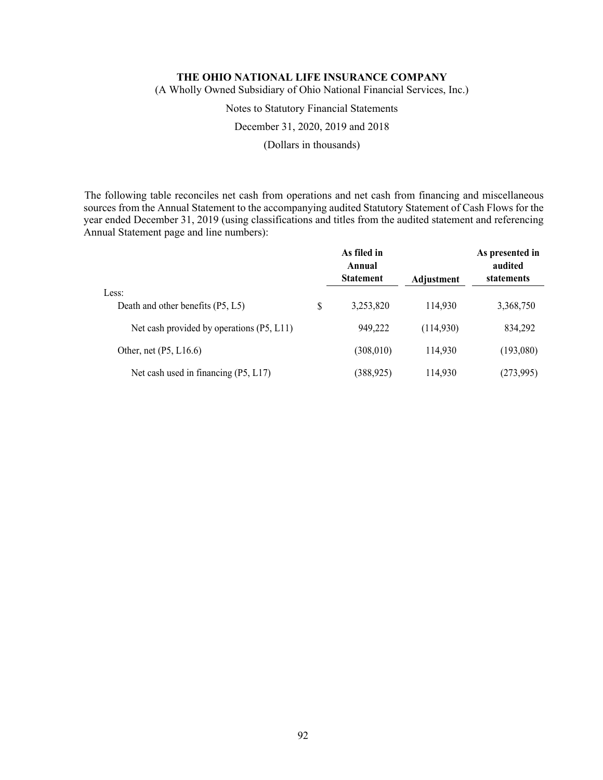(A Wholly Owned Subsidiary of Ohio National Financial Services, Inc.)

Notes to Statutory Financial Statements

December 31, 2020, 2019 and 2018

(Dollars in thousands)

The following table reconciles net cash from operations and net cash from financing and miscellaneous sources from the Annual Statement to the accompanying audited Statutory Statement of Cash Flows for the year ended December 31, 2019 (using classifications and titles from the audited statement and referencing Annual Statement page and line numbers):

|                                           |   | As filed in<br>Annual<br><b>Statement</b> | Adjustment | As presented in<br>audited<br>statements |
|-------------------------------------------|---|-------------------------------------------|------------|------------------------------------------|
| Less:                                     |   |                                           |            |                                          |
| Death and other benefits (P5, L5)         | S | 3,253,820                                 | 114.930    | 3,368,750                                |
| Net cash provided by operations (P5, L11) |   | 949,222                                   | (114,930)  | 834,292                                  |
| Other, net $(P5, L16.6)$                  |   | (308,010)                                 | 114,930    | (193,080)                                |
| Net cash used in financing (P5, L17)      |   | (388, 925)                                | 114,930    | (273,995)                                |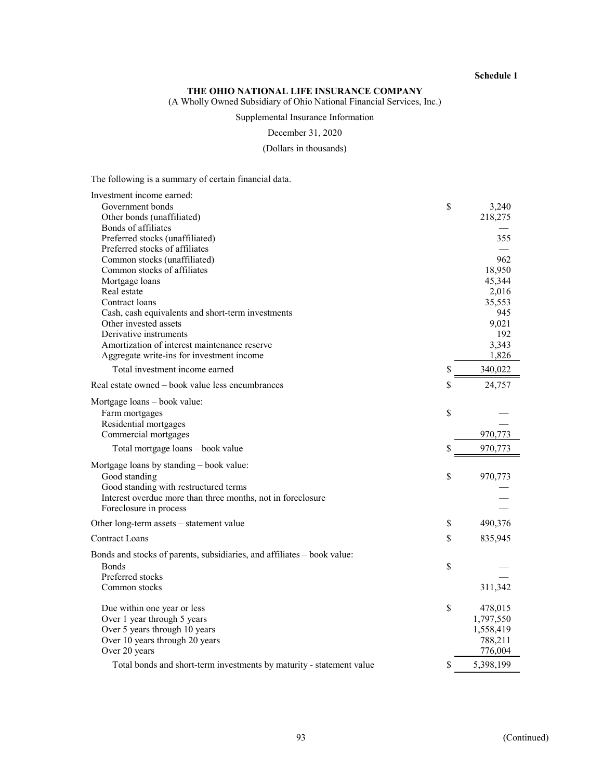#### **THE OHIO NATIONAL LIFE INSURANCE COMPANY**

(A Wholly Owned Subsidiary of Ohio National Financial Services, Inc.)

# Supplemental Insurance Information

December 31, 2020

(Dollars in thousands)

The following is a summary of certain financial data.

| Investment income earned:                                               |                 |
|-------------------------------------------------------------------------|-----------------|
| Government bonds                                                        | \$<br>3,240     |
| Other bonds (unaffiliated)                                              | 218,275         |
| Bonds of affiliates                                                     |                 |
| Preferred stocks (unaffiliated)                                         | 355             |
| Preferred stocks of affiliates                                          |                 |
| Common stocks (unaffiliated)                                            | 962             |
| Common stocks of affiliates                                             | 18,950          |
| Mortgage loans                                                          | 45,344          |
| Real estate                                                             | 2,016           |
| Contract loans                                                          | 35,553          |
| Cash, cash equivalents and short-term investments                       | 945             |
| Other invested assets                                                   | 9,021           |
| Derivative instruments                                                  | 192             |
| Amortization of interest maintenance reserve                            | 3,343           |
| Aggregate write-ins for investment income                               | 1,826           |
| Total investment income earned                                          | \$<br>340,022   |
| Real estate owned – book value less encumbrances                        | \$<br>24,757    |
| Mortgage loans - book value:                                            |                 |
| Farm mortgages                                                          | \$              |
| Residential mortgages                                                   |                 |
| Commercial mortgages                                                    | 970,773         |
| Total mortgage loans - book value                                       | \$<br>970,773   |
| Mortgage loans by standing - book value:                                |                 |
| Good standing                                                           | \$<br>970,773   |
| Good standing with restructured terms                                   |                 |
| Interest overdue more than three months, not in foreclosure             |                 |
| Foreclosure in process                                                  |                 |
| Other long-term assets - statement value                                | \$<br>490,376   |
|                                                                         |                 |
| <b>Contract Loans</b>                                                   | \$<br>835,945   |
| Bonds and stocks of parents, subsidiaries, and affiliates - book value: |                 |
| <b>Bonds</b>                                                            | \$              |
| Preferred stocks                                                        |                 |
| Common stocks                                                           | 311,342         |
| Due within one year or less                                             | \$<br>478,015   |
| Over 1 year through 5 years                                             | 1,797,550       |
| Over 5 years through 10 years                                           | 1,558,419       |
| Over 10 years through 20 years                                          | 788,211         |
| Over 20 years                                                           | 776,004         |
| Total bonds and short-term investments by maturity - statement value    | \$<br>5,398,199 |
|                                                                         |                 |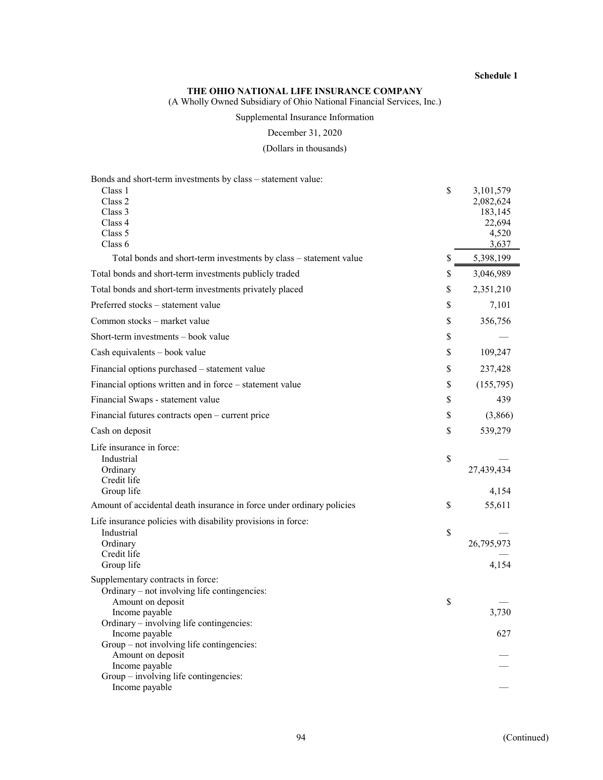#### **THE OHIO NATIONAL LIFE INSURANCE COMPANY**

(A Wholly Owned Subsidiary of Ohio National Financial Services, Inc.)

## Supplemental Insurance Information

December 31, 2020

(Dollars in thousands)

| Bonds and short-term investments by class - statement value:                                                        |                                                            |
|---------------------------------------------------------------------------------------------------------------------|------------------------------------------------------------|
| Class 1<br>Class 2<br>Class 3<br>Class 4<br>Class 5<br>Class 6                                                      | \$<br>3,101,579<br>2,082,624<br>183,145<br>22,694<br>4,520 |
| Total bonds and short-term investments by class - statement value                                                   | \$<br>3,637<br>5,398,199                                   |
| Total bonds and short-term investments publicly traded                                                              | \$<br>3,046,989                                            |
| Total bonds and short-term investments privately placed                                                             | \$<br>2,351,210                                            |
| Preferred stocks – statement value                                                                                  | \$<br>7,101                                                |
| Common stocks - market value                                                                                        | \$<br>356,756                                              |
|                                                                                                                     |                                                            |
| Short-term investments – book value                                                                                 | \$                                                         |
| Cash equivalents - book value                                                                                       | \$<br>109,247                                              |
| Financial options purchased - statement value                                                                       | \$<br>237,428                                              |
| Financial options written and in force – statement value                                                            | \$<br>(155,795)                                            |
| Financial Swaps - statement value                                                                                   | \$<br>439                                                  |
| Financial futures contracts open – current price                                                                    | \$<br>(3,866)                                              |
| Cash on deposit                                                                                                     | \$<br>539,279                                              |
| Life insurance in force:<br>Industrial<br>Ordinary<br>Credit life<br>Group life                                     | \$<br>27,439,434<br>4,154                                  |
| Amount of accidental death insurance in force under ordinary policies                                               | \$<br>55,611                                               |
| Life insurance policies with disability provisions in force:<br>Industrial<br>Ordinary<br>Credit life<br>Group life | \$<br>26,795,973<br>4,154                                  |
| Supplementary contracts in force:<br>Ordinary – not involving life contingencies:                                   |                                                            |
| Amount on deposit<br>Income payable<br>Ordinary – involving life contingencies:                                     | \$<br>3,730                                                |
| Income payable<br>Group - not involving life contingencies:                                                         | 627                                                        |
| Amount on deposit<br>Income payable<br>Group - involving life contingencies:                                        |                                                            |
| Income payable                                                                                                      |                                                            |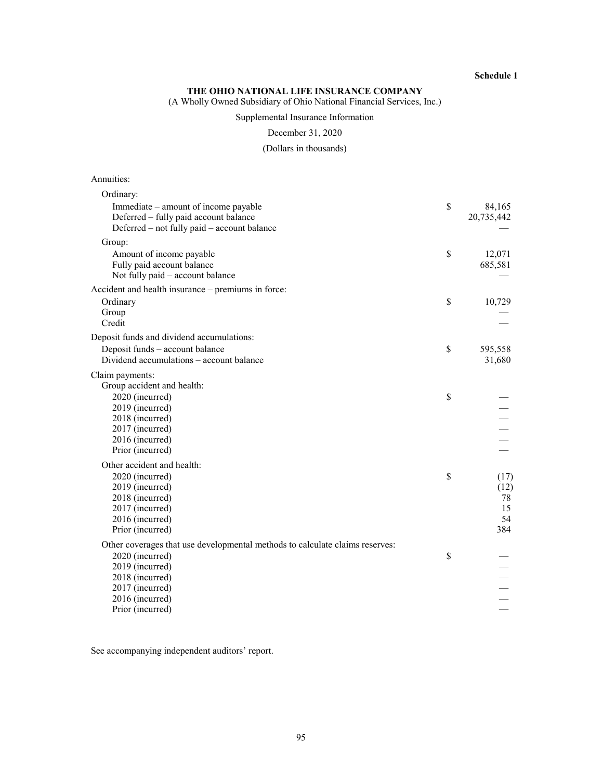#### **THE OHIO NATIONAL LIFE INSURANCE COMPANY**

(A Wholly Owned Subsidiary of Ohio National Financial Services, Inc.)

## Supplemental Insurance Information

December 31, 2020

## (Dollars in thousands)

| Annuities:                                                                                                                   |              |                      |
|------------------------------------------------------------------------------------------------------------------------------|--------------|----------------------|
| Ordinary:                                                                                                                    |              |                      |
| Immediate – amount of income payable<br>Deferred - fully paid account balance<br>Deferred – not fully paid – account balance | $\mathbb{S}$ | 84,165<br>20,735,442 |
| Group:                                                                                                                       |              |                      |
| Amount of income payable<br>Fully paid account balance<br>Not fully paid – account balance                                   | $\mathbb{S}$ | 12,071<br>685,581    |
| Accident and health insurance - premiums in force:                                                                           |              |                      |
| Ordinary<br>Group<br>Credit                                                                                                  | \$           | 10,729               |
| Deposit funds and dividend accumulations:                                                                                    |              |                      |
| Deposit funds - account balance<br>Dividend accumulations – account balance                                                  | \$           | 595,558<br>31,680    |
| Claim payments:                                                                                                              |              |                      |
| Group accident and health:                                                                                                   |              |                      |
| 2020 (incurred)<br>2019 (incurred)                                                                                           | \$           |                      |
| 2018 (incurred)                                                                                                              |              |                      |
| 2017 (incurred)                                                                                                              |              |                      |
| 2016 (incurred)<br>Prior (incurred)                                                                                          |              |                      |
| Other accident and health:                                                                                                   |              |                      |
| 2020 (incurred)                                                                                                              | \$           | (17)                 |
| 2019 (incurred)                                                                                                              |              | (12)                 |
| 2018 (incurred)                                                                                                              |              | 78                   |
| 2017 (incurred)<br>2016 (incurred)                                                                                           |              | 15<br>54             |
| Prior (incurred)                                                                                                             |              | 384                  |
| Other coverages that use developmental methods to calculate claims reserves:                                                 |              |                      |
| 2020 (incurred)                                                                                                              | \$           |                      |
| 2019 (incurred)                                                                                                              |              |                      |
| 2018 (incurred)                                                                                                              |              |                      |
| 2017 (incurred)<br>2016 (incurred)                                                                                           |              |                      |
| Prior (incurred)                                                                                                             |              |                      |

See accompanying independent auditors' report.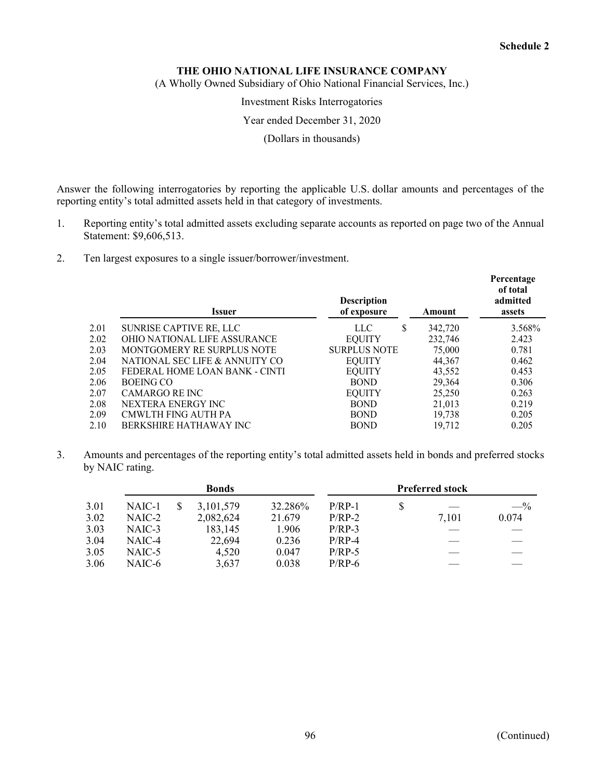(A Wholly Owned Subsidiary of Ohio National Financial Services, Inc.)

Investment Risks Interrogatories

Year ended December 31, 2020

(Dollars in thousands)

Answer the following interrogatories by reporting the applicable U.S. dollar amounts and percentages of the reporting entity's total admitted assets held in that category of investments.

- 1. Reporting entity's total admitted assets excluding separate accounts as reported on page two of the Annual Statement: \$9,606,513.
- 2. Ten largest exposures to a single issuer/borrower/investment.

|      | <b>Issuer</b>                  | <b>Description</b><br>of exposure | Amount  | Percentage<br>of total<br>admitted<br>assets |
|------|--------------------------------|-----------------------------------|---------|----------------------------------------------|
| 2.01 | SUNRISE CAPTIVE RE, LLC        | \$<br>LLC                         | 342,720 | 3.568%                                       |
| 2.02 | OHIO NATIONAL LIFE ASSURANCE   | <b>EQUITY</b>                     | 232,746 | 2.423                                        |
| 2.03 | MONTGOMERY RE SURPLUS NOTE     | <b>SURPLUS NOTE</b>               | 75,000  | 0.781                                        |
| 2.04 | NATIONAL SEC LIFE & ANNUITY CO | <b>EQUITY</b>                     | 44,367  | 0.462                                        |
| 2.05 | FEDERAL HOME LOAN BANK - CINTI | <b>EQUITY</b>                     | 43,552  | 0.453                                        |
| 2.06 | BOEING CO                      | <b>BOND</b>                       | 29,364  | 0.306                                        |
| 2.07 | CAMARGO RE INC                 | <b>EQUITY</b>                     | 25,250  | 0.263                                        |
| 2.08 | NEXTERA ENERGY INC             | <b>BOND</b>                       | 21,013  | 0.219                                        |
| 2.09 | CMWLTH FING AUTH PA            | <b>BOND</b>                       | 19,738  | 0.205                                        |
| 2.10 | BERKSHIRE HATHAWAY INC         | <b>BOND</b>                       | 19,712  | 0.205                                        |

3. Amounts and percentages of the reporting entity's total admitted assets held in bonds and preferred stocks by NAIC rating.

|      |        | <b>Bonds</b> |         | <b>Preferred stock</b> |  |       |       |
|------|--------|--------------|---------|------------------------|--|-------|-------|
| 3.01 | NAIC-1 | 3,101,579    | 32.286% | $P/RP-1$               |  |       | $-$ % |
| 3.02 | NAIC-2 | 2,082,624    | 21.679  | $P/RP-2$               |  | 7,101 | 0.074 |
| 3.03 | NAIC-3 | 183,145      | 1.906   | $P/RP-3$               |  |       |       |
| 3.04 | NAIC-4 | 22,694       | 0.236   | $P/RP-4$               |  |       |       |
| 3.05 | NAIC-5 | 4,520        | 0.047   | $P/RP-5$               |  |       |       |
| 3.06 | NAIC-6 | 3,637        | 0.038   | $P/RP-6$               |  |       |       |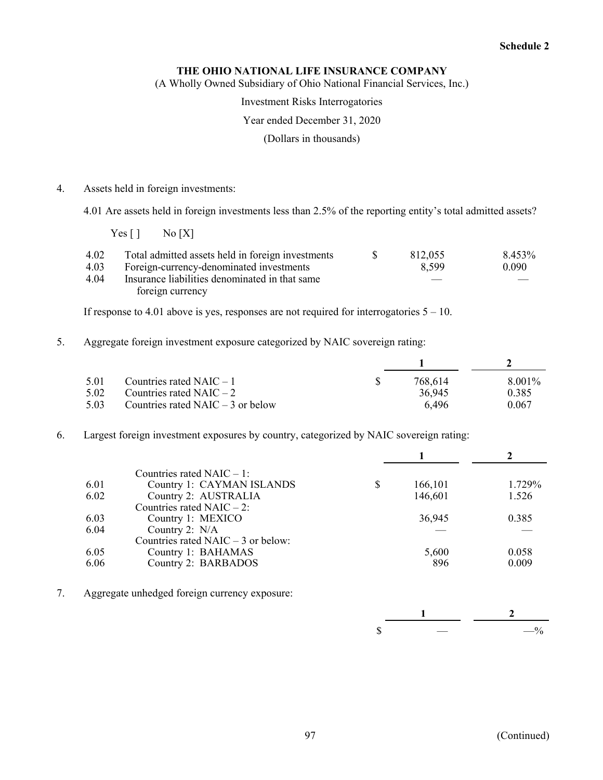(A Wholly Owned Subsidiary of Ohio National Financial Services, Inc.)

Investment Risks Interrogatories

## Year ended December 31, 2020

(Dollars in thousands)

4. Assets held in foreign investments:

4.01 Are assets held in foreign investments less than 2.5% of the reporting entity's total admitted assets?

 $Yes [ ] No [ X ]$ 

| 4.02 | Total admitted assets held in foreign investments | 812,055 | 8.453% |
|------|---------------------------------------------------|---------|--------|
| 4.03 | Foreign-currency-denominated investments          | 8.599   | 0.090  |
| 4.04 | Insurance liabilities denominated in that same    |         |        |
|      | foreign currency                                  |         |        |

If response to 4.01 above is yes, responses are not required for interrogatories 5 – 10.

5. Aggregate foreign investment exposure categorized by NAIC sovereign rating:

| 5.01 | Countries rated $NAIC - 1$          | 768.614 | $8.001\%$ |
|------|-------------------------------------|---------|-----------|
| 5.02 | Countries rated $NAIC - 2$          | 36,945  | 0.385     |
| 5.03 | Countries rated NAIC $-$ 3 or below | 6.496   | 0.067     |

6. Largest foreign investment exposures by country, categorized by NAIC sovereign rating:

|      | Countries rated $NAIC - 1$ :         |   |         |        |
|------|--------------------------------------|---|---------|--------|
| 6.01 | Country 1: CAYMAN ISLANDS            | S | 166,101 | 1.729% |
| 6.02 | Country 2: AUSTRALIA                 |   | 146,601 | 1.526  |
|      | Countries rated $NAIC - 2$ :         |   |         |        |
| 6.03 | Country 1: MEXICO                    |   | 36,945  | 0.385  |
| 6.04 | Country 2: N/A                       |   |         |        |
|      | Countries rated $NAIC - 3$ or below: |   |         |        |
| 6.05 | Country 1: BAHAMAS                   |   | 5,600   | 0.058  |
| 6.06 | Country 2: BARBADOS                  |   | 896     | 0.009  |

7. Aggregate unhedged foreign currency exposure:

|  | $\longrightarrow$<br>⁄υ |
|--|-------------------------|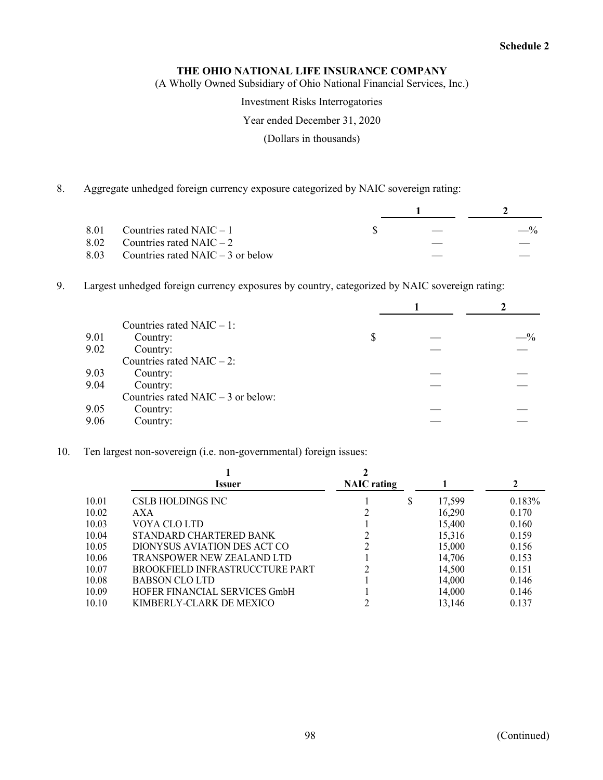(A Wholly Owned Subsidiary of Ohio National Financial Services, Inc.)

Investment Risks Interrogatories

## Year ended December 31, 2020

(Dollars in thousands)

8. Aggregate unhedged foreign currency exposure categorized by NAIC sovereign rating:

| 8.01 | Countries rated $NAIC - 1$          |  | $-$ % |
|------|-------------------------------------|--|-------|
| 8.02 | Countries rated NAIC $-2$           |  |       |
| 8.03 | Countries rated $NAIC - 3$ or below |  |       |

9. Largest unhedged foreign currency exposures by country, categorized by NAIC sovereign rating:

|      | Countries rated NAIC $-1$ :         |    |       |
|------|-------------------------------------|----|-------|
| 9.01 | Country:                            | \$ | $-$ % |
| 9.02 | Country:                            |    |       |
|      | Countries rated NAIC $-2$ :         |    |       |
| 9.03 | Country:                            |    |       |
| 9.04 | Country:                            |    |       |
|      | Countries rated NAIC $-3$ or below: |    |       |
| 9.05 | Country:                            |    |       |
| 9.06 | Country:                            |    |       |

10. Ten largest non-sovereign (i.e. non-governmental) foreign issues:

|       | Issuer                            | <b>NAIC</b> rating |   |        |        |
|-------|-----------------------------------|--------------------|---|--------|--------|
| 10.01 | CSLB HOLDINGS INC                 |                    | S | 17,599 | 0.183% |
| 10.02 | AXA                               |                    |   | 16,290 | 0.170  |
| 10.03 | VOYA CLO LTD                      |                    |   | 15,400 | 0.160  |
| 10.04 | STANDARD CHARTERED BANK           |                    |   | 15,316 | 0.159  |
| 10.05 | DIONYSUS AVIATION DES ACT CO      |                    |   | 15,000 | 0.156  |
| 10.06 | <b>TRANSPOWER NEW ZEALAND LTD</b> |                    |   | 14,706 | 0.153  |
| 10.07 | BROOKFIELD INFRASTRUCCTURE PART   |                    |   | 14,500 | 0.151  |
| 10.08 | <b>BABSON CLO LTD</b>             |                    |   | 14,000 | 0.146  |
| 10.09 | HOFER FINANCIAL SERVICES GmbH     |                    |   | 14,000 | 0.146  |
| 10.10 | KIMBERLY-CLARK DE MEXICO          |                    |   | 13,146 | 0.137  |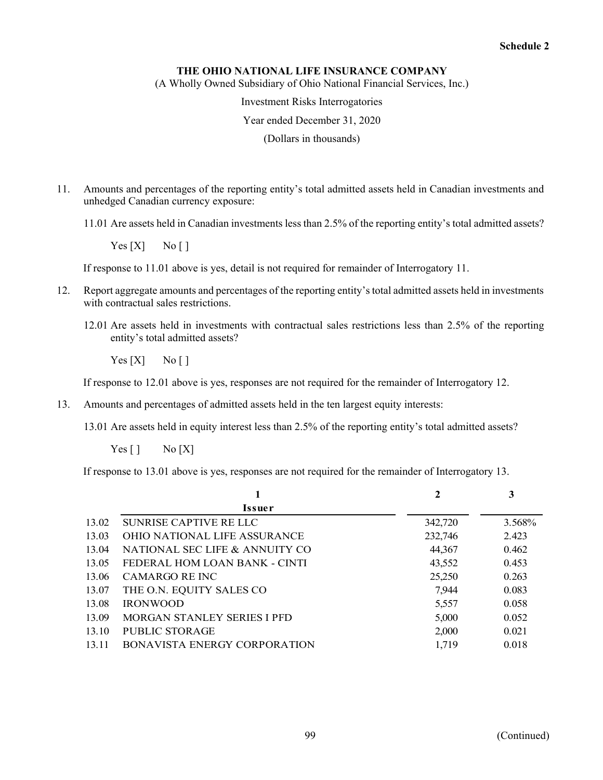(A Wholly Owned Subsidiary of Ohio National Financial Services, Inc.)

Investment Risks Interrogatories

### Year ended December 31, 2020

(Dollars in thousands)

11. Amounts and percentages of the reporting entity's total admitted assets held in Canadian investments and unhedged Canadian currency exposure:

11.01 Are assets held in Canadian investments less than 2.5% of the reporting entity's total admitted assets?

 $Yes [X]$  No [ ]

If response to 11.01 above is yes, detail is not required for remainder of Interrogatory 11.

- 12. Report aggregate amounts and percentages of the reporting entity's total admitted assets held in investments with contractual sales restrictions.
	- 12.01 Are assets held in investments with contractual sales restrictions less than 2.5% of the reporting entity's total admitted assets?
		- $Yes [X]$  No []

If response to 12.01 above is yes, responses are not required for the remainder of Interrogatory 12.

13. Amounts and percentages of admitted assets held in the ten largest equity interests:

13.01 Are assets held in equity interest less than 2.5% of the reporting entity's total admitted assets?

 $Yes [ ] No [ X ]$ 

If response to 13.01 above is yes, responses are not required for the remainder of Interrogatory 13.

|       | 1                              | 2       | 3      |
|-------|--------------------------------|---------|--------|
|       | <b>Issuer</b>                  |         |        |
| 13.02 | SUNRISE CAPTIVE RE LLC         | 342,720 | 3.568% |
| 13.03 | OHIO NATIONAL LIFE ASSURANCE   | 232,746 | 2.423  |
| 13.04 | NATIONAL SEC LIFE & ANNUITY CO | 44,367  | 0.462  |
| 13.05 | FEDERAL HOM LOAN BANK - CINTI  | 43,552  | 0.453  |
| 13.06 | CAMARGO RE INC                 | 25,250  | 0.263  |
| 13.07 | THE O.N. EQUITY SALES CO       | 7,944   | 0.083  |
| 13.08 | <b>IRONWOOD</b>                | 5,557   | 0.058  |
| 13.09 | MORGAN STANLEY SERIES I PFD    | 5,000   | 0.052  |
| 13.10 | PUBLIC STORAGE                 | 2,000   | 0.021  |
| 13.11 | BONAVISTA ENERGY CORPORATION   | 1,719   | 0.018  |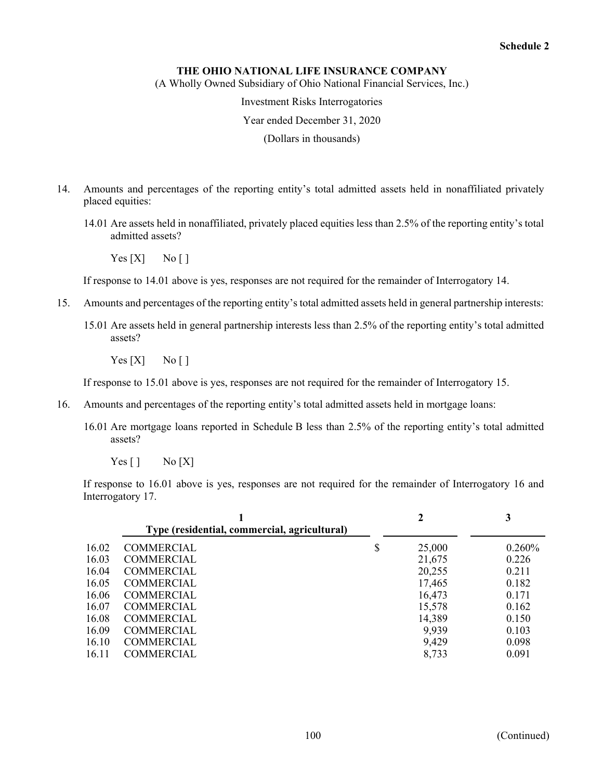(A Wholly Owned Subsidiary of Ohio National Financial Services, Inc.)

Investment Risks Interrogatories

Year ended December 31, 2020

(Dollars in thousands)

- 14. Amounts and percentages of the reporting entity's total admitted assets held in nonaffiliated privately placed equities:
	- 14.01 Are assets held in nonaffiliated, privately placed equities less than 2.5% of the reporting entity's total admitted assets?

 $Yes [X]$  No []

If response to 14.01 above is yes, responses are not required for the remainder of Interrogatory 14.

- 15. Amounts and percentages of the reporting entity's total admitted assets held in general partnership interests:
	- 15.01 Are assets held in general partnership interests less than 2.5% of the reporting entity's total admitted assets?

 $Yes [X]$  No []

If response to 15.01 above is yes, responses are not required for the remainder of Interrogatory 15.

- 16. Amounts and percentages of the reporting entity's total admitted assets held in mortgage loans:
	- 16.01 Are mortgage loans reported in Schedule B less than 2.5% of the reporting entity's total admitted assets?
		- $Yes [ ] No [ X ]$

If response to 16.01 above is yes, responses are not required for the remainder of Interrogatory 16 and Interrogatory 17.

|       | Type (residential, commercial, agricultural) |              |        |
|-------|----------------------------------------------|--------------|--------|
| 16.02 | <b>COMMERCIAL</b>                            | \$<br>25,000 | 0.260% |
| 16.03 | <b>COMMERCIAL</b>                            | 21,675       | 0.226  |
| 16.04 | <b>COMMERCIAL</b>                            | 20,255       | 0.211  |
| 16.05 | <b>COMMERCIAL</b>                            | 17,465       | 0.182  |
| 16.06 | <b>COMMERCIAL</b>                            | 16,473       | 0.171  |
| 16.07 | <b>COMMERCIAL</b>                            | 15,578       | 0.162  |
| 16.08 | <b>COMMERCIAL</b>                            | 14,389       | 0.150  |
| 16.09 | <b>COMMERCIAL</b>                            | 9,939        | 0.103  |
| 16.10 | <b>COMMERCIAL</b>                            | 9,429        | 0.098  |
| 16.11 | <b>COMMERCIAL</b>                            | 8,733        | 0.091  |
|       |                                              |              |        |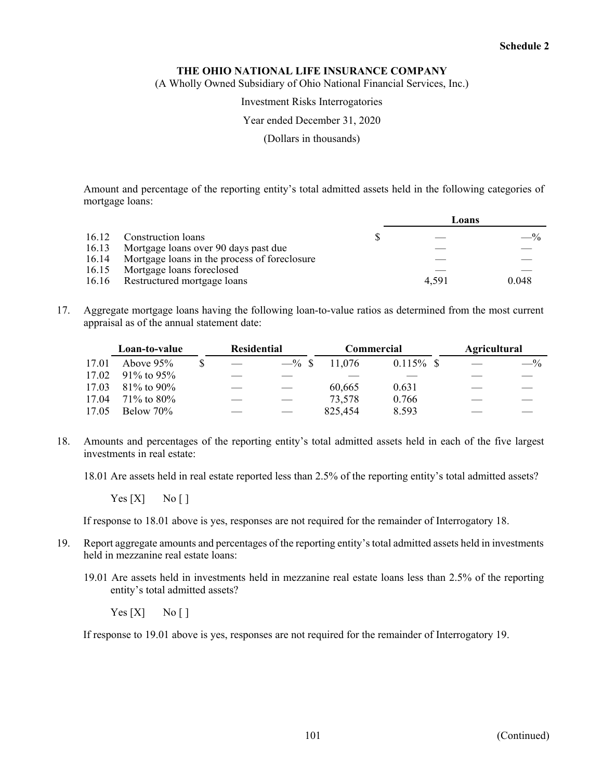(A Wholly Owned Subsidiary of Ohio National Financial Services, Inc.)

### Investment Risks Interrogatories

### Year ended December 31, 2020

(Dollars in thousands)

Amount and percentage of the reporting entity's total admitted assets held in the following categories of mortgage loans:

|       |                                              | Loans |       |
|-------|----------------------------------------------|-------|-------|
|       | 16.12 Construction loans                     |       | $-$ % |
| 16.13 | Mortgage loans over 90 days past due         |       |       |
| 16.14 | Mortgage loans in the process of foreclosure |       |       |
|       | 16.15 Mortgage loans foreclosed              |       |       |
|       | 16.16 Restructured mortgage loans            | 4.591 | 0.048 |

17. Aggregate mortgage loans having the following loan-to-value ratios as determined from the most current appraisal as of the annual statement date:

|       | Loan-to-value | <b>Residential</b> |          | Commercial |              | <b>Agricultural</b> |       |  |
|-------|---------------|--------------------|----------|------------|--------------|---------------------|-------|--|
| 17.01 | Above 95%     |                    | $-$ % \$ | 11.076     | $0.115\%$ \$ | $\frac{1}{1}$       | $-$ % |  |
| 17.02 | 91\% to 95\%  |                    |          |            |              |                     |       |  |
| 17.03 | 81% to 90%    |                    |          | 60,665     | 0.631        |                     |       |  |
| 17.04 | 71\% to 80\%  |                    |          | 73,578     | 0.766        |                     |       |  |
| 17.05 | Below 70%     |                    |          | 825,454    | 8.593        |                     |       |  |

18. Amounts and percentages of the reporting entity's total admitted assets held in each of the five largest investments in real estate:

18.01 Are assets held in real estate reported less than 2.5% of the reporting entity's total admitted assets?

 $Yes [X]$  No []

If response to 18.01 above is yes, responses are not required for the remainder of Interrogatory 18.

- 19. Report aggregate amounts and percentages of the reporting entity's total admitted assets held in investments held in mezzanine real estate loans:
	- 19.01 Are assets held in investments held in mezzanine real estate loans less than 2.5% of the reporting entity's total admitted assets?

 $Yes [X]$  No []

If response to 19.01 above is yes, responses are not required for the remainder of Interrogatory 19.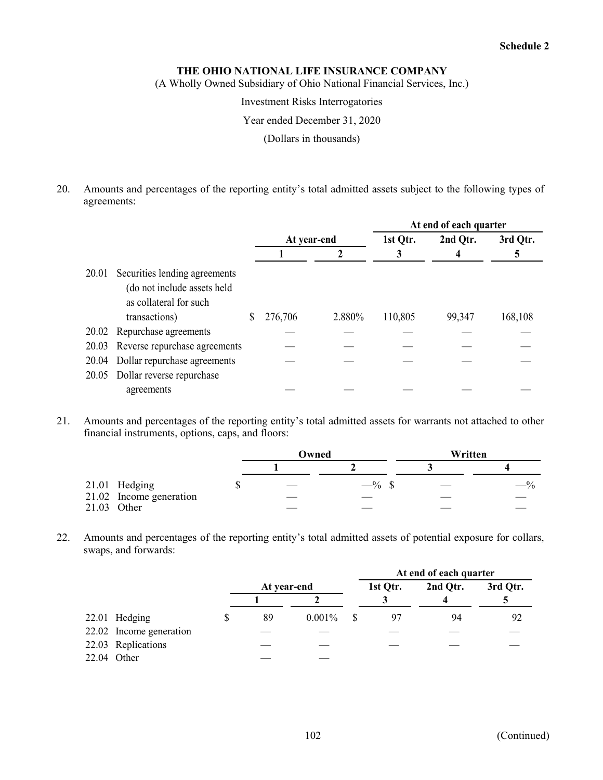(A Wholly Owned Subsidiary of Ohio National Financial Services, Inc.)

Investment Risks Interrogatories

### Year ended December 31, 2020

(Dollars in thousands)

20. Amounts and percentages of the reporting entity's total admitted assets subject to the following types of agreements:

|       |                                                                                        |   |             |        | At end of each quarter |          |          |  |
|-------|----------------------------------------------------------------------------------------|---|-------------|--------|------------------------|----------|----------|--|
|       |                                                                                        |   | At year-end |        | 1st Qtr.               | 2nd Qtr. | 3rd Qtr. |  |
|       |                                                                                        |   |             |        | 3                      |          | C.       |  |
| 20.01 | Securities lending agreements<br>(do not include assets held<br>as collateral for such |   |             |        |                        |          |          |  |
|       | transactions)                                                                          | S | 276,706     | 2.880% | 110,805                | 99,347   | 168,108  |  |
|       | 20.02 Repurchase agreements                                                            |   |             |        |                        |          |          |  |
| 20.03 | Reverse repurchase agreements                                                          |   |             |        |                        |          |          |  |
| 20.04 | Dollar repurchase agreements                                                           |   |             |        |                        |          |          |  |
| 20.05 | Dollar reverse repurchase                                                              |   |             |        |                        |          |          |  |
|       | agreements                                                                             |   |             |        |                        |          |          |  |

21. Amounts and percentages of the reporting entity's total admitted assets for warrants not attached to other financial instruments, options, caps, and floors:

|                         | Owned |          | Written |       |  |
|-------------------------|-------|----------|---------|-------|--|
|                         |       |          |         |       |  |
| 21.01 Hedging           |       | $-$ % \$ |         | $-$ % |  |
| 21.02 Income generation |       |          |         |       |  |
| 21.03 Other             |       |          |         |       |  |

22. Amounts and percentages of the reporting entity's total admitted assets of potential exposure for collars, swaps, and forwards:

|                         |             |           |   |          | At end of each quarter |          |
|-------------------------|-------------|-----------|---|----------|------------------------|----------|
|                         | At year-end |           |   | 1st Qtr. | 2nd Qtr.               | 3rd Qtr. |
|                         |             |           |   |          |                        |          |
| 22.01 Hedging           | 89          | $0.001\%$ | S | 97       | 94                     | 92       |
| 22.02 Income generation |             |           |   |          |                        |          |
| 22.03 Replications      |             |           |   |          |                        |          |
| 22.04 Other             |             |           |   |          |                        |          |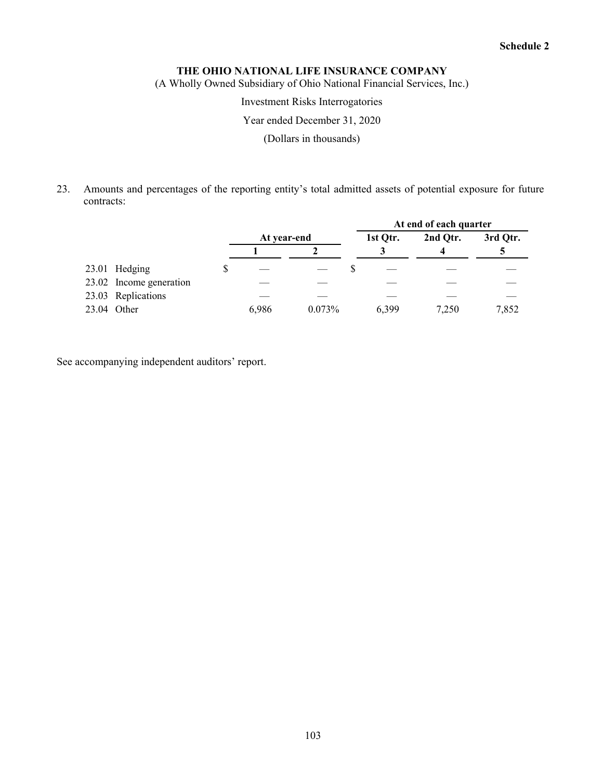(A Wholly Owned Subsidiary of Ohio National Financial Services, Inc.)

## Investment Risks Interrogatories

## Year ended December 31, 2020

(Dollars in thousands)

23. Amounts and percentages of the reporting entity's total admitted assets of potential exposure for future contracts:

|                         |             |        |          | At end of each quarter |          |
|-------------------------|-------------|--------|----------|------------------------|----------|
|                         | At year-end |        | 1st Qtr. | 2nd Qtr.               | 3rd Qtr. |
|                         |             |        |          |                        |          |
| 23.01 Hedging           |             |        |          |                        |          |
| 23.02 Income generation |             |        |          |                        |          |
| 23.03 Replications      |             |        |          |                        |          |
| 23.04 Other             | 6.986       | 0.073% | 6,399    | 7.250                  | 7,852    |

See accompanying independent auditors' report.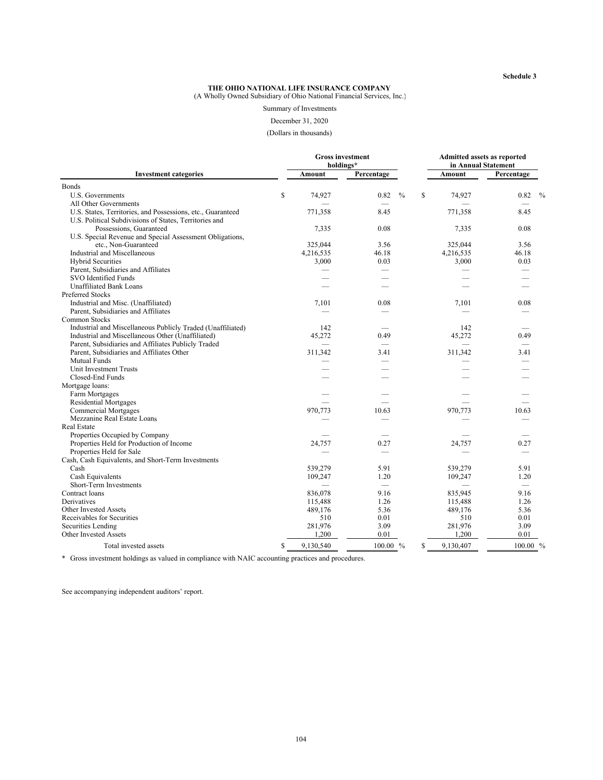# **THE OHIO NATIONAL LIFE INSURANCE COMPANY** (A Wholly Owned Subsidiary of Ohio National Financial Services, Inc.)

Summary of Investments

#### December 31, 2020

#### (Dollars in thousands)

|                                                             |    | <b>Gross investment</b><br>holdings* |               |               |               | <b>Admitted assets as reported</b><br>in Annual Statement |                          |               |
|-------------------------------------------------------------|----|--------------------------------------|---------------|---------------|---------------|-----------------------------------------------------------|--------------------------|---------------|
| <b>Investment categories</b>                                |    | Amount                               | Percentage    |               |               | Amount                                                    | Percentage               |               |
| <b>Bonds</b>                                                |    |                                      |               |               |               |                                                           |                          |               |
| U.S. Governments                                            | \$ | 74,927                               | 0.82          | $\frac{0}{0}$ | <sup>\$</sup> | 74,927                                                    | 0.82                     | $\frac{0}{0}$ |
| All Other Governments                                       |    |                                      |               |               |               |                                                           |                          |               |
| U.S. States, Territories, and Possessions, etc., Guaranteed |    | 771,358                              | 8.45          |               |               | 771,358                                                   | 8.45                     |               |
| U.S. Political Subdivisions of States, Territories and      |    |                                      |               |               |               |                                                           |                          |               |
| Possessions, Guaranteed                                     |    | 7,335                                | 0.08          |               |               | 7,335                                                     | 0.08                     |               |
| U.S. Special Revenue and Special Assessment Obligations,    |    |                                      |               |               |               |                                                           |                          |               |
| etc., Non-Guaranteed                                        |    | 325,044                              | 3.56          |               |               | 325,044                                                   | 3.56                     |               |
| Industrial and Miscellaneous                                |    | 4,216,535                            | 46.18         |               |               | 4,216,535                                                 | 46.18                    |               |
| <b>Hybrid Securities</b>                                    |    | 3,000                                | 0.03          |               |               | 3,000                                                     | 0.03                     |               |
| Parent, Subsidiaries and Affiliates                         |    |                                      |               |               |               |                                                           |                          |               |
| SVO Identified Funds                                        |    |                                      |               |               |               |                                                           |                          |               |
| <b>Unaffiliated Bank Loans</b>                              |    |                                      |               |               |               |                                                           |                          |               |
| Preferred Stocks                                            |    |                                      |               |               |               |                                                           |                          |               |
| Industrial and Misc. (Unaffiliated)                         |    | 7,101                                | 0.08          |               |               | 7,101                                                     | 0.08                     |               |
| Parent, Subsidiaries and Affiliates                         |    |                                      |               |               |               |                                                           |                          |               |
| Common Stocks                                               |    |                                      |               |               |               |                                                           |                          |               |
| Industrial and Miscellaneous Publicly Traded (Unaffiliated) |    | 142                                  |               |               |               | 142                                                       |                          |               |
| Industrial and Miscellaneous Other (Unaffiliated)           |    | 45,272                               | 0.49          |               |               | 45,272                                                    | 0.49                     |               |
| Parent, Subsidiaries and Affiliates Publicly Traded         |    |                                      |               |               |               |                                                           |                          |               |
| Parent, Subsidiaries and Affiliates Other                   |    | 311,342                              | 3.41          |               |               | 311,342                                                   | 3.41                     |               |
|                                                             |    |                                      |               |               |               |                                                           |                          |               |
| Mutual Funds                                                |    |                                      |               |               |               |                                                           |                          |               |
| Unit Investment Trusts                                      |    |                                      |               |               |               |                                                           |                          |               |
| Closed-End Funds                                            |    |                                      |               |               |               |                                                           |                          |               |
| Mortgage loans:                                             |    |                                      |               |               |               |                                                           |                          |               |
| Farm Mortgages                                              |    |                                      |               |               |               |                                                           |                          |               |
| <b>Residential Mortgages</b>                                |    |                                      |               |               |               |                                                           |                          |               |
| <b>Commercial Mortgages</b>                                 |    | 970,773                              | 10.63         |               |               | 970,773                                                   | 10.63                    |               |
| Mezzanine Real Estate Loans                                 |    |                                      |               |               |               |                                                           |                          |               |
| <b>Real Estate</b>                                          |    |                                      |               |               |               |                                                           |                          |               |
| Properties Occupied by Company                              |    |                                      |               |               |               |                                                           |                          |               |
| Properties Held for Production of Income                    |    | 24,757                               | 0.27          |               |               | 24,757                                                    | 0.27                     |               |
| Properties Held for Sale                                    |    |                                      |               |               |               |                                                           |                          |               |
| Cash, Cash Equivalents, and Short-Term Investments          |    |                                      |               |               |               |                                                           |                          |               |
| Cash                                                        |    | 539,279                              | 5.91          |               |               | 539,279                                                   | 5.91                     |               |
| Cash Equivalents                                            |    | 109,247                              | 1.20          |               |               | 109,247                                                   | 1.20                     |               |
| Short-Term Investments                                      |    |                                      | $\frac{1}{2}$ |               |               |                                                           | $\overline{\phantom{0}}$ |               |
| Contract loans                                              |    | 836,078                              | 9.16          |               |               | 835,945                                                   | 9.16                     |               |
| Derivatives                                                 |    | 115,488                              | 1.26          |               |               | 115,488                                                   | 1.26                     |               |
| Other Invested Assets                                       |    | 489,176                              | 5.36          |               |               | 489,176                                                   | 5.36                     |               |
| Receivables for Securities                                  |    | 510                                  | 0.01          |               |               | 510                                                       | 0.01                     |               |
| Securities Lending                                          |    | 281,976                              | 3.09          |               |               | 281,976                                                   | 3.09                     |               |
| <b>Other Invested Assets</b>                                |    | 1,200                                | 0.01          |               |               | 1,200                                                     | 0.01                     |               |
| Total invested assets                                       | S  | 9.130.540                            | 100.00 %      |               | <sup>\$</sup> | 9.130.407                                                 | 100.00 %                 |               |

\* Gross investment holdings as valued in compliance with NAIC accounting practices and procedures.

See accompanying independent auditors' report.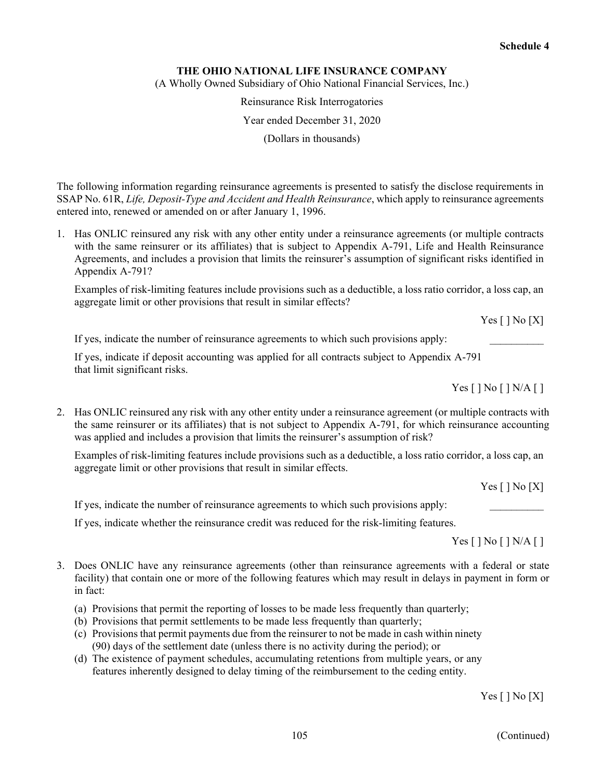(A Wholly Owned Subsidiary of Ohio National Financial Services, Inc.)

## Reinsurance Risk Interrogatories

Year ended December 31, 2020

(Dollars in thousands)

The following information regarding reinsurance agreements is presented to satisfy the disclose requirements in SSAP No. 61R, *Life, Deposit-Type and Accident and Health Reinsurance*, which apply to reinsurance agreements entered into, renewed or amended on or after January 1, 1996.

1. Has ONLIC reinsured any risk with any other entity under a reinsurance agreements (or multiple contracts with the same reinsurer or its affiliates) that is subject to Appendix A-791, Life and Health Reinsurance Agreements, and includes a provision that limits the reinsurer's assumption of significant risks identified in Appendix A-791?

Examples of risk-limiting features include provisions such as a deductible, a loss ratio corridor, a loss cap, an aggregate limit or other provisions that result in similar effects?

 $Yes [ ] No [ X ]$ 

If yes, indicate the number of reinsurance agreements to which such provisions apply:

If yes, indicate if deposit accounting was applied for all contracts subject to Appendix A-791 that limit significant risks.

Yes [ ] No [ ] N/A [ ]

2. Has ONLIC reinsured any risk with any other entity under a reinsurance agreement (or multiple contracts with the same reinsurer or its affiliates) that is not subject to Appendix A-791, for which reinsurance accounting was applied and includes a provision that limits the reinsurer's assumption of risk?

Examples of risk-limiting features include provisions such as a deductible, a loss ratio corridor, a loss cap, an aggregate limit or other provisions that result in similar effects.

 $Yes [ ] No [ X ]$ 

If yes, indicate the number of reinsurance agreements to which such provisions apply:

If yes, indicate whether the reinsurance credit was reduced for the risk-limiting features.

Yes [ ] No [ ] N/A [ ]

- 3. Does ONLIC have any reinsurance agreements (other than reinsurance agreements with a federal or state facility) that contain one or more of the following features which may result in delays in payment in form or in fact:
	- (a) Provisions that permit the reporting of losses to be made less frequently than quarterly;
	- (b) Provisions that permit settlements to be made less frequently than quarterly;
	- (c) Provisions that permit payments due from the reinsurer to not be made in cash within ninety (90) days of the settlement date (unless there is no activity during the period); or
	- (d) The existence of payment schedules, accumulating retentions from multiple years, or any features inherently designed to delay timing of the reimbursement to the ceding entity.

 $Yes [ ] No [ X ]$